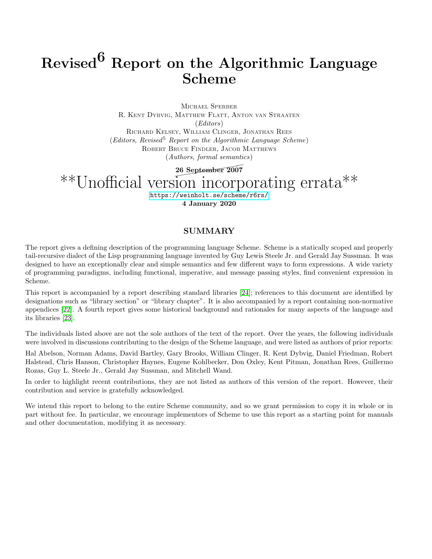# Revised<sup>6</sup> Report on the Algorithmic Language Scheme

MICHAEL SPERBER R. KENT DYBVIG, MATTHEW FLATT, ANTON VAN STRAATEN (*Editors*) RICHARD KELSEY, WILLIAM CLINGER, JONATHAN REES (*Editors, Revised*<sup>5</sup> *Report on the Algorithmic Language Scheme*) ROBERT BRUCE FINDLER, JACOB MATTHEWS (*Authors, formal semantics*)

26 September 2007 \*\*Unofficial version incorporating errata\*\* <https://weinholt.se/scheme/r6rs/>

4 January 2020

# SUMMARY

The report gives a defining description of the programming language Scheme. Scheme is a statically scoped and properly tail-recursive dialect of the Lisp programming language invented by Guy Lewis Steele Jr. and Gerald Jay Sussman. It was designed to have an exceptionally clear and simple semantics and few different ways to form expressions. A wide variety of programming paradigms, including functional, imperative, and message passing styles, find convenient expression in Scheme.

This report is accompanied by a report describing standard libraries [\[24\]](#page-81-0); references to this document are identified by designations such as "library section" or "library chapter". It is also accompanied by a report containing non-normative appendices [\[22\]](#page-80-0). A fourth report gives some historical background and rationales for many aspects of the language and its libraries [\[23\]](#page-80-1).

The individuals listed above are not the sole authors of the text of the report. Over the years, the following individuals were involved in discussions contributing to the design of the Scheme language, and were listed as authors of prior reports:

Hal Abelson, Norman Adams, David Bartley, Gary Brooks, William Clinger, R. Kent Dybvig, Daniel Friedman, Robert Halstead, Chris Hanson, Christopher Haynes, Eugene Kohlbecker, Don Oxley, Kent Pitman, Jonathan Rees, Guillermo Rozas, Guy L. Steele Jr., Gerald Jay Sussman, and Mitchell Wand.

In order to highlight recent contributions, they are not listed as authors of this version of the report. However, their contribution and service is gratefully acknowledged.

We intend this report to belong to the entire Scheme community, and so we grant permission to copy it in whole or in part without fee. In particular, we encourage implementors of Scheme to use this report as a starting point for manuals and other documentation, modifying it as necessary.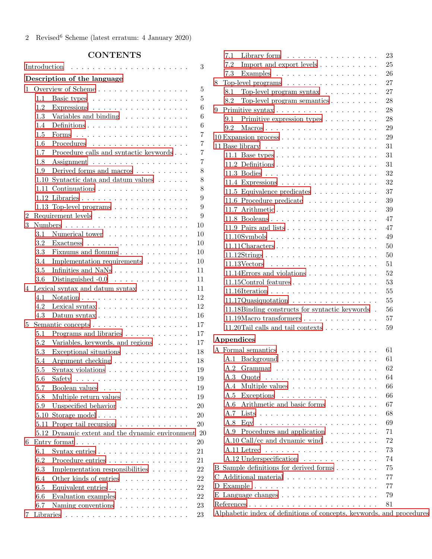<span id="page-1-0"></span>2 Revised<br/><sup>6</sup> Scheme (latest erratum: 4 January 2020)

# **CONTENTS**

|   |      | Introduction $\ldots \ldots \ldots \ldots \ldots \ldots \ldots$                                                          | 3              |
|---|------|--------------------------------------------------------------------------------------------------------------------------|----------------|
|   |      | Description of the language                                                                                              |                |
| 1 |      | Overview of Scheme                                                                                                       | 5              |
|   | 1.1  | Basic types                                                                                                              | 5              |
|   | 1.2  |                                                                                                                          | 6              |
|   | 1.3  | Variables and binding $\dots \dots \dots \dots$                                                                          | 6              |
|   | 1.4  |                                                                                                                          | 6              |
|   | 1.5  |                                                                                                                          | 7              |
|   | 1.6  | Procedures                                                                                                               | $\overline{7}$ |
|   | 1.7  | Procedure calls and syntactic keywords                                                                                   | 7              |
|   | 1.8  | Assignment                                                                                                               | 7              |
|   | 1.9  | Derived forms and macros                                                                                                 | 8              |
|   |      | 1.10 Syntactic data and datum values                                                                                     | 8              |
|   |      | 1.11 Continuations $\ldots \ldots \ldots \ldots \ldots$                                                                  | 8              |
|   |      |                                                                                                                          | 9              |
|   |      |                                                                                                                          | 9              |
|   |      | 1.13 Top-level programs                                                                                                  | 9              |
| 2 |      | Requirement levels                                                                                                       |                |
| 3 |      | 10                                                                                                                       |                |
|   | 3.1  | Numerical tower<br>10                                                                                                    |                |
|   | 3.2  | 10                                                                                                                       |                |
|   | 3.3  | 10                                                                                                                       |                |
|   | 3.4  | Implementation requirements<br>10                                                                                        |                |
|   | 3.5  | Infinities and NaNs<br>11                                                                                                |                |
|   | 3.6  | Distinguished $-0.0$<br>11                                                                                               |                |
| 4 |      | Lexical syntax and datum syntax $\ldots \ldots \ldots$<br>11                                                             |                |
|   | 4.1  | 12                                                                                                                       |                |
|   | 4.2  | 12<br>Lexical syntax $\ldots \ldots \ldots \ldots \ldots \ldots$                                                         |                |
|   | 4.3  | 16<br>Datum syntax $\ldots \ldots \ldots \ldots \ldots \ldots$                                                           |                |
| 5 |      | Semantic concepts<br>17                                                                                                  |                |
|   | 5.1  | Programs and libraries<br>17                                                                                             |                |
|   | 5.2  | Variables, keywords, and regions<br>17                                                                                   |                |
|   | 5.3  | Exceptional situations $\ldots \ldots \ldots \ldots$<br>18                                                               |                |
|   | 5.4  | Argument checking<br>18                                                                                                  |                |
|   | 5.5  | Syntax violations $\ldots \ldots \ldots \ldots \ldots$<br>19                                                             |                |
|   | 5.6  | 19                                                                                                                       |                |
|   | 5.7  | Boolean values<br>19                                                                                                     |                |
|   | 5.8  | Multiple return values<br>19                                                                                             |                |
|   | 5.9  | Unspecified behavior<br>20                                                                                               |                |
|   | 5.10 | 20<br>Storage model $\ldots \ldots \ldots \ldots \ldots$                                                                 |                |
|   | 5.11 | Proper tail recursion<br>20                                                                                              |                |
|   | 5.12 | Dynamic extent and the dynamic environment 20                                                                            |                |
|   |      | Entry format $\ldots \ldots \ldots \ldots \ldots$                                                                        |                |
| 6 |      | 20                                                                                                                       |                |
|   | 6.1  | 21<br>Syntax entries $\ldots \ldots \ldots \ldots$                                                                       |                |
|   | 6.2  | Procedure entries<br>21                                                                                                  |                |
|   | 6.3  | 22<br>Implementation responsibilities                                                                                    |                |
|   | 6.4  | Other kinds of entries<br>22                                                                                             |                |
|   | 6.5  | Equivalent entries $\ldots \ldots \ldots \ldots \ldots$<br>22                                                            |                |
|   | 6.6  | 22<br>Evaluation examples $\dots \dots \dots \dots$                                                                      |                |
|   | 6.7  | $23\,$<br>Naming conventions<br>$\mathcal{A}$ , and a set of the set of the set of $\mathcal{A}$<br>$\ddot{\phantom{a}}$ |                |
| 7 |      | 23                                                                                                                       |                |

| 7.1        | Library form                                                          | 23       |
|------------|-----------------------------------------------------------------------|----------|
| 7.2        | Import and export levels                                              | 25       |
| 7.3        | Examples $\ldots \ldots \ldots \ldots \ldots \ldots$                  | 26       |
| 8          | Top-level programs                                                    | 27       |
| 8.1        | Top-level program syntax $\ldots \ldots \ldots$                       | 27       |
| 8.2        | Top-level program semantics $\ldots \ldots \ldots$                    | 28       |
| 9          |                                                                       | 28       |
| 9.1        | Primitive expression types                                            | 28       |
| 9.2        | Macros                                                                | 29       |
|            | $10$ Expansion process                                                | 29       |
|            | 11 Base library $\ldots \ldots \ldots \ldots \ldots \ldots \ldots$    | 31       |
|            | 11.1 Base types $\ldots \ldots \ldots \ldots \ldots \ldots \ldots$    | 31       |
|            |                                                                       | 31       |
|            |                                                                       | 32       |
|            | 11.4 Expressions                                                      | 32       |
|            | 11.5 Equivalence predicates                                           | 37       |
|            | 11.6 Procedure predicate $\ldots \ldots \ldots \ldots$                | 39       |
|            |                                                                       | 39       |
|            |                                                                       | 47       |
|            | 11.9 Pairs and lists                                                  | 47       |
|            |                                                                       | 49       |
|            |                                                                       | 50       |
|            |                                                                       | 50       |
|            | 11.13Vectors                                                          | 51       |
|            | $11.14$ Errors and violations $\ldots$                                | 52       |
|            | 11.15Control features                                                 | 53       |
|            |                                                                       | 55       |
|            | 11.17Quasiquotation                                                   | 55       |
|            | 11.18Binding constructs for syntactic keywords.                       | 56       |
|            | 11.19 Macro transformers                                              | 57       |
|            | 11.20 Tail calls and tail contexts $\ldots \ldots \ldots$             | 59       |
| Appendices |                                                                       |          |
|            |                                                                       | 61       |
|            | A Formal semantics                                                    |          |
|            | A.1 Background                                                        | 61       |
| A.2        | .<br>Grammar                                                          | 62       |
| A.3        | Quote                                                                 | 64       |
| A.4        | Multiple values                                                       | 66       |
| A.5<br>A.6 | Exceptions<br>.                                                       | 66       |
|            | Arithmetic and basic forms                                            | 67       |
| A.7        |                                                                       | 68       |
| A.8<br>A.9 | Eqv                                                                   | 69<br>71 |
|            | Procedures and application                                            |          |
|            | A.10 Call/cc and dynamic wind $\ldots \ldots \ldots$                  | 72       |
|            |                                                                       | 73       |
|            | A.12 Underspecification                                               | 74       |
|            | B Sample definitions for derived forms                                | 75       |
| €          | Additional material                                                   | 77       |
| D          | Example $\ldots \ldots \ldots \ldots \ldots \ldots \ldots \ldots$     | 77       |
| E          |                                                                       | 79       |
|            |                                                                       | 81       |
|            | Alphabetic index of definitions of concepts, keywords, and procedures |          |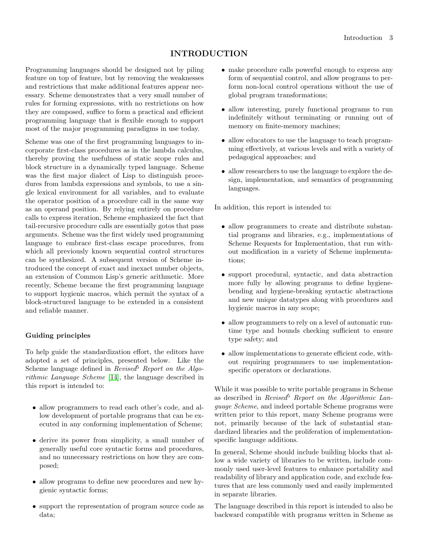# INTRODUCTION

Programming languages should be designed not by piling feature on top of feature, but by removing the weaknesses and restrictions that make additional features appear necessary. Scheme demonstrates that a very small number of rules for forming expressions, with no restrictions on how they are composed, suffice to form a practical and efficient programming language that is flexible enough to support most of the major programming paradigms in use today.

Scheme was one of the first programming languages to incorporate first-class procedures as in the lambda calculus, thereby proving the usefulness of static scope rules and block structure in a dynamically typed language. Scheme was the first major dialect of Lisp to distinguish procedures from lambda expressions and symbols, to use a single lexical environment for all variables, and to evaluate the operator position of a procedure call in the same way as an operand position. By relying entirely on procedure calls to express iteration, Scheme emphasized the fact that tail-recursive procedure calls are essentially gotos that pass arguments. Scheme was the first widely used programming language to embrace first-class escape procedures, from which all previously known sequential control structures can be synthesized. A subsequent version of Scheme introduced the concept of exact and inexact number objects, an extension of Common Lisp's generic arithmetic. More recently, Scheme became the first programming language to support hygienic macros, which permit the syntax of a block-structured language to be extended in a consistent and reliable manner.

## Guiding principles

To help guide the standardization effort, the editors have adopted a set of principles, presented below. Like the Scheme language defined in *Revised*<sup>5</sup> *Report on the Algorithmic Language Scheme* [\[14\]](#page-80-3), the language described in this report is intended to:

- allow programmers to read each other's code, and allow development of portable programs that can be executed in any conforming implementation of Scheme;
- derive its power from simplicity, a small number of generally useful core syntactic forms and procedures, and no unnecessary restrictions on how they are composed;
- allow programs to define new procedures and new hygienic syntactic forms;
- support the representation of program source code as data;
- make procedure calls powerful enough to express any form of sequential control, and allow programs to perform non-local control operations without the use of global program transformations;
- allow interesting, purely functional programs to run indefinitely without terminating or running out of memory on finite-memory machines;
- allow educators to use the language to teach programming effectively, at various levels and with a variety of pedagogical approaches; and
- allow researchers to use the language to explore the design, implementation, and semantics of programming languages.

In addition, this report is intended to:

- allow programmers to create and distribute substantial programs and libraries, e.g., implementations of Scheme Requests for Implementation, that run without modification in a variety of Scheme implementations;
- support procedural, syntactic, and data abstraction more fully by allowing programs to define hygienebending and hygiene-breaking syntactic abstractions and new unique datatypes along with procedures and hygienic macros in any scope;
- allow programmers to rely on a level of automatic runtime type and bounds checking sufficient to ensure type safety; and
- allow implementations to generate efficient code, without requiring programmers to use implementationspecific operators or declarations.

While it was possible to write portable programs in Scheme as described in *Revised*<sup>5</sup> *Report on the Algorithmic Language Scheme*, and indeed portable Scheme programs were written prior to this report, many Scheme programs were not, primarily because of the lack of substantial standardized libraries and the proliferation of implementationspecific language additions.

In general, Scheme should include building blocks that allow a wide variety of libraries to be written, include commonly used user-level features to enhance portability and readability of library and application code, and exclude features that are less commonly used and easily implemented in separate libraries.

The language described in this report is intended to also be backward compatible with programs written in Scheme as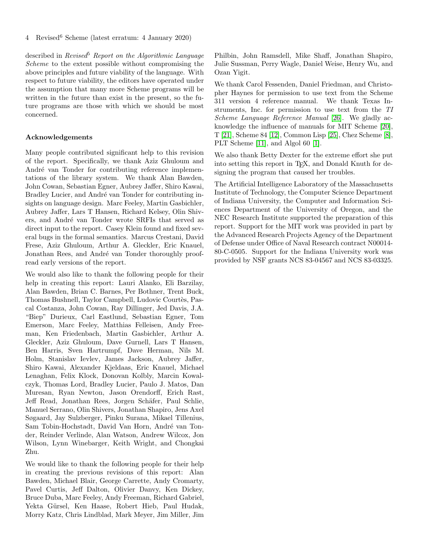described in *Revised*<sup>5</sup> *Report on the Algorithmic Language Scheme* to the extent possible without compromising the above principles and future viability of the language. With respect to future viability, the editors have operated under the assumption that many more Scheme programs will be written in the future than exist in the present, so the future programs are those with which we should be most concerned.

#### <span id="page-3-0"></span>Acknowledgements

Many people contributed significant help to this revision of the report. Specifically, we thank Aziz Ghuloum and André van Tonder for contributing reference implementations of the library system. We thank Alan Bawden, John Cowan, Sebastian Egner, Aubrey Jaffer, Shiro Kawai, Bradley Lucier, and André van Tonder for contributing insights on language design. Marc Feeley, Martin Gasbichler, Aubrey Jaffer, Lars T Hansen, Richard Kelsey, Olin Shivers, and André van Tonder wrote SRFIs that served as direct input to the report. Casey Klein found and fixed several bugs in the formal semantics. Marcus Crestani, David Frese, Aziz Ghuloum, Arthur A. Gleckler, Eric Knauel, Jonathan Rees, and André van Tonder thoroughly proofread early versions of the report.

We would also like to thank the following people for their help in creating this report: Lauri Alanko, Eli Barzilay, Alan Bawden, Brian C. Barnes, Per Bothner, Trent Buck, Thomas Bushnell, Taylor Campbell, Ludovic Courtès, Pascal Costanza, John Cowan, Ray Dillinger, Jed Davis, J.A. "Biep" Durieux, Carl Eastlund, Sebastian Egner, Tom Emerson, Marc Feeley, Matthias Felleisen, Andy Freeman, Ken Friedenbach, Martin Gasbichler, Arthur A. Gleckler, Aziz Ghuloum, Dave Gurnell, Lars T Hansen, Ben Harris, Sven Hartrumpf, Dave Herman, Nils M. Holm, Stanislav Ievlev, James Jackson, Aubrey Jaffer, Shiro Kawai, Alexander Kjeldaas, Eric Knauel, Michael Lenaghan, Felix Klock, Donovan Kolbly, Marcin Kowalczyk, Thomas Lord, Bradley Lucier, Paulo J. Matos, Dan Muresan, Ryan Newton, Jason Orendorff, Erich Rast, Jeff Read, Jonathan Rees, Jorgen Schäfer, Paul Schlie, Manuel Serrano, Olin Shivers, Jonathan Shapiro, Jens Axel Søgaard, Jay Sulzberger, Pinku Surana, Mikael Tillenius, Sam Tobin-Hochstadt, David Van Horn, André van Tonder, Reinder Verlinde, Alan Watson, Andrew Wilcox, Jon Wilson, Lynn Winebarger, Keith Wright, and Chongkai Zhu.

We would like to thank the following people for their help in creating the previous revisions of this report: Alan Bawden, Michael Blair, George Carrette, Andy Cromarty, Pavel Curtis, Jeff Dalton, Olivier Danvy, Ken Dickey, Bruce Duba, Marc Feeley, Andy Freeman, Richard Gabriel, Yekta Gürsel, Ken Haase, Robert Hieb, Paul Hudak, Morry Katz, Chris Lindblad, Mark Meyer, Jim Miller, Jim Philbin, John Ramsdell, Mike Shaff, Jonathan Shapiro, Julie Sussman, Perry Wagle, Daniel Weise, Henry Wu, and Ozan Yigit.

We thank Carol Fessenden, Daniel Friedman, and Christopher Haynes for permission to use text from the Scheme 311 version 4 reference manual. We thank Texas Instruments, Inc. for permission to use text from the *TI Scheme Language Reference Manual* [\[26\]](#page-81-1). We gladly acknowledge the influence of manuals for MIT Scheme [\[20\]](#page-80-4), T [\[21\]](#page-80-5), Scheme 84 [\[12\]](#page-80-6), Common Lisp [\[25\]](#page-81-2), Chez Scheme [\[8\]](#page-80-7), PLT Scheme [\[11\]](#page-80-8), and Algol 60 [\[1\]](#page-80-9).

We also thank Betty Dexter for the extreme effort she put into setting this report in T<sub>E</sub>X, and Donald Knuth for designing the program that caused her troubles.

The Artificial Intelligence Laboratory of the Massachusetts Institute of Technology, the Computer Science Department of Indiana University, the Computer and Information Sciences Department of the University of Oregon, and the NEC Research Institute supported the preparation of this report. Support for the MIT work was provided in part by the Advanced Research Projects Agency of the Department of Defense under Office of Naval Research contract N00014- 80-C-0505. Support for the Indiana University work was provided by NSF grants NCS 83-04567 and NCS 83-03325.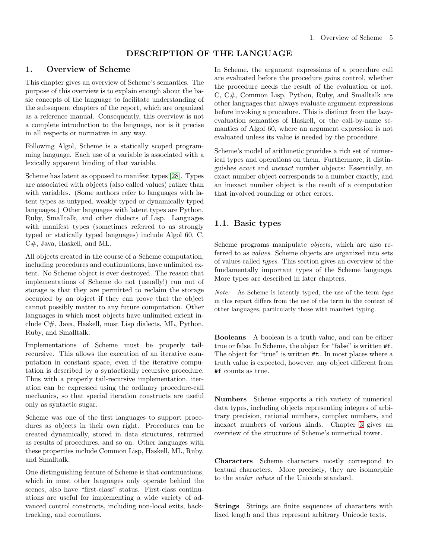# DESCRIPTION OF THE LANGUAGE

## <span id="page-4-0"></span>1. Overview of Scheme

This chapter gives an overview of Scheme's semantics. The purpose of this overview is to explain enough about the basic concepts of the language to facilitate understanding of the subsequent chapters of the report, which are organized as a reference manual. Consequently, this overview is not a complete introduction to the language, nor is it precise in all respects or normative in any way.

Following Algol, Scheme is a statically scoped programming language. Each use of a variable is associated with a lexically apparent binding of that variable.

Scheme has latent as opposed to manifest types [\[28\]](#page-81-3). Types are associated with objects (also called values) rather than with variables. (Some authors refer to languages with latent types as untyped, weakly typed or dynamically typed languages.) Other languages with latent types are Python, Ruby, Smalltalk, and other dialects of Lisp. Languages with manifest types (sometimes referred to as strongly typed or statically typed languages) include Algol 60, C, C#, Java, Haskell, and ML.

All objects created in the course of a Scheme computation, including procedures and continuations, have unlimited extent. No Scheme object is ever destroyed. The reason that implementations of Scheme do not (usually!) run out of storage is that they are permitted to reclaim the storage occupied by an object if they can prove that the object cannot possibly matter to any future computation. Other languages in which most objects have unlimited extent include C#, Java, Haskell, most Lisp dialects, ML, Python, Ruby, and Smalltalk.

Implementations of Scheme must be properly tailrecursive. This allows the execution of an iterative computation in constant space, even if the iterative computation is described by a syntactically recursive procedure. Thus with a properly tail-recursive implementation, iteration can be expressed using the ordinary procedure-call mechanics, so that special iteration constructs are useful only as syntactic sugar.

Scheme was one of the first languages to support procedures as objects in their own right. Procedures can be created dynamically, stored in data structures, returned as results of procedures, and so on. Other languages with these properties include Common Lisp, Haskell, ML, Ruby, and Smalltalk.

One distinguishing feature of Scheme is that continuations, which in most other languages only operate behind the scenes, also have "first-class" status. First-class continuations are useful for implementing a wide variety of advanced control constructs, including non-local exits, backtracking, and coroutines.

In Scheme, the argument expressions of a procedure call are evaluated before the procedure gains control, whether the procedure needs the result of the evaluation or not. C, C#, Common Lisp, Python, Ruby, and Smalltalk are other languages that always evaluate argument expressions before invoking a procedure. This is distinct from the lazyevaluation semantics of Haskell, or the call-by-name semantics of Algol 60, where an argument expression is not evaluated unless its value is needed by the procedure.

Scheme's model of arithmetic provides a rich set of numerical types and operations on them. Furthermore, it distinguishes *exact* and *inexact* number objects: Essentially, an exact number object corresponds to a number exactly, and an inexact number object is the result of a computation that involved rounding or other errors.

#### <span id="page-4-1"></span>1.1. Basic types

Scheme programs manipulate *objects*, which are also referred to as *values*. Scheme objects are organized into sets of values called *types*. This section gives an overview of the fundamentally important types of the Scheme language. More types are described in later chapters.

Note: As Scheme is latently typed, the use of the term type in this report differs from the use of the term in the context of other languages, particularly those with manifest typing.

Booleans A boolean is a truth value, and can be either true or false. In Scheme, the object for "false" is written #f. The object for "true" is written #t. In most places where a truth value is expected, however, any object different from #f counts as true.

Numbers Scheme supports a rich variety of numerical data types, including objects representing integers of arbitrary precision, rational numbers, complex numbers, and inexact numbers of various kinds. Chapter [3](#page-9-0) gives an overview of the structure of Scheme's numerical tower.

Characters Scheme characters mostly correspond to textual characters. More precisely, they are isomorphic to the *scalar values* of the Unicode standard.

Strings Strings are finite sequences of characters with fixed length and thus represent arbitrary Unicode texts.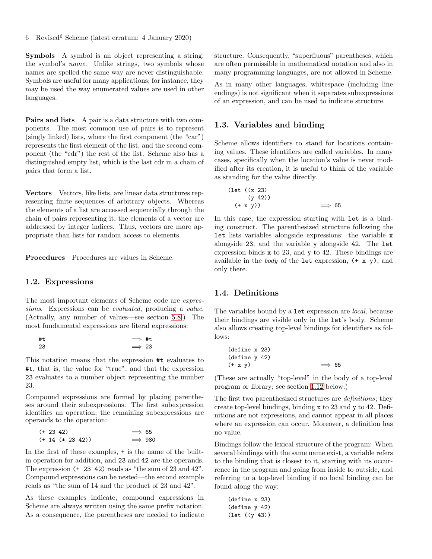Symbols A symbol is an object representing a string, the symbol's *name*. Unlike strings, two symbols whose names are spelled the same way are never distinguishable. Symbols are useful for many applications; for instance, they may be used the way enumerated values are used in other languages.

Pairs and lists A pair is a data structure with two components. The most common use of pairs is to represent (singly linked) lists, where the first component (the "car") represents the first element of the list, and the second component (the "cdr") the rest of the list. Scheme also has a distinguished empty list, which is the last cdr in a chain of pairs that form a list.

Vectors Vectors, like lists, are linear data structures representing finite sequences of arbitrary objects. Whereas the elements of a list are accessed sequentially through the chain of pairs representing it, the elements of a vector are addressed by integer indices. Thus, vectors are more appropriate than lists for random access to elements.

<span id="page-5-0"></span>Procedures Procedures are values in Scheme.

## 1.2. Expressions

The most important elements of Scheme code are *expressions*. Expressions can be *evaluated*, producing a *value*. (Actually, any number of values—see section [5.8.](#page-18-3)) The most fundamental expressions are literal expressions:

| #t | $\implies$ #t |  |
|----|---------------|--|
| 23 | $\implies$ 23 |  |

This notation means that the expression #t evaluates to #t, that is, the value for "true", and that the expression 23 evaluates to a number object representing the number 23.

Compound expressions are formed by placing parentheses around their subexpressions. The first subexpression identifies an operation; the remaining subexpressions are operands to the operation:

| $(+ 23 42)$ |  |                    |  | $\implies$ 65  |  |
|-------------|--|--------------------|--|----------------|--|
|             |  | $(+ 14 (* 23 42))$ |  | $\implies$ 980 |  |

In the first of these examples, + is the name of the builtin operation for addition, and 23 and 42 are the operands. The expression (+ 23 42) reads as "the sum of 23 and 42". Compound expressions can be nested—the second example reads as "the sum of 14 and the product of 23 and 42".

As these examples indicate, compound expressions in Scheme are always written using the same prefix notation. As a consequence, the parentheses are needed to indicate

structure. Consequently, "superfluous" parentheses, which are often permissible in mathematical notation and also in many programming languages, are not allowed in Scheme.

As in many other languages, whitespace (including line endings) is not significant when it separates subexpressions of an expression, and can be used to indicate structure.

#### <span id="page-5-1"></span>1.3. Variables and binding

Scheme allows identifiers to stand for locations containing values. These identifiers are called variables. In many cases, specifically when the location's value is never modified after its creation, it is useful to think of the variable as standing for the value directly.

$$
(let ((x 23)(y 42))(+ x y))  $\implies 65$
$$

In this case, the expression starting with let is a binding construct. The parenthesized structure following the let lists variables alongside expressions: the variable x alongside 23, and the variable y alongside 42. The let expression binds x to 23, and y to 42. These bindings are available in the *body* of the let expression, (+ x y), and only there.

#### <span id="page-5-2"></span>1.4. Definitions

The variables bound by a let expression are *local*, because their bindings are visible only in the let's body. Scheme also allows creating top-level bindings for identifiers as follows:

| $(\text{define } x \; 23)$ |               |
|----------------------------|---------------|
| (define y 42)              |               |
| $(+ x y)$                  | $\implies$ 65 |

(These are actually "top-level" in the body of a top-level program or library; see section [1.12](#page-8-0) below.)

The first two parenthesized structures are *definitions*; they create top-level bindings, binding x to 23 and y to 42. Definitions are not expressions, and cannot appear in all places where an expression can occur. Moreover, a definition has no value.

Bindings follow the lexical structure of the program: When several bindings with the same name exist, a variable refers to the binding that is closest to it, starting with its occurrence in the program and going from inside to outside, and referring to a top-level binding if no local binding can be found along the way:

| (detine x 23)            |  |
|--------------------------|--|
| (detine y 42)            |  |
| $(\text{let } ((y 43)))$ |  |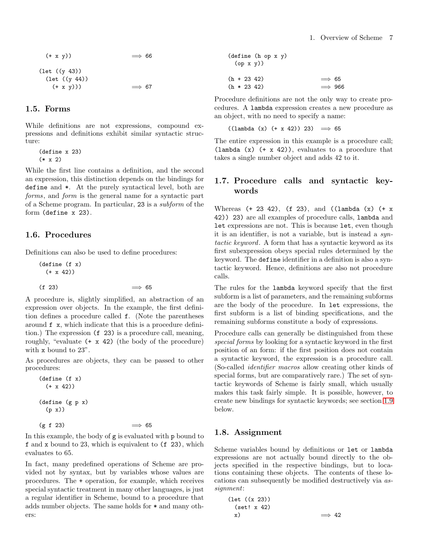$$
(+ x y) \Rightarrow 66
$$

(let ((y 43)) (let ((y 44))  $(+ x y))$   $\implies 67$ 

# <span id="page-6-0"></span>1.5. Forms

While definitions are not expressions, compound expressions and definitions exhibit similar syntactic structure:

(define x 23)  $(* x 2)$ 

While the first line contains a definition, and the second an expression, this distinction depends on the bindings for define and \*. At the purely syntactical level, both are *forms*, and *form* is the general name for a syntactic part of a Scheme program. In particular, 23 is a *subform* of the form (define x 23).

## <span id="page-6-1"></span>1.6. Procedures

Definitions can also be used to define procedures:

$$
(\text{define } (f x) \n (+ x 42)) \n(f 23) \implies 65
$$

A procedure is, slightly simplified, an abstraction of an expression over objects. In the example, the first definition defines a procedure called f. (Note the parentheses around f x, which indicate that this is a procedure definition.) The expression (f 23) is a procedure call, meaning, roughly, "evaluate (+ x 42) (the body of the procedure) with x bound to 23".

As procedures are objects, they can be passed to other procedures:

(define (f x)  $(+ x 42)$ (define (g p x)  $(p x)$  $(g f 23)$   $\implies 65$ 

In this example, the body of  $g$  is evaluated with p bound to f and x bound to 23, which is equivalent to (f 23), which evaluates to 65.

In fact, many predefined operations of Scheme are provided not by syntax, but by variables whose values are procedures. The + operation, for example, which receives special syntactic treatment in many other languages, is just a regular identifier in Scheme, bound to a procedure that adds number objects. The same holds for \* and many others:

|               | (detine (h op x y)) |                   |
|---------------|---------------------|-------------------|
| (op x y))     |                     |                   |
|               |                     |                   |
| $(h + 23 42)$ |                     | $\implies$ 65     |
| $(h * 23 42)$ |                     | $\Rightarrow$ 966 |

Procedure definitions are not the only way to create procedures. A lambda expression creates a new procedure as an object, with no need to specify a name:

 $((\text{lambda } (x) (+ x 42)) 23) \implies 65$ 

The entire expression in this example is a procedure call; (lambda  $(x)$   $(+ x 42)$ ), evaluates to a procedure that takes a single number object and adds 42 to it.

# <span id="page-6-2"></span>1.7. Procedure calls and syntactic keywords

Whereas (+ 23 42), (f 23), and ((lambda (x) (+ x 42)) 23) are all examples of procedure calls, lambda and let expressions are not. This is because let, even though it is an identifier, is not a variable, but is instead a *syntactic keyword*. A form that has a syntactic keyword as its first subexpression obeys special rules determined by the keyword. The define identifier in a definition is also a syntactic keyword. Hence, definitions are also not procedure calls.

The rules for the lambda keyword specify that the first subform is a list of parameters, and the remaining subforms are the body of the procedure. In let expressions, the first subform is a list of binding specifications, and the remaining subforms constitute a body of expressions.

Procedure calls can generally be distinguished from these *special forms* by looking for a syntactic keyword in the first position of an form: if the first position does not contain a syntactic keyword, the expression is a procedure call. (So-called *identifier macros* allow creating other kinds of special forms, but are comparatively rare.) The set of syntactic keywords of Scheme is fairly small, which usually makes this task fairly simple. It is possible, however, to create new bindings for syntactic keywords; see section [1.9](#page-7-0) below.

## <span id="page-6-3"></span>1.8. Assignment

Scheme variables bound by definitions or let or lambda expressions are not actually bound directly to the objects specified in the respective bindings, but to locations containing these objects. The contents of these locations can subsequently be modified destructively via *assignment*:

```
(let ((x 23))
 (set! x 42)
 x) \implies 42
```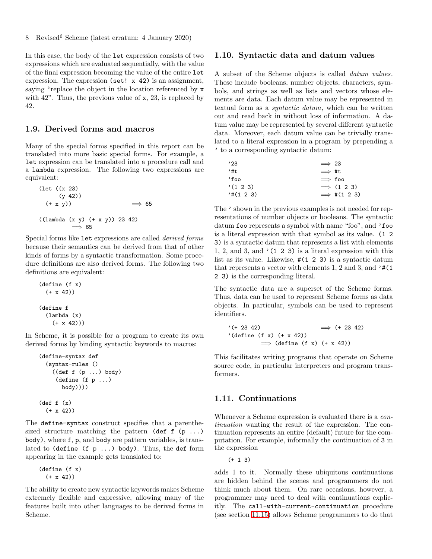In this case, the body of the let expression consists of two expressions which are evaluated sequentially, with the value of the final expression becoming the value of the entire let expression. The expression (set! x 42) is an assignment, saying "replace the object in the location referenced by x with 42". Thus, the previous value of x, 23, is replaced by 42.

# <span id="page-7-0"></span>1.9. Derived forms and macros

Many of the special forms specified in this report can be translated into more basic special forms. For example, a let expression can be translated into a procedure call and a lambda expression. The following two expressions are equivalent:

```
(let ((x 23)\n      (y 42))\n (+ x y))  
$$
\implies
$$
 65\n((lambda (x y) (+ x y)) 23 42)\n    $\implies$  65
```

Special forms like let expressions are called *derived forms* because their semantics can be derived from that of other kinds of forms by a syntactic transformation. Some procedure definitions are also derived forms. The following two definitions are equivalent:

```
(define (f x)
  (+ x 42)(define f
  (lambda (x)
    (+ x 42))
```
In Scheme, it is possible for a program to create its own derived forms by binding syntactic keywords to macros:

```
(define-syntax def
  (syntax-rules ()
    ((def f (p ...) body)
     (define (f p ...)
       body))))
(\text{def } f(x))(+ x 42)
```
The define-syntax construct specifies that a parenthesized structure matching the pattern (def f  $(p \ldots)$ body), where f, p, and body are pattern variables, is translated to (define  $(f p ... )$  body). Thus, the def form appearing in the example gets translated to:

```
(define (f x)
  (+ x 42))
```
The ability to create new syntactic keywords makes Scheme extremely flexible and expressive, allowing many of the features built into other languages to be derived forms in Scheme.

#### <span id="page-7-1"></span>1.10. Syntactic data and datum values

A subset of the Scheme objects is called *datum values*. These include booleans, number objects, characters, symbols, and strings as well as lists and vectors whose elements are data. Each datum value may be represented in textual form as a *syntactic datum*, which can be written out and read back in without loss of information. A datum value may be represented by several different syntactic data. Moreover, each datum value can be trivially translated to a literal expression in a program by prepending a ' to a corresponding syntactic datum:

| '23           | $\implies$ 23       |
|---------------|---------------------|
| , 4t          | $\implies$ #t       |
| 'foo          | $\implies$ foo      |
| $(1\ 2\ 3)$   | $\implies$ (1 2 3)  |
| $'#(1\ 2\ 3)$ | $\implies$ #(1 2 3) |

The ' shown in the previous examples is not needed for representations of number objects or booleans. The syntactic datum foo represents a symbol with name "foo", and 'foo is a literal expression with that symbol as its value. (1 2 3) is a syntactic datum that represents a list with elements 1, 2, and 3, and  $\prime$  (1 2 3) is a literal expression with this list as its value. Likewise, #(1 2 3) is a syntactic datum that represents a vector with elements 1, 2 and 3, and  $'$ #(1) 2 3) is the corresponding literal.

The syntactic data are a superset of the Scheme forms. Thus, data can be used to represent Scheme forms as data objects. In particular, symbols can be used to represent identifiers.

$$
^{\prime} (+ 23 42) \implies (+ 23 42)
$$
  

$$
^{\prime} (define (f x) (+ x 42))
$$
  

$$
\implies (define (f x) (+ x 42))
$$

This facilitates writing programs that operate on Scheme source code, in particular interpreters and program transformers.

## <span id="page-7-2"></span>1.11. Continuations

Whenever a Scheme expression is evaluated there is a *continuation* wanting the result of the expression. The continuation represents an entire (default) future for the computation. For example, informally the continuation of 3 in the expression

 $(+ 1 3)$ 

adds 1 to it. Normally these ubiquitous continuations are hidden behind the scenes and programmers do not think much about them. On rare occasions, however, a programmer may need to deal with continuations explicitly. The call-with-current-continuation procedure (see section [11.15\)](#page-52-0) allows Scheme programmers to do that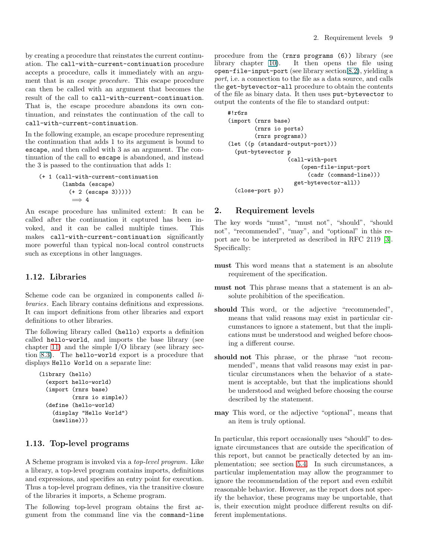by creating a procedure that reinstates the current continuation. The call-with-current-continuation procedure accepts a procedure, calls it immediately with an argument that is an *escape procedure*. This escape procedure can then be called with an argument that becomes the result of the call to call-with-current-continuation. That is, the escape procedure abandons its own continuation, and reinstates the continuation of the call to call-with-current-continuation.

In the following example, an escape procedure representing the continuation that adds 1 to its argument is bound to escape, and then called with 3 as an argument. The continuation of the call to escape is abandoned, and instead the 3 is passed to the continuation that adds 1:

```
(+ 1 (call-with-current-continuation
       (lambda (escape)
          (+ 2 (escape 3)))))
           \implies 4
```
An escape procedure has unlimited extent: It can be called after the continuation it captured has been invoked, and it can be called multiple times. This makes call-with-current-continuation significantly more powerful than typical non-local control constructs such as exceptions in other languages.

# <span id="page-8-0"></span>1.12. Libraries

Scheme code can be organized in components called *libraries*. Each library contains definitions and expressions. It can import definitions from other libraries and export definitions to other libraries.

The following library called (hello) exports a definition called hello-world, and imports the base library (see chapter [11\)](#page-30-0) and the simple I/O library (see library section 8.3). The hello-world export is a procedure that displays Hello World on a separate line:

```
(library (hello)
  (export hello-world)
  (import (rnrs base)
          (rnrs io simple))
  (define (hello-world)
    (display "Hello World")
    (newline)))
```
## <span id="page-8-1"></span>1.13. Top-level programs

A Scheme program is invoked via a *top-level program*. Like a library, a top-level program contains imports, definitions and expressions, and specifies an entry point for execution. Thus a top-level program defines, via the transitive closure of the libraries it imports, a Scheme program.

The following top-level program obtains the first argument from the command line via the command-line procedure from the (rnrs programs (6)) library (see library chapter [10\)](#page-28-1). It then opens the file using open-file-input-port (see library section [8.2\)](#page-27-0), yielding a *port*, i.e. a connection to the file as a data source, and calls the get-bytevector-all procedure to obtain the contents of the file as binary data. It then uses put-bytevector to output the contents of the file to standard output:

```
#!r6rs
(import (rnrs base)
        (rnrs io ports)
        (rnrs programs))
(let ((p (standard-output-port)))
  (put-bytevector p
                   (call-with-port
                       (open-file-input-port
                         (cadr (command-line)))
                    get-bytevector-all))
```
<span id="page-8-2"></span>(close-port p))

#### 2. Requirement levels

The key words "must", "must not", "should", "should not", "recommended", "may", and "optional" in this report are to be interpreted as described in RFC 2119 [\[3\]](#page-80-10). Specifically:

- must This word means that a statement is an absolute requirement of the specification.
- must not This phrase means that a statement is an absolute prohibition of the specification.
- should This word, or the adjective "recommended", means that valid reasons may exist in particular circumstances to ignore a statement, but that the implications must be understood and weighed before choosing a different course.
- should not This phrase, or the phrase "not recommended", means that valid reasons may exist in particular circumstances when the behavior of a statement is acceptable, but that the implications should be understood and weighed before choosing the course described by the statement.
- may This word, or the adjective "optional", means that an item is truly optional.

In particular, this report occasionally uses "should" to designate circumstances that are outside the specification of this report, but cannot be practically detected by an implementation; see section [5.4.](#page-17-1) In such circumstances, a particular implementation may allow the programmer to ignore the recommendation of the report and even exhibit reasonable behavior. However, as the report does not specify the behavior, these programs may be unportable, that is, their execution might produce different results on different implementations.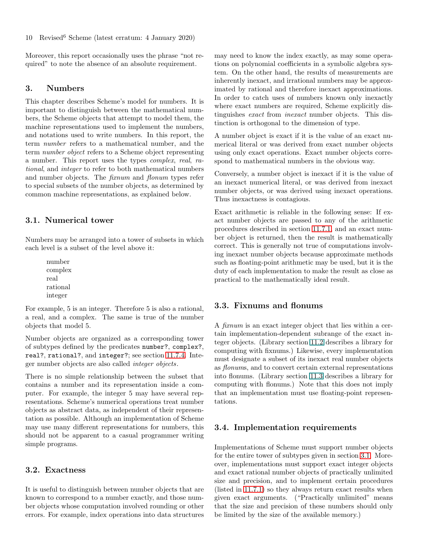<span id="page-9-0"></span>Moreover, this report occasionally uses the phrase "not required" to note the absence of an absolute requirement.

#### 3. Numbers

This chapter describes Scheme's model for numbers. It is important to distinguish between the mathematical numbers, the Scheme objects that attempt to model them, the machine representations used to implement the numbers, and notations used to write numbers. In this report, the term *number* refers to a mathematical number, and the term *number object* refers to a Scheme object representing a number. This report uses the types *complex*, *real*, *rational*, and *integer* to refer to both mathematical numbers and number objects. The *fixnum* and *flonum* types refer to special subsets of the number objects, as determined by common machine representations, as explained below.

## <span id="page-9-1"></span>3.1. Numerical tower

Numbers may be arranged into a tower of subsets in which each level is a subset of the level above it:

> number complex real rational integer

For example, 5 is an integer. Therefore 5 is also a rational, a real, and a complex. The same is true of the number objects that model 5.

Number objects are organized as a corresponding tower of subtypes defined by the predicates number?, complex?, real?, rational?, and integer?; see section [11.7.4.](#page-40-0) Integer number objects are also called *integer objects*.

There is no simple relationship between the subset that contains a number and its representation inside a computer. For example, the integer 5 may have several representations. Scheme's numerical operations treat number objects as abstract data, as independent of their representation as possible. Although an implementation of Scheme may use many different representations for numbers, this should not be apparent to a casual programmer writing simple programs.

# <span id="page-9-2"></span>3.2. Exactness

It is useful to distinguish between number objects that are known to correspond to a number exactly, and those number objects whose computation involved rounding or other errors. For example, index operations into data structures may need to know the index exactly, as may some operations on polynomial coefficients in a symbolic algebra system. On the other hand, the results of measurements are inherently inexact, and irrational numbers may be approximated by rational and therefore inexact approximations. In order to catch uses of numbers known only inexactly where exact numbers are required. Scheme explicitly distinguishes *exact* from *inexact* number objects. This distinction is orthogonal to the dimension of type.

A number object is exact if it is the value of an exact numerical literal or was derived from exact number objects using only exact operations. Exact number objects correspond to mathematical numbers in the obvious way.

Conversely, a number object is inexact if it is the value of an inexact numerical literal, or was derived from inexact number objects, or was derived using inexact operations. Thus inexactness is contagious.

Exact arithmetic is reliable in the following sense: If exact number objects are passed to any of the arithmetic procedures described in section [11.7.1,](#page-38-2) and an exact number object is returned, then the result is mathematically correct. This is generally not true of computations involving inexact number objects because approximate methods such as floating-point arithmetic may be used, but it is the duty of each implementation to make the result as close as practical to the mathematically ideal result.

# <span id="page-9-3"></span>3.3. Fixnums and flonums

A *fixnum* is an exact integer object that lies within a certain implementation-dependent subrange of the exact integer objects. (Library section [11.2](#page-30-2) describes a library for computing with fixnums.) Likewise, every implementation must designate a subset of its inexact real number objects as *flonum*s, and to convert certain external representations into flonums. (Library section [11.3](#page-31-0) describes a library for computing with flonums.) Note that this does not imply that an implementation must use floating-point representations.

## <span id="page-9-4"></span>3.4. Implementation requirements

Implementations of Scheme must support number objects for the entire tower of subtypes given in section [3.1.](#page-9-1) Moreover, implementations must support exact integer objects and exact rational number objects of practically unlimited size and precision, and to implement certain procedures (listed in [11.7.1\)](#page-38-2) so they always return exact results when given exact arguments. ("Practically unlimited" means that the size and precision of these numbers should only be limited by the size of the available memory.)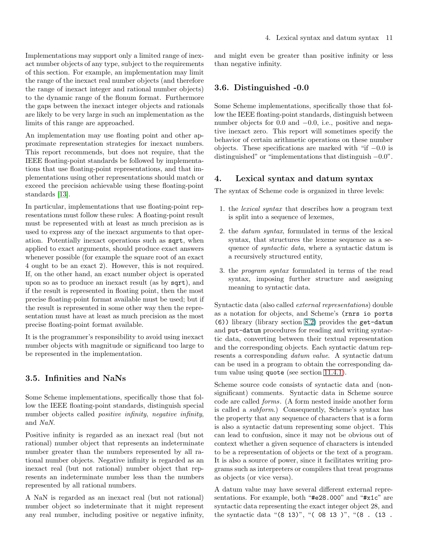Implementations may support only a limited range of inexact number objects of any type, subject to the requirements of this section. For example, an implementation may limit the range of the inexact real number objects (and therefore the range of inexact integer and rational number objects) to the dynamic range of the flonum format. Furthermore the gaps between the inexact integer objects and rationals are likely to be very large in such an implementation as the limits of this range are approached.

An implementation may use floating point and other approximate representation strategies for inexact numbers. This report recommends, but does not require, that the IEEE floating-point standards be followed by implementations that use floating-point representations, and that implementations using other representations should match or exceed the precision achievable using these floating-point standards [\[13\]](#page-80-11).

In particular, implementations that use floating-point representations must follow these rules: A floating-point result must be represented with at least as much precision as is used to express any of the inexact arguments to that operation. Potentially inexact operations such as sqrt, when applied to exact arguments, should produce exact answers whenever possible (for example the square root of an exact 4 ought to be an exact 2). However, this is not required. If, on the other hand, an exact number object is operated upon so as to produce an inexact result (as by sqrt), and if the result is represented in floating point, then the most precise floating-point format available must be used; but if the result is represented in some other way then the representation must have at least as much precision as the most precise floating-point format available.

It is the programmer's responsibility to avoid using inexact number objects with magnitude or significand too large to be represented in the implementation.

## <span id="page-10-0"></span>3.5. Infinities and NaNs

Some Scheme implementations, specifically those that follow the IEEE floating-point standards, distinguish special number objects called *positive infinity*, *negative infinity*, and *NaN*.

Positive infinity is regarded as an inexact real (but not rational) number object that represents an indeterminate number greater than the numbers represented by all rational number objects. Negative infinity is regarded as an inexact real (but not rational) number object that represents an indeterminate number less than the numbers represented by all rational numbers.

A NaN is regarded as an inexact real (but not rational) number object so indeterminate that it might represent any real number, including positive or negative infinity, and might even be greater than positive infinity or less than negative infinity.

## <span id="page-10-1"></span>3.6. Distinguished -0.0

Some Scheme implementations, specifically those that follow the IEEE floating-point standards, distinguish between number objects for 0.0 and −0.0, i.e., positive and negative inexact zero. This report will sometimes specify the behavior of certain arithmetic operations on these number objects. These specifications are marked with "if −0.0 is distinguished" or "implementations that distinguish −0.0".

#### <span id="page-10-2"></span>4. Lexical syntax and datum syntax

The syntax of Scheme code is organized in three levels:

- 1. the *lexical syntax* that describes how a program text is split into a sequence of lexemes,
- 2. the *datum syntax*, formulated in terms of the lexical syntax, that structures the lexeme sequence as a sequence of *syntactic data*, where a syntactic datum is a recursively structured entity,
- 3. the *program syntax* formulated in terms of the read syntax, imposing further structure and assigning meaning to syntactic data.

Syntactic data (also called *external representations*) double as a notation for objects, and Scheme's (rnrs io ports (6)) library (library section [8.2\)](#page-27-0) provides the get-datum and put-datum procedures for reading and writing syntactic data, converting between their textual representation and the corresponding objects. Each syntactic datum represents a corresponding *datum value*. A syntactic datum can be used in a program to obtain the corresponding datum value using quote (see section [11.4.1\)](#page-31-2).

Scheme source code consists of syntactic data and (nonsignificant) comments. Syntactic data in Scheme source code are called *forms*. (A form nested inside another form is called a *subform*.) Consequently, Scheme's syntax has the property that any sequence of characters that is a form is also a syntactic datum representing some object. This can lead to confusion, since it may not be obvious out of context whether a given sequence of characters is intended to be a representation of objects or the text of a program. It is also a source of power, since it facilitates writing programs such as interpreters or compilers that treat programs as objects (or vice versa).

A datum value may have several different external representations. For example, both "#e28.000" and "#x1c" are syntactic data representing the exact integer object 28, and the syntactic data "(8 13)", "( 08 13 )", "(8 . (13 .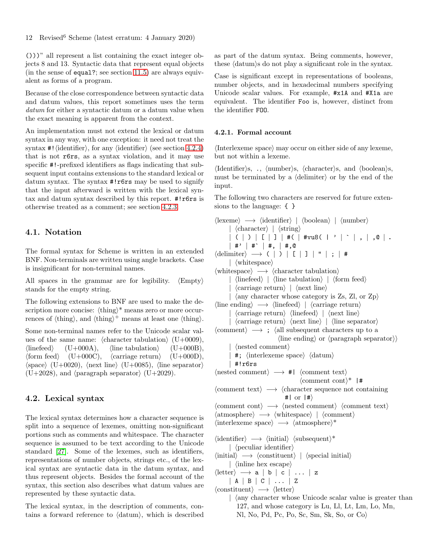()))" all represent a list containing the exact integer objects 8 and 13. Syntactic data that represent equal objects (in the sense of equal?; see section  $11.5$ ) are always equivalent as forms of a program.

Because of the close correspondence between syntactic data and datum values, this report sometimes uses the term *datum* for either a syntactic datum or a datum value when the exact meaning is apparent from the context.

An implementation must not extend the lexical or datum syntax in any way, with one exception: it need not treat the syntax  $\#!$  (identifier), for any (identifier) (see section [4.2.4\)](#page-13-0) that is not r6rs, as a syntax violation, and it may use specific #!-prefixed identifiers as flags indicating that subsequent input contains extensions to the standard lexical or datum syntax. The syntax #!r6rs may be used to signify that the input afterward is written with the lexical syntax and datum syntax described by this report. #!r6rs is otherwise treated as a comment; see section [4.2.3.](#page-12-0)

## <span id="page-11-0"></span>4.1. Notation

The formal syntax for Scheme is written in an extended BNF. Non-terminals are written using angle brackets. Case is insignificant for non-terminal names.

All spaces in the grammar are for legibility.  $\langle \text{Empty} \rangle$ stands for the empty string.

The following extensions to BNF are used to make the description more concise:  $\langle \text{thing} \rangle^*$  means zero or more occurrences of  $\langle \text{thing}\rangle$ , and  $\langle \text{thing}\rangle^+$  means at least one  $\langle \text{thing}\rangle$ .

Some non-terminal names refer to the Unicode scalar values of the same name:  $\langle$ character tabulation $\rangle$  (U+0009),  $\langle$ linefeed $\rangle$  (U+000A),  $\langle$ line tabulation $\rangle$  (U+000B),  $\langle \text{form feed} \rangle$  (U+000C),  $\langle \text{carriage return} \rangle$  (U+000D),  $\langle$ space $\rangle$  (U+0020),  $\langle$ next line $\rangle$  (U+0085),  $\langle$ line separator $\rangle$  $(U+2028)$ , and  $\langle$  paragraph separator $\rangle$   $(U+2029)$ .

## <span id="page-11-1"></span>4.2. Lexical syntax

The lexical syntax determines how a character sequence is split into a sequence of lexemes, omitting non-significant portions such as comments and whitespace. The character sequence is assumed to be text according to the Unicode standard [\[27\]](#page-81-4). Some of the lexemes, such as identifiers, representations of number objects, strings etc., of the lexical syntax are syntactic data in the datum syntax, and thus represent objects. Besides the formal account of the syntax, this section also describes what datum values are represented by these syntactic data.

The lexical syntax, in the description of comments, contains a forward reference to  $\langle \text{datum} \rangle$ , which is described as part of the datum syntax. Being comments, however, these (datum)s do not play a significant role in the syntax.

Case is significant except in representations of booleans, number objects, and in hexadecimal numbers specifying Unicode scalar values. For example, #x1A and #X1a are equivalent. The identifier Foo is, however, distinct from the identifier FOO.

#### 4.2.1. Formal account

 $\langle$ Interlexeme space $\rangle$  may occur on either side of any lexeme, but not within a lexeme.

 $\{Identity\}, \ldots, \{number\}\$ ,  $\{character\}$ , and  $\{boolean\}$ s, must be terminated by a  $\langle$  delimiter $\rangle$  or by the end of the input.

The following two characters are reserved for future extensions to the language: { }

```
\langlelexeme\rangle \longrightarrow \langleidentifier\rangle | \langleboolean\rangle | \langlenumber\rangle| \langlecharacter\rangle | \langlestring\rangle| ( | ) | [ | ] | #( | #vu8( | \cdot | \cdot | , | , 0 | .
       | #' | #' | #, | #, @
\langle delimiter\rangle \longrightarrow (\vert \rangle \vert [\vert \vert ] \vert \vert \vert \vert ; \vert \sharp\vert (whitespace)
\langle \text{whitespace} \rangle \longrightarrow \langle \text{character tabulation} \rangle\langlelinefeed\rangle | \langleline tabulation\rangle | \langle form feed\rangle\langle carriage return\rangle | \langle next line\rangle\vert \langle any character whose category is Zs, Zl, or Zp\rangle\langleline ending\rangle \longrightarrow \langlelinefeed\rangle | \langlecarriage return\rangle\langle (carriage return) \langle linefeed) \langle (next line)
       \langle (carriage return) \langle hext line\rangle | \langle line separator)
\langle \text{comment} \rangle \longrightarrow; \langle \text{all subsequent characters up to a} \rangle\langleline ending\rangle or \langle paragraph separator\rangle\langle nested comment\rangle\#; (interlexeme space) (datum)
       | #!r6rs
\langle \text{nested comment} \rangle \longrightarrow #| \langle \text{comment text} \rangle\langle comment cont\rangle^* |#
\langlecomment text\rangle \longrightarrow \langlecharacter sequence not containing
                                     #| or |#}
\langlecomment cont\rangle \longrightarrow \langlenested comment\rangle \langlecomment text\rangle\langle atmosphere\rangle \longrightarrow \langle whitespace\rangle | \langle comment\rangle\langleinterlexeme space\rangle \rightarrow \langleatmosphere\rangle^*\langleidentifier\rangle \longrightarrow \langleinitial\rangle \langlesubsequent\rangle^*\langle (peculiar identifier)
\langleinitial\rangle \longrightarrow \langleconstituent\rangle | \langlespecial initial\rangle| \langleinline hex escape\rangle\langleletter\rangle \longrightarrow a | b | c | ... | z
       | A | B | C | ... | Z
\langleconstituent\rangle \rightarrow \langleletter\rangle\frac{1}{2} (any character whose Unicode scalar value is greater than
           127, and whose category is Lu, Ll, Lt, Lm, Lo, Mn,
           Nl, No, Pd, Pc, Po, Sc, Sm, Sk, So, or Co
```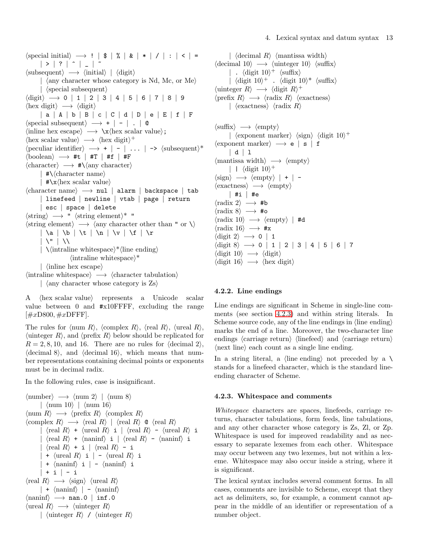$\langle \text{special initial} \rangle \longrightarrow$  ! | \$ | % | & | \* | / | : | < | =  $| > | ? | ^ - | _ - | ^ \langle\text{subsequent}\rangle \rightarrow \langle\text{initial}\rangle | \langle\text{digit}\rangle$  $\vert$   $\langle$ any character whose category is Nd, Mc, or Me $\rangle$  $\langle$  special subsequent $\rangle$  $\langle \text{digit} \rangle \longrightarrow 0 \mid 1 \mid 2 \mid 3 \mid 4 \mid 5 \mid 6 \mid 7 \mid 8 \mid 9$  $\langle \text{hex digit} \rangle \longrightarrow \langle \text{digit} \rangle$ | a | A | b | B | c | C | d | D | e | E | f | F  $\langle \text{special subsequent} \rangle \longrightarrow + \langle - | . | \mathcal{Q} \rangle$  $\langle$ inline hex escape $\rangle \longrightarrow \langle x \rangle$ hex scalar value $\rangle$ ;  $\langle$ hex scalar value $\rangle \longrightarrow \langle$ hex digit $\rangle^+$  $\langle$  peculiar identifier $\rangle \rightarrow + | - |$  ...  $| \rightarrow \langle$  subsequent $\rangle^*$  $\langle$ boolean $\rangle \longrightarrow$  #t | #T | #f | #F  $\langle$ character $\rangle \longrightarrow \# \langle$ any character $\rangle$  $\vert \# \backslash$  (character name) |  $\sharp \x \text{hex scalar value}$  $\langle$ character name $\rangle$  → nul | alarm | backspace | tab | linefeed | newline | vtab | page | return | esc | space | delete  $\langle \text{string} \rangle \longrightarrow$  "  $\langle \text{string element} \rangle^*$  "  $\langle$ string element $\rangle \longrightarrow \langle$ any character other than " or  $\setminus$  $|\ \{a \mid \b \mid \t \mid \n \mid \n \vee \mid \f \mid \r$  $\lambda$ " |  $\lambda\lambda$  $\langle \rangle^*$  \\left{intraline whitespace}<sup>\*</sup> $\langle \text{line ending} \rangle$  $\langle$ intraline whitespace $\rangle^*$  $\int$  (inline hex escape)  $\langle$ intraline whitespace $\rangle \rightarrow \langle$ character tabulation $\rangle$  $\vert$   $\langle$ any character whose category is Zs $\rangle$ 

A (hex scalar value) represents a Unicode scalar value between 0 and #x10FFFF, excluding the range  $[\#xD800, \#xDFFF].$ 

The rules for  $\langle \text{num } R \rangle$ ,  $\langle \text{complex } R \rangle$ ,  $\langle \text{real } R \rangle$ ,  $\langle \text{area } R \rangle$ ,  $\langle$ uinteger R $\rangle$ , and  $\langle$ prefix R $\rangle$  below should be replicated for  $R = 2, 8, 10, \text{ and } 16.$  There are no rules for  $\langle \text{decimal } 2 \rangle$ ,  $\langle$  decimal 8 $\rangle$ , and  $\langle$  decimal 16 $\rangle$ , which means that number representations containing decimal points or exponents must be in decimal radix.

In the following rules, case is insignificant.

```
\langlenumber\rangle \longrightarrow \langlenum 2\rangle | \langlenum 8\rangle| \langlenum 10\rangle | \langlenum 16\rangle\langle \text{num } R \rangle \longrightarrow \langle \text{prefix } R \rangle \langle \text{complex } R \rangle\langle \text{complex } R \rangle \longrightarrow \langle \text{real } R \rangle | \langle \text{real } R \rangle © \langle \text{real } R \rangle\langle \text{real } R \rangle + \langle \text{real } R \rangle i | \langle \text{real } R \rangle - \langle \text{real } R \rangle i
               \langle \text{real } R \rangle + \langle \text{naninf} \rangle i | \langle \text{real } R \rangle - \langle \text{naninf} \rangle i
               \langlereal R\rangle + i | \langlereal R\rangle - i
              + \langleureal R\rangle i | - \langleureal R\rangle i
            + \langle \text{nanimf} \rangle i - \langle \text{nanimf} \rangle i
            | + i | - i
\langle \text{real } R \rangle \longrightarrow \langle \text{sign} \rangle \langle \text{area } R \rangle| + \langle \text{nanimf} \rangle | - \langle \text{nanimf} \rangle\langlenaninf\rangle \longrightarrow nan.0 | inf.0
\langle \text{ured } R \rangle \longrightarrow \langle \text{uinteger } R \rangle| \langleuinteger R\rangle / \langleuinteger R\rangle
```
|  $\langle$  decimal R $\rangle$   $\langle$  mantissa width $\rangle$  $\langle$  decimal 10 $\rangle \longrightarrow \langle$ uinteger 10 $\rangle \langle$ suffix $\rangle$ | .  $\langle$ digit 10 $\rangle$ <sup>+</sup>  $\langle$ suffix $\rangle$ |  $\langle$ digit 10 $\rangle^+$  .  $\langle$ digit 10 $\rangle^*$   $\langle$ suffix $\rangle$  $\langle$ uinteger R $\rangle \longrightarrow \langle$ digit R $\rangle^+$  $\langle \text{prefix } R \rangle \longrightarrow \langle \text{radius } R \rangle \langle \text{exactness} \rangle$ |  $\langle$ exactness $\rangle$   $\langle$ radix R $\rangle$  $\langle \text{suffix} \rangle \rightarrow \langle \text{empty} \rangle$ |  $\langle$ exponent marker $\rangle$   $\langle$ sign $\rangle$   $\langle$ digit 10 $\rangle$ <sup>+</sup>  $\langle$  exponent marker $\rangle \rightarrow e \mid s \mid f$ | d | l  $\langle$ mantissa width $\rangle \rightarrow \langle$ empty $\rangle$ |  $\int \text{digit } 10$ <sup>+</sup>  $\langle sign \rangle \longrightarrow \langle empty \rangle$  | + | - $\langle\text{exactness}\rangle \longrightarrow \langle\text{empty}\rangle$ | #i | #e  $\langle \text{radix 2} \rangle \longrightarrow \text{#b}$  $\langle \text{radix 8}\rangle \longrightarrow \text{\#o}$  $\langle \text{radix } 10 \rangle \longrightarrow \langle \text{empty} \rangle$  | #d  $\langle \text{radix } 16 \rangle \longrightarrow \# \mathbf{x}$  $\langle \text{digit 2} \rangle \rightarrow 0$  | 1  $\langle \text{digit 8} \rangle \longrightarrow 0 \mid 1 \mid 2 \mid 3 \mid 4 \mid 5 \mid 6 \mid 7$  $\langle$ digit 10 $\rangle \rightarrow \langle$ digit $\rangle$  $\langle$ digit 16 $\rangle \rightarrow$   $\langle$ hex digit $\rangle$ 

#### 4.2.2. Line endings

Line endings are significant in Scheme in single-line comments (see section [4.2.3\)](#page-12-0) and within string literals. In Scheme source code, any of the line endings in  $\langle$  line ending $\rangle$ marks the end of a line. Moreover, the two-character line endings  $\langle$ carriage return $\rangle$   $\langle$ linefeed $\rangle$  and  $\langle$ carriage return $\rangle$  $\langle$  next line $\rangle$  each count as a single line ending.

In a string literal, a  $\langle$ line ending $\rangle$  not preceded by a  $\langle$ stands for a linefeed character, which is the standard lineending character of Scheme.

#### <span id="page-12-0"></span>4.2.3. Whitespace and comments

*Whitespace* characters are spaces, linefeeds, carriage returns, character tabulations, form feeds, line tabulations, and any other character whose category is Zs, Zl, or Zp. Whitespace is used for improved readability and as necessary to separate lexemes from each other. Whitespace may occur between any two lexemes, but not within a lexeme. Whitespace may also occur inside a string, where it is significant.

The lexical syntax includes several comment forms. In all cases, comments are invisible to Scheme, except that they act as delimiters, so, for example, a comment cannot appear in the middle of an identifier or representation of a number object.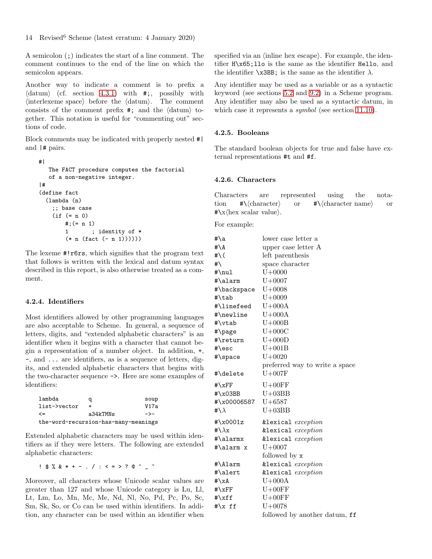A semicolon (;) indicates the start of a line comment. The comment continues to the end of the line on which the semicolon appears.

Another way to indicate a comment is to prefix a  $\langle \text{datum} \rangle$  (cf. section [4.3.1\)](#page-15-1) with  $\#$ ;, possibly with  $\langle$ interlexeme space $\rangle$  before the  $\langle$ datum $\rangle$ . The comment consists of the comment prefix  $\#$ ; and the  $\langle \text{datum} \rangle$  together. This notation is useful for "commenting out" sections of code.

Block comments may be indicated with properly nested #| and |# pairs.

```
#|
   The FACT procedure computes the factorial
   of a non-negative integer.
|#
(define fact
  (lambda (n)
    ;; base case
    (if (= n 0)
        \#; (= n 1)
        1 ; identity of *
        (* n (fact (- n 1))))))
```
The lexeme #!r6rs, which signifies that the program text that follows is written with the lexical and datum syntax described in this report, is also otherwise treated as a comment.

#### <span id="page-13-0"></span>4.2.4. Identifiers

Most identifiers allowed by other programming languages are also acceptable to Scheme. In general, a sequence of letters, digits, and "extended alphabetic characters" is an identifier when it begins with a character that cannot begin a representation of a number object. In addition, +, -, and ... are identifiers, as is a sequence of letters, digits, and extended alphabetic characters that begins with the two-character sequence ->. Here are some examples of identifiers:

| lambda       | a                                    | soup |
|--------------|--------------------------------------|------|
| list->vector | ÷                                    | V17a |
| $\leq$       | a34kTMNs                             | ->-  |
|              | the-word-recursion-has-many-meanings |      |

Extended alphabetic characters may be used within identifiers as if they were letters. The following are extended alphabetic characters:

$$
9 \times 10^{-11}
$$

Moreover, all characters whose Unicode scalar values are greater than 127 and whose Unicode category is Lu, Ll, Lt, Lm, Lo, Mn, Mc, Me, Nd, Nl, No, Pd, Pc, Po, Sc, Sm, Sk, So, or Co can be used within identifiers. In addition, any character can be used within an identifier when

specified via an  $\langle$  inline hex escape $\rangle$ . For example, the identifier H\x65;llo is the same as the identifier Hello, and the identifier  $\x3BB$ ; is the same as the identifier  $\lambda$ .

Any identifier may be used as a variable or as a syntactic keyword (see sections [5.2](#page-16-2) and [9.2\)](#page-28-0) in a Scheme program. Any identifier may also be used as a syntactic datum, in which case it represents a *symbol* (see section [11.10\)](#page-48-0).

#### 4.2.5. Booleans

The standard boolean objects for true and false have external representations #t and #f.

#### 4.2.6. Characters

Characters are represented using the notation  $\#\langle \text{character} \rangle$  or  $\#\langle \text{character name} \rangle$  or  $\star \x \text{hex scalar value}.$ 

For example:

| $(* n (fact (- n 1)))))$                                                      | #\a                   | lower case letter a            |
|-------------------------------------------------------------------------------|-----------------------|--------------------------------|
|                                                                               | $\sharp \backslash A$ | upper case letter A            |
| lexeme #!r6rs, which signifies that the program text                          | # $\backslash$ (      | left parenthesis               |
| follows is written with the lexical and datum syntax                          | #\                    | space character                |
| ribed in this report, is also otherwise treated as a com-                     | #\nul                 | $U + 0000$                     |
| t.                                                                            | #\alarm               | $U + 0007$                     |
|                                                                               | #\backspace           | $U + 0008$                     |
| 4. Identifiers                                                                | $\#$ \tab             | $U + 0009$                     |
|                                                                               | #\linefeed            | $U+000A$                       |
| t identifiers allowed by other programming languages                          | #\newline             | $U+000A$                       |
| also acceptable to Scheme. In general, a sequence of                          | #\vtab                | $U+000B$                       |
| rs, digits, and "extended alphabetic characters" is an                        | #\page                | $U+000C$                       |
| tifier when it begins with a character that cannot be-                        | #\return              | $U+000D$                       |
| a representation of a number object. In addition, $\pm$ ,                     | $#$ \esc              | $U+001B$                       |
| nd  are identifiers, as is a sequence of letters, dig-                        | #\space               | $U + 0020$                     |
| and extended alphabetic characters that begins with                           |                       | preferred way to write a space |
| $two$ -character sequence $\rightarrow$ . Here are some examples of           | #\delete              | $U+007F$                       |
| tifiers:                                                                      | # $xFF$               | $U+00FF$                       |
|                                                                               | $\#$ \x03BB           | $U+03BB$                       |
| lambda<br>soup<br>q                                                           | #\x00006587           | $U + 6587$                     |
| list->vector<br><b>V17a</b><br>$\ddot{}$                                      | #\ $\lambda$          | $U+03BB$                       |
| $\leq$<br>a34kTMNs<br>$\rightarrow -$<br>the-word-recursion-has-many-meanings | $\text{\#}\x0001z$    | &lexical exception             |
|                                                                               | #\ $\lambda$ x        | &lexical exception             |
| ended alphabetic characters may be used within iden-                          | #\alarmx              | &lexical exception             |
| s as if they were letters. The following are extended                         | #\alarm x             | $U + 0007$                     |
| abetic characters:                                                            |                       | followed by x                  |
|                                                                               | #\Alarm               | &lexical exception             |
| $1$ \$ % & * + - . / : < = > ? @ ^ _ ~                                        | #\alert               | &lexical exception             |
| eover, all characters whose Unicode scalar values are                         | #\xA                  | $U+000A$                       |
| ter than 127 and whose Unicode category is Lu, Ll,                            | $\#\xFF$              | $U+00FF$                       |
| Lm, Lo, Mn, Mc, Me, Nd, Nl, No, Pd, Pc, Po, Sc,                               | # $\x{f}$             | $U+00FF$                       |
| Sk, So, or Co can be used within identifiers. In addi-                        | # $\x f f$            | $U + 0078$                     |
| any character can be used within an identifier when                           |                       | followed by another datum, ff  |
|                                                                               |                       |                                |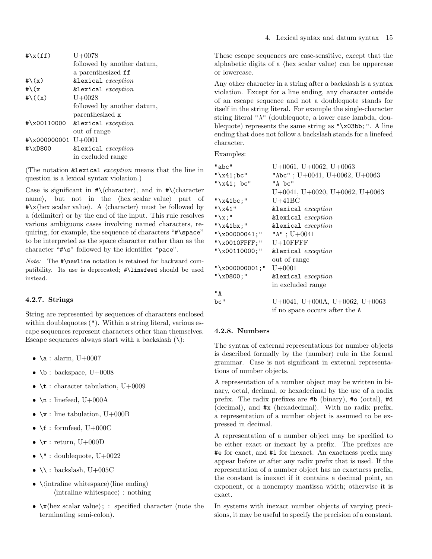| $\# \x(ff)$         | $U + 0078$                 |
|---------------------|----------------------------|
|                     | followed by another datum, |
|                     | a parenthesized ff         |
| # $\chi(x)$         | &lexical exception         |
| #\ $(x)$            | &lexical exception         |
| #\ $((x))$          | $U + 0028$                 |
|                     | followed by another datum, |
|                     | parenthesized x            |
| #\x00110000         | &lexical <i>exception</i>  |
|                     | out of range               |
| #\x000000001        | $U + 0001$                 |
| $\texttt{\#}\xD800$ | &lexical exception         |
|                     | in excluded range          |
|                     |                            |

(The notation &lexical *exception* means that the line in question is a lexical syntax violation.)

Case is significant in  $\#\setminus \langle \text{character} \rangle$ , and in  $\#\setminus \langle \text{character} \rangle$ name), but not in the  $\langle$ hex scalar value $\rangle$  part of  $\star \x \text{hex scalar value}.$  A (character) must be followed by a  $\langle$  delimiter $\rangle$  or by the end of the input. This rule resolves various ambiguous cases involving named characters, requiring, for example, the sequence of characters "#\space" to be interpreted as the space character rather than as the character "#\s" followed by the identifier "pace".

Note: The #\newline notation is retained for backward compatibility. Its use is deprecated; #\linefeed should be used instead.

#### 4.2.7. Strings

String are represented by sequences of characters enclosed within doublequotes ("). Within a string literal, various escape sequences represent characters other than themselves. Escape sequences always start with a backslash  $(\cdot)$ :

- \a : alarm,  $U+0007$
- $\b$  : backspace, U+0008
- $\setminus t$  : character tabulation, U+0009
- $\in$  : linefeed, U+000A
- $\vee$  : line tabulation, U+000B
- \f : formfeed,  $U+000C$
- $\mathbf{r}$  : return, U+000D
- $\vee$  : doublequote, U+0022
- $\bullet \ \backslash \backslash :$  backslash, U+005C
- $\langle$ intraline whitespace $\rangle$ line ending $\rangle$  $\langle$  intraline whitespace $\rangle$ : nothing
- $\langle x \rangle$  \x \lex scalar value}; : specified character (note the terminating semi-colon).

These escape sequences are case-sensitive, except that the alphabetic digits of a  $\langle$ hex scalar value $\rangle$  can be uppercase or lowercase.

Any other character in a string after a backslash is a syntax violation. Except for a line ending, any character outside of an escape sequence and not a doublequote stands for itself in the string literal. For example the single-character string literal " $\lambda$ " (doublequote, a lower case lambda, doublequote) represents the same string as "\x03bb;". A line ending that does not follow a backslash stands for a linefeed character.

Examples:

| "abc"            | $U+0061, U+0062, U+0063$               |
|------------------|----------------------------------------|
| " $\x41$ ; bc"   | "Abc" ; $U+0041$ , $U+0062$ , $U+0063$ |
| " $\x41; bc"$    | "A bc"                                 |
|                  | $U+0041, U+0020, U+0062, U+0063$       |
| " $\x41bc$ ;"    | $U+41BC$                               |
| $''\x41"$        | &lexical <i>exception</i>              |
| "x: "            | &lexical exception                     |
| " $\x41bx;$ "    | &lexical exception                     |
| $"\x00000041;"$  | " $A$ "; $U+0041$                      |
| "\x0010FFFF;"    | $U+10$ FFFF                            |
| $"\x00110000;"$  | &lexical exception                     |
|                  | out of range                           |
| $"\x000000001;"$ | $U + 0001$                             |
| $"\xD800;"$      | &lexical exception                     |
|                  | in excluded range                      |
| "A               |                                        |
| bc"              | $U+0041, U+000A, U+0062, U+0063$       |
|                  | if no space occurs after the A         |

#### 4.2.8. Numbers

The syntax of external representations for number objects is described formally by the  $\langle$ number $\rangle$  rule in the formal grammar. Case is not significant in external representations of number objects.

A representation of a number object may be written in binary, octal, decimal, or hexadecimal by the use of a radix prefix. The radix prefixes are #b (binary), #o (octal), #d (decimal), and #x (hexadecimal). With no radix prefix, a representation of a number object is assumed to be expressed in decimal.

A representation of a number object may be specified to be either exact or inexact by a prefix. The prefixes are #e for exact, and #i for inexact. An exactness prefix may appear before or after any radix prefix that is used. If the representation of a number object has no exactness prefix, the constant is inexact if it contains a decimal point, an exponent, or a nonempty mantissa width; otherwise it is exact.

In systems with inexact number objects of varying precisions, it may be useful to specify the precision of a constant.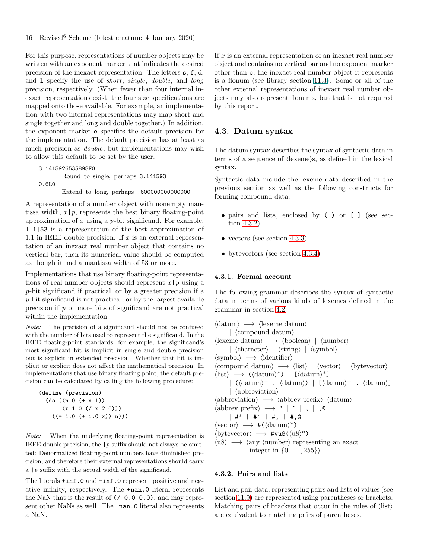For this purpose, representations of number objects may be written with an exponent marker that indicates the desired precision of the inexact representation. The letters s, f, d, and l specify the use of *short*, *single*, *double*, and *long* precision, respectively. (When fewer than four internal inexact representations exist, the four size specifications are mapped onto those available. For example, an implementation with two internal representations may map short and single together and long and double together.) In addition, the exponent marker e specifies the default precision for the implementation. The default precision has at least as much precision as *double*, but implementations may wish to allow this default to be set by the user.

```
3.1415926535898F0
       Round to single, perhaps 3.141593
0.6L0
       Extend to long, perhaps .600000000000000
```
A representation of a number object with nonempty mantissa width,  $x | p$ , represents the best binary floating-point approximation of *x* using a *p*-bit significand. For example, 1.1|53 is a representation of the best approximation of 1.1 in IEEE double precision. If *x* is an external representation of an inexact real number object that contains no vertical bar, then its numerical value should be computed as though it had a mantissa width of 53 or more.

Implementations that use binary floating-point representations of real number objects should represent  $x | p$  using a *p*-bit significand if practical, or by a greater precision if a *p*-bit significand is not practical, or by the largest available precision if *p* or more bits of significand are not practical within the implementation.

Note: The precision of a significand should not be confused with the number of bits used to represent the significand. In the IEEE floating-point standards, for example, the significand's most significant bit is implicit in single and double precision but is explicit in extended precision. Whether that bit is implicit or explicit does not affect the mathematical precision. In implementations that use binary floating point, the default precision can be calculated by calling the following procedure:

```
(define (precision)
 (do ((n 0 (+ n 1))
      (x 1.0 ((x 2.0)))((= 1.0 (+ 1.0 x)) n)))
```
Note: When the underlying floating-point representation is IEEE double precision, the  $|p \text{ suffix}$  should not always be omitted: Denormalized floating-point numbers have diminished precision, and therefore their external representations should carry a  $|p \rangle$  suffix with the actual width of the significand.

The literals  $+inf.0$  and  $-inf.0$  represent positive and negative infinity, respectively. The +nan.0 literal represents the NaN that is the result of (/ 0.0 0.0), and may represent other NaNs as well. The **-nan.0** literal also represents a NaN.

If *x* is an external representation of an inexact real number object and contains no vertical bar and no exponent marker other than e, the inexact real number object it represents is a flonum (see library section [11.3\)](#page-31-0). Some or all of the other external representations of inexact real number objects may also represent flonums, but that is not required by this report.

## <span id="page-15-0"></span>4.3. Datum syntax

The datum syntax describes the syntax of syntactic data in terms of a sequence of  $\langle$  lexeme $\rangle$ s, as defined in the lexical syntax.

Syntactic data include the lexeme data described in the previous section as well as the following constructs for forming compound data:

- pairs and lists, enclosed by ( ) or [ ] (see section [4.3.2\)](#page-15-2)
- vectors (see section [4.3.3\)](#page-16-3)
- bytevectors (see section [4.3.4\)](#page-16-4)

#### <span id="page-15-1"></span>4.3.1. Formal account

The following grammar describes the syntax of syntactic data in terms of various kinds of lexemes defined in the grammar in section [4.2:](#page-11-1)

```
\langle \text{datum} \rangle \rightarrow \langle \text{lexeme datum} \rangle\vert (compound datum)
\langlelexeme datum\rangle \longrightarrow \langleboolean\rangle | \langlenumber\rangle|\langle character \rangle | \langle string \rangle | \langle symbol \rangle\langlesymbol\rangle \longrightarrow \langleidentifier\rangle\langle \text{compound datum} \rangle \longrightarrow \langle \text{list} \rangle | \langle \text{vector} \rangle | \langle \text{bytevector} \rangle\langlelist\rangle \longrightarrow (\langledatum\rangle^*) | [\langledatum\rangle^*]
          \int (\langle \text{datum} \rangle^+ \cdot \langle \text{datum} \rangle) \int [\langle \text{datum} \rangle^+ \cdot \langle \text{datum} \rangle]\langle abbreviation\rangle\langleabbreviation\rangle \rightarrow \langleabbrev prefix\rangle \langledatum\rangle\langle \text{abbrev prefix} \rangle \longrightarrow' |\cdot|, |, 0
         | #' | #` | #, | #,@
\langle vector \rangle \longrightarrow \#(\langle datum \rangle^*)\langlebytevector\rangle \rightarrow \text{true}(\langle u8 \rangle^*)\langle u8 \rangle \longrightarrow \langle \text{any } \langle \text{number} \rangle representing an exact
                       integer in \{0, \ldots, 255\}\rangle
```
## <span id="page-15-2"></span>4.3.2. Pairs and lists

List and pair data, representing pairs and lists of values (see section [11.9\)](#page-46-1) are represented using parentheses or brackets. Matching pairs of brackets that occur in the rules of  $\langle$ list $\rangle$ are equivalent to matching pairs of parentheses.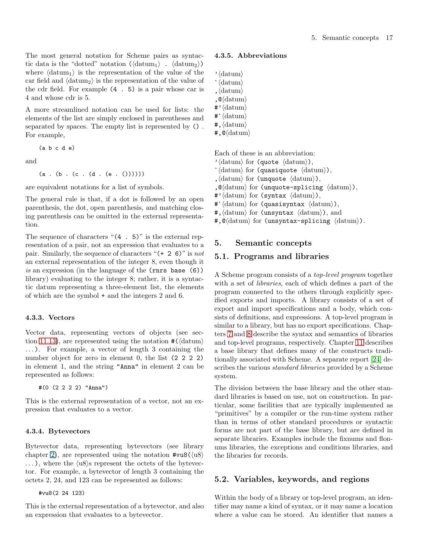The most general notation for Scheme pairs as syntactic data is the "dotted" notation  $(\langle \text{datum}_1 \rangle \cdot \langle \text{datum}_2 \rangle)$ where  $\langle \text{datum}_1 \rangle$  is the representation of the value of the car field and  $\langle \text{datum}_2 \rangle$  is the representation of the value of the cdr field. For example (4 . 5) is a pair whose car is 4 and whose cdr is 5.

A more streamlined notation can be used for lists: the elements of the list are simply enclosed in parentheses and separated by spaces. The empty list is represented by () . For example,

(a b c d e)

and

 $(a . (b . (c . (d . (e . ())))))$ 

are equivalent notations for a list of symbols.

The general rule is that, if a dot is followed by an open parenthesis, the dot, open parenthesis, and matching closing parenthesis can be omitted in the external representation.

The sequence of characters "(4 . 5)" is the external representation of a pair, not an expression that evaluates to a pair. Similarly, the sequence of characters "(+ 2 6)" is *not* an external representation of the integer 8, even though it *is* an expression (in the language of the (rnrs base (6)) library) evaluating to the integer 8; rather, it is a syntactic datum representing a three-element list, the elements of which are the symbol + and the integers 2 and 6.

#### <span id="page-16-3"></span>4.3.3. Vectors

Vector data, representing vectors of objects (see sec-tion [11.13\)](#page-50-0), are represented using the notation  $\#(\text{datum})$ ...). For example, a vector of length 3 containing the number object for zero in element 0, the list (2 2 2 2) in element 1, and the string "Anna" in element 2 can be represented as follows:

#(0 (2 2 2 2) "Anna")

This is the external representation of a vector, not an expression that evaluates to a vector.

#### <span id="page-16-4"></span>4.3.4. Bytevectors

Bytevector data, representing bytevectors (see library chapter [2\)](#page-8-2), are represented using the notation  $\text{\#vu8}(\langle u8 \rangle)$  $\ldots$ ), where the  $\langle u8 \rangle$ s represent the octets of the bytevector. For example, a bytevector of length 3 containing the octets 2, 24, and 123 can be represented as follows:

#vu8(2 24 123)

This is the external representation of a bytevector, and also an expression that evaluates to a bytevector.

#### <span id="page-16-5"></span>4.3.5. Abbreviations

```
'\langle \text{datum} \rangle\langledatum\rangle, \langle \text{datum} \rangle, \mathcal{Q} \langle \text{datum} \rangle\star' (datum)
\# \dagger (datum)
\#, \langle \text{datum} \rangle#,@(datum)
```
Each of these is an abbreviation:

' $\langle$ datum $\rangle$  for (quote  $\langle$ datum $\rangle$ ),

 $\dot{\phi}$  (datum) for (quasiquote  $\langle \text{datum} \rangle$ ),

- ,  $\langle \text{datum} \rangle$  for (unquote  $\langle \text{datum} \rangle$ ),
- ,  $\mathcal{Q}(\text{datum})$  for (unquote-splicing  $\langle \text{datum} \rangle$ ),
- $\sharp$ ' (datum) for (syntax (datum)),
- $\sharp$  (datum) for (quasisyntax (datum)),
- $\sharp$ ,  $\langle \text{datum} \rangle$  for (unsyntax  $\langle \text{datum} \rangle$ ), and
- <span id="page-16-0"></span>#, $\mathcal{Q}(\text{datum})$  for (unsyntax-splicing  $\langle \text{datum} \rangle$ ).

#### <span id="page-16-1"></span>5. Semantic concepts

#### 5.1. Programs and libraries

A Scheme program consists of a *top-level program* together with a set of *libraries*, each of which defines a part of the program connected to the others through explicitly specified exports and imports. A library consists of a set of export and import specifications and a body, which consists of definitions, and expressions. A top-level program is similar to a library, but has no export specifications. Chapters [7](#page-22-1) and [8](#page-26-0) describe the syntax and semantics of libraries and top-level programs, respectively. Chapter [11](#page-30-0) describes a base library that defines many of the constructs traditionally associated with Scheme. A separate report [\[24\]](#page-81-0) describes the various *standard libraries* provided by a Scheme system.

The division between the base library and the other standard libraries is based on use, not on construction. In particular, some facilities that are typically implemented as "primitives" by a compiler or the run-time system rather than in terms of other standard procedures or syntactic forms are not part of the base library, but are defined in separate libraries. Examples include the fixnums and flonums libraries, the exceptions and conditions libraries, and the libraries for records.

## <span id="page-16-2"></span>5.2. Variables, keywords, and regions

Within the body of a library or top-level program, an identifier may name a kind of syntax, or it may name a location where a value can be stored. An identifier that names a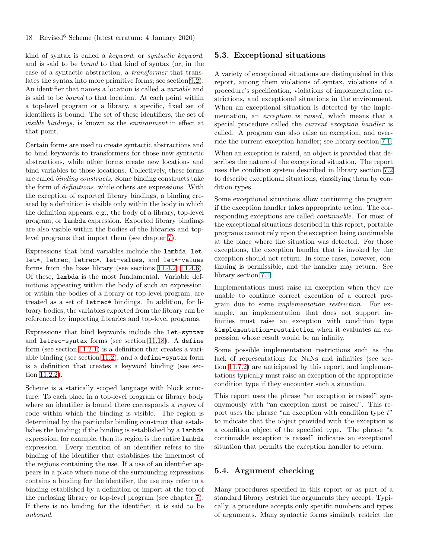kind of syntax is called a *keyword*, or *syntactic keyword*, and is said to be *bound* to that kind of syntax (or, in the case of a syntactic abstraction, a *transformer* that translates the syntax into more primitive forms; see section [9.2\)](#page-28-0). An identifier that names a location is called a *variable* and is said to be *bound* to that location. At each point within a top-level program or a library, a specific, fixed set of identifiers is bound. The set of these identifiers, the set of *visible bindings*, is known as the *environment* in effect at that point.

Certain forms are used to create syntactic abstractions and to bind keywords to transformers for those new syntactic abstractions, while other forms create new locations and bind variables to those locations. Collectively, these forms are called *binding constructs*. Some binding constructs take the form of *definitions*, while others are expressions. With the exception of exported library bindings, a binding created by a definition is visible only within the body in which the definition appears, e.g., the body of a library, top-level program, or lambda expression. Exported library bindings are also visible within the bodies of the libraries and toplevel programs that import them (see chapter [7\)](#page-22-1).

Expressions that bind variables include the lambda, let, let\*, letrec, letrec\*, let-values, and let\*-values forms from the base library (see sections [11.4.2,](#page-31-3) [11.4.6\)](#page-34-0). Of these, lambda is the most fundamental. Variable definitions appearing within the body of such an expression, or within the bodies of a library or top-level program, are treated as a set of letrec\* bindings. In addition, for library bodies, the variables exported from the library can be referenced by importing libraries and top-level programs.

Expressions that bind keywords include the let-syntax and letrec-syntax forms (see section [11.18\)](#page-55-0). A define form (see section [11.2.1\)](#page-30-3) is a definition that creates a variable binding (see section [11.2\)](#page-30-2), and a define-syntax form is a definition that creates a keyword binding (see section [11.2.2\)](#page-30-4).

Scheme is a statically scoped language with block structure. To each place in a top-level program or library body where an identifier is bound there corresponds a *region* of code within which the binding is visible. The region is determined by the particular binding construct that establishes the binding; if the binding is established by a lambda expression, for example, then its region is the entire lambda expression. Every mention of an identifier refers to the binding of the identifier that establishes the innermost of the regions containing the use. If a use of an identifier appears in a place where none of the surrounding expressions contains a binding for the identifier, the use may refer to a binding established by a definition or import at the top of the enclosing library or top-level program (see chapter [7\)](#page-22-1). If there is no binding for the identifier, it is said to be *unbound*.

## <span id="page-17-0"></span>5.3. Exceptional situations

A variety of exceptional situations are distinguished in this report, among them violations of syntax, violations of a procedure's specification, violations of implementation restrictions, and exceptional situations in the environment. When an exceptional situation is detected by the implementation, an *exception is raised*, which means that a special procedure called the *current exception handler* is called. A program can also raise an exception, and override the current exception handler; see library section [7.1.](#page-22-2)

When an exception is raised, an object is provided that describes the nature of the exceptional situation. The report uses the condition system described in library section [7.2](#page-24-0) to describe exceptional situations, classifying them by condition types.

Some exceptional situations allow continuing the program if the exception handler takes appropriate action. The corresponding exceptions are called *continuable*. For most of the exceptional situations described in this report, portable programs cannot rely upon the exception being continuable at the place where the situation was detected. For those exceptions, the exception handler that is invoked by the exception should not return. In some cases, however, continuing is permissible, and the handler may return. See library section [7.1.](#page-22-2)

Implementations must raise an exception when they are unable to continue correct execution of a correct program due to some *implementation restriction*. For example, an implementation that does not support infinities must raise an exception with condition type &implementation-restriction when it evaluates an expression whose result would be an infinity.

Some possible implementation restrictions such as the lack of representations for NaNs and infinities (see section [11.7.2\)](#page-39-0) are anticipated by this report, and implementations typically must raise an exception of the appropriate condition type if they encounter such a situation.

This report uses the phrase "an exception is raised" synonymously with "an exception must be raised". This report uses the phrase "an exception with condition type *t*" to indicate that the object provided with the exception is a condition object of the specified type. The phrase "a continuable exception is raised" indicates an exceptional situation that permits the exception handler to return.

## <span id="page-17-1"></span>5.4. Argument checking

Many procedures specified in this report or as part of a standard library restrict the arguments they accept. Typically, a procedure accepts only specific numbers and types of arguments. Many syntactic forms similarly restrict the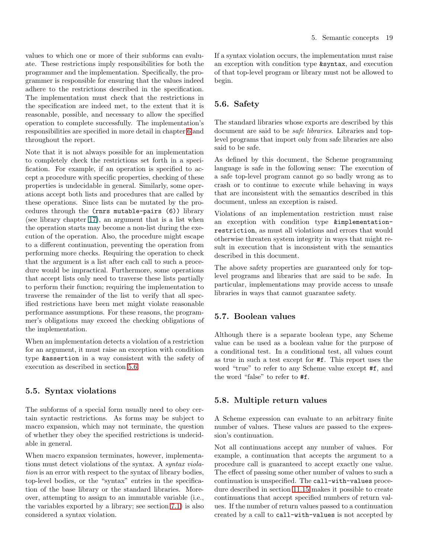values to which one or more of their subforms can evaluate. These restrictions imply responsibilities for both the programmer and the implementation. Specifically, the programmer is responsible for ensuring that the values indeed adhere to the restrictions described in the specification. The implementation must check that the restrictions in the specification are indeed met, to the extent that it is reasonable, possible, and necessary to allow the specified operation to complete successfully. The implementation's responsibilities are specified in more detail in chapter [6](#page-19-4) and throughout the report.

Note that it is not always possible for an implementation to completely check the restrictions set forth in a specification. For example, if an operation is specified to accept a procedure with specific properties, checking of these properties is undecidable in general. Similarly, some operations accept both lists and procedures that are called by these operations. Since lists can be mutated by the procedures through the (rnrs mutable-pairs (6)) library (see library chapter 17), an argument that is a list when the operation starts may become a non-list during the execution of the operation. Also, the procedure might escape to a different continuation, preventing the operation from performing more checks. Requiring the operation to check that the argument is a list after each call to such a procedure would be impractical. Furthermore, some operations that accept lists only need to traverse these lists partially to perform their function; requiring the implementation to traverse the remainder of the list to verify that all specified restrictions have been met might violate reasonable performance assumptions. For these reasons, the programmer's obligations may exceed the checking obligations of the implementation.

When an implementation detects a violation of a restriction for an argument, it must raise an exception with condition type &assertion in a way consistent with the safety of execution as described in section [5.6.](#page-18-1)

## <span id="page-18-0"></span>5.5. Syntax violations

The subforms of a special form usually need to obey certain syntactic restrictions. As forms may be subject to macro expansion, which may not terminate, the question of whether they obey the specified restrictions is undecidable in general.

When macro expansion terminates, however, implementations must detect violations of the syntax. A *syntax violation* is an error with respect to the syntax of library bodies, top-level bodies, or the "syntax" entries in the specification of the base library or the standard libraries. Moreover, attempting to assign to an immutable variable (i.e., the variables exported by a library; see section [7.1\)](#page-22-2) is also considered a syntax violation.

If a syntax violation occurs, the implementation must raise an exception with condition type &syntax, and execution of that top-level program or library must not be allowed to begin.

#### <span id="page-18-1"></span>5.6. Safety

The standard libraries whose exports are described by this document are said to be *safe libraries*. Libraries and toplevel programs that import only from safe libraries are also said to be safe.

As defined by this document, the Scheme programming language is safe in the following sense: The execution of a safe top-level program cannot go so badly wrong as to crash or to continue to execute while behaving in ways that are inconsistent with the semantics described in this document, unless an exception is raised.

Violations of an implementation restriction must raise an exception with condition type &implementationrestriction, as must all violations and errors that would otherwise threaten system integrity in ways that might result in execution that is inconsistent with the semantics described in this document.

The above safety properties are guaranteed only for toplevel programs and libraries that are said to be safe. In particular, implementations may provide access to unsafe libraries in ways that cannot guarantee safety.

## <span id="page-18-2"></span>5.7. Boolean values

Although there is a separate boolean type, any Scheme value can be used as a boolean value for the purpose of a conditional test. In a conditional test, all values count as true in such a test except for #f. This report uses the word "true" to refer to any Scheme value except #f, and the word "false" to refer to #f.

## <span id="page-18-3"></span>5.8. Multiple return values

A Scheme expression can evaluate to an arbitrary finite number of values. These values are passed to the expression's continuation.

Not all continuations accept any number of values. For example, a continuation that accepts the argument to a procedure call is guaranteed to accept exactly one value. The effect of passing some other number of values to such a continuation is unspecified. The call-with-values procedure described in section [11.15](#page-52-0) makes it possible to create continuations that accept specified numbers of return values. If the number of return values passed to a continuation created by a call to call-with-values is not accepted by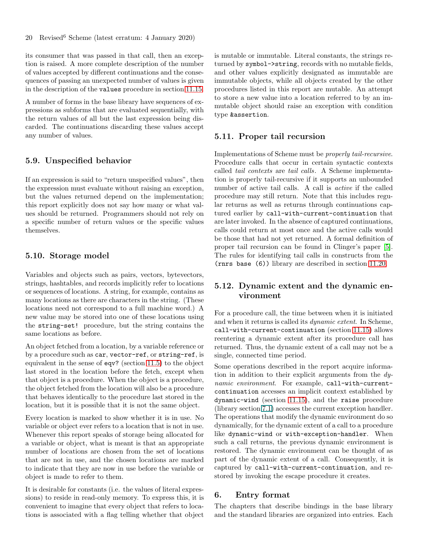its consumer that was passed in that call, then an exception is raised. A more complete description of the number of values accepted by different continuations and the consequences of passing an unexpected number of values is given in the description of the values procedure in section [11.15.](#page-52-0)

A number of forms in the base library have sequences of expressions as subforms that are evaluated sequentially, with the return values of all but the last expression being discarded. The continuations discarding these values accept any number of values.

## <span id="page-19-0"></span>5.9. Unspecified behavior

If an expression is said to "return unspecified values", then the expression must evaluate without raising an exception, but the values returned depend on the implementation; this report explicitly does not say how many or what values should be returned. Programmers should not rely on a specific number of return values or the specific values themselves.

# <span id="page-19-1"></span>5.10. Storage model

Variables and objects such as pairs, vectors, bytevectors, strings, hashtables, and records implicitly refer to locations or sequences of locations. A string, for example, contains as many locations as there are characters in the string. (These locations need not correspond to a full machine word.) A new value may be stored into one of these locations using the string-set! procedure, but the string contains the same locations as before.

An object fetched from a location, by a variable reference or by a procedure such as car, vector-ref, or string-ref, is equivalent in the sense of eqv? (section [11.5\)](#page-36-0) to the object last stored in the location before the fetch, except when that object is a procedure. When the object is a procedure, the object fetched from the location will also be a procedure that behaves identically to the procedure last stored in the location, but it is possible that it is not the same object.

Every location is marked to show whether it is in use. No variable or object ever refers to a location that is not in use. Whenever this report speaks of storage being allocated for a variable or object, what is meant is that an appropriate number of locations are chosen from the set of locations that are not in use, and the chosen locations are marked to indicate that they are now in use before the variable or object is made to refer to them.

It is desirable for constants (i.e. the values of literal expressions) to reside in read-only memory. To express this, it is convenient to imagine that every object that refers to locations is associated with a flag telling whether that object is mutable or immutable. Literal constants, the strings returned by symbol->string, records with no mutable fields, and other values explicitly designated as immutable are immutable objects, while all objects created by the other procedures listed in this report are mutable. An attempt to store a new value into a location referred to by an immutable object should raise an exception with condition type &assertion.

#### <span id="page-19-2"></span>5.11. Proper tail recursion

Implementations of Scheme must be *properly tail-recursive*. Procedure calls that occur in certain syntactic contexts called *tail contexts* are *tail calls*. A Scheme implementation is properly tail-recursive if it supports an unbounded number of active tail calls. A call is *active* if the called procedure may still return. Note that this includes regular returns as well as returns through continuations captured earlier by call-with-current-continuation that are later invoked. In the absence of captured continuations, calls could return at most once and the active calls would be those that had not yet returned. A formal definition of proper tail recursion can be found in Clinger's paper [\[5\]](#page-80-12). The rules for identifying tail calls in constructs from the (rnrs base (6)) library are described in section [11.20.](#page-58-0)

# <span id="page-19-3"></span>5.12. Dynamic extent and the dynamic environment

For a procedure call, the time between when it is initiated and when it returns is called its *dynamic extent*. In Scheme, call-with-current-continuation (section [11.15\)](#page-52-0) allows reentering a dynamic extent after its procedure call has returned. Thus, the dynamic extent of a call may not be a single, connected time period.

Some operations described in the report acquire information in addition to their explicit arguments from the *dynamic environment*. For example, call-with-currentcontinuation accesses an implicit context established by dynamic-wind (section [11.15\)](#page-52-0), and the raise procedure (library section [7.1\)](#page-22-2) accesses the current exception handler. The operations that modify the dynamic environment do so dynamically, for the dynamic extent of a call to a procedure like dynamic-wind or with-exception-handler. When such a call returns, the previous dynamic environment is restored. The dynamic environment can be thought of as part of the dynamic extent of a call. Consequently, it is captured by call-with-current-continuation, and restored by invoking the escape procedure it creates.

## <span id="page-19-4"></span>6. Entry format

The chapters that describe bindings in the base library and the standard libraries are organized into entries. Each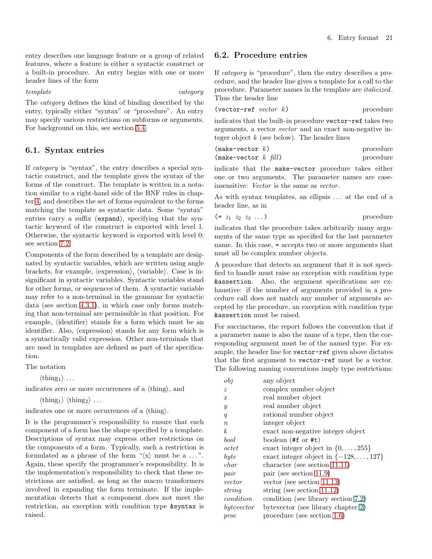entry describes one language feature or a group of related features, where a feature is either a syntactic construct or a built-in procedure. An entry begins with one or more header lines of the form

#### *template category*

The *category* defines the kind of binding described by the entry, typically either "syntax" or "procedure". An entry may specify various restrictions on subforms or arguments. For background on this, see section [5.4.](#page-17-1)

## <span id="page-20-0"></span>6.1. Syntax entries

If *category* is "syntax", the entry describes a special syntactic construct, and the template gives the syntax of the forms of the construct. The template is written in a notation similar to a right-hand side of the BNF rules in chapter [4,](#page-10-2) and describes the set of forms equivalent to the forms matching the template as syntactic data. Some "syntax" entries carry a suffix (expand), specifying that the syntactic keyword of the construct is exported with level 1. Otherwise, the syntactic keyword is exported with level 0; see section [7.2.](#page-24-0)

Components of the form described by a template are designated by syntactic variables, which are written using angle brackets, for example,  $\langle$  expression $\rangle$ ,  $\langle$  variable $\rangle$ . Case is insignificant in syntactic variables. Syntactic variables stand for other forms, or sequences of them. A syntactic variable may refer to a non-terminal in the grammar for syntactic data (see section [4.3.1\)](#page-15-1), in which case only forms matching that non-terminal are permissible in that position. For example,  $\langle$ identifier $\rangle$  stands for a form which must be an identifier. Also,  $\langle$  expression $\rangle$  stands for any form which is a syntactically valid expression. Other non-terminals that are used in templates are defined as part of the specification.

The notation

 $\langle \text{thing}_1 \rangle \dots$ 

indicates zero or more occurrences of a  $\{\text{thing}\},$  and

 $\langle \text{thing}_1 \rangle$   $\langle \text{thing}_2 \rangle$  ...

indicates one or more occurrences of a  $\{\text{thing}\}.$ 

It is the programmer's responsibility to ensure that each component of a form has the shape specified by a template. Descriptions of syntax may express other restrictions on the components of a form. Typically, such a restriction is formulated as a phrase of the form " $\langle x \rangle$  must be a ...". Again, these specify the programmer's responsibility. It is the implementation's responsibility to check that these restrictions are satisfied, as long as the macro transformers involved in expanding the form terminate. If the implementation detects that a component does not meet the restriction, an exception with condition type &syntax is raised.

## <span id="page-20-1"></span>6.2. Procedure entries

If *category* is "procedure", then the entry describes a procedure, and the header line gives a template for a call to the procedure. Parameter names in the template are *italicized*. Thus the header line

| (vector-ref $vector k$ ) |  |  | procedure |
|--------------------------|--|--|-----------|
|--------------------------|--|--|-----------|

indicates that the built-in procedure vector-ref takes two arguments, a vector *vector* and an exact non-negative integer object *k* (see below). The header lines

| $(make-vector k)$      | procedure |
|------------------------|-----------|
| (make-vector $k$ fill) | procedure |

indicate that the make-vector procedure takes either one or two arguments. The parameter names are caseinsensitive: *Vector* is the same as *vector* .

As with syntax templates, an ellipsis ... at the end of a header line, as in

$$
(\equiv z_1 \ z_2 \ z_3 \ \ldots) \qquad \qquad \text{procedure}
$$

indicates that the procedure takes arbitrarily many arguments of the same type as specified for the last parameter name. In this case, = accepts two or more arguments that must all be complex number objects.

A procedure that detects an argument that it is not specified to handle must raise an exception with condition type &assertion. Also, the argument specifications are exhaustive: if the number of arguments provided in a procedure call does not match any number of arguments accepted by the procedure, an exception with condition type &assertion must be raised.

For succinctness, the report follows the convention that if a parameter name is also the name of a type, then the corresponding argument must be of the named type. For example, the header line for vector-ref given above dictates that the first argument to vector-ref must be a vector. The following naming conventions imply type restrictions:

| obj              | any object                                    |
|------------------|-----------------------------------------------|
| $\boldsymbol{z}$ | complex number object                         |
| $\boldsymbol{x}$ | real number object                            |
| $\boldsymbol{y}$ | real number object                            |
| q                | rational number object                        |
| $\boldsymbol{n}$ | integer object                                |
| $\boldsymbol{k}$ | exact non-negative integer object             |
| bool             | boolean $(\#f \text{ or } \#t)$               |
| octet            | exact integer object in $\{0, \ldots, 255\}$  |
| byte             | exact integer object in $\{-128,\ldots,127\}$ |
| char             | character (see section $11.11$ )              |
| pair             | pair (see section $11.9$ )                    |
| vector           | vector (see section $11.13$ )                 |
| string           | string (see section $11.12$ )                 |
| condition        | condition (see library section 7.2)           |
| bytevector       | bytevector (see library chapter 2)            |
| proc             | procedure (see section $1.6$ )                |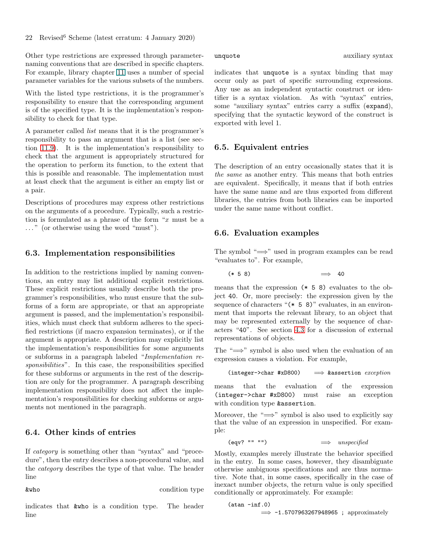22 Revised<sup>6</sup> Scheme (latest erratum: 4 January 2020)

Other type restrictions are expressed through parameternaming conventions that are described in specific chapters. For example, library chapter [11](#page-30-0) uses a number of special parameter variables for the various subsets of the numbers.

With the listed type restrictions, it is the programmer's responsibility to ensure that the corresponding argument is of the specified type. It is the implementation's responsibility to check for that type.

A parameter called *list* means that it is the programmer's responsibility to pass an argument that is a list (see section [11.9\)](#page-46-1). It is the implementation's responsibility to check that the argument is appropriately structured for the operation to perform its function, to the extent that this is possible and reasonable. The implementation must at least check that the argument is either an empty list or a pair.

Descriptions of procedures may express other restrictions on the arguments of a procedure. Typically, such a restriction is formulated as a phrase of the form "*x* must be a . . . " (or otherwise using the word "must").

#### <span id="page-21-0"></span>6.3. Implementation responsibilities

In addition to the restrictions implied by naming conventions, an entry may list additional explicit restrictions. These explicit restrictions usually describe both the programmer's responsibilities, who must ensure that the subforms of a form are appropriate, or that an appropriate argument is passed, and the implementation's responsibilities, which must check that subform adheres to the specified restrictions (if macro expansion terminates), or if the argument is appropriate. A description may explicitly list the implementation's responsibilities for some arguments or subforms in a paragraph labeled "*Implementation responsibilities*". In this case, the responsibilities specified for these subforms or arguments in the rest of the description are only for the programmer. A paragraph describing implementation responsibility does not affect the implementation's responsibilities for checking subforms or arguments not mentioned in the paragraph.

# <span id="page-21-1"></span>6.4. Other kinds of entries

If *category* is something other than "syntax" and "procedure", then the entry describes a non-procedural value, and the *category* describes the type of that value. The header line

&who condition type

indicates that &who is a condition type. The header line

unquote auxiliary syntax

indicates that unquote is a syntax binding that may occur only as part of specific surrounding expressions. Any use as an independent syntactic construct or identifier is a syntax violation. As with "syntax" entries, some "auxiliary syntax" entries carry a suffix (expand), specifying that the syntactic keyword of the construct is exported with level 1.

## <span id="page-21-2"></span>6.5. Equivalent entries

The description of an entry occasionally states that it is *the same* as another entry. This means that both entries are equivalent. Specifically, it means that if both entries have the same name and are thus exported from different libraries, the entries from both libraries can be imported under the same name without conflict.

#### <span id="page-21-3"></span>6.6. Evaluation examples

The symbol " $\implies$ " used in program examples can be read "evaluates to". For example,

 $(* 5 8)$   $\implies$  40

means that the expression (\* 5 8) evaluates to the object 40. Or, more precisely: the expression given by the sequence of characters "( $*$  5 8)" evaluates, in an environment that imports the relevant library, to an object that may be represented externally by the sequence of characters "40". See section [4.3](#page-15-0) for a discussion of external representations of objects.

The " $\implies$ " symbol is also used when the evaluation of an expression causes a violation. For example,

$$
(\texttt{integer}\texttt{-}\texttt{char}~\texttt{\#xD800})\qquad\Longrightarrow\texttt{\&assertion}\;\mathit{exception}
$$

means that the evaluation of the expression (integer->char #xD800) must raise an exception with condition type &assertion.

Moreover, the " $\Longrightarrow$ " symbol is also used to explicitly say that the value of an expression in unspecified. For example:

 $\text{(eqv?} \text{ " " " "")} \implies \text{unspecified}$ 

Mostly, examples merely illustrate the behavior specified in the entry. In some cases, however, they disambiguate otherwise ambiguous specifications and are thus normative. Note that, in some cases, specifically in the case of inexact number objects, the return value is only specified conditionally or approximately. For example:

```
(atan -inf.0)=⇒ -1.5707963267948965 ; approximately
```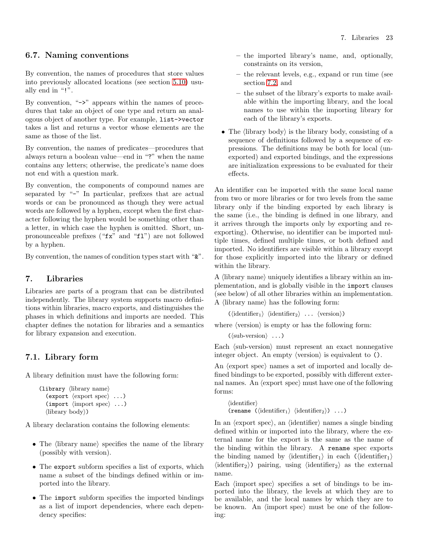# <span id="page-22-0"></span>6.7. Naming conventions

By convention, the names of procedures that store values into previously allocated locations (see section [5.10\)](#page-19-1) usually end in "!".

By convention, " $\rightarrow$ " appears within the names of procedures that take an object of one type and return an analogous object of another type. For example, list->vector takes a list and returns a vector whose elements are the same as those of the list.

By convention, the names of predicates—procedures that always return a boolean value—end in "?" when the name contains any letters; otherwise, the predicate's name does not end with a question mark.

By convention, the components of compound names are separated by "-" In particular, prefixes that are actual words or can be pronounced as though they were actual words are followed by a hyphen, except when the first character following the hyphen would be something other than a letter, in which case the hyphen is omitted. Short, unpronounceable prefixes ("fx" and "fl") are not followed by a hyphen.

<span id="page-22-1"></span>By convention, the names of condition types start with "&".

# 7. Libraries

Libraries are parts of a program that can be distributed independently. The library system supports macro definitions within libraries, macro exports, and distinguishes the phases in which definitions and imports are needed. This chapter defines the notation for libraries and a semantics for library expansion and execution.

# <span id="page-22-2"></span>7.1. Library form

A library definition must have the following form:

```
(library \library name)
   (export \langle export spec\rangle \ldots)
   (import \langleimport spec\rangle ...)
   \langlelibrary body\rangle)
```
A library declaration contains the following elements:

- The  $\langle$ library name $\rangle$  specifies the name of the library (possibly with version).
- The export subform specifies a list of exports, which name a subset of the bindings defined within or imported into the library.
- The import subform specifies the imported bindings as a list of import dependencies, where each dependency specifies:
- the imported library's name, and, optionally, constraints on its version,
- the relevant levels, e.g., expand or run time (see section [7.2,](#page-24-0) and
- the subset of the library's exports to make available within the importing library, and the local names to use within the importing library for each of the library's exports.
- The  $\langle$ library body $\rangle$  is the library body, consisting of a sequence of definitions followed by a sequence of expressions. The definitions may be both for local (unexported) and exported bindings, and the expressions are initialization expressions to be evaluated for their effects.

An identifier can be imported with the same local name from two or more libraries or for two levels from the same library only if the binding exported by each library is the same (i.e., the binding is defined in one library, and it arrives through the imports only by exporting and reexporting). Otherwise, no identifier can be imported multiple times, defined multiple times, or both defined and imported. No identifiers are visible within a library except for those explicitly imported into the library or defined within the library.

A  $\langle$  hibrary name $\rangle$  uniquely identifies a library within an implementation, and is globally visible in the import clauses (see below) of all other libraries within an implementation. A  $\langle$ library name $\rangle$  has the following form:

```
(\langle \text{identifier}_1 \rangle \langle \text{identifier}_2 \rangle \dots \langle \text{version} \rangle)
```
where  $\langle \text{version} \rangle$  is empty or has the following form:

 $(\langle sub-version \rangle \dots)$ 

Each  $\langle sub-version \rangle$  must represent an exact nonnegative integer object. An empty  $\langle version \rangle$  is equivalent to  $($ ).

An  $\langle$  export spec $\rangle$  names a set of imported and locally defined bindings to be exported, possibly with different external names. An  $\langle$ export spec $\rangle$  must have one of the following forms:

```
\langleidentifier\rangle(rename (\langleidentifier<sub>1</sub>) \langleidentifier<sub>2</sub>) ...)
```
In an  $\langle$  export spec $\rangle$ , an  $\langle$  identifier $\rangle$  names a single binding defined within or imported into the library, where the external name for the export is the same as the name of the binding within the library. A rename spec exports the binding named by  $\langle$ identifier<sub>1</sub> $\rangle$  in each  $(\langle$ identifier<sub>1</sub> $\rangle$  $\langle$ identifier<sub>2</sub> $\rangle$ ) pairing, using  $\langle$ identifier<sub>2</sub> $\rangle$  as the external name.

Each  $\langle$  import spec $\rangle$  specifies a set of bindings to be imported into the library, the levels at which they are to be available, and the local names by which they are to be known. An  $\langle$ import spec $\rangle$  must be one of the following: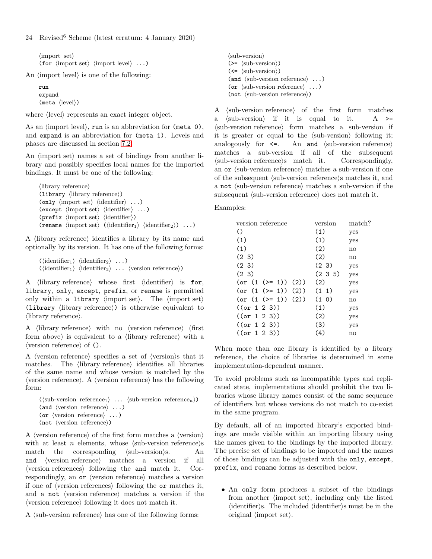$\langle$ import set $\rangle$ (for  $\langle \text{import set} \rangle$   $\langle \text{import level} \rangle$  ...)

An  $\langle$ import level $\rangle$  is one of the following:

```
run
expand
(meta \langle level \rangle)
```
where  $\langle$  level $\rangle$  represents an exact integer object.

As an  $\langle$ import level $\rangle$ , run is an abbreviation for (meta 0), and expand is an abbreviation for (meta 1). Levels and phases are discussed in section [7.2.](#page-24-0)

An  $\langle$ import set $\rangle$  names a set of bindings from another library and possibly specifies local names for the imported bindings. It must be one of the following:

```
\langlelibrary reference\rangle(library (library reference))
(only \langle \text{import set} \rangle \langle \text{identifier} \rangle ...)
(except \langle \text{import set} \rangle \langle \text{identifier} \rangle ...)
(\text{prefix } \langle \text{import set} \rangle \langle \text{identifier} \rangle)(rename \langleimport set\rangle (\langleidentifier<sub>1</sub>\rangle \langleidentifier<sub>2</sub>\rangle) ...)
```
A (library reference) identifies a library by its name and optionally by its version. It has one of the following forms:

```
(\langle \text{identifier}_1 \rangle \langle \text{identifier}_2 \rangle \dots)(\langle \text{identifier}_1 \rangle \langle \text{identifier}_2 \rangle \dots \langle \text{version reference} \rangle)
```
A (library reference) whose first (identifier) is for, library, only, except, prefix, or rename is permitted only within a library (import set). The  $\langle$ import set $\rangle$ (library  $\langle$ library reference $\rangle$ ) is otherwise equivalent to  $\langle$ library reference $\rangle$ .

A (library reference) with no (version reference) (first form above) is equivalent to a  $\langle$  hibrary reference $\rangle$  with a  $\langle$  version reference $\rangle$  of  $\langle$ ).

A (version reference) specifies a set of (version)s that it matches. The (library reference) identifies all libraries of the same name and whose version is matched by the  $\langle$  version reference $\rangle$ . A  $\langle$  version reference $\rangle$  has the following form:

```
(\langle sub-version reference_1 \rangle \dots \langle sub-version reference_n \rangle)(and \langle version reference \rangle ...)
(or \langle \text{version reference} \rangle ...)
(not \langle version reference \rangle)
```
A (version reference) of the first form matches a (version) with at least *n* elements, whose  $\langle \text{sub-version reference} \rangle$ s match the corresponding  $\langle sub-version \rangle$ s. An and (version reference) matches a version if all  $\langle$  version references $\rangle$  following the and match it. Correspondingly, an  $or$  (version reference) matches a version if one of  $\langle$  version references $\rangle$  following the or matches it, and a not (version reference) matches a version if the  $\langle$  version reference $\rangle$  following it does not match it.

A  $\langle \text{sub-version reference} \rangle$  has one of the following forms:

 $\langle sub-version \rangle$  $\left(>= \langle \text{sub-version} \rangle\right)$  $(\langle = \langle \text{sub-version} \rangle)$ (and  $\langle \text{sub-version reference} \rangle$  ...) (or  $\langle \text{sub-version reference} \rangle$  ...)  $(not \langle sub-version reference \rangle)$ 

A  $\langle$ sub-version reference $\rangle$  of the first form matches  $\langle \text{sub-version} \rangle$  if it is equal to it. A >=  $\langle sub-version reference \rangle$  form matches a sub-version if it is greater or equal to the  $\langle sub-version \rangle$  following it; analogously for  $\leq$ . An and  $\langle \text{sub-version reference} \rangle$ matches a sub-version if all of the subsequent  $\langle sub-version reference \rangle$ s match it. Correspondingly, an or  $\langle sub-version reference \rangle$  matches a sub-version if one of the subsequent  $\langle sub-version reference \rangle$ s matches it, and a not (sub-version reference) matches a sub-version if the subsequent  $\langle sub-version reference \rangle$  does not match it.

Examples:

| version reference<br>version              | match? |
|-------------------------------------------|--------|
| (1)<br>$\left(\right)$<br>yes             |        |
| (1)<br>(1)<br>yes                         |        |
| (1)<br>(2)<br>$\mathbf{no}$               |        |
| (2)<br>(23)<br>no                         |        |
| (23)<br>(23)<br>yes                       |        |
| (2, 3)<br>(235)<br>yes                    |        |
| (2)<br>(or $(1 \ (> = 1))$ $(2)$ )<br>yes |        |
| $(or (1 (> = 1)) (2))$<br>(1 1)<br>yes    |        |
| $(or (1 (> = 1)) (2))$<br>$(1 \ 0)$<br>no |        |
| ((or 1 2 3))<br>(1)<br>yes                |        |
| ((or 1 2 3))<br>(2)<br>yes                |        |
| ((or 1 2 3))<br>(3)<br>yes                |        |
| ((or 1 2 3))<br>(4)<br>nο                 |        |

When more than one library is identified by a library reference, the choice of libraries is determined in some implementation-dependent manner.

To avoid problems such as incompatible types and replicated state, implementations should prohibit the two libraries whose library names consist of the same sequence of identifiers but whose versions do not match to co-exist in the same program.

By default, all of an imported library's exported bindings are made visible within an importing library using the names given to the bindings by the imported library. The precise set of bindings to be imported and the names of those bindings can be adjusted with the only, except, prefix, and rename forms as described below.

• An only form produces a subset of the bindings from another  $\langle$ import set $\rangle$ , including only the listed  $\langle$ identifier $\rangle$ s. The included  $\langle$ identifier $\rangle$ s must be in the original  $\langle \text{import set} \rangle$ .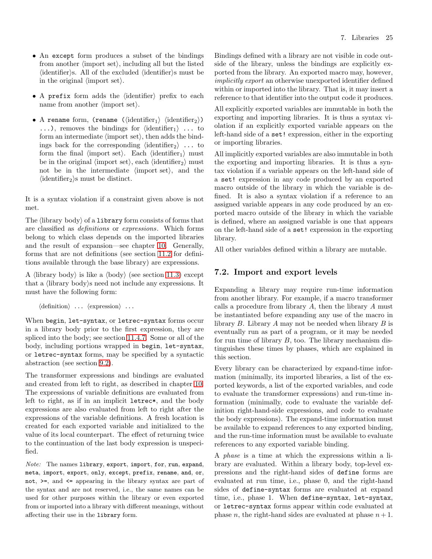- An except form produces a subset of the bindings from another  $\langle$ import set $\rangle$ , including all but the listed  $\langle$ identifier $\rangle$ s. All of the excluded  $\langle$ identifier $\rangle$ s must be in the original  $\langle$ import set $\rangle$ .
- A prefix form adds the  $\langle$ identifier $\rangle$  prefix to each name from another  $\langle$ import set $\rangle$ .
- A rename form, (rename  $(\langle \text{identifier}_1 \rangle \langle \text{identifier}_2 \rangle)$ )  $\ldots$ ), removes the bindings for  $\langle$ identifier<sub>1</sub> $\rangle$  ... to form an intermediate  $\langle$ import set $\rangle$ , then adds the bindings back for the corresponding  $\langle$ identifier<sub>2</sub> $\rangle$ ... to form the final (import set). Each (identifier<sub>1</sub>) must be in the original  $\langle \text{import set} \rangle$ , each  $\langle \text{identifier}_2 \rangle$  must not be in the intermediate  $\langle$ import set $\rangle$ , and the  $\langle$ identifier<sub>2</sub> $\rangle$ s must be distinct.

It is a syntax violation if a constraint given above is not met.

The  $\langle$ library body $\rangle$  of a library form consists of forms that are classified as *definitions* or *expressions*. Which forms belong to which class depends on the imported libraries and the result of expansion—see chapter [10.](#page-28-1) Generally, forms that are not definitions (see section [11.2](#page-30-2) for definitions available through the base library) are expressions.

A  $\langle$ library body $\rangle$  is like a  $\langle$ body $\rangle$  (see section [11.3\)](#page-31-0) except that a  $\langle$ library body $\rangle$ s need not include any expressions. It must have the following form:

 $\langle definition \rangle \dots \langle expression \rangle \dots$ 

When begin, let-syntax, or letrec-syntax forms occur in a library body prior to the first expression, they are spliced into the body; see section [11.4.7.](#page-36-1) Some or all of the body, including portions wrapped in begin, let-syntax, or letrec-syntax forms, may be specified by a syntactic abstraction (see section [9.2\)](#page-28-0).

The transformer expressions and bindings are evaluated and created from left to right, as described in chapter [10.](#page-28-1) The expressions of variable definitions are evaluated from left to right, as if in an implicit letrec\*, and the body expressions are also evaluated from left to right after the expressions of the variable definitions. A fresh location is created for each exported variable and initialized to the value of its local counterpart. The effect of returning twice to the continuation of the last body expression is unspecified.

Note: The names library, export, import, for, run, expand, meta, import, export, only, except, prefix, rename, and, or, not, >=, and <= appearing in the library syntax are part of the syntax and are not reserved, i.e., the same names can be used for other purposes within the library or even exported from or imported into a library with different meanings, without affecting their use in the library form.

Bindings defined with a library are not visible in code outside of the library, unless the bindings are explicitly exported from the library. An exported macro may, however, *implicitly export* an otherwise unexported identifier defined within or imported into the library. That is, it may insert a reference to that identifier into the output code it produces.

All explicitly exported variables are immutable in both the exporting and importing libraries. It is thus a syntax violation if an explicitly exported variable appears on the left-hand side of a set! expression, either in the exporting or importing libraries.

All implicitly exported variables are also immutable in both the exporting and importing libraries. It is thus a syntax violation if a variable appears on the left-hand side of a set! expression in any code produced by an exported macro outside of the library in which the variable is defined. It is also a syntax violation if a reference to an assigned variable appears in any code produced by an exported macro outside of the library in which the variable is defined, where an assigned variable is one that appears on the left-hand side of a set! expression in the exporting library.

<span id="page-24-0"></span>All other variables defined within a library are mutable.

# 7.2. Import and export levels

Expanding a library may require run-time information from another library. For example, if a macro transformer calls a procedure from library  $A$ , then the library  $A$  must be instantiated before expanding any use of the macro in library  $B$ . Library  $A$  may not be needed when library  $B$  is eventually run as part of a program, or it may be needed for run time of library  $B$ , too. The library mechanism distinguishes these times by phases, which are explained in this section.

Every library can be characterized by expand-time information (minimally, its imported libraries, a list of the exported keywords, a list of the exported variables, and code to evaluate the transformer expressions) and run-time information (minimally, code to evaluate the variable definition right-hand-side expressions, and code to evaluate the body expressions). The expand-time information must be available to expand references to any exported binding, and the run-time information must be available to evaluate references to any exported variable binding.

A *phase* is a time at which the expressions within a library are evaluated. Within a library body, top-level expressions and the right-hand sides of define forms are evaluated at run time, i.e., phase 0, and the right-hand sides of define-syntax forms are evaluated at expand time, i.e., phase 1. When define-syntax, let-syntax, or letrec-syntax forms appear within code evaluated at phase *n*, the right-hand sides are evaluated at phase  $n + 1$ .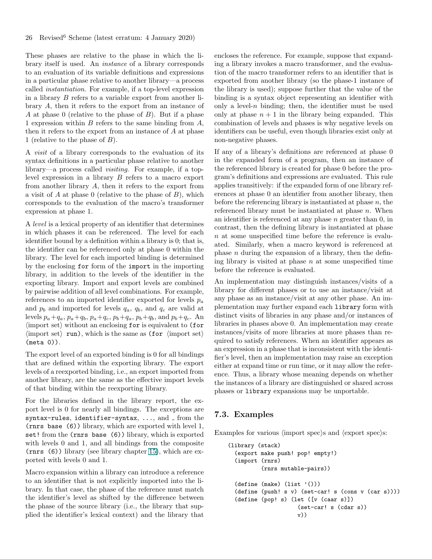These phases are relative to the phase in which the library itself is used. An *instance* of a library corresponds to an evaluation of its variable definitions and expressions in a particular phase relative to another library—a process called *instantiation*. For example, if a top-level expression in a library B refers to a variable export from another library A, then it refers to the export from an instance of A at phase 0 (relative to the phase of  $B$ ). But if a phase 1 expression within B refers to the same binding from A, then it refers to the export from an instance of A at phase 1 (relative to the phase of B).

A *visit* of a library corresponds to the evaluation of its syntax definitions in a particular phase relative to another library—a process called *visiting*. For example, if a toplevel expression in a library B refers to a macro export from another library A, then it refers to the export from a visit of  $A$  at phase 0 (relative to the phase of  $B$ ), which corresponds to the evaluation of the macro's transformer expression at phase 1.

A *level* is a lexical property of an identifier that determines in which phases it can be referenced. The level for each identifier bound by a definition within a library is 0; that is, the identifier can be referenced only at phase 0 within the library. The level for each imported binding is determined by the enclosing for form of the import in the importing library, in addition to the levels of the identifier in the exporting library. Import and export levels are combined by pairwise addition of all level combinations. For example, references to an imported identifier exported for levels  $p_a$ and  $p_b$  and imported for levels  $q_a$ ,  $q_b$ , and  $q_c$  are valid at levels  $p_a+q_a$ ,  $p_a+q_b$ ,  $p_a+q_c$ ,  $p_b+q_a$ ,  $p_b+q_b$ , and  $p_b+q_c$ . An  $\langle$ import set $\rangle$  without an enclosing for is equivalent to (for  $\langle \text{import set} \rangle$  run), which is the same as (for  $\langle \text{import set} \rangle$ ) (meta 0)).

The export level of an exported binding is 0 for all bindings that are defined within the exporting library. The export levels of a reexported binding, i.e., an export imported from another library, are the same as the effective import levels of that binding within the reexporting library.

For the libraries defined in the library report, the export level is 0 for nearly all bindings. The exceptions are syntax-rules, identifier-syntax,  $\dots$ , and  $\Box$  from the (rnrs base (6)) library, which are exported with level 1, set! from the (rnrs base (6)) library, which is exported with levels 0 and 1, and all bindings from the composite (rnrs (6)) library (see library chapter 15), which are exported with levels 0 and 1.

Macro expansion within a library can introduce a reference to an identifier that is not explicitly imported into the library. In that case, the phase of the reference must match the identifier's level as shifted by the difference between the phase of the source library (i.e., the library that supplied the identifier's lexical context) and the library that encloses the reference. For example, suppose that expanding a library invokes a macro transformer, and the evaluation of the macro transformer refers to an identifier that is exported from another library (so the phase-1 instance of the library is used); suppose further that the value of the binding is a syntax object representing an identifier with only a level- $n$  binding; then, the identifier must be used only at phase  $n + 1$  in the library being expanded. This combination of levels and phases is why negative levels on identifiers can be useful, even though libraries exist only at non-negative phases.

If any of a library's definitions are referenced at phase 0 in the expanded form of a program, then an instance of the referenced library is created for phase 0 before the program's definitions and expressions are evaluated. This rule applies transitively: if the expanded form of one library references at phase 0 an identifier from another library, then before the referencing library is instantiated at phase  $n$ , the referenced library must be instantiated at phase  $n$ . When an identifier is referenced at any phase  $n$  greater than  $0$ , in contrast, then the defining library is instantiated at phase n at some unspecified time before the reference is evaluated. Similarly, when a macro keyword is referenced at phase  $n$  during the expansion of a library, then the defining library is visited at phase  $n$  at some unspecified time before the reference is evaluated.

An implementation may distinguish instances/visits of a library for different phases or to use an instance/visit at any phase as an instance/visit at any other phase. An implementation may further expand each library form with distinct visits of libraries in any phase and/or instances of libraries in phases above 0. An implementation may create instances/visits of more libraries at more phases than required to satisfy references. When an identifier appears as an expression in a phase that is inconsistent with the identifier's level, then an implementation may raise an exception either at expand time or run time, or it may allow the reference. Thus, a library whose meaning depends on whether the instances of a library are distinguished or shared across phases or library expansions may be unportable.

#### <span id="page-25-0"></span>7.3. Examples

Examples for various  $\langle$ import spec $\rangle$ s and  $\langle$ export spec $\rangle$ s:

```
(library (stack)
 (export make push! pop! empty!)
 (import (rnrs)
          (rnrs mutable-pairs))
 (detine (make) (list ')))(define (push! s v) (set-car! s (cons v (car s))))
 (define (pop! s) (let ([v (caar s)])
                     (set-car! s (cdar s))
                     v))
```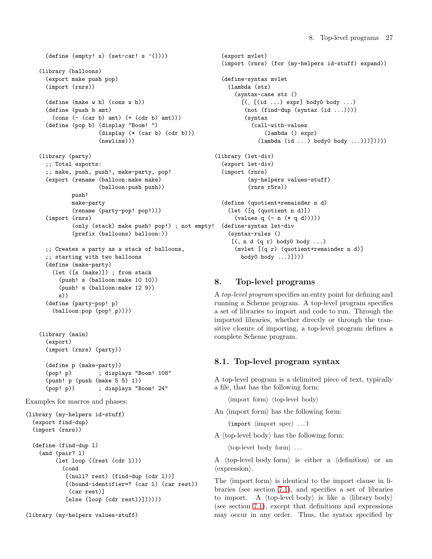```
(define (empty! s) (set-car! s '())))
    (library (balloons)
      (export make push pop)
      (import (rnrs))
      (define (make w h) (cons w h))
      (define (push b amt)
        (cons (- (car b) amt) (+ (cdr b) amt)))
      (define (pop b) (display "Boom! ")
                      (display (* (car b) (cdr b)))
                      (newline)))
    (library (party)
      ;; Total exports:
      ;; make, push, push!, make-party, pop!
      (export (rename (balloon:make make)
                      (balloon:push push))
              push!
              make-party
              (rename (party-pop! pop!)))
      (import (rnrs)
              (only (stack) make push! pop!) ; not empty!
(define-syntax let-div
              (prefix (balloons) balloon:))
      ;; Creates a party as a stack of balloons,
      ;; starting with two balloons
      (define (make-party)
        (let ([s (make)]) ; from stack
          (push! s (balloon:make 10 10))
          (push! s (balloon:make 12 9))
          s))
      (define (party-pop! p)
        (balloon:pop (pop! p))))
    (library (main)
      (export)
      (import (rnrs) (party))
      (define p (make-party))
      (pop! p) ; displays "Boom! 108"
      (push! p (push (make 5 5) 1))
      (pop! p)) ; displays "Boom! 24"
Examples for macros and phases:
(library (my-helpers id-stuff)
  (export find-dup)
  (import (rnrs))
  (define (find-dup l)
    (and (pair? l)
         (let loop ((rest (cdr l)))
           (cond
            [(null? rest) (find-dup (cdr l))]
            [(bound-identifier=? (car l) (car rest))
             (car rest)]
            [else (loop (cdr rest))]))))
```
(library (my-helpers values-stuff)

```
(export mvlet)
  (import (rnrs) (for (my-helpers id-stuff) expand))
  (define-syntax mvlet
    (lambda (stx)
      (syntax-case stx ()
        [(- [(id ...) \text{expr}] \text{body0 body} ...)](not (find-dup (syntax (id ...))))
         (syntax
           (call-with-values
               (lambda () expr)
             (lambda (id ...) body0 body ...)))]))))
(library (let-div)
  (export let-div)
  (import (rnrs)
          (my-helpers values-stuff)
          (rnrs r5rs))
  (define (quotient+remainder n d)
    (let ([q (quotient n d)])
      (values q (- n (* q d)))))
    (syntax-rules ()
     [([n d (q r) body0 body ... )(mvlet [(q r) (quotient+remainder n d)]
        body0 body ...)])))
```
## <span id="page-26-0"></span>8. Top-level programs

A *top-level program* specifies an entry point for defining and running a Scheme program. A top-level program specifies a set of libraries to import and code to run. Through the imported libraries, whether directly or through the transitive closure of importing, a top-level program defines a complete Scheme program.

## <span id="page-26-1"></span>8.1. Top-level program syntax

A top-level program is a delimited piece of text, typically a file, that has the following form:

 $\langle$ import form $\rangle$   $\langle$ top-level body $\rangle$ 

An  $\langle$ import form $\rangle$  has the following form:

 $(\text{import } \langle \text{import } \text{spec} \rangle \dots)$ 

A  $\langle$  top-level body $\rangle$  has the following form:

 $\langle$ top-level body form $\rangle$  ...

A (top-level body form) is either a  $\langle$  definition $\rangle$  or an  $\langle$  expression $\rangle$ .

The  $\langle$ import form $\rangle$  is identical to the import clause in libraries (see section [7.1\)](#page-22-2), and specifies a set of libraries to import. A  $\langle$  top-level body $\rangle$  is like a  $\langle$  library body $\rangle$ (see section [7.1\)](#page-22-2), except that definitions and expressions may occur in any order. Thus, the syntax specified by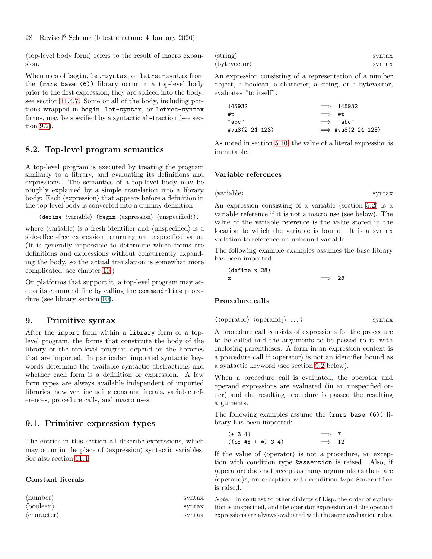28 Revised<sup>6</sup> Scheme (latest erratum: 4 January 2020)

 $\langle$ top-level body form $\rangle$  refers to the result of macro expansion.

When uses of begin, let-syntax, or letrec-syntax from the (rnrs base (6)) library occur in a top-level body prior to the first expression, they are spliced into the body; see section [11.4.7.](#page-36-1) Some or all of the body, including portions wrapped in begin, let-syntax, or letrec-syntax forms, may be specified by a syntactic abstraction (see section [9.2\)](#page-28-0).

## <span id="page-27-0"></span>8.2. Top-level program semantics

A top-level program is executed by treating the program similarly to a library, and evaluating its definitions and expressions. The semantics of a top-level body may be roughly explained by a simple translation into a library body: Each (expression) that appears before a definition in the top-level body is converted into a dummy definition

```
(define \langle variable \rangle (begin \langle expression \rangle \langle unspecified \rangle))
```
where  $\langle$  variable $\rangle$  is a fresh identifier and  $\langle$  unspecified $\rangle$  is a side-effect-free expression returning an unspecified value. (It is generally impossible to determine which forms are definitions and expressions without concurrently expanding the body, so the actual translation is somewhat more complicated; see chapter [10.](#page-28-1))

<span id="page-27-1"></span>On platforms that support it, a top-level program may access its command line by calling the command-line procedure (see library section [10\)](#page-28-1).

# 9. Primitive syntax

After the import form within a library form or a toplevel program, the forms that constitute the body of the library or the top-level program depend on the libraries that are imported. In particular, imported syntactic keywords determine the available syntactic abstractions and whether each form is a definition or expression. A few form types are always available independent of imported libraries, however, including constant literals, variable references, procedure calls, and macro uses.

#### <span id="page-27-2"></span>9.1. Primitive expression types

The entries in this section all describe expressions, which may occur in the place of  $\langle$  expression $\rangle$  syntactic variables. See also section [11.4.](#page-31-1)

#### Constant literals

| $\langle$ number $\rangle$    | $\sqrt{\mathrm{s}}$  |
|-------------------------------|----------------------|
| $\langle$ boolean $\rangle$   | $\sqrt{\frac{1}{2}}$ |
| $\langle$ character $\rangle$ | $\frac{1}{2}$        |

| $\langle \text{string} \rangle$ | syntax |
|---------------------------------|--------|
| $\langle$ bytevector $\rangle$  | syntax |

An expression consisting of a representation of a number object, a boolean, a character, a string, or a bytevector, evaluates "to itself".

| 145932                     | $\implies$ 145932         |
|----------------------------|---------------------------|
| #t                         | $\implies$ #t.            |
| "abc"                      | $\implies$ "abc"          |
| $\text{\#vu8}(2\ 24\ 123)$ | $\implies$ #vu8(2 24 123) |

As noted in section [5.10,](#page-19-1) the value of a literal expression is immutable.

#### Variable references

 $\langle \text{variable} \rangle$  syntax

An expression consisting of a variable (section [5.2\)](#page-16-2) is a variable reference if it is not a macro use (see below). The value of the variable reference is the value stored in the location to which the variable is bound. It is a syntax violation to reference an unbound variable.

The following example examples assumes the base library has been imported:

| $(\text{define } x 28)$ |  |  |               |  |
|-------------------------|--|--|---------------|--|
| x                       |  |  | $\implies$ 28 |  |

#### Procedure calls

$$
(\langle operator \rangle \langle operator, \rangle \ldots)
$$
 syntax

A procedure call consists of expressions for the procedure to be called and the arguments to be passed to it, with enclosing parentheses. A form in an expression context is a procedure call if  $\langle$  operator $\rangle$  is not an identifier bound as a syntactic keyword (see section [9.2](#page-28-0) below).

When a procedure call is evaluated, the operator and operand expressions are evaluated (in an unspecified order) and the resulting procedure is passed the resulting arguments.

The following examples assume the (rnrs base (6)) library has been imported:

| $(+ 3 4)$ |                     |  | $\implies$ 7  |  |
|-----------|---------------------|--|---------------|--|
|           | $((if #f + *) 3 4)$ |  | $\implies$ 12 |  |

If the value of  $\langle$ operator $\rangle$  is not a procedure, an exception with condition type &assertion is raised. Also, if  $\langle$  operator $\rangle$  does not accept as many arguments as there are  $\langle$ operand $\rangle$ s, an exception with condition type &assertion is raised.

Note: In contrast to other dialects of Lisp, the order of evaluation is unspecified, and the operator expression and the operand expressions are always evaluated with the same evaluation rules.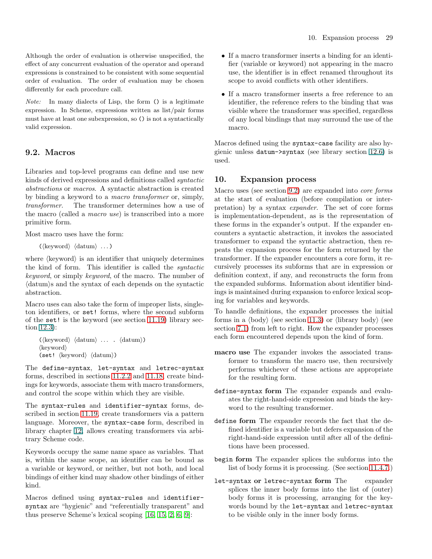Although the order of evaluation is otherwise unspecified, the effect of any concurrent evaluation of the operator and operand expressions is constrained to be consistent with some sequential order of evaluation. The order of evaluation may be chosen differently for each procedure call.

Note: In many dialects of Lisp, the form () is a legitimate expression. In Scheme, expressions written as list/pair forms must have at least one subexpression, so () is not a syntactically valid expression.

# <span id="page-28-0"></span>9.2. Macros

Libraries and top-level programs can define and use new kinds of derived expressions and definitions called *syntactic abstractions* or *macros*. A syntactic abstraction is created by binding a keyword to a *macro transformer* or, simply, *transformer*. The transformer determines how a use of the macro (called a *macro use*) is transcribed into a more primitive form.

Most macro uses have the form:

 $(\langle \text{keyword} \rangle \langle \text{datum} \rangle \dots)$ 

where  $\langle$ keyword $\rangle$  is an identifier that uniquely determines the kind of form. This identifier is called the *syntactic keyword*, or simply *keyword*, of the macro. The number of  $\langle \text{datum} \rangle$  and the syntax of each depends on the syntactic abstraction.

Macro uses can also take the form of improper lists, singleton identifiers, or set! forms, where the second subform of the set! is the keyword (see section [11.19\)](#page-56-0) library section 12.3):

```
(\langle \text{keyword} \rangle \langle \text{datum} \rangle \dots \langle \text{datum} \rangle)\langlekeyword\rangle(set! \langle \text{keyword} \rangle \langle \text{datum} \rangle)
```
The define-syntax, let-syntax and letrec-syntax forms, described in sections [11.2.2](#page-30-4) and [11.18,](#page-55-0) create bindings for keywords, associate them with macro transformers, and control the scope within which they are visible.

The syntax-rules and identifier-syntax forms, described in section [11.19,](#page-56-0) create transformers via a pattern language. Moreover, the syntax-case form, described in library chapter 12, allows creating transformers via arbitrary Scheme code.

Keywords occupy the same name space as variables. That is, within the same scope, an identifier can be bound as a variable or keyword, or neither, but not both, and local bindings of either kind may shadow other bindings of either kind.

Macros defined using syntax-rules and identifiersyntax are "hygienic" and "referentially transparent" and thus preserve Scheme's lexical scoping [\[16,](#page-80-13) [15,](#page-80-14) [2,](#page-80-15) [6,](#page-80-16) [9\]](#page-80-17):

- If a macro transformer inserts a binding for an identifier (variable or keyword) not appearing in the macro use, the identifier is in effect renamed throughout its scope to avoid conflicts with other identifiers.
- If a macro transformer inserts a free reference to an identifier, the reference refers to the binding that was visible where the transformer was specified, regardless of any local bindings that may surround the use of the macro.

<span id="page-28-1"></span>Macros defined using the syntax-case facility are also hygienic unless datum->syntax (see library section 12.6) is used.

#### 10. Expansion process

Macro uses (see section [9.2\)](#page-28-0) are expanded into *core forms* at the start of evaluation (before compilation or interpretation) by a syntax *expander*. The set of core forms is implementation-dependent, as is the representation of these forms in the expander's output. If the expander encounters a syntactic abstraction, it invokes the associated transformer to expand the syntactic abstraction, then repeats the expansion process for the form returned by the transformer. If the expander encounters a core form, it recursively processes its subforms that are in expression or definition context, if any, and reconstructs the form from the expanded subforms. Information about identifier bindings is maintained during expansion to enforce lexical scoping for variables and keywords.

To handle definitions, the expander processes the initial forms in a  $\langle \text{body} \rangle$  (see section [11.3\)](#page-31-0) or  $\langle \text{library body} \rangle$  (see section [7.1\)](#page-22-2) from left to right. How the expander processes each form encountered depends upon the kind of form.

- macro use The expander invokes the associated transformer to transform the macro use, then recursively performs whichever of these actions are appropriate for the resulting form.
- define-syntax form The expander expands and evaluates the right-hand-side expression and binds the keyword to the resulting transformer.
- define form The expander records the fact that the defined identifier is a variable but defers expansion of the right-hand-side expression until after all of the definitions have been processed.
- begin form The expander splices the subforms into the list of body forms it is processing. (See section [11.4.7.](#page-36-1))
- let-syntax or letrec-syntax form The expander splices the inner body forms into the list of (outer) body forms it is processing, arranging for the keywords bound by the let-syntax and letrec-syntax to be visible only in the inner body forms.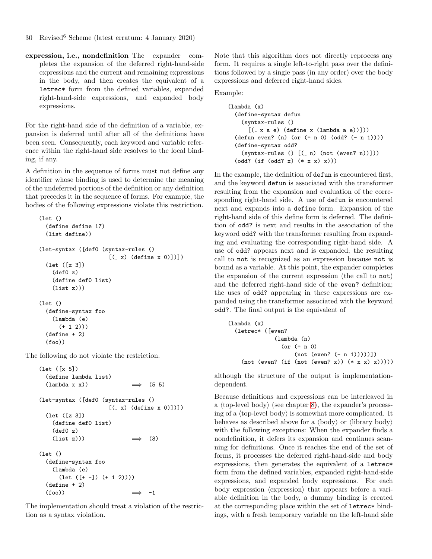- 30 Revised<sup>6</sup> Scheme (latest erratum: 4 January 2020)
- expression, i.e., nondefinition The expander completes the expansion of the deferred right-hand-side expressions and the current and remaining expressions in the body, and then creates the equivalent of a letrec\* form from the defined variables, expanded right-hand-side expressions, and expanded body expressions.

For the right-hand side of the definition of a variable, expansion is deferred until after all of the definitions have been seen. Consequently, each keyword and variable reference within the right-hand side resolves to the local binding, if any.

A definition in the sequence of forms must not define any identifier whose binding is used to determine the meaning of the undeferred portions of the definition or any definition that precedes it in the sequence of forms. For example, the bodies of the following expressions violate this restriction.

```
(let ()
  (define define 17)
  (list define))
(let-syntax ([def0 (syntax-rules ()
                      [(-x) (define x 0)])])
  (let ([z 3])
    (def0 z)
    (define def0 list)
    (list z)))
(let ()
  (define-syntax foo
    (lambda (e)
      (+ 1 2))(define + 2)
  (foo))
```
The following do not violate the restriction.

```
(let ([x 5])
 (define lambda list)
 (lambda x x) \implies (5 5)
(let-syntax ([def0 (syntax-rules ()
                    [(-x) (define x 0)])])
 (let ([z 3])
   (define def0 list)
   (def0 z)
   (list z)) \implies (3)
(let ()
 (define-syntax foo
   (lambda (e)
     (\text{let } ([+ -]) (+ 1 2))))(define + 2)
 (foo)) \implies -1
```
The implementation should treat a violation of the restriction as a syntax violation.

Note that this algorithm does not directly reprocess any form. It requires a single left-to-right pass over the definitions followed by a single pass (in any order) over the body expressions and deferred right-hand sides.

Example:

```
(lambda (x)
 (define-syntax defun
    (syntax-rules ()
      [(\overline{x} a e) (define x (lambda a e))]))
 (defun even? (n) (or (= n 0) (odd? (- n 1))))
 (define-syntax odd?
    (syntax-rules () [(-n) (not (even? n))]))(odd? (if (odd? x) (* x x) x)))
```
In the example, the definition of defun is encountered first, and the keyword defun is associated with the transformer resulting from the expansion and evaluation of the corresponding right-hand side. A use of defun is encountered next and expands into a define form. Expansion of the right-hand side of this define form is deferred. The definition of odd? is next and results in the association of the keyword odd? with the transformer resulting from expanding and evaluating the corresponding right-hand side. A use of odd? appears next and is expanded; the resulting call to not is recognized as an expression because not is bound as a variable. At this point, the expander completes the expansion of the current expression (the call to not) and the deferred right-hand side of the even? definition; the uses of odd? appearing in these expressions are expanded using the transformer associated with the keyword odd?. The final output is the equivalent of

```
(lambda (x)
 (letrec* ([even?
              (lambda (n)
                (or (= n 0)(not (even? (- n 1)))))(not (even? (if (not (even? x)) (* x x) x)))))
```
although the structure of the output is implementationdependent.

Because definitions and expressions can be interleaved in a  $\langle$  top-level body $\rangle$  (see chapter [8\)](#page-26-0), the expander's processing of a  $\langle$ top-level body $\rangle$  is somewhat more complicated. It behaves as described above for a  $\langle \text{body} \rangle$  or  $\langle \text{library body} \rangle$ with the following exceptions: When the expander finds a nondefinition, it defers its expansion and continues scanning for definitions. Once it reaches the end of the set of forms, it processes the deferred right-hand-side and body expressions, then generates the equivalent of a letrec\* form from the defined variables, expanded right-hand-side expressions, and expanded body expressions. For each body expression  $\langle$  expression $\rangle$  that appears before a variable definition in the body, a dummy binding is created at the corresponding place within the set of letrec\* bindings, with a fresh temporary variable on the left-hand side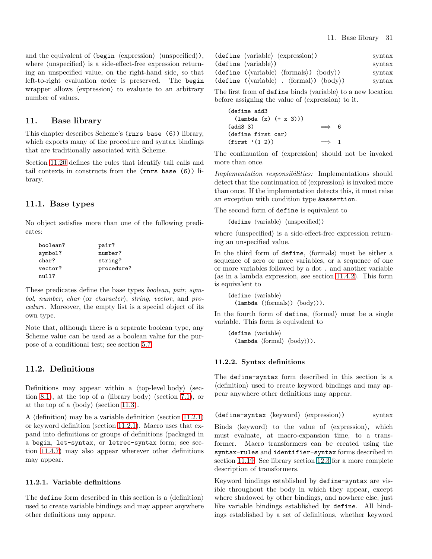and the equivalent of (begin  $\langle$  expression $\rangle$   $\langle$  unspecified $\rangle$ ), where  $\langle$ unspecified $\rangle$  is a side-effect-free expression returning an unspecified value, on the right-hand side, so that left-to-right evaluation order is preserved. The begin wrapper allows  $\langle$  expression $\rangle$  to evaluate to an arbitrary number of values.

## <span id="page-30-0"></span>11. Base library

This chapter describes Scheme's (rnrs base (6)) library, which exports many of the procedure and syntax bindings that are traditionally associated with Scheme.

Section [11.20](#page-58-0) defines the rules that identify tail calls and tail contexts in constructs from the (rnrs base (6)) library.

## <span id="page-30-1"></span>11.1. Base types

No object satisfies more than one of the following predicates:

| boolean? | pair?      |
|----------|------------|
| symbol?  | number?    |
| char?    | string?    |
| vector?  | procedure? |
| n1117    |            |

These predicates define the base types *boolean*, *pair*, *symbol*, *number*, *char* (or *character*), *string*, *vector*, and *procedure*. Moreover, the empty list is a special object of its own type.

Note that, although there is a separate boolean type, any Scheme value can be used as a boolean value for the purpose of a conditional test; see section [5.7.](#page-18-2)

# <span id="page-30-2"></span>11.2. Definitions

Definitions may appear within a  $\langle$  top-level body $\rangle$  (sec-tion [8.1\)](#page-26-1), at the top of a  $\langle$  library body $\rangle$  (section [7.1\)](#page-22-2), or at the top of a  $\langle \text{body} \rangle$  (section [11.3\)](#page-31-0).

A  $\langle$  definition $\rangle$  may be a variable definition (section [11.2.1\)](#page-30-3) or keyword definition (section [11.2.1\)](#page-30-3). Macro uses that expand into definitions or groups of definitions (packaged in a begin, let-syntax, or letrec-syntax form; see section [11.4.7\)](#page-36-1) may also appear wherever other definitions may appear.

#### <span id="page-30-3"></span>11.2.1. Variable definitions

The define form described in this section is a  $\langle$  definition $\rangle$ used to create variable bindings and may appear anywhere other definitions may appear.

| $(\text{define } \langle \text{variable} \rangle \langle \text{expression} \rangle)$ | syntax                                                                                                                                                                                                                                                                                       |
|--------------------------------------------------------------------------------------|----------------------------------------------------------------------------------------------------------------------------------------------------------------------------------------------------------------------------------------------------------------------------------------------|
|                                                                                      | syntax                                                                                                                                                                                                                                                                                       |
|                                                                                      | syntax                                                                                                                                                                                                                                                                                       |
|                                                                                      | syntax                                                                                                                                                                                                                                                                                       |
|                                                                                      | $(\text{define } \langle \text{variable} \rangle)$<br>(define ( $\langle \text{variable} \rangle$ $\langle \text{formals} \rangle$ ) $\langle \text{body} \rangle$ )<br>$(\text{define } (\langle \text{variable} \rangle \cdot \langle \text{formal} \rangle) \langle \text{body} \rangle)$ |

The first from of define binds (variable) to a new location before assigning the value of  $\langle$  expression $\rangle$  to it.

(define add3 (lambda (x) (+ x 3)))  $(\text{add3 3})$   $\implies$  6 (define first car)  $(first' (1 2))$   $\implies 1$ 

The continuation of  $\langle$  expression $\rangle$  should not be invoked more than once.

*Implementation responsibilities:* Implementations should detect that the continuation of  $\langle$  expression $\rangle$  is invoked more than once. If the implementation detects this, it must raise an exception with condition type &assertion.

The second form of define is equivalent to

 $(\text{define } \langle \text{variable} \rangle \langle \text{unspecified} \rangle)$ 

where  $\langle$ unspecified $\rangle$  is a side-effect-free expression returning an unspecified value.

In the third form of define,  $\langle$  formals $\rangle$  must be either a sequence of zero or more variables, or a sequence of one or more variables followed by a dot . and another variable (as in a lambda expression, see section [11.4.2\)](#page-31-3). This form is equivalent to

(define  $\langle$ variable $\rangle$  $(lambda (\langle formulas \rangle) \langle body \rangle).$ 

In the fourth form of define,  $\langle$  formal $\rangle$  must be a single variable. This form is equivalent to

 $\langle$  define  $\langle$  variable $\rangle$  $(\text{lambda } \langle \text{formal} \rangle \langle \text{body} \rangle).$ 

#### <span id="page-30-4"></span>11.2.2. Syntax definitions

The define-syntax form described in this section is a  $\langle$  definition $\rangle$  used to create keyword bindings and may appear anywhere other definitions may appear.

 $(\text{define-syntax } \langle \text{keyword} \rangle \langle \text{expression} \rangle)$  syntax

Binds  $\langle$ keyword $\rangle$  to the value of  $\langle$ expression $\rangle$ , which must evaluate, at macro-expansion time, to a transformer. Macro transformers can be created using the syntax-rules and identifier-syntax forms described in section [11.19.](#page-56-0) See library section 12.3 for a more complete description of transformers.

Keyword bindings established by define-syntax are visible throughout the body in which they appear, except where shadowed by other bindings, and nowhere else, just like variable bindings established by define. All bindings established by a set of definitions, whether keyword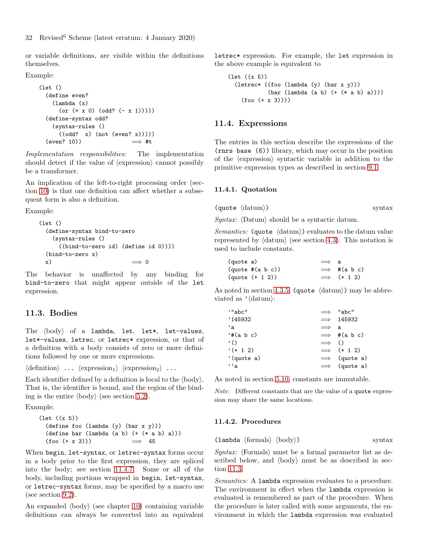or variable definitions, are visible within the definitions themselves.

#### Example:

```
(let ()
  (define even?
   (lambda (x)
     (or (= x 0) (odd? (- x 1)))))(define-syntax odd?
   (syntax-rules ()
     ((odd? x) (not (even? x)))))
  (even? 10)) \implies #t
```
*Implementation responsibilities:* The implementation should detect if the value of  $\langle$  expression $\rangle$  cannot possibly be a transformer.

An implication of the left-to-right processing order (section [10\)](#page-28-1) is that one definition can affect whether a subsequent form is also a definition.

Example:

```
(let ()
 (define-syntax bind-to-zero
   (syntax-rules ()
     ((bind-to-zero id) (define id 0))))
 (bind-to-zero x)
 x) \implies 0
```
The behavior is unaffected by any binding for bind-to-zero that might appear outside of the let expression.

#### <span id="page-31-0"></span>11.3. Bodies

The  $\langle \text{body} \rangle$  of a lambda, let, let\*, let-values, let\*-values, letrec, or letrec\* expression, or that of a definition with a body consists of zero or more definitions followed by one or more expressions.

 $\langle definition \rangle \dots \langle expression_1 \rangle \langle expression_2 \rangle \dots$ 

Each identifier defined by a definition is local to the  $\langle \text{body} \rangle$ . That is, the identifier is bound, and the region of the binding is the entire  $\langle \text{body} \rangle$  (see section [5.2\)](#page-16-2).

Example:

```
(let ((x 5))
  (define foo (lambda (y) (bar x y)))
  (define bar (lambda (a b) (+ (* a b) a)))
  (foo (+ x 3))) \implies 45
```
When begin, let-syntax, or letrec-syntax forms occur in a body prior to the first expression, they are spliced into the body; see section [11.4.7.](#page-36-1) Some or all of the body, including portions wrapped in begin, let-syntax, or letrec-syntax forms, may be specified by a macro use (see section [9.2\)](#page-28-0).

An expanded  $\langle \text{body} \rangle$  (see chapter [10\)](#page-28-1) containing variable definitions can always be converted into an equivalent letrec\* expression. For example, the let expression in the above example is equivalent to

```
(let ((x 5))
 (letrec* ((foo (lambda (y) (bar x y)))
            (bar (lambda (a b) (+ (* a b) a))))
    (foo (+ x 3))))
```
## <span id="page-31-1"></span>11.4. Expressions

The entries in this section describe the expressions of the (rnrs base (6)) library, which may occur in the position of the  $\langle$  expression $\rangle$  syntactic variable in addition to the primitive expression types as described in section [9.1.](#page-27-2)

#### <span id="page-31-2"></span>11.4.1. Quotation

 $\langle \text{quot}(datum) \rangle$  syntax

*Syntax:*  $\langle$ Datum $\rangle$  should be a syntactic datum.

*Semantics:* (quote  $\langle \text{datum} \rangle$ ) evaluates to the datum value represented by  $\langle \text{datum} \rangle$  (see section [4.3\)](#page-15-0). This notation is used to include constants.

| (quote a)               | $\implies$ a |                     |
|-------------------------|--------------|---------------------|
| $(quote \#(a \ b \ c))$ |              | $\implies$ #(a b c) |
| $(quote (+ 1 2))$       |              | $\implies$ (+ 1 2)  |

As noted in section [4.3.5,](#page-16-5) (quote  $\langle \text{datum} \rangle$ ) may be abbreviated as  $\prime$  (datum):

| $'$ "abc"  |               | $\implies$ "abc"     |
|------------|---------------|----------------------|
| 145932     |               | $\implies$ 145932    |
| , с        | $\implies$ a  |                      |
| '#(a b c)  |               | $\implies$ #(a b c)  |
| $\cdot$ () | $\implies$ () |                      |
| $'(+ 1 2)$ |               | $\implies$ (+ 1 2)   |
| '(quote a) |               | $\implies$ (quote a) |
| e''        |               | $\implies$ (quote a) |

As noted in section [5.10,](#page-19-1) constants are immutable.

Note: Different constants that are the value of a quote expression may share the same locations.

#### <span id="page-31-3"></span>11.4.2. Procedures

 $\langle$ lambda  $\langle$ formals $\rangle$   $\langle$ body $\rangle$ ) syntax

*Syntax:*  $\langle$  Formals $\rangle$  must be a formal parameter list as described below, and  $\langle body \rangle$  must be as described in section [11.3.](#page-31-0)

*Semantics:* A lambda expression evaluates to a procedure. The environment in effect when the lambda expression is evaluated is remembered as part of the procedure. When the procedure is later called with some arguments, the environment in which the lambda expression was evaluated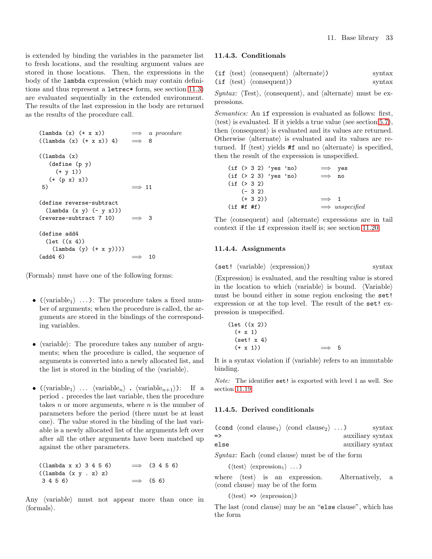is extended by binding the variables in the parameter list to fresh locations, and the resulting argument values are stored in those locations. Then, the expressions in the body of the lambda expression (which may contain definitions and thus represent a letrec\* form, see section [11.3\)](#page-31-0) are evaluated sequentially in the extended environment. The results of the last expression in the body are returned as the results of the procedure call.

```
(lambda (x) (+ x x)) \implies a procedure((\text{lambda } (x) (+ x x)) 4) \implies 8((lambda (x)
  (define (p y)
    (+ y 1)(+ (p x) x))
5) \implies 11
(define reverse-subtract
  (lambda (x y) (- y x)))
(reverse-subtract 7 10) \implies 3
(define add4
  (let ((x 4))
   (lambda (y) (+ x y))))
(\text{add4 6}) \Rightarrow 10
```
 $\langle$ Formals $\rangle$  must have one of the following forms:

- ( $\langle \text{variable}_1 \rangle$  ...): The procedure takes a fixed number of arguments; when the procedure is called, the arguments are stored in the bindings of the corresponding variables.
- $\langle \text{variable} \rangle$ : The procedure takes any number of arguments; when the procedure is called, the sequence of arguments is converted into a newly allocated list, and the list is stored in the binding of the  $\langle$  variable $\rangle$ .
- ( $\langle \text{variable}_1 \rangle$  ...  $\langle \text{variable}_n \rangle$  .  $\langle \text{variable}_{n+1} \rangle$ ): If a period . precedes the last variable, then the procedure takes  $n$  or more arguments, where  $n$  is the number of parameters before the period (there must be at least one). The value stored in the binding of the last variable is a newly allocated list of the arguments left over after all the other arguments have been matched up against the other parameters.

```
((\text{lambda } x x) 3 4 5 6) \implies (3 4 5 6)((lambda (x y . z) z)
3\ 4\ 5\ 6) \implies (5 6)
```
Any (variable) must not appear more than once in  $\langle$  formals $\rangle$ .

#### 11.4.3. Conditionals

|  | $(i$ f $\langle test \rangle$ $\langle consequent \rangle$ $\langle alternate \rangle$ ) | $\frac{1}{2}$ |
|--|------------------------------------------------------------------------------------------|---------------|
|  | $(if \langle test \rangle \langle consequent \rangle)$                                   | syntax        |

*Syntax:*  $\langle Test \rangle$ ,  $\langle consequent \rangle$ , and  $\langle alternate \rangle$  must be expressions.

*Semantics:* An if expression is evaluated as follows: first,  $\langle \text{test} \rangle$  is evaluated. If it yields a true value (see section [5.7\)](#page-18-2), then  $\langle$  consequent $\rangle$  is evaluated and its values are returned. Otherwise  $\langle$  alternate $\rangle$  is evaluated and its values are returned. If  $\langle \text{test} \rangle$  yields #f and no  $\langle \text{alternate} \rangle$  is specified, then the result of the expression is unspecified.

|          |              | $(if ( > 3 2)$ 'yes 'no) |  |              | $\implies$ yes         |
|----------|--------------|--------------------------|--|--------------|------------------------|
|          |              | $(if ( > 2 3)$ 'yes 'no) |  | $\implies$   | no                     |
|          | (if ( > 3 2) |                          |  |              |                        |
|          | $(-32)$      |                          |  |              |                        |
|          | $(+ 3 2))$   |                          |  | $\implies$ 1 |                        |
| (if#f#f) |              |                          |  |              | $\implies$ unspecified |

The (consequent) and (alternate) expressions are in tail context if the if expression itself is; see section [11.20.](#page-58-0)

#### 11.4.4. Assignments

$$
(set! \langle variable \rangle \langle expression \rangle)
$$
 syntax

 $\langle$ Expression $\rangle$  is evaluated, and the resulting value is stored in the location to which  $\langle$  variable $\rangle$  is bound.  $\langle$  Variable $\rangle$ must be bound either in some region enclosing the set! expression or at the top level. The result of the set! expression is unspecified.

| $(\text{let } ((x 2)))$ |              |  |
|-------------------------|--------------|--|
| $(+ x 1)$               |              |  |
| $(set! \times 4)$       |              |  |
| $(+ x 1)$               | $\implies$ 5 |  |

It is a syntax violation if  $\langle$  variable $\rangle$  refers to an immutable binding.

Note: The identifier set! is exported with level 1 as well. See section [11.19.](#page-56-0)

#### 11.4.5. Derived conditionals

|               | (cond $\langle$ cond clause <sub>1</sub> ) $\langle$ cond clause <sub>2</sub> ) |  |                  | $\frac{1}{2}$ syntax |
|---------------|---------------------------------------------------------------------------------|--|------------------|----------------------|
| $\Rightarrow$ |                                                                                 |  | auxiliary syntax |                      |
| else          |                                                                                 |  | auxiliary syntax |                      |

*Syntax:* Each  $\langle$  cond clause $\rangle$  must be of the form

 $(\langle test \rangle \langle expression_1 \rangle \dots)$ 

where  $\langle test \rangle$  is an expression. Alternatively, a  $\langle$ cond clause $\rangle$  may be of the form

 $(\langle test \rangle \Rightarrow \langle expression \rangle)$ 

The last  $\langle$ cond clause $\rangle$  may be an "else clause", which has the form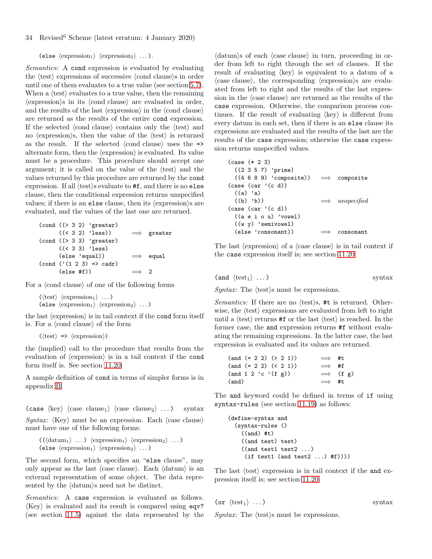(else  $\langle$  expression<sub>1</sub></sub>  $\langle$  expression<sub>2</sub> $\rangle$  ...).

*Semantics:* A cond expression is evaluated by evaluating the  $\langle test \rangle$  expressions of successive  $\langle cond$  clause $\rangle s$  in order until one of them evaluates to a true value (see section [5.7\)](#page-18-2). When a  $\langle \text{test} \rangle$  evaluates to a true value, then the remaining  $\langle$  expression $\rangle$ s in its  $\langle$  cond clause $\rangle$  are evaluated in order, and the results of the last  $\langle$  expression $\rangle$  in the  $\langle$  cond clause $\rangle$ are returned as the results of the entire cond expression. If the selected  $\langle$ cond clause $\rangle$  contains only the  $\langle$ test $\rangle$  and no  $\langle$  expression $\rangle$ s, then the value of the  $\langle$  test $\rangle$  is returned as the result. If the selected  $\langle$  cond clause $\rangle$  uses the => alternate form, then the  $\langle$  expression $\rangle$  is evaluated. Its value must be a procedure. This procedure should accept one argument; it is called on the value of the  $\langle \text{test} \rangle$  and the values returned by this procedure are returned by the cond expression. If all  $\langle \text{test} \rangle$ s evaluate to #f, and there is no else clause, then the conditional expression returns unspecified values; if there is an else clause, then its  $\langle$  expression $\rangle$ s are evaluated, and the values of the last one are returned.

$$
(\text{cond } (\text{> 3 2) 'greater})
$$
\n
$$
((\text{< 3 2) 'less})
$$
\n
$$
\implies \text{greater}
$$
\n
$$
((\text{< 3 3) 'greater})
$$
\n
$$
((\text{< 3 3) 'less})
$$
\n
$$
(\text{else 'equal}))
$$
\n
$$
\implies \text{equal}
$$
\n
$$
(\text{cond } (\text{'(1 2 3) => cadr})
$$
\n
$$
(\text{else #f}))
$$
\n
$$
\implies 2
$$

For a  $\langle$  cond clause $\rangle$  of one of the following forms

```
(\langle test \rangle \langle expression_1 \rangle \dots)(else \langle expression<sub>1</sub>) \langle expression<sub>2</sub>\rangle ...)
```
the last  $\langle$  expression $\rangle$  is in tail context if the cond form itself is. For a  $\langle$  cond clause $\rangle$  of the form

 $(\langle test \rangle \Rightarrow \langle expression \rangle)$ 

the (implied) call to the procedure that results from the evaluation of  $\langle$  expression $\rangle$  is in a tail context if the cond form itself is. See section [11.20.](#page-58-0)

A sample definition of cond in terms of simpler forms is in appendix [B.](#page-74-0)

(case  $\langle \text{key} \rangle$   $\langle \text{case clause}_1 \rangle$   $\langle \text{case clause}_2 \rangle$  ...) syntax *Syntax:*  $\langle \text{Key} \rangle$  must be an expression. Each  $\langle \text{case clause} \rangle$ must have one of the following forms:

 $((\langle \text{datum}_1 \rangle \dots) \langle \text{expression}_1 \rangle \langle \text{expression}_2 \rangle \dots)$ (else  $\langle$  expression<sub>1</sub></sub>  $\langle$  expression<sub>2</sub> $\rangle$  ...)

The second form, which specifies an "else clause", may only appear as the last  $\langle \text{case clause} \rangle$ . Each  $\langle \text{datum} \rangle$  is an external representation of some object. The data represented by the  $\langle \text{datum} \rangle$ s need not be distinct.

*Semantics:* A case expression is evaluated as follows.  $\langle \text{Key} \rangle$  is evaluated and its result is compared using eqv? (see section [11.5\)](#page-36-0) against the data represented by the  $\langle \text{datum} \rangle$  s of each  $\langle \text{case clause} \rangle$  in turn, proceeding in order from left to right through the set of clauses. If the result of evaluating  $\langle \text{key} \rangle$  is equivalent to a datum of a  $\langle \text{case clause} \rangle$ , the corresponding  $\langle \text{expression} \rangle$  are evaluated from left to right and the results of the last expression in the  $\langle \text{case clause} \rangle$  are returned as the results of the case expression. Otherwise, the comparison process continues. If the result of evaluating  $\langle \text{key} \rangle$  is different from every datum in each set, then if there is an else clause its expressions are evaluated and the results of the last are the results of the case expression; otherwise the case expression returns unspecified values.

```
(case (* 2 3)
 ((2 3 5 7) 'prime)
 ((4 6 8 9) 'composite) \implies composite
(\text{case } (\text{car } '(c d)))((a) 'a)
 ((b) 'b)) \implies unspecified
(\text{case } (\text{car } '(c d)))((a e i o u) 'vowel)
 ((w y) 'semivowel)
 (else 'consonant)) \implies consonant
```
The last  $\langle$  expression $\rangle$  of a  $\langle$  case clause $\rangle$  is in tail context if the case expression itself is; see section [11.20.](#page-58-0)

$$
(\text{and } \langle \text{test}_1 \rangle \ldots) \qquad \qquad \text{syntax}
$$

*Syntax:* The  $\langle \text{test} \rangle$ s must be expressions.

*Semantics:* If there are no  $\{\text{test}\}\$ s, #t is returned. Otherwise, the  $\langle \text{test} \rangle$  expressions are evaluated from left to right until a  $\langle \text{test} \rangle$  returns #f or the last  $\langle \text{test} \rangle$  is reached. In the former case, the and expression returns #f without evaluating the remaining expressions. In the latter case, the last expression is evaluated and its values are returned.

| $(and (= 2 2) (> 2 1))$                            | $\implies$ #t |                  |
|----------------------------------------------------|---------------|------------------|
| $(and (= 2 2) (< 2 1))$                            | $\implies$ #f |                  |
| $(\text{and } 1 \ 2 \ \text{'c } \ \text{'(f g)})$ |               | $\implies$ (f g) |
| (and)                                              | $\implies$ #t |                  |

The and keyword could be defined in terms of if using syntax-rules (see section [11.19\)](#page-56-0) as follows:

```
(define-syntax and
 (syntax-rules ()
   ((and) #t)
    ((and test) test)
    ((and test1 test2 ...)
     (if test1 (and test2 ...) #f))))
```
The last  $\langle \text{test} \rangle$  expression is in tail context if the and expression itself is; see section [11.20.](#page-58-0)

| (or $\langle \text{test}_1 \rangle$ )                                   | $\sqrt{\frac{1}{2}}$ |
|-------------------------------------------------------------------------|----------------------|
| <i>Syntax:</i> The $\langle \text{test} \rangle$ s must be expressions. |                      |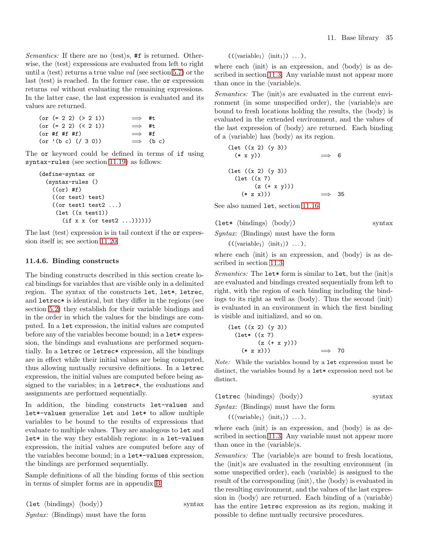*Semantics:* If there are no (test)s, #f is returned. Otherwise, the  $\langle \text{test} \rangle$  expressions are evaluated from left to right until a  $\langle \text{test} \rangle$  returns a true value *val* (see section [5.7\)](#page-18-2) or the last  $\langle \text{test} \rangle$  is reached. In the former case, the or expression returns *val* without evaluating the remaining expressions. In the latter case, the last expression is evaluated and its values are returned.

|                 | $(or (= 2 2) (> 2 1))$ | $\implies$ #t    |  |
|-----------------|------------------------|------------------|--|
|                 | $(or (= 2 2) (< 2 1))$ | $\implies$ #t    |  |
| $(or$ #f #f #f) |                        | $\implies$ #f    |  |
|                 | (or '(b c) (/ 3 0))    | $\implies$ (b c) |  |

The or keyword could be defined in terms of if using syntax-rules (see section [11.19\)](#page-56-0) as follows:

```
(define-syntax or
 (syntax-rules ()
   ((or)#f)
   ((or test) test)
   ((or test1 test2 ...)
     (let ((x test1))
       (if x x (or test2 ...))))))
```
The last  $\langle \text{test} \rangle$  expression is in tail context if the or expression itself is; see section [11.20.](#page-58-0)

#### <span id="page-34-0"></span>11.4.6. Binding constructs

The binding constructs described in this section create local bindings for variables that are visible only in a delimited region. The syntax of the constructs let, let\*, letrec, and letrec\* is identical, but they differ in the regions (see section [5.2\)](#page-16-2) they establish for their variable bindings and in the order in which the values for the bindings are computed. In a let expression, the initial values are computed before any of the variables become bound; in a let\* expression, the bindings and evaluations are performed sequentially. In a letrec or letrec\* expression, all the bindings are in effect while their initial values are being computed, thus allowing mutually recursive definitions. In a letrec expression, the initial values are computed before being assigned to the variables; in a letrec\*, the evaluations and assignments are performed sequentially.

In addition, the binding constructs let-values and let\*-values generalize let and let\* to allow multiple variables to be bound to the results of expressions that evaluate to multiple values. They are analogous to let and let\* in the way they establish regions: in a let-values expression, the initial values are computed before any of the variables become bound; in a let\*-values expression, the bindings are performed sequentially.

Sample definitions of all the binding forms of this section in terms of simpler forms are in appendix [B.](#page-74-0)

 $(\text{let } \langle \text{bindings} \rangle \langle \text{body} \rangle)$  syntax *Syntax:*  $\langle$ Bindings $\rangle$  must have the form

 $((\langle variable_1 \rangle \langle init_1 \rangle) \dots),$ 

where each  $\langle \text{init} \rangle$  is an expression, and  $\langle \text{body} \rangle$  is as described in section [11.3.](#page-31-0) Any variable must not appear more than once in the  $\langle variable \rangle$ s.

*Semantics:* The  $\langle \text{init} \rangle$ s are evaluated in the current environment (in some unspecified order), the  $\langle$  variable $\rangle$ s are bound to fresh locations holding the results, the  $\langle \text{body} \rangle$  is evaluated in the extended environment, and the values of the last expression of  $\langle \text{body} \rangle$  are returned. Each binding of a  $\langle \text{variable} \rangle$  has  $\langle \text{body} \rangle$  as its region.

$$
(let ((x 2) (y 3))
$$
  
\n
$$
(* y))
$$
\n
$$
(let ((x 2) (y 3))
$$
  
\n
$$
(let ((x 7))
$$
  
\n
$$
(z (+ y)))
$$
\n
$$
(* z x)))
$$
\n
$$
35
$$

See also named let, section [11.16.](#page-54-0)

 $(\text{let* } \langle \text{bindings} \rangle \langle \text{body} \rangle)$  syntax *Syntax:*  $\langle$ Bindings $\rangle$  must have the form

$$
((\langle variable_1 \rangle \langle init_1 \rangle) \dots),
$$

where each  $\langle \text{init} \rangle$  is an expression, and  $\langle \text{body} \rangle$  is as described in section [11.3.](#page-31-0)

*Semantics:* The let\* form is similar to let, but the  $\langle \text{init} \rangle$ s are evaluated and bindings created sequentially from left to right, with the region of each binding including the bindings to its right as well as  $\langle \text{body} \rangle$ . Thus the second  $\langle \text{init} \rangle$ is evaluated in an environment in which the first binding is visible and initialized, and so on.

$$
(let ((x 2) (y 3))
$$
  
\n $(let* ((x 7)$   
\n $(z (+ x y)))$   
\n $(* z x))) \implies 70$ 

Note: While the variables bound by a let expression must be distinct, the variables bound by a let\* expression need not be distinct.

| $(\text{letrec } \langle \text{bindings} \rangle \langle \text{body} \rangle)$ | $\frac{1}{2}$ |
|--------------------------------------------------------------------------------|---------------|
| <i>Syntax:</i> $\langle$ Bindings $\rangle$ must have the form                 |               |

 $((\langle variable_1 \rangle \langle init_1 \rangle) \dots),$ 

where each  $\langle \text{init} \rangle$  is an expression, and  $\langle \text{body} \rangle$  is as described in section [11.3.](#page-31-0) Any variable must not appear more than once in the  $\langle$  variable $\rangle$ s.

*Semantics:* The (variable)s are bound to fresh locations, the  $\langle \text{init} \rangle$  are evaluated in the resulting environment (in some unspecified order), each  $\langle$  variable $\rangle$  is assigned to the result of the corresponding  $\langle \text{init} \rangle$ , the  $\langle \text{body} \rangle$  is evaluated in the resulting environment, and the values of the last expression in  $\langle \text{body} \rangle$  are returned. Each binding of a  $\langle \text{variable} \rangle$ has the entire letrec expression as its region, making it possible to define mutually recursive procedures.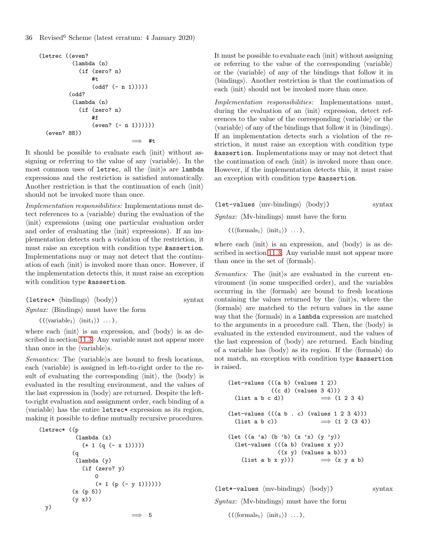```
(letrec ((even?
          (lambda (n)
             (if (zero? n)
                 #t
                 (odd? (- n 1)))))
         (odd?
          (lambda (n)
             (if (zero? n)
                 #f
                 (even? (- n 1))))(even? 88))
                              \implies #t
```
It should be possible to evaluate each  $\langle \text{init} \rangle$  without assigning or referring to the value of any  $\langle$  variable $\rangle$ . In the most common uses of letrec, all the  $\langle \text{init} \rangle$ s are lambda expressions and the restriction is satisfied automatically. Another restriction is that the continuation of each  $\langle \text{init} \rangle$ should not be invoked more than once.

*Implementation responsibilities:* Implementations must detect references to a  $\langle \text{variable} \rangle$  during the evaluation of the  $\langle \text{init} \rangle$  expressions (using one particular evaluation order and order of evaluating the  $\langle \text{init} \rangle$  expressions). If an implementation detects such a violation of the restriction, it must raise an exception with condition type &assertion. Implementations may or may not detect that the continuation of each  $\langle \text{init} \rangle$  is invoked more than once. However, if the implementation detects this, it must raise an exception with condition type &assertion.

 $(\text{letrec* } \langle \text{bindings} \rangle \langle \text{body} \rangle)$  syntax

*Syntax:*  $\langle$ Bindings $\rangle$  must have the form

 $((\langle variable_1 \rangle \langle init_1 \rangle) \dots)$ ,

where each  $\langle \text{init} \rangle$  is an expression, and  $\langle \text{body} \rangle$  is as described in section [11.3.](#page-31-0) Any variable must not appear more than once in the  $\langle variable \rangle$ s.

*Semantics:* The (variable)s are bound to fresh locations, each  $\langle$  variable $\rangle$  is assigned in left-to-right order to the result of evaluating the corresponding  $\langle \text{init} \rangle$ , the  $\langle \text{body} \rangle$  is evaluated in the resulting environment, and the values of the last expression in  $\langle \text{body} \rangle$  are returned. Despite the leftto-right evaluation and assignment order, each binding of a  $\langle$  variable $\rangle$  has the entire letrec\* expression as its region, making it possible to define mutually recursive procedures.

```
(letrec* ((p
           (lambda (x)
             (+ 1 (q (- x 1))))(q
           (lambda (y)
             (if (zero? y)
                  0
                  (+ 1 (p (- y 1))))))(x (p 5))
          (y x)y)
                             \implies 5
```
It must be possible to evaluate each  $\langle \text{init} \rangle$  without assigning or referring to the value of the corresponding  $\langle \text{variable} \rangle$ or the  $\langle$  variable $\rangle$  of any of the bindings that follow it in (bindings). Another restriction is that the continuation of each  $\langle \text{init} \rangle$  should not be invoked more than once.

*Implementation responsibilities:* Implementations must, during the evaluation of an  $\langle \text{init} \rangle$  expression, detect references to the value of the corresponding  $\langle \text{variable} \rangle$  or the  $\langle$  variable $\rangle$  of any of the bindings that follow it in  $\langle$  bindings $\rangle$ . If an implementation detects such a violation of the restriction, it must raise an exception with condition type &assertion. Implementations may or may not detect that the continuation of each  $\langle \text{init} \rangle$  is invoked more than once. However, if the implementation detects this, it must raise an exception with condition type &assertion.

(let-values  $\langle \text{mv-bindings} \rangle$   $\langle \text{body} \rangle$ ) syntax

*Syntax:*  $\langle$ Mv-bindings $\rangle$  must have the form

 $((\langle \text{formals}_1 \rangle \langle \text{init}_1 \rangle) \dots),$ 

where each  $\langle \text{init} \rangle$  is an expression, and  $\langle \text{body} \rangle$  is as described in section [11.3.](#page-31-0) Any variable must not appear more than once in the set of  $\langle$  formals $\rangle$ .

*Semantics:* The  $\langle \text{init} \rangle$ s are evaluated in the current environment (in some unspecified order), and the variables occurring in the  $\langle$  formals $\rangle$  are bound to fresh locations containing the values returned by the  $\langle \text{init} \rangle$ s, where the  $\langle$  formals $\rangle$  are matched to the return values in the same way that the  $\langle$  formals $\rangle$  in a lambda expression are matched to the arguments in a procedure call. Then, the  $\langle \text{body} \rangle$  is evaluated in the extended environment, and the values of the last expression of  $\langle \text{body} \rangle$  are returned. Each binding of a variable has  $\langle \text{body} \rangle$  as its region. If the  $\langle \text{formals} \rangle$  do not match, an exception with condition type &assertion is raised.

```
(let-values (((a b) (values 1 2))
             ((c d) (values 3 4)))
  (list a b c d)) \implies (1 2 3 4)
(left-values ((a b . c) (values 1 2 3 4)))(list a b c)) \implies (1 2 (3 4))
(let ((a 'a) (b 'b) (x 'x) (y 'y))
  (let-values (((a b) (values x y))
              ((x, y) (values a b)))
   (\text{list a b x y}))) \implies (x y a b)
```
(let\*-values  $\langle$ mv-bindings $\rangle$   $\langle$ body $\rangle$ ) syntax *Syntax:*  $\langle$ Mv-bindings $\rangle$  must have the form

 $((\langle \text{formals}_1 \rangle \langle \text{init}_1 \rangle) \dots),$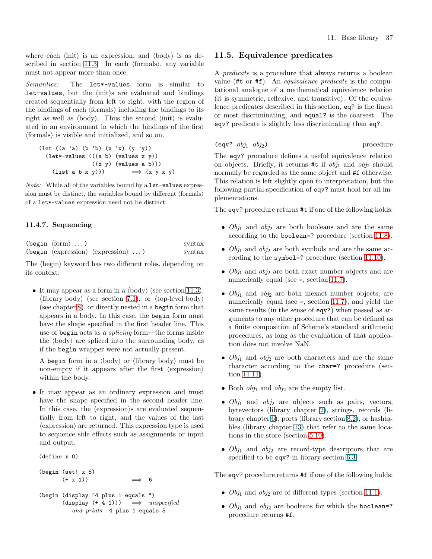where each  $\langle \text{init} \rangle$  is an expression, and  $\langle \text{body} \rangle$  is as de-scribed in section [11.3.](#page-31-0) In each  $\langle$  formals $\rangle$ , any variable must not appear more than once.

*Semantics:* The let\*-values form is similar to  $let-values, but the \langle init \rangle$ s are evaluated and bindings created sequentially from left to right, with the region of the bindings of each  $\langle$  formals $\rangle$  including the bindings to its right as well as  $\langle \text{body} \rangle$ . Thus the second  $\langle \text{init} \rangle$  is evaluated in an environment in which the bindings of the first  $\langle$  formals $\rangle$  is visible and initialized, and so on.

```
(let ((a 'a) (b 'b) (x 'x) (y 'y))
  (let*-values (((a b) (values x y))((x y) (values a b)))(list a b x y))) \implies (x y x y)
```
Note: While all of the variables bound by a let-values expression must be distinct, the variables bound by different (formals) of a let\*-values expression need not be distinct.

### <span id="page-36-0"></span>11.4.7. Sequencing

| (begin $\langle \text{form} \rangle \dots$ )                           |  | $\frac{1}{2}$ syntax |
|------------------------------------------------------------------------|--|----------------------|
| (begin $\langle$ expression $\rangle$ $\langle$ expression $\rangle$ ) |  | syntax               |

The  $\langle$ begin $\rangle$  keyword has two different roles, depending on its context:

• It may appear as a form in a  $\langle \text{body} \rangle$  (see section [11.3\)](#page-31-0),  $\langle$ library body $\rangle$  (see section [7.1\)](#page-22-0), or  $\langle$ top-level body $\rangle$ (see chapter [8\)](#page-26-0), or directly nested in a begin form that appears in a body. In this case, the begin form must have the shape specified in the first header line. This use of begin acts as a *splicing* form—the forms inside the  $\langle \text{body} \rangle$  are spliced into the surrounding body, as if the begin wrapper were not actually present.

A begin form in a  $\langle \text{body} \rangle$  or  $\langle \text{library body} \rangle$  must be non-empty if it appears after the first  $\langle$  expression $\rangle$ within the body.

• It may appear as an ordinary expression and must have the shape specified in the second header line. In this case, the  $\langle$  expression $\rangle$ s are evaluated sequentially from left to right, and the values of the last  $\langle$  expression $\rangle$  are returned. This expression type is used to sequence side effects such as assignments or input and output.

```
(define x 0)
```

```
(begin (set! x 5)
     (+ x 1) \implies 6
```
(begin (display "4 plus 1 equals ") (display  $(+ 4 1))$ )  $\implies$  unspecified and prints 4 plus 1 equals 5

### 11.5. Equivalence predicates

A *predicate* is a procedure that always returns a boolean value (#t or #f). An *equivalence predicate* is the computational analogue of a mathematical equivalence relation (it is symmetric, reflexive, and transitive). Of the equivalence predicates described in this section, eq? is the finest or most discriminating, and equal? is the coarsest. The eqv? predicate is slightly less discriminating than eq?.

```
(eqv? obj1 obj2) procedure
```
The eqv? procedure defines a useful equivalence relation on objects. Briefly, it returns #t if  $obj_1$  and  $obj_2$  should normally be regarded as the same object and #f otherwise. This relation is left slightly open to interpretation, but the following partial specification of eqv? must hold for all implementations.

The eqv? procedure returns #t if one of the following holds:

- *Obj*<sup>1</sup> and *obj*<sup>2</sup> are both booleans and are the same according to the boolean=? procedure (section [11.8\)](#page-46-0).
- *Obj*<sub>1</sub> and *obj*<sub>2</sub> are both symbols and are the same according to the symbol=? procedure (section [11.10\)](#page-48-0).
- *Obj*<sup>1</sup> and *obj*<sup>2</sup> are both exact number objects and are numerically equal (see =, section [11.7\)](#page-38-0).
- *Obj*<sup>1</sup> and *obj*<sup>2</sup> are both inexact number objects, are numerically equal (see =, section [11.7\)](#page-38-0), and yield the same results (in the sense of eqv?) when passed as arguments to any other procedure that can be defined as a finite composition of Scheme's standard arithmetic procedures, as long as the evaluation of that application does not involve NaN.
- *Obj*<sup>1</sup> and *obj*<sup>2</sup> are both characters and are the same character according to the char=? procedure (section [11.11\)](#page-49-0).
- Both  $obj_1$  and  $obj_2$  are the empty list.
- *Obj*<sub>1</sub> and *obj*<sub>2</sub> are objects such as pairs, vectors, bytevectors (library chapter [2\)](#page-8-0), strings, records (library chapter [6\)](#page-19-0), ports (library section [8.2\)](#page-27-0), or hashtables (library chapter 13) that refer to the same locations in the store (section [5.10\)](#page-19-1).
- *Obj*<sup>1</sup> and *obj*<sup>2</sup> are record-type descriptors that are specified to be eqv? in library section [6.3.](#page-21-0)

The eqv? procedure returns #f if one of the following holds:

- *Obj*<sup>1</sup> and *obj*<sup>2</sup> are of different types (section [11.1\)](#page-30-0).
- *Obj*<sup>1</sup> and *obj*<sup>2</sup> are booleans for which the boolean=? procedure returns #f.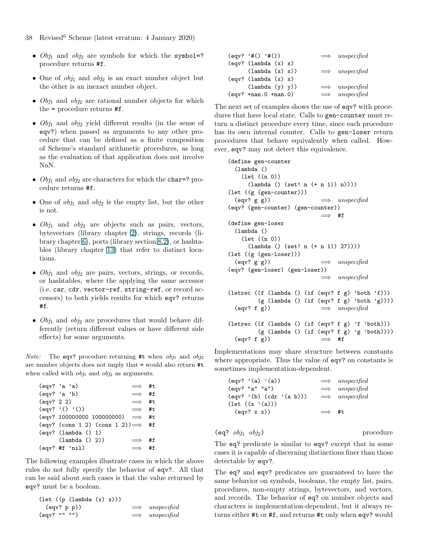- 38 Revised<sup>6</sup> Scheme (latest erratum: 4 January 2020)
	- *Obj*<sub>1</sub> and *obj*<sub>2</sub> are symbols for which the symbol=? procedure returns #f.
	- One of  $obj_1$  and  $obj_2$  is an exact number object but the other is an inexact number object.
	- *Obj*<sup>1</sup> and *obj*<sup>2</sup> are rational number objects for which the = procedure returns #f.
	- *Obj*<sup>1</sup> and *obj*<sup>2</sup> yield different results (in the sense of eqv?) when passed as arguments to any other procedure that can be defined as a finite composition of Scheme's standard arithmetic procedures, as long as the evaluation of that application does not involve NaN.
	- *Obj*<sup>1</sup> and *obj*<sup>2</sup> are characters for which the char=? procedure returns #f.
	- One of  $obj_1$  and  $obj_2$  is the empty list, but the other is not.
	- *Obj*<sup>1</sup> and *obj*<sup>2</sup> are objects such as pairs, vectors, bytevectors (library chapter [2\)](#page-8-0), strings, records (library chapter [6\)](#page-19-0), ports (library section [8.2\)](#page-27-0), or hashtables (library chapter 13) that refer to distinct locations.
	- *Obj*<sup>1</sup> and *obj*<sup>2</sup> are pairs, vectors, strings, or records, or hashtables, where the applying the same accessor (i.e. car, cdr, vector-ref, string-ref, or record accessors) to both yields results for which eqv? returns #f.
	- *Obj*<sup>1</sup> and *obj*<sup>2</sup> are procedures that would behave differently (return different values or have different side effects) for some arguments.

*Note:* The eqv? procedure returning #t when  $obj_1$  and  $obj_2$ are number objects does not imply that  $\texttt{=}$  would also return  $\texttt{\#t}$ when called with  $obj_1$  and  $obj_2$  as arguments.

|                     | $\text{(eqv? 'a 'a)}$                             | #t |
|---------------------|---------------------------------------------------|----|
|                     | $\text{(eqv? 'a 'b)}$<br>$\implies$               | #f |
| $\text{(eqv? 2 2)}$ | $\implies$                                        | #t |
|                     | $\text{(eqv? '() '())}$<br>$\implies$             | #t |
|                     | $\text{(eqv? 100000000 100000000)} \implies$      | #t |
|                     | $\text{(eqv? (cons 1 2) (cons 1 2)}) \implies #f$ |    |
|                     | $\text{(eqv? (lambda () 1)}$                      |    |
|                     | (lambda() 2))                                     | #f |
|                     | $\text{(eqv? #f 'nil)}$<br>$\implies$             | #f |

The following examples illustrate cases in which the above rules do not fully specify the behavior of eqv?. All that can be said about such cases is that the value returned by eqv? must be a boolean.

| $(\text{let } ((p (\text{lambda } (x) x)))$ |                        |
|---------------------------------------------|------------------------|
| (eqv? p p))                                 | $\implies$ unspecified |
| $\text{(eqv?} \text{''' "''})$              | $\implies$ unspecified |

| $\text{(eqv? } '#() '#())$    | $\implies$ | unspecified            |
|-------------------------------|------------|------------------------|
| $\text{(eqv? (lambda (x) x)}$ |            |                        |
| (lambda (x) x))               |            | $\implies$ unspecified |
| $\text{(eqv? (lambda (x) x)}$ |            |                        |
| $(\text{lambda}(y), y))$      |            | $\implies$ unspecified |
| $\text{(eqv? +nan.0 +nan.0)}$ |            | $\implies$ unspecified |

The next set of examples shows the use of eqv? with procedures that have local state. Calls to gen-counter must return a distinct procedure every time, since each procedure has its own internal counter. Calls to gen-loser return procedures that behave equivalently when called. However, eqv? may not detect this equivalence.

| (define gen-counter                                         |
|-------------------------------------------------------------|
| (lambda ()                                                  |
| $(\text{let } ((n 0)))$                                     |
| $(lambda () (set! n (+ n 1)) n)))$                          |
| $(\text{let } ((g (gen-counter)))$                          |
| $\implies$ unspecified<br>$\text{(eqv? g g)}$               |
| (eqv? (gen-counter) (gen-counter))                          |
| $\implies$ #f                                               |
| (define gen-loser                                           |
| (lambda()                                                   |
| $(\text{let } ((n 0)))$                                     |
| $(lambda () (set! n (+ n 1)) 27))))$                        |
| $(\text{let } ((g (gen-loss))))$                            |
| $\text{(eqv? g g)}$<br>$\implies$ unspecified               |
| (eqv? (gen-loser) (gen-loser))                              |
| $\implies$ unspecified                                      |
|                                                             |
| (letrec $((f (lambda () (if (eqv? f g) 'both 'f)))$         |
| $(g (lambda ()) (if (eqv? f g) 'both 'g))))$                |
| $\text{(eqv? f g)})$<br>$\implies$ unspecified              |
|                                                             |
| $(\text{letrec } ((f (lambda () (if (eqv? f g) 'f 'both)))$ |
| (g (lambda () (if (eqv? f g) 'g 'both))))                   |
| $\text{(eqv? f g)})$<br>$\implies$ #f                       |

Implementations may share structure between constants where appropriate. Thus the value of eqv? on constants is sometimes implementation-dependent.

| $\text{(eqv? } \text{'}(a) \text{'}(a))$                  |               | $\implies$ unspecified |
|-----------------------------------------------------------|---------------|------------------------|
| (eqv? "a" "a")                                            |               | $\implies$ unspecified |
| $\text{(eqv? } \text{'(b)} \text{ (cdr } \text{'(a b)}))$ |               | $\implies$ unspecified |
| $(\text{let } ((x \cdot (a))))$                           |               |                        |
| $\text{(eqv? x x)}$                                       | $\implies$ #t |                        |
|                                                           |               |                        |

 $(\text{eq? } obj_1 \text{ obj}_2)$  procedure

The eq? predicate is similar to eqv? except that in some cases it is capable of discerning distinctions finer than those detectable by eqv?.

The eq? and eqv? predicates are guaranteed to have the same behavior on symbols, booleans, the empty list, pairs, procedures, non-empty strings, bytevectors, and vectors, and records. The behavior of eq? on number objects and characters is implementation-dependent, but it always returns either #t or #f, and returns #t only when eqv? would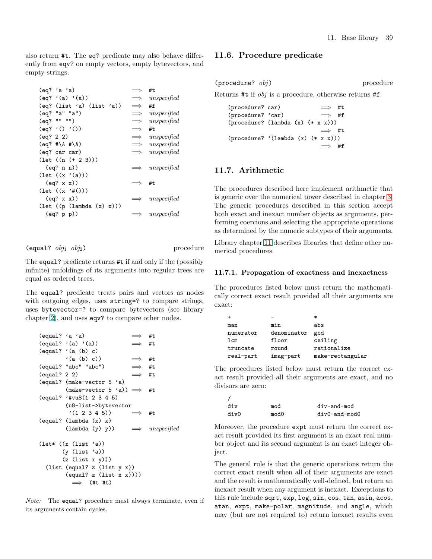also return #t. The eq? predicate may also behave differently from eqv? on empty vectors, empty bytevectors, and empty strings.

| (eq? 'a 'a)                                 | $\implies$    | #t                     |
|---------------------------------------------|---------------|------------------------|
| $(eq?$ '(a) '(a))                           |               | $\implies$ unspecified |
| (eq? (list 'a) (list 'a))                   | $\implies$    | #f                     |
| (eq? "a" "a")                               | $\implies$    | unspecified            |
| (eq? "" "")                                 | $\implies$    | unspecified            |
| (eq? '() '())                               | $\implies$    | #t.                    |
| (eq? 2 2)                                   |               | $\implies$ unspecified |
| $(eq?$ #\A #\A)                             |               | $\implies$ unspecified |
| (eq? car car)                               |               | $\implies$ unspecified |
| $(\text{let } ((n (+ 2 3)))$                |               |                        |
| (eq? n n))                                  |               | $\implies$ unspecified |
| $(\text{let } ((x \land (a))))$             |               |                        |
| (eq? x x))                                  | $\implies$ #t |                        |
| $(\text{let } ((x' * #()) )$                |               |                        |
| (eq? x x))                                  |               | $\implies$ unspecified |
| $(\text{let } ((p (\text{lambda } (x) x)))$ |               |                        |
| (eq? p p))                                  | $\implies$    | unspecified            |

```
(\text{equal? } obj_1 \text{ } obj_2) procedure
```
The equal? predicate returns #t if and only if the (possibly infinite) unfoldings of its arguments into regular trees are equal as ordered trees.

The equal? predicate treats pairs and vectors as nodes with outgoing edges, uses string=? to compare strings, uses bytevector=? to compare bytevectors (see library chapter [2\)](#page-8-0), and uses eqv? to compare other nodes.

```
(equal? 'a 'a) \implies #t
(equal? '(a) '(a)) \implies #t
\text{(equal? } (a (b) c)'(a (b) c)) \implies #t
(equal? "abc" "abc") \implies #t
(equal? 2 2) \implies #t
(equal? (make-vector 5 'a)
        (make-vector 5 'a)) \implies #t(equal? '#vu8(1 2 3 4 5)
        (u8-list->bytevector
        (1\ 2\ 3\ 4\ 5)) \implies #t
(equal? (lambda (x) x)
        (lambda (y) y)) \implies unspecified
(let* ((x (list 'a))
       (y (list 'a))
       (z (list x y)))
  (list (equal? z (list y x))
        \text{(equal? z (list x x)))}\implies (#t #t)
```
Note: The equal? procedure must always terminate, even if its arguments contain cycles.

### 11.6. Procedure predicate

(procedure? *obj*) procedure

Returns #t if *obj* is a procedure, otherwise returns #f.

(procedure? car)  $\implies$  #t (procedure? 'car)  $\implies$  #f (procedure? (lambda (x) (\* x x))) =⇒ #t (procedure? '(lambda (x) (\* x x)))  $\implies$ #f

# <span id="page-38-0"></span>11.7. Arithmetic

The procedures described here implement arithmetic that is generic over the numerical tower described in chapter [3.](#page-9-0) The generic procedures described in this section accept both exact and inexact number objects as arguments, performing coercions and selecting the appropriate operations as determined by the numeric subtypes of their arguments.

Library chapter [11](#page-30-1) describes libraries that define other numerical procedures.

#### 11.7.1. Propagation of exactness and inexactness

The procedures listed below must return the mathematically correct exact result provided all their arguments are exact:

|           |             | $\ast$           |
|-----------|-------------|------------------|
| max       | min         | abs              |
| numerator | denominator | gcd              |
| 1cm       | floor       | ceiling          |
| truncate  | round       | rationalize      |
| real-part | imag-part   | make-rectangular |

The procedures listed below must return the correct exact result provided all their arguments are exact, and no divisors are zero:

| div  | mod  | $div-and-mod$       |
|------|------|---------------------|
| divO | mod0 | $div0$ -and-mod $0$ |

Moreover, the procedure expt must return the correct exact result provided its first argument is an exact real number object and its second argument is an exact integer object.

The general rule is that the generic operations return the correct exact result when all of their arguments are exact and the result is mathematically well-defined, but return an inexact result when any argument is inexact. Exceptions to this rule include sqrt, exp, log, sin, cos, tan, asin, acos, atan, expt, make-polar, magnitude, and angle, which may (but are not required to) return inexact results even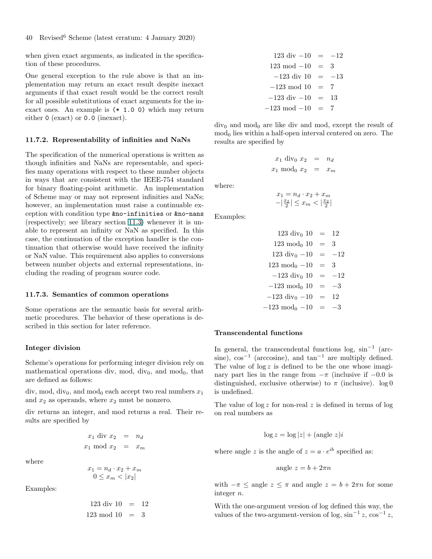when given exact arguments, as indicated in the specification of these procedures.

One general exception to the rule above is that an implementation may return an exact result despite inexact arguments if that exact result would be the correct result for all possible substitutions of exact arguments for the inexact ones. An example is (\* 1.0 0) which may return either 0 (exact) or 0.0 (inexact).

#### 11.7.2. Representability of infinities and NaNs

The specification of the numerical operations is written as though infinities and NaNs are representable, and specifies many operations with respect to these number objects in ways that are consistent with the IEEE-754 standard for binary floating-point arithmetic. An implementation of Scheme may or may not represent infinities and NaNs; however, an implementation must raise a continuable exception with condition type &no-infinities or &no-nans (respectively; see library section [11.3\)](#page-31-0) whenever it is unable to represent an infinity or NaN as specified. In this case, the continuation of the exception handler is the continuation that otherwise would have received the infinity or NaN value. This requirement also applies to conversions between number objects and external representations, including the reading of program source code.

### 11.7.3. Semantics of common operations

Some operations are the semantic basis for several arithmetic procedures. The behavior of these operations is described in this section for later reference.

#### <span id="page-39-0"></span>Integer division

Scheme's operations for performing integer division rely on mathematical operations div, mod, div $_0$ , and mod $_0$ , that are defined as follows:

div, mod, div<sub>0</sub>, and mod<sub>0</sub> each accept two real numbers  $x_1$ and  $x_2$  as operands, where  $x_2$  must be nonzero.

div returns an integer, and mod returns a real. Their results are specified by

$$
x_1 \text{ div } x_2 = n_d
$$
  

$$
x_1 \text{ mod } x_2 = x_m
$$

where

$$
x_1 = n_d \cdot x_2 + x_m
$$
  

$$
0 \le x_m < |x_2|
$$

Examples:

$$
0 \le x_m < |x_2|
$$

$$
123 \text{ div } 10 = 12
$$
  

$$
123 \text{ mod } 10 = 3
$$

123 div  $-10 = -12$  $123 \text{ mod } -10 = 3$  $-123$  div 10 =  $-13$  $-123 \mod 10 = 7$  $-123 \text{ div } -10 = 13$  $-123 \mod -10 = 7$ 

 $div_0$  and mod<sub>0</sub> are like div and mod, except the result of  $\mod_0$  lies within a half-open interval centered on zero. The results are specified by

$$
x_1 \operatorname{div}_0 x_2 = n_d
$$
  

$$
x_1 \operatorname{mod}_0 x_2 = x_m
$$

where:

$$
\begin{array}{c}x_1=n_d\cdot x_2+x_m\\-\left|\frac{x_2}{2}\right|\leq x_m<\left|\frac{x_2}{2}\right| \end{array}
$$

Examples:

 $123 \text{ div}_0 10 = 12$  $123 \text{ mod}_0 10 = 3$  $123 \text{ div}_0 -10 = -12$  $123 \text{ mod}_0 - 10 = 3$  $-123 \text{ div}_0 10 = -12$  $-123 \mod_0 10 = -3$  $-123 \text{ div}_0 -10 = 12$  $-123 \mod_0 -10 = -3$ 

#### <span id="page-39-1"></span>Transcendental functions

In general, the transcendental functions  $\log$ ,  $\sin^{-1}$  (arcsine),  $\cos^{-1}$  (arccosine), and  $\tan^{-1}$  are multiply defined. The value of  $\log z$  is defined to be the one whose imaginary part lies in the range from  $-\pi$  (inclusive if  $-0.0$  is distinguished, exclusive otherwise) to  $\pi$  (inclusive). log 0 is undefined.

The value of  $\log z$  for non-real z is defined in terms of  $\log z$ on real numbers as

$$
\log z = \log |z| + (\text{angle } z)i
$$

where angle z is the angle of  $z = a \cdot e^{ib}$  specified as:

$$
angle z = b + 2\pi n
$$

with  $-\pi \leq$  angle  $z \leq \pi$  and angle  $z = b + 2\pi n$  for some integer n.

With the one-argument version of log defined this way, the values of the two-argument-version of log,  $\sin^{-1} z$ ,  $\cos^{-1} z$ ,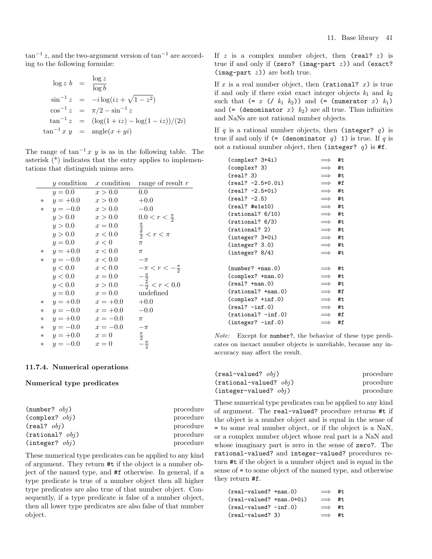$\tan^{-1} z$ , and the two-argument version of  $\tan^{-1}$  are according to the following formulæ:

$$
\log z b = \frac{\log z}{\log b}
$$
  
\n
$$
\sin^{-1} z = -i \log(iz + \sqrt{1 - z^2})
$$
  
\n
$$
\cos^{-1} z = \pi/2 - \sin^{-1} z
$$
  
\n
$$
\tan^{-1} z = (\log(1 + iz) - \log(1 - iz))/(2i)
$$
  
\n
$$
\tan^{-1} x y = \text{angle}(x + yi)
$$

The range of  $\tan^{-1} x y$  is as in the following table. The asterisk (\*) indicates that the entry applies to implementations that distinguish minus zero.

|        | $y$ condition | $x$ condition | range of result $r$                                 |
|--------|---------------|---------------|-----------------------------------------------------|
|        | $y = 0.0$     | x > 0.0       | 0.0                                                 |
| $\ast$ | $y = +0.0$    | x > 0.0       | $+0.0$                                              |
| $\ast$ | $y = -0.0$    | x > 0.0       | $-0.0$                                              |
|        | y > 0.0       | x > 0.0       | $0.0 < r < \frac{\pi}{2}$                           |
|        | y > 0.0       | $x=0.0$       |                                                     |
|        | y > 0.0       | x < 0.0       | $\frac{\frac{\pi}{2}}{\frac{\pi}{2}}$ < $r$ < $\pi$ |
|        | $y = 0.0$     | x<0           | $\pi$                                               |
| $\ast$ | $y = +0.0$    | x < 0.0       | $\pi$                                               |
| $\ast$ | $y = -0.0$    | x < 0.0       | $-\pi$                                              |
|        | y < 0.0       | x < 0.0       | $-\pi < r < -\frac{\pi}{2}$                         |
|        | y < 0.0       | $x=0.0$       |                                                     |
|        | y < 0.0       | x > 0.0       | $-\frac{\pi}{2}$<br>$-\frac{\pi}{2} < r < 0.0$      |
|        | $y = 0.0$     | $x=0.0$       | undefined                                           |
| $\ast$ | $y = +0.0$    | $x = +0.0$    | $+0.0$                                              |
| $\ast$ | $y = -0.0$    | $x = +0.0$    | $-0.0$                                              |
| $\ast$ | $y = +0.0$    | $x = -0.0$    | $\pi$                                               |
| $\ast$ | $y = -0.0$    | $x = -0.0$    | $-\pi$                                              |
| $*$    | $y = +0.0$    | $x=0$         | $\frac{\pi}{2}$                                     |
| $\ast$ | $y = -0.0$    | $x=0$         | $-\frac{\pi}{2}$                                    |

#### 11.7.4. Numerical operations

#### Numerical type predicates

 $\overline{a}$ 

| $(number?$ $obj)$        | procedure |
|--------------------------|-----------|
| $(\text{complex? } obj)$ | procedure |
| $(\text{real}?\ obi)$    | procedure |
| $(rational?$ $obj)$      | procedure |
| (integer? obj)           | procedure |

These numerical type predicates can be applied to any kind of argument. They return #t if the object is a number object of the named type, and #f otherwise. In general, if a type predicate is true of a number object then all higher type predicates are also true of that number object. Consequently, if a type predicate is false of a number object, then all lower type predicates are also false of that number object.

If  $z$  is a complex number object, then (real?  $z$ ) is true if and only if (zero? (imag-part *z*)) and (exact? (imag-part *z*)) are both true.

If  $x$  is a real number object, then (rational?  $x$ ) is true if and only if there exist exact integer objects  $k_1$  and  $k_2$ such that  $(= x \ ( / k_1 k_2))$  and  $(=$  (numerator *x*)  $k_1$ ) and  $($  (denominator  $x)$   $k_2$ ) are all true. Thus infinities and NaNs are not rational number objects.

If  $q$  is a rational number objects, then (integer?  $q$ ) is true if and only if  $($  =  $(denominator q) 1)$  is true. If *q* is not a rational number object, then (integer? *q*) is #f.

| (complex? 3+4i)                  | #t<br>$\implies$ |
|----------------------------------|------------------|
| (complex? 3)                     | #t<br>$\implies$ |
| $(\text{real}$ ? 3)              | #t<br>$\implies$ |
| (real? -2.5+0.0i)                | #f<br>$\implies$ |
| (real? -2.5+0i)                  | $\implies$ #t    |
| (real? -2.5)                     | #t<br>$\implies$ |
| (real? #e1e10)                   | #t<br>$\implies$ |
| (rational? 6/10)                 | #t<br>$\implies$ |
| (rational? 6/3)                  | #t<br>$\implies$ |
| (rational? 2)                    | $\implies$ #t    |
| $(integer? 3+0i)$                | #t<br>$\implies$ |
| (integer? 3.0)                   | #t<br>$\implies$ |
| (integer? 8/4)                   | #t<br>$\implies$ |
| $(number? +nan.0)$               | #t<br>$\implies$ |
| (complex? +nan.0)                | #t<br>$\implies$ |
| $(\text{real? } + \text{nan.0})$ | #t<br>$\implies$ |
| (rational? +nan.0)               | #f<br>$\implies$ |
| (complex? +inf.0)                | #t<br>$\implies$ |
| $(\text{real? -inf.0})$          | #t<br>$\implies$ |
| $(rational? - inf.0)$            | #f<br>$\implies$ |
| $(integer? -inf.0)$              | #f<br>$\implies$ |

Note: Except for number?, the behavior of these type predicates on inexact number objects is unreliable, because any inaccuracy may affect the result.

| $(\text{real-valued? } obj)$ | procedure |
|------------------------------|-----------|
| $(rational-valued?$ $obj)$   | procedure |
| $(integer-valued? obj)$      | procedure |

These numerical type predicates can be applied to any kind of argument. The real-valued? procedure returns #t if the object is a number object and is equal in the sense of = to some real number object, or if the object is a NaN, or a complex number object whose real part is a NaN and whose imaginary part is zero in the sense of zero?. The rational-valued? and integer-valued? procedures return #t if the object is a number object and is equal in the sense of = to some object of the named type, and otherwise they return #f.

| (real-valued? +nan.0)    | $\implies$ #t. |  |
|--------------------------|----------------|--|
| (real-valued? +nan.0+0i) | $\implies$ #t. |  |
| $(real-valued? -inf.0)$  | $\implies$ #t. |  |
| (real-valued? 3)         | $\implies$ #t  |  |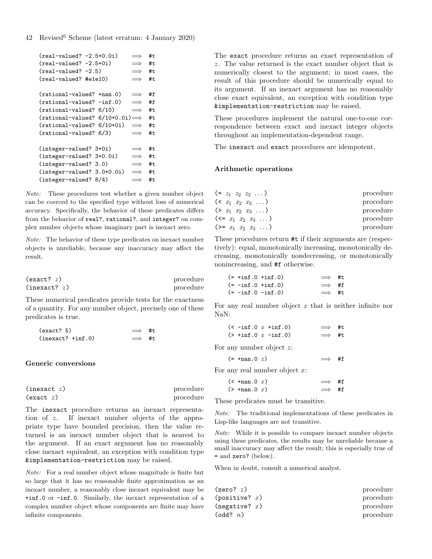```
(rcal-valued? -2.5+0.0i) \implies \#t(rcal-valued? -2.5+0i) \implies #t(\text{real-valued? -2.5}) \implies #t
(real-valued? #e1e10) \implies #t
(rational-valued? +nan.0) \implies #f(rational-valued? -inf.0) \implies #f(rational-valued? 6/10) \implies #t
(rational-valued? 6/10+0.0i) \Longrightarrow#t
(rational-valued? 6/10+0i) \implies #t(rational-valued? 6/3) \implies #t
(integer-valued? 3+0i) \implies #t(integer-valued? 3+0.0i) \implies #t(integer-valued? 3.0) \implies #t
(integer-valued? 3.0+0.0i) \implies #t(integer-valued? 8/4) \implies #t
```
Note: These procedures test whether a given number object can be coerced to the specified type without loss of numerical accuracy. Specifically, the behavior of these predicates differs from the behavior of real?, rational?, and integer? on complex number objects whose imaginary part is inexact zero.

Note: The behavior of these type predicates on inexact number objects is unreliable, because any inaccuracy may affect the result.

| $\text{(exact? } z)$ | procedure |
|----------------------|-----------|
| (inexact? z)         | procedure |

These numerical predicates provide tests for the exactness of a quantity. For any number object, precisely one of these predicates is true.

| (exact? 5)           | $\implies$ #t |  |
|----------------------|---------------|--|
| $(inexact? + inf.0)$ | $\implies$ #t |  |

#### Generic conversions

| (inexact z)                     | procedure |  |
|---------------------------------|-----------|--|
| $\left(\text{exact} \ z\right)$ | procedure |  |

The inexact procedure returns an inexact representation of *z*. If inexact number objects of the appropriate type have bounded precision, then the value returned is an inexact number object that is nearest to the argument. If an exact argument has no reasonably close inexact equivalent, an exception with condition type &implementation-restriction may be raised.

Note: For a real number object whose magnitude is finite but so large that it has no reasonable finite approximation as an inexact number, a reasonably close inexact equivalent may be +inf.0 or -inf.0. Similarly, the inexact representation of a complex number object whose components are finite may have infinite components.

The exact procedure returns an exact representation of *z* . The value returned is the exact number object that is numerically closest to the argument; in most cases, the result of this procedure should be numerically equal to its argument. If an inexact argument has no reasonably close exact equivalent, an exception with condition type &implementation-restriction may be raised.

These procedures implement the natural one-to-one correspondence between exact and inexact integer objects throughout an implementation-dependent range.

The inexact and exact procedures are idempotent.

#### Arithmetic operations

| $(= z_1 \ z_2 \ z_3 \ \ldots)$    | procedure |
|-----------------------------------|-----------|
| $( x_1 x_2 x_3 \ldots )$          | procedure |
| $(> x_1 x_2 x_3  )$               | procedure |
| $(\leq x_1 \ x_2 \ x_3 \ \ldots)$ | procedure |
| $(>= x_1 x_2 x_3  )$              | procedure |

These procedures return #t if their arguments are (respectively): equal, monotonically increasing, monotonically decreasing, monotonically nondecreasing, or monotonically nonincreasing, and #f otherwise.

| $(= +inf.0 + inf.0)$  | $\implies$ #t |  |
|-----------------------|---------------|--|
| $( = -inf.0 + inf.0)$ | $\implies$ #f |  |
| $( = -inf.0 - inf.0)$ | $\implies$ #t |  |

For any real number object *x* that is neither infinite nor NaN:

| $(< -inf.0 x + inf.0)$  |  | $\implies$ #t |  |
|-------------------------|--|---------------|--|
| $( > +inf.0 x - inf.0)$ |  | $\implies$ #t |  |

| For any number object $z$ :      |            |    |
|----------------------------------|------------|----|
| $(= +$ nan.0 z)                  | $\implies$ | #f |
| For any real number object $x$ : |            |    |

| $(<$ +nan.0 $x)$ | $\implies$ #f |  |
|------------------|---------------|--|
| $($ + $tan 0 x)$ | $\implies$ #f |  |

These predicates must be transitive.

Note: The traditional implementations of these predicates in Lisp-like languages are not transitive.

Note: While it is possible to compare inexact number objects using these predicates, the results may be unreliable because a small inaccuracy may affect the result; this is especially true of = and zero? (below).

When in doubt, consult a numerical analyst.

| procedure |
|-----------|
| procedure |
| procedure |
| procedure |
|           |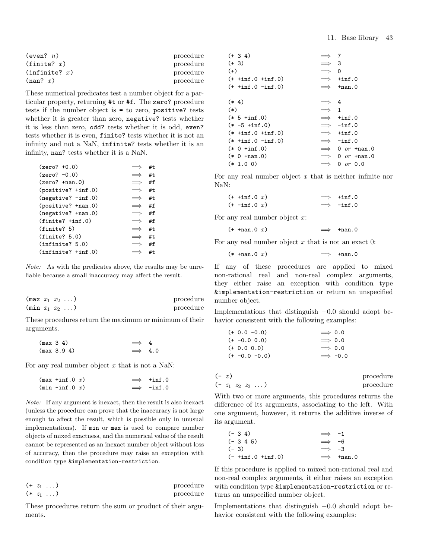| (even? $n$ )            | procedure |
|-------------------------|-----------|
| $(\texttt{finite? } x)$ | procedure |
| (intinite? x)           | procedure |
| $(\text{nan? } x)$      | procedure |

These numerical predicates test a number object for a particular property, returning #t or #f. The zero? procedure tests if the number object is = to zero, positive? tests whether it is greater than zero, negative? tests whether it is less than zero, odd? tests whether it is odd, even? tests whether it is even, finite? tests whether it is not an infinity and not a NaN, infinite? tests whether it is an infinity, nan? tests whether it is a NaN.

| $(zero? +0.0)$         |            | #t. |
|------------------------|------------|-----|
| $(zero? -0.0)$         | $\implies$ | #t. |
| $(zero? +nan.0)$       | $\implies$ | #f  |
| $(positive? + inf. 0)$ | $\implies$ | #t. |
| $(negative? - inf. 0)$ | $\implies$ | #t  |
| (positive? +nan.0)     | $\implies$ | #f  |
| $(negative? +nan.0)$   | $\implies$ | #f  |
| $(finite? + inf. 0)$   | $\implies$ | #f  |
| (finite? 5)            | $\implies$ | #t  |
| (finite? 5.0)          | $\implies$ | #t. |
| (intinite? 5.0)        | $\implies$ | #f  |
| $(intinite? + inf. 0)$ |            | #t. |

Note: As with the predicates above, the results may be unreliable because a small inaccuracy may affect the result.

| $(\max x_1 x_2 \dots)$ |  | procedure |
|------------------------|--|-----------|
| $(\min x_1 x_2 \dots)$ |  | procedure |

These procedures return the maximum or minimum of their arguments.

| (max 3 4)   | $\implies$ 4   |  |
|-------------|----------------|--|
| (max 3.9 4) | $\implies$ 4.0 |  |

For any real number object *x* that is not a NaN:

| $(max + inf.0 x)$   |  | $\implies$ +inf.0 |
|---------------------|--|-------------------|
| $(\min -\inf .0 x)$ |  | $\implies$ -inf.0 |

Note: If any argument is inexact, then the result is also inexact (unless the procedure can prove that the inaccuracy is not large enough to affect the result, which is possible only in unusual implementations). If min or max is used to compare number objects of mixed exactness, and the numerical value of the result cannot be represented as an inexact number object without loss of accuracy, then the procedure may raise an exception with condition type &implementation-restriction.

$$
(+ z_1 \ldots)
$$
 procedure  

$$
(+ z_1 \ldots)
$$
procedure

These procedures return the sum or product of their arguments.

| $(+ 3 4)$               | 7                           |
|-------------------------|-----------------------------|
| $(+ 3)$                 | $\implies$ 3                |
| $(+)$                   | $\implies$ 0                |
| $(+ + \inf.0 + \inf.0)$ | $\implies$ +inf.0           |
| $(+ + \inf.0 - \inf.0)$ | $\implies$ +nan.0           |
|                         |                             |
| $(* 4)$                 | $\implies$ 4                |
| $(*)$                   | $\implies$ 1                |
| $(* 5 + inf.0)$         | $\implies$ +inf.0           |
| $(* -5 + inf.0)$        | $\implies$ -inf.0           |
| $(* + inf.0 + inf.0)$   | $\implies$ +inf.0           |
| $(* +inf.0 - inf.0)$    | $-inf.0$<br>$\implies$      |
| $(* 0 + inf.0)$         | $\implies$ 0 or +nan.0      |
| $(* 0 + \text{nan.0})$  | 0 $or$ +nan.0<br>$\implies$ |
| $(* 1.0 0)$             | 0 or 0.0                    |

For any real number object *x* that is neither infinite nor NaN:

| $(+ + \inf 0 x)$ |  | $\implies$ +inf.0 |
|------------------|--|-------------------|
| $(+ -inf.0 x)$   |  | $\implies$ -inf.0 |

For any real number object x:

| $(+ \tan 0 x)$ |  |  | $\implies$ +nan.0 |
|----------------|--|--|-------------------|
|----------------|--|--|-------------------|

For any real number object *x* that is not an exact 0:

 $(* \tan 0 x) \implies \tan 0$ 

If any of these procedures are applied to mixed non-rational real and non-real complex arguments, they either raise an exception with condition type &implementation-restriction or return an unspecified number object.

Implementations that distinguish −0.0 should adopt behavior consistent with the following examples:

| $(+ 0.0 -0.0)$  | $\implies$ 0.0     |
|-----------------|--------------------|
| $(+ -0.0 0.0)$  | $\implies$ 0.0     |
| $(+ 0.0 0.0)$   | $\implies$ 0.0     |
| $(+ -0.0 -0.0)$ | $\Rightarrow -0.0$ |

| $(-z)$ |  |                                  | procedure |
|--------|--|----------------------------------|-----------|
|        |  | $(-z_1 \; z_2 \; z_3 \; \ldots)$ | procedure |

With two or more arguments, this procedures returns the difference of its arguments, associating to the left. With one argument, however, it returns the additive inverse of its argument.

| $(-34)$                   | $\implies$ -1 |                   |
|---------------------------|---------------|-------------------|
| $(-345)$                  | $\implies$ -6 |                   |
| $(-3)$                    | $\implies$ -3 |                   |
| $(- + \inf. 0 + \inf. 0)$ |               | $\implies$ +nan.0 |

If this procedure is applied to mixed non-rational real and non-real complex arguments, it either raises an exception with condition type &implementation-restriction or returns an unspecified number object.

Implementations that distinguish −0.0 should adopt behavior consistent with the following examples: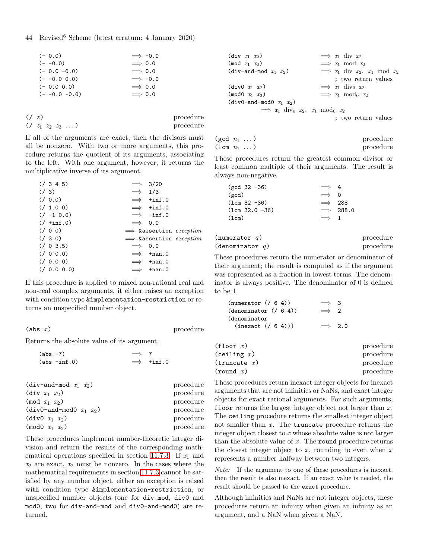44 Revised<sup>6</sup> Scheme (latest erratum: 4 January 2020)

| $(-0.0)$         | $\implies$ -0.0 |
|------------------|-----------------|
| $(- -0.0)$       | $\implies$ 0.0  |
| $(-0.0 - 0.0)$   | $\implies$ 0.0  |
| $(- -0.0 0.0)$   | $\implies$ -0.0 |
| $(-0.0, 0.0)$    | $\implies$ 0.0  |
| $(- -0.0 - 0.0)$ | $\implies$ 0.0  |
|                  |                 |

| ( / z) |  |                      | procedure |
|--------|--|----------------------|-----------|
|        |  | $( / z_1 z_2 z_3  )$ | procedure |

If all of the arguments are exact, then the divisors must all be nonzero. With two or more arguments, this procedure returns the quotient of its arguments, associating to the left. With one argument, however, it returns the multiplicative inverse of its argument.

| (7345)         |                | $\implies$ 3/20                 |
|----------------|----------------|---------------------------------|
| (73)           | $\implies$ 1/3 |                                 |
| (70.0)         |                | $\implies$ +inf.0               |
| (7, 1.0, 0)    |                | $\implies$ +inf.0               |
| $(7 - 1, 0.0)$ |                | $\implies$ -inf.0               |
| $(7 + inf.0)$  | $\implies$ 0.0 |                                 |
| (700)          |                | $\implies$ &assertion exception |
| (730)          |                | $\implies$ &assertion exception |
| (703.5)        | $\implies$ 0.0 |                                 |
| (700.0)        |                | $\implies$ +nan.0               |
| (70.00)        |                | $\implies$ +nan.0               |
| (70.00.0)      |                | $\implies$ +nan.0               |

If this procedure is applied to mixed non-rational real and non-real complex arguments, it either raises an exception with condition type &implementation-restriction or returns an unspecified number object.

(abs *x*) procedure

Returns the absolute value of its argument.

| (abs -7)        | $\implies$ 7 |                   |
|-----------------|--------------|-------------------|
| $(abs - inf.0)$ |              | $\implies$ +inf.0 |

| $(\text{div-and-mod } x_1, x_2)$    | procedure |
|-------------------------------------|-----------|
| $(\text{div } x_1, x_2)$            | procedure |
| $\text{(mod } x_1, x_2)$            | procedure |
| $\text{(div0-and-mode } x_1 \ x_2)$ | procedure |
| $(\text{div}0 \; x_1 \; x_2)$       | procedure |
| $(mod0 x_1 x_2)$                    | procedure |

These procedures implement number-theoretic integer division and return the results of the corresponding math-ematical operations specified in section [11.7.3.](#page-39-0) If  $x_1$  and *x*<sup>2</sup> are exact, *x*<sup>2</sup> must be nonzero. In the cases where the mathematical requirements in section [11.7.3](#page-39-0) cannot be satisfied by any number object, either an exception is raised with condition type &implementation-restriction, or unspecified number objects (one for div mod, div0 and mod0, two for div-and-mod and div0-and-mod0) are returned.

| $(\text{div } x_1, x_2)$<br>$\implies x_1$ div $x_2$                             |  |
|----------------------------------------------------------------------------------|--|
| $\text{(mod } x_1 \ x_2)$<br>$\implies x_1 \mod x_2$                             |  |
| $\implies x_1$ div $x_2$ , $x_1$ mod $x_2$<br>$\text{(div-and-mode } x_1 \ x_2)$ |  |
| ; two return values                                                              |  |
| $\implies x_1$ div <sub>0</sub> $x_2$<br>$(\text{div}0 \; x_1 \; x_2)$           |  |
| $(mod0 x_1 x_2)$<br>$\implies x_1 \mod_0 x_2$                                    |  |
| $\text{(div0-and-mode } x_1, x_2)$                                               |  |
| $\implies x_1$ div <sub>0</sub> $x_2$ , $x_1$ mod <sub>0</sub> $x_2$             |  |
| ; two return values                                                              |  |

| $(\gcd n_1 \dots)$ |  | procedure |
|--------------------|--|-----------|
| $(lcm n_1 )$       |  | procedure |

These procedures return the greatest common divisor or least common multiple of their arguments. The result is always non-negative.

| $gcd 32 -36$      | $\implies$ 4   |                  |
|-------------------|----------------|------------------|
| $(\text{gcd})$    | $\implies$ 0   |                  |
| $(lcm 32 -36)$    | $\implies$ 288 |                  |
| $(lcm 32.0 - 36)$ |                | $\implies$ 288.0 |
| (1cm)             | $\implies$ 1   |                  |

| (numerator $q$ )   | procedure |
|--------------------|-----------|
| (denominator $q$ ) | procedure |

These procedures return the numerator or denominator of their argument; the result is computed as if the argument was represented as a fraction in lowest terms. The denominator is always positive. The denominator of 0 is defined to be 1.

| (numerator $( / 6 4)$ ) | $\implies$ | - 3 |
|-------------------------|------------|-----|
| (denominator ( / 6 4))  |            | - 2 |
| (denominator            |            |     |
| (inexact ((6 4)))       |            | 20  |

| (floor x)   | procedure |
|-------------|-----------|
| (ceiling x) | procedure |
| (true x)    | procedure |
| (round x)   | procedure |

These procedures return inexact integer objects for inexact arguments that are not infinities or NaNs, and exact integer objects for exact rational arguments. For such arguments, floor returns the largest integer object not larger than *x* . The ceiling procedure returns the smallest integer object not smaller than x. The truncate procedure returns the integer object closest to *x* whose absolute value is not larger than the absolute value of  $x$ . The round procedure returns the closest integer object to  $x$ , rounding to even when  $x$ represents a number halfway between two integers.

Note: If the argument to one of these procedures is inexact, then the result is also inexact. If an exact value is needed, the result should be passed to the exact procedure.

Although infinities and NaNs are not integer objects, these procedures return an infinity when given an infinity as an argument, and a NaN when given a NaN.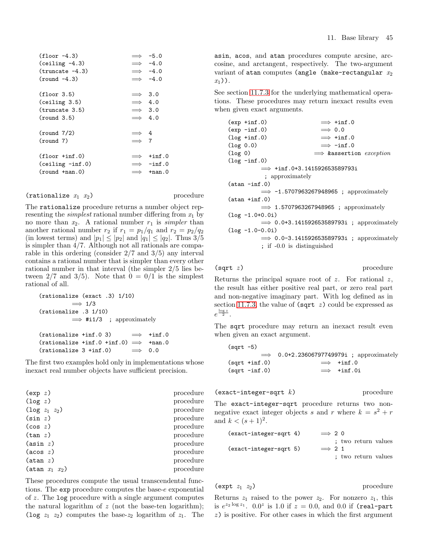| $(floor -4.3)$     | $\implies$ -5.0 |                   |
|--------------------|-----------------|-------------------|
| $(ceiling -4.3)$   | $\implies$ -4.0 |                   |
| $(true - 4.3)$     | $\implies$ -4.0 |                   |
| $(round -4.3)$     | $\implies$ -4.0 |                   |
| (floor 3.5)        | $\implies$ 3.0  |                   |
| (ceiling 3.5)      | $\implies$ 4.0  |                   |
| (true 3.5)         | $\implies$ 3.0  |                   |
| (round 3.5)        | $\implies$ 4.0  |                   |
| (round 7/2)        | $\implies$ 4    |                   |
| (round 7)          | $\implies$ 7    |                   |
| $(floor + inf.0)$  |                 | $\implies$ +inf.0 |
| $(ceiling -inf.0)$ |                 | $\implies$ -inf.0 |
| $(round +nan.0)$   |                 | $\implies$ +nan.0 |

 $(rationalize \t x_1 x_2)$  procedure

The rationalize procedure returns a number object representing the *simplest* rational number differing from *x*<sup>1</sup> by no more than  $x_2$ . A rational number  $r_1$  is *simpler* than another rational number  $r_2$  if  $r_1 = p_1/q_1$  and  $r_2 = p_2/q_2$ (in lowest terms) and  $|p_1| \leq |p_2|$  and  $|q_1| \leq |q_2|$ . Thus  $3/5$ is simpler than 4/7. Although not all rationals are comparable in this ordering (consider 2/7 and 3/5) any interval contains a rational number that is simpler than every other rational number in that interval (the simpler 2/5 lies between  $2/7$  and  $3/5$ ). Note that  $0 = 0/1$  is the simplest rational of all.

(rationalize (exact .3) 1/10)  $\implies$  1/3 (rationalize .3 1/10)  $\implies$  #i1/3 ; approximately  $(rationalize \t+inf.0 3) \t\t \implies \t+inf.0$ 

 $(rationalize +inf.0 +inf.0) \implies +nan.0$ (rationalize 3 +inf.0)  $\implies$  0.0

The first two examples hold only in implementations whose inexact real number objects have sufficient precision.

| $\left(\exp z\right)$      | procedure |
|----------------------------|-----------|
| $(\log z)$                 | procedure |
| $(\log z_1 z_2)$           | procedure |
| (sin z)                    | procedure |
| $(\cos z)$                 | procedure |
| $(\tan z)$                 | procedure |
| $(\text{asin } z)$         | procedure |
| $(\text{acos } z)$         | procedure |
| $(\text{atan } z)$         | procedure |
| $(\text{atan } x_1 \ x_2)$ | procedure |

These procedures compute the usual transcendental functions. The exp procedure computes the base-e exponential of *z* . The log procedure with a single argument computes the natural logarithm of *z* (not the base-ten logarithm); (log  $z_1$   $z_2$ ) computes the base- $z_2$  logarithm of  $z_1$ . The asin, acos, and atan procedures compute arcsine, arccosine, and arctangent, respectively. The two-argument variant of atan computes (angle (make-rectangular  $x_2$ ) *x*1)).

See section [11.7.3](#page-39-1) for the underlying mathematical operations. These procedures may return inexact results even when given exact arguments.

| $(exp + inf. 0)$                 | $\implies$ +inf.0                                |  |
|----------------------------------|--------------------------------------------------|--|
| $(exp - inf.0)$                  | $\implies$ 0.0                                   |  |
| $(log + inf.0)$                  | $\implies$ +inf.0                                |  |
| (log 0.0)                        | $\implies$ -inf.0                                |  |
| (log 0)                          | $\implies$ &assertion exception                  |  |
| $(log - inf.0)$                  |                                                  |  |
|                                  | $\implies$ +inf.0+3.141592653589793i             |  |
| ; approximately                  |                                                  |  |
| $(\text{atan -inf.0})$           |                                                  |  |
|                                  | $\implies$ -1.5707963267948965; approximately    |  |
| $(\text{atan } + \text{inf. 0})$ |                                                  |  |
|                                  | $\implies$ 1.5707963267948965; approximately     |  |
| $(log -1.0 + 0.0i)$              |                                                  |  |
|                                  | $\implies$ 0.0+3.141592653589793i; approximately |  |
| $(log -1.0-0.0i)$                |                                                  |  |
|                                  | $\implies$ 0.0-3.141592653589793i; approximately |  |
| ; if $-0.0$ is distinguished     |                                                  |  |
|                                  |                                                  |  |

(sqrt *z*) procedure

Returns the principal square root of  $z$ . For rational  $z$ , the result has either positive real part, or zero real part and non-negative imaginary part. With log defined as in section [11.7.3,](#page-39-1) the value of (sqrt *z*) could be expressed as  $e^{\frac{\log z}{2}}$ .

The sqrt procedure may return an inexact result even when given an exact argument.

| $(sqrt -5)$      |                                                 |
|------------------|-------------------------------------------------|
|                  | $\implies$ 0.0+2.23606797749979i; approximately |
| $(sqrt + inf.0)$ | $\implies$ +inf.0                               |
| $(sqrt - inf.0)$ | $\implies$ +inf.0i                              |

(exact-integer-sqrt *k*) procedure

The exact-integer-sqrt procedure returns two nonnegative exact integer objects s and r where  $k = s^2 + r$ and  $k < (s + 1)^2$ .

| (exact-integer-sqrt 4) | $\implies$ 2 0 |
|------------------------|----------------|
| ; two return values    |                |
| (exact-integer-sqrt 5) | $\implies$ 2 1 |
| ; two return values    |                |

 $(\text{expt } z_1 \ z_2)$  procedure

Returns  $z_1$  raised to the power  $z_2$ . For nonzero  $z_1$ , this is  $e^{z_2 \log z_1}$ .  $0.0^z$  is 1.0 if  $z = 0.0$ , and 0.0 if (real-part *z*) is positive. For other cases in which the first argument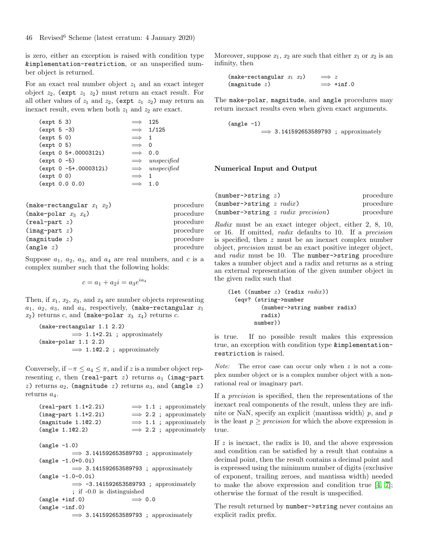is zero, either an exception is raised with condition type &implementation-restriction, or an unspecified number object is returned.

For an exact real number object  $z_1$  and an exact integer object  $z_2$ , (expt  $z_1$   $z_2$ ) must return an exact result. For all other values of  $z_1$  and  $z_2$ , (expt  $z_1$   $z_2$ ) may return an inexact result, even when both  $z_1$  and  $z_2$  are exact.

| (expt 5 3) |                         |                | 125                    |
|------------|-------------------------|----------------|------------------------|
|            | $(expt 5 -3)$           |                | $\implies$ 1/125       |
| (expt 5 0) |                         | $\implies$ 1   |                        |
| (expt 0 5) |                         | $\implies$ 0   |                        |
|            | $(expt 0 5+.0000312i)$  | $\implies$ 0.0 |                        |
|            | $(expt 0 -5)$           |                | $\implies$ unspecified |
|            | $(expt 0 -5+.0000312i)$ |                | $\implies$ unspecified |
| (expt 0 0) |                         | $\implies$ 1   |                        |
|            | (expt 0.0 0.0)          |                | 1.0                    |

| (make-rectangular $x_1$ $x_2$ ) | procedure |
|---------------------------------|-----------|
| $(make-polar x_3 x_4)$          | procedure |
| $(\text{real-part } z)$         | procedure |
| $(\text{imag-part } z)$         | procedure |
| (magnitude z)                   | procedure |
| $(\text{angle} z)$              | procedure |

Suppose  $a_1$ ,  $a_2$ ,  $a_3$ , and  $a_4$  are real numbers, and c is a complex number such that the following holds:

 $c = a_1 + a_2 i = a_3 e^{ia_4}$ 

Then, if  $x_1$ ,  $x_2$ ,  $x_3$ , and  $x_4$  are number objects representing  $a_1, a_2, a_3, \text{ and } a_4, \text{ respectively, }$  (make-rectangular  $x_1$  $x_2$ ) returns c, and (make-polar  $x_3$   $x_4$ ) returns c.

```
(make-rectangular 1.1 2.2)
          \implies 1.1+2.2i ; approximately
(make-polar 1.1 2.2)
          \implies 1.102.2; approximately
```
Conversely, if  $-\pi \le a_4 \le \pi$ , and if z is a number object representing  $c$ , then (real-part  $z$ ) returns  $a_1$  (imag-part  $z$ ) returns  $a_2$ , (magnitude  $z$ ) returns  $a_3$ , and (angle  $z$ ) returns  $a_4$ .

 $(\text{real-part 1.1+2.2i}) \Rightarrow 1.1; \text{ approximately}$  $(\text{imag-part 1.1+2.2i}) \Rightarrow 2.2;$  approximately  $(magnitude 1.1@2.2) \implies 1.1$ ; approximately (angle 1.102.2)  $\implies$  2.2; approximately (angle -1.0) =⇒ 3.141592653589793 ; approximately (angle -1.0+0.0i)  $\implies$  3.141592653589793; approximately (angle -1.0-0.0i)  $\implies$  -3.141592653589793; approximately ; if -0.0 is distinguished  $(\text{angle } + \text{inf. 0})$   $\implies$  0.0 (angle -inf.0)  $\implies$  3.141592653589793; approximately

Moreover, suppose  $x_1, x_2$  are such that either  $x_1$  or  $x_2$  is an infinity, then

 $(make-rectangular x_1 x_2) \implies z$  $(magnitude z)$   $\implies$  +inf.0

The make-polar, magnitude, and angle procedures may return inexact results even when given exact arguments.

$$
\begin{array}{rcl}\n\text{(angle -1)}\\ \implies 3.141592653589793 \text{ ; approximately}\n\end{array}
$$

#### Numerical Input and Output

| $(number \rightarrow string z)$           |                                                       | procedure |
|-------------------------------------------|-------------------------------------------------------|-----------|
| $(number \rightarrow string \ z \ radix)$ |                                                       | procedure |
|                                           | $(number \rightarrow string \ z \ radix \ precision)$ | procedure |

*Radix* must be an exact integer object, either 2, 8, 10, or 16. If omitted, *radix* defaults to 10. If a *precision* is specified, then *z* must be an inexact complex number object, *precision* must be an exact positive integer object, and *radix* must be 10. The number->string procedure takes a number object and a radix and returns as a string an external representation of the given number object in the given radix such that

```
(let ((number z) (radix <i>radix</i>))(eqv? (string->number
          (number->string number radix)
          radix)
        number))
```
is true. If no possible result makes this expression true, an exception with condition type &implementationrestriction is raised.

Note: The error case can occur only when z is not a complex number object or is a complex number object with a nonrational real or imaginary part.

If a *precision* is specified, then the representations of the inexact real components of the result, unless they are infinite or NaN, specify an explicit  $\langle$  mantissa width $\rangle$  *p*, and *p* is the least  $p > precision$  for which the above expression is true.

If *z* is inexact, the radix is 10, and the above expression and condition can be satisfied by a result that contains a decimal point, then the result contains a decimal point and is expressed using the minimum number of digits (exclusive of exponent, trailing zeroes, and mantissa width) needed to make the above expression and condition true [\[4,](#page-80-0) [7\]](#page-80-1); otherwise the format of the result is unspecified.

The result returned by number->string never contains an explicit radix prefix.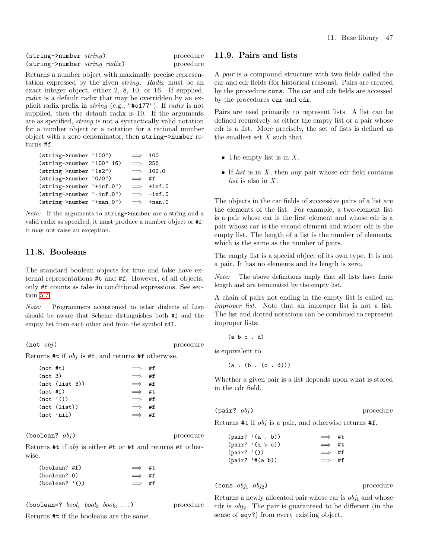(string->number *string*) procedure (string->number *string radix*) procedure

Returns a number object with maximally precise representation expressed by the given *string*. *Radix* must be an exact integer object, either 2, 8, 10, or 16. If supplied, *radix* is a default radix that may be overridden by an explicit radix prefix in *string* (e.g., "#o177"). If *radix* is not supplied, then the default radix is 10. If the arguments are as specified, *string* is not a syntactically valid notation for a number object or a notation for a rational number object with a zero denominator, then string->number returns #f.

| (string->number "100")                     | $\implies$ 100 |                   |
|--------------------------------------------|----------------|-------------------|
| $(string \text{-} \text{number} "100" 16)$ | $\implies$     | 256               |
| (string->number "1e2")                     |                | $\implies$ 100.0  |
| $(string \rightarrow number '0/0")$        | $\implies$     | #f                |
| $(string~\gt; number$ "+inf.0")            |                | $\implies$ +inf.0 |
| (string->number "-inf.0")                  |                | $\implies$ -inf.0 |
| (string->number "+nan.0")                  |                | $\implies$ +nan.0 |

Note: If the arguments to string->number are a string and a valid radix as specified, it must produce a number object or #f; it may not raise an exception.

# <span id="page-46-0"></span>11.8. Booleans

The standard boolean objects for true and false have external representations #t and #f. However, of all objects, only #f counts as false in conditional expressions. See section [5.7.](#page-18-0)

Note: Programmers accustomed to other dialects of Lisp should be aware that Scheme distinguishes both #f and the empty list from each other and from the symbol nil.

(not *obj*) procedure

(boolean=? *bool*<sup>1</sup> *bool*<sup>2</sup> *bool*<sup>3</sup> . . . ) procedure

Returns #t if *obj* is #f, and returns #f otherwise.

| $(not$ #t) |                | $\implies$ | #f  |
|------------|----------------|------------|-----|
| (not 3)    |                | $\implies$ | #f  |
|            | (not (list 3)) | $\implies$ | #f  |
| (not #f)   |                | $\implies$ | #t. |
|            | (not '())      | $\implies$ | #f  |
|            | (not (list))   | $\implies$ | #f  |
|            | (not 'nil)     | $\implies$ | #f  |

#### (boolean? *obj*) procedure

Returns #t if *obj* is either #t or #f and returns #f otherwise.

| (boolean? #f)    | $\implies$ #t |  |
|------------------|---------------|--|
| (boolean? 0)     | $\implies$ #f |  |
| $(boolean?$ '()) | $\implies$ #f |  |

$$
\text{(boolean=? } \textit{bool}_1 \textit{ bool}_2 \textit{ bool}_3 \text{ ...)}
$$

Returns #t if the booleans are the same.

### 11.9. Pairs and lists

A *pair* is a compound structure with two fields called the car and cdr fields (for historical reasons). Pairs are created by the procedure cons. The car and cdr fields are accessed by the procedures car and cdr.

Pairs are used primarily to represent lists. A list can be defined recursively as either the empty list or a pair whose cdr is a list. More precisely, the set of lists is defined as the smallest set *X* such that

- The empty list is in *X* .
- If *list* is in *X* , then any pair whose cdr field contains *list* is also in *X* .

The objects in the car fields of successive pairs of a list are the elements of the list. For example, a two-element list is a pair whose car is the first element and whose cdr is a pair whose car is the second element and whose cdr is the empty list. The length of a list is the number of elements, which is the same as the number of pairs.

The empty list is a special object of its own type. It is not a pair. It has no elements and its length is zero.

Note: The above definitions imply that all lists have finite length and are terminated by the empty list.

A chain of pairs not ending in the empty list is called an *improper list*. Note that an improper list is not a list. The list and dotted notations can be combined to represent improper lists:

$$
(a b c . d)
$$

is equivalent to

$$
(a \cdot (b \cdot (c \cdot d)))
$$

Whether a given pair is a list depends upon what is stored in the cdr field.

#### (pair? *obj*) procedure

Returns #t if *obj* is a pair, and otherwise returns #f.

|                       | $(\text{pair? } '(a \cdot b))$    | $\implies$ #t |  |
|-----------------------|-----------------------------------|---------------|--|
|                       | $(\text{pair? } \text{'(a b c)})$ | $\implies$ #t |  |
| $(\text{pair? } '())$ |                                   | $\implies$ #f |  |
|                       | $(\text{pair? '#}(a b))$          | $\implies$ #f |  |

$$
(cons\;\; obj_1\;\; obj_2) \qquad \qquad \text{procedure}
$$

Returns a newly allocated pair whose car is *obj*<sup>1</sup> and whose cdr is *obj*2. The pair is guaranteed to be different (in the sense of eqv?) from every existing object.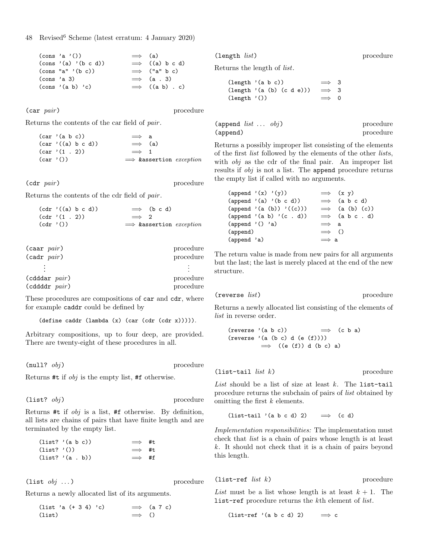|                      | $\text{(cons 'a '())}$                       | $\implies$ (a) |                        |
|----------------------|----------------------------------------------|----------------|------------------------|
|                      |                                              |                |                        |
|                      | $\text{(cons } \text{'(a)} \text{'(b c d)})$ |                | $\implies$ ((a) b c d) |
|                      | $\text{(cons "a" ' (b c))}$                  |                | $\implies$ ("a" b c)   |
| $\text{(cons 'a 3)}$ |                                              |                | $\implies$ (a. 3)      |
|                      | $\text{(cons } \text{'(a b)} \text{'c)}$     |                | $\implies$ ((a b) . c) |

(car *pair*) procedure

Returns the contents of the car field of *pair* .

| (car '(a b c))    | $\implies$ a                    |
|-------------------|---------------------------------|
| (car'((a) b c d)) | $\implies$ (a)                  |
| (car '(1 2))      | $\implies$ 1                    |
| (car '())         | $\implies$ &assertion exception |

(cdr *pair*) procedure

Returns the contents of the cdr field of *pair* .

| (cdr'((a) b c d)) | $\implies$ (b c d)               |
|-------------------|----------------------------------|
| (cdr' (1 . 2))    | $\implies$ 2                     |
| (cdr'')()         | $\implies$ & assertion exception |

| (caar pair)<br>$(cadr\ pair)$ | procedure<br>procedure |
|-------------------------------|------------------------|
|                               |                        |
| $(cddar\ pair)$               | procedure              |
| $(cddd) \, rair)$             | procedure              |

These procedures are compositions of car and cdr, where for example caddr could be defined by

```
(\text{define caddr } (\text{lambda } (x) (car (cdr (cdr x))))).
```
Arbitrary compositions, up to four deep, are provided. There are twenty-eight of these procedures in all.

(null? *obj*) procedure

Returns #t if *obj* is the empty list, #f otherwise.

### (list? *obj*) procedure

Returns #t if *obj* is a list, #f otherwise. By definition, all lists are chains of pairs that have finite length and are terminated by the empty list.

|             | $(list?$ '(a b c)) | $\implies$ #t |  |
|-------------|--------------------|---------------|--|
| (list? ?()) |                    | $\implies$ #t |  |
|             | (list? '(a . b))   | $\implies$ #f |  |

$$
(list\;\; obj\;\ldots)
$$

procedure

Returns a newly allocated list of its arguments.

(list 'a  $(+ 3 4)$  'c)  $\implies$  (a 7 c) (list)  $\implies$  ()

(length *list*) procedure

Returns the length of *list*.

(length '(a b c))  $\implies$  3 (length '(a (b) (c d e)))  $\implies$  3  $(length '())$   $\implies$  0

| (append $list \ldots \textit{obj}$ ) | procedure |
|--------------------------------------|-----------|
| (append)                             | procedure |

Returns a possibly improper list consisting of the elements of the first *list* followed by the elements of the other *list*s, with *obj* as the cdr of the final pair. An improper list results if *obj* is not a list. The append procedure returns the empty list if called with no arguments.

| $(\text{append } \prime(x) \prime(y))$  |               | $\implies$ $(x y)$     |
|-----------------------------------------|---------------|------------------------|
| $(\text{append } '(a) '(b c d))$        |               | $\implies$ (a b c d)   |
| $(\text{append } '(a (b)) '((c)))$      |               | $\implies$ (a (b) (c)) |
| $(\text{append } \{a\ b\} \{c\ .\ d\})$ |               | $\implies$ (a b c . d) |
| (append $'($ ) $'a)$                    | $\implies$ a  |                        |
| (append)                                | $\implies$ () |                        |
| (append 'a)                             | $\implies$ a  |                        |

The return value is made from new pairs for all arguments but the last; the last is merely placed at the end of the new structure.

(reverse *list*) procedure

Returns a newly allocated list consisting of the elements of *list* in reverse order.

(reverse '(a b c)) 
$$
\implies
$$
 (c b a)  
(reverse '(a (b c) d (e (f))))  
 $\implies$  ((e (f)) d (b c) a)

(list-tail *list k*) procedure

*List* should be a list of size at least *k*. The list-tail procedure returns the subchain of pairs of *list* obtained by omitting the first *k* elements.

(list-tail '(a b c d) 2)  $\implies$  (c d)

*Implementation responsibilities:* The implementation must check that *list* is a chain of pairs whose length is at least *k*. It should not check that it is a chain of pairs beyond this length.

(list-ref *list k*) procedure

*List* must be a list whose length is at least  $k + 1$ . The list-ref procedure returns the *k*th element of *list*.

$$
(\mathtt{list}\text{-ref '}(a b c d) 2) \implies c
$$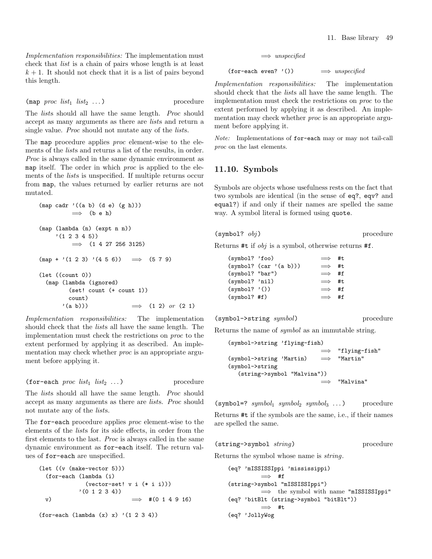*Implementation responsibilities:* The implementation must check that *list* is a chain of pairs whose length is at least  $k+1$ . It should not check that it is a list of pairs beyond this length.

 $(\text{map } proc \; list_1 \; list_2 \; \dots)$  procedure

The *list*s should all have the same length. *Proc* should accept as many arguments as there are *list*s and return a single value. *Proc* should not mutate any of the *list*s.

The map procedure applies *proc* element-wise to the elements of the *list*s and returns a list of the results, in order. *Proc* is always called in the same dynamic environment as map itself. The order in which *proc* is applied to the elements of the *list*s is unspecified. If multiple returns occur from map, the values returned by earlier returns are not mutated.

```
\n(map cadr '((a b) (d e) (g h)))\n
$$
\implies
$$
 (b e h)\n(map (lambda (n) (expt n n))\n' (1 2 3 4 5))\n
$$
\implies
$$
 (1 4 27 256 3125)\n(map + '(1 2 3) '(4 5 6))  
$$
\implies
$$
 (5 7 9)\n\n(let ((count 0))\n(map (lambda (ignored)\n  (set! count (+ count 1))\n  count)\n' (a b)))\n
$$
\implies
$$
 (1 2) or (2 1)\n
```

*Implementation responsibilities:* The implementation should check that the *list*s all have the same length. The implementation must check the restrictions on *proc* to the extent performed by applying it as described. An implementation may check whether *proc* is an appropriate argument before applying it.

$$
(for\text{-}each\ \textit{proc}\ \textit{list}_1\ \textit{list}_2\ \dots)\ \
$$

The *list*s should all have the same length. *Proc* should accept as many arguments as there are *list*s. *Proc* should not mutate any of the *list*s.

The for-each procedure applies *proc* element-wise to the elements of the *list*s for its side effects, in order from the first elements to the last. *Proc* is always called in the same dynamic environment as for-each itself. The return values of for-each are unspecified.

```
(let ((v (make-vector 5)))
  (for-each (lambda (i)
             (\text{vector-set!} \times i (*)'(0 1 2 3 4))
 v) \implies \#(0 \ 1 \ 4 \ 9 \ 16)
```

$$
(for-each (lambda (x) x) '(1 2 3 4))
$$

 $\implies$  unspecified

(for-each even? '())  $\implies$  unspecified

*Implementation responsibilities:* The implementation should check that the *list*s all have the same length. The implementation must check the restrictions on *proc* to the extent performed by applying it as described. An implementation may check whether *proc* is an appropriate argument before applying it.

Note: Implementations of for-each may or may not tail-call proc on the last elements.

### <span id="page-48-0"></span>11.10. Symbols

Symbols are objects whose usefulness rests on the fact that two symbols are identical (in the sense of eq?, eqv? and equal?) if and only if their names are spelled the same way. A symbol literal is formed using quote.

(symbol? *obj*) procedure

Returns #t if *obj* is a symbol, otherwise returns #f.

| (symb01? 'foo)    |                        | $\implies$ #t |    |
|-------------------|------------------------|---------------|----|
|                   | (symbol? (car '(a b))) | $\implies$    | #t |
| $(symbol?$ "bar") |                        | $\implies$ #f |    |
| (symbol? 'nil)    |                        | $\implies$ #t |    |
| $(symbol?$ '())   |                        | $\implies$ #f |    |
| (symbol? #f)      |                        | $\implies$    | #f |

```
(symbol->string symbol) procedure
```
Returns the name of *symbol* as an immutable string.

```
(symbol->string 'flying-fish)
                                "flying-fish"
(symbol->string 'Martin) =⇒ "Martin"
(symbol->string
  (string->symbol "Malvina"))
                           =⇒ "Malvina"
```
(symbol=? *symbol*<sup>1</sup> *symbol*<sup>2</sup> *symbol*<sup>3</sup> . . . ) procedure Returns #t if the symbols are the same, i.e., if their names are spelled the same.

$$
(\texttt{string->symbol string}) \qquad \qquad \text{procedure}
$$

Returns the symbol whose name is *string*.

(eq? 'mISSISSIppi 'mississippi) =⇒ #f (string->symbol "mISSISSIppi") =⇒ the symbol with name "mISSISSIppi" (eq? 'bitBlt (string->symbol "bitBlt")) =⇒ #t (eq? 'JollyWog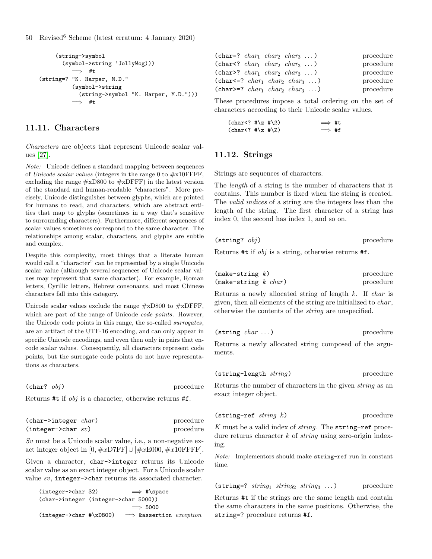```
(string->symbol
       (symbol->string 'JollyWog)))
          \implies #t
(string=? "K. Harper, M.D."
          (symbol->string
            (string->symbol "K. Harper, M.D.")))
            =⇒ #t
```
# <span id="page-49-0"></span>11.11. Characters

*Characters* are objects that represent Unicode scalar values [\[27\]](#page-81-0).

Note: Unicode defines a standard mapping between sequences of Unicode scalar values (integers in the range 0 to  $\#x10$ FFFF, excluding the range #xD800 to #xDFFF) in the latest version of the standard and human-readable "characters". More precisely, Unicode distinguishes between glyphs, which are printed for humans to read, and characters, which are abstract entities that map to glyphs (sometimes in a way that's sensitive to surrounding characters). Furthermore, different sequences of scalar values sometimes correspond to the same character. The relationships among scalar, characters, and glyphs are subtle and complex.

Despite this complexity, most things that a literate human would call a "character" can be represented by a single Unicode scalar value (although several sequences of Unicode scalar values may represent that same character). For example, Roman letters, Cyrillic letters, Hebrew consonants, and most Chinese characters fall into this category.

Unicode scalar values exclude the range #xD800 to #xDFFF, which are part of the range of Unicode *code points*. However, the Unicode code points in this range, the so-called surrogates, are an artifact of the UTF-16 encoding, and can only appear in specific Unicode encodings, and even then only in pairs that encode scalar values. Consequently, all characters represent code points, but the surrogate code points do not have representations as characters.

(char? *obj*) procedure

Returns #t if *obj* is a character, otherwise returns #f.

| $(char \rightarrow integer \ char)$ | procedure |
|-------------------------------------|-----------|
| (integer > char sv)                 | procedure |

*Sv* must be a Unicode scalar value, i.e., a non-negative exact integer object in  $[0, \#xD7FF] \cup [\#xE000, \#x10FFFF]$ .

Given a character, char->integer returns its Unicode scalar value as an exact integer object. For a Unicode scalar value *sv*, integer->char returns its associated character.

```
(integer->char 32) \implies #\sp{space}(char->integer (integer->char 5000))
                              \implies 5000
(integer->char #\xD800) \implies &assertion exception
```

| (char=? $char_1$ $char_2$ $char_3$ )                                   | procedure |
|------------------------------------------------------------------------|-----------|
| (char <math char_1 char <sub>2</sub> $char_3$ )                        | procedure |
| (char>? $char_1$ $char_2$ $char_3$ )                                   | procedure |
| (char $\leq$ ? char <sub>1</sub> char <sub>2</sub> char <sub>3</sub> ) | procedure |
| (char>=? $char_1$ $char_2$ $char_3$ )                                  | procedure |

These procedures impose a total ordering on the set of characters according to their Unicode scalar values.

| $(char < ? #\z1$ #\B)    |  | $\implies$ #t |  |
|--------------------------|--|---------------|--|
| $(char < ? #\z1$ # $\Z)$ |  | $\implies$ #f |  |

# 11.12. Strings

Strings are sequences of characters.

The *length* of a string is the number of characters that it contains. This number is fixed when the string is created. The *valid indices* of a string are the integers less than the length of the string. The first character of a string has index 0, the second has index 1, and so on.

$$
\text{(string? } obj) \qquad \qquad \text{procedure}
$$

Returns #t if *obj* is a string, otherwise returns #f.

| $(make-string k)$      | procedure |
|------------------------|-----------|
| $(make-string k char)$ | procedure |

Returns a newly allocated string of length *k*. If *char* is given, then all elements of the string are initialized to *char* , otherwise the contents of the *string* are unspecified.

$$
(string \; char \; \dots)
$$

Returns a newly allocated string composed of the arguments.

| $(\text{string-length string})$ |  | procedure |
|---------------------------------|--|-----------|
|---------------------------------|--|-----------|

Returns the number of characters in the given *string* as an exact integer object.

| $(\text{string-ref} \, string \, k)$ |  | procedure |
|--------------------------------------|--|-----------|
|                                      |  |           |

*K* must be a valid index of *string*. The string-ref procedure returns character k of *string* using zero-origin indexing.

Note: Implementors should make string-ref run in constant time.

(string=? *string*<sub>1</sub> *string*<sub>2</sub> *string*<sub>3</sub> ...) procedure

Returns #t if the strings are the same length and contain the same characters in the same positions. Otherwise, the string=? procedure returns #f.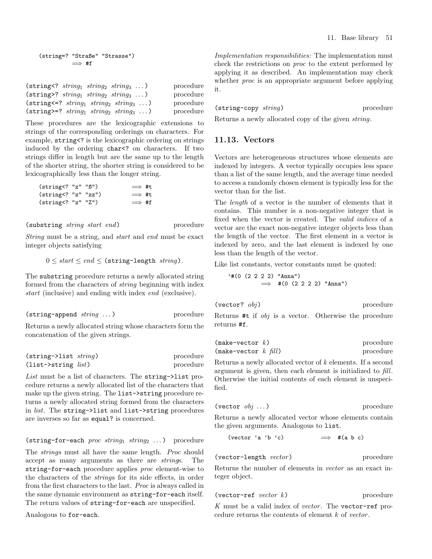|               | (string=? "Straße" "Strasse") |
|---------------|-------------------------------|
| $\implies$ #f |                               |

(string<? *string*<sub>1</sub> *string*<sub>2</sub> *string*<sub>3</sub> ...) procedure (string>? *string*<sup>1</sup> *string*<sup>2</sup> *string*<sup>3</sup> . . . ) procedure (string<=? *string*<sup>1</sup> *string*<sup>2</sup> *string*<sup>3</sup> . . . ) procedure (string>=? *string*<sup>1</sup> *string*<sup>2</sup> *string*<sup>3</sup> . . . ) procedure

These procedures are the lexicographic extensions to strings of the corresponding orderings on characters. For example, string<? is the lexicographic ordering on strings induced by the ordering char<? on characters. If two strings differ in length but are the same up to the length of the shorter string, the shorter string is considered to be lexicographically less than the longer string.

| (string < ? "z" "B")  |  | $\implies$ #t |  |
|-----------------------|--|---------------|--|
| (string < ? "z" "zz") |  | $\implies$ #t |  |
| (string < ? "z" "Z")  |  | $\implies$ #f |  |

(substring *string start end*) procedure

*String* must be a string, and *start* and *end* must be exact integer objects satisfying

 $0 \leq start \leq end \leq$  (string-length *string*).

The substring procedure returns a newly allocated string formed from the characters of *string* beginning with index *start* (inclusive) and ending with index *end* (exclusive).

| $(\text{string-append string} \dots)$ |  | procedure |
|---------------------------------------|--|-----------|
|---------------------------------------|--|-----------|

Returns a newly allocated string whose characters form the concatenation of the given strings.

| $(string \rightarrow list \ string)$ | procedure |
|--------------------------------------|-----------|
| $(list\rightarrow string list)$      | procedure |

*List* must be a list of characters. The string->list procedure returns a newly allocated list of the characters that make up the given string. The list->string procedure returns a newly allocated string formed from the characters in *list*. The string->list and list->string procedures are inverses so far as equal? is concerned.

#### (string-for-each *proc string*<sup>1</sup> *string*<sup>2</sup> . . . ) procedure

The *string*s must all have the same length. *Proc* should accept as many arguments as there are *string*s. The string-for-each procedure applies *proc* element-wise to the characters of the *string*s for its side effects, in order from the first characters to the last. *Proc* is always called in the same dynamic environment as string-for-each itself. The return values of string-for-each are unspecified.

Analogous to for-each.

*Implementation responsibilities:* The implementation must check the restrictions on *proc* to the extent performed by applying it as described. An implementation may check whether *proc* is an appropriate argument before applying it.

(string-copy *string*) procedure

Returns a newly allocated copy of the given *string*.

### 11.13. Vectors

Vectors are heterogeneous structures whose elements are indexed by integers. A vector typically occupies less space than a list of the same length, and the average time needed to access a randomly chosen element is typically less for the vector than for the list.

The *length* of a vector is the number of elements that it contains. This number is a non-negative integer that is fixed when the vector is created. The *valid indices* of a vector are the exact non-negative integer objects less than the length of the vector. The first element in a vector is indexed by zero, and the last element is indexed by one less than the length of the vector.

Like list constants, vector constants must be quoted:

\n
$$
\text{*(0 (2 2 2 2) "Anna")}
$$
\n  
\n $\implies$ \n  
\n $\text{*(0 (2 2 2 2) "Anna")}$ \n

(vector? *obj*) procedure

Returns #t if *obj* is a vector. Otherwise the procedure returns #f.

| $(make-vector k)$       | procedure |
|-------------------------|-----------|
| (make-vector k $fill$ ) | procedure |

Returns a newly allocated vector of *k* elements. If a second argument is given, then each element is initialized to *fill*. Otherwise the initial contents of each element is unspecified.

| (vector $obj$ ) |  |  | procedure |
|-----------------|--|--|-----------|
|-----------------|--|--|-----------|

Returns a newly allocated vector whose elements contain the given arguments. Analogous to list.

$$
(\text{vector 'a 'b 'c}) \qquad \Longrightarrow \#(\text{a b c})
$$

(vector-length *vector*) procedure

Returns the number of elements in *vector* as an exact integer object.

(vector-ref *vector k*) procedure

*K* must be a valid index of *vector* . The vector-ref procedure returns the contents of element k of *vector* .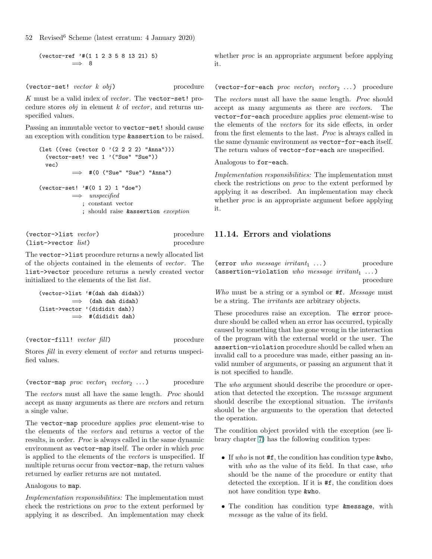(vector-ref '#(1 1 2 3 5 8 13 21) 5) =⇒ 8

(vector-set! *vector k obj*) procedure

*K* must be a valid index of *vector* . The vector-set! procedure stores *obj* in element k of *vector* , and returns unspecified values.

Passing an immutable vector to vector-set! should cause an exception with condition type &assertion to be raised.

```
(let ((vec (vector 0')(2 2 2 2) "Anna")))
  (vector-set! vec 1 '("Sue" "Sue"))
 vec)
          \implies #(0 ("Sue" "Sue") "Anna")
(vector-set! '#(0 1 2) 1 "doe")
          \implies unspecified
             ; constant vector
              ; should raise &assertion exception
```
(vector->list *vector*) procedure (list->vector *list*) procedure

The vector->list procedure returns a newly allocated list of the objects contained in the elements of *vector* . The list->vector procedure returns a newly created vector initialized to the elements of the list *list*.

```
(vector->list '#(dah dah didah))
         \implies (dah dah didah)
(list->vector '(dididit dah))
          \implies #(dididit dah)
```
(vector-fill! *vector fill*) procedure

Stores *fill* in every element of *vector* and returns unspeci-

(vector-map *proc vector*<sub>1</sub> *vector*<sub>2</sub> ...) procedure

The *vectors* must all have the same length. *Proc* should accept as many arguments as there are *vector*s and return a single value.

The vector-map procedure applies *proc* element-wise to the elements of the *vector* s and returns a vector of the results, in order. *Proc* is always called in the same dynamic environment as vector-map itself. The order in which *proc* is applied to the elements of the *vectors* is unspecified. If multiple returns occur from vector-map, the return values returned by earlier returns are not mutated.

Analogous to map.

fied values.

*Implementation responsibilities:* The implementation must check the restrictions on *proc* to the extent performed by applying it as described. An implementation may check whether *proc* is an appropriate argument before applying it.

(vector-for-each *proc* vector<sub>1</sub> vector<sub>2</sub> ...) procedure

The *vectors* must all have the same length. *Proc* should accept as many arguments as there are *vector*s. The vector-for-each procedure applies *proc* element-wise to the elements of the *vectors* for its side effects, in order from the first elements to the last. *Proc* is always called in the same dynamic environment as vector-for-each itself. The return values of vector-for-each are unspecified.

#### Analogous to for-each.

*Implementation responsibilities:* The implementation must check the restrictions on *proc* to the extent performed by applying it as described. An implementation may check whether *proc* is an appropriate argument before applying it.

### 11.14. Errors and violations

(error *who message irritant<sub>1</sub> ...*) procedure (assertion-violation *who message irritant*<sub>1</sub> ...) procedure

*Who* must be a string or a symbol or #f. *Message* must be a string. The *irritant*s are arbitrary objects.

These procedures raise an exception. The error procedure should be called when an error has occurred, typically caused by something that has gone wrong in the interaction of the program with the external world or the user. The assertion-violation procedure should be called when an invalid call to a procedure was made, either passing an invalid number of arguments, or passing an argument that it is not specified to handle.

The *who* argument should describe the procedure or operation that detected the exception. The *message* argument should describe the exceptional situation. The *irritant*s should be the arguments to the operation that detected the operation.

The condition object provided with the exception (see library chapter [7\)](#page-22-1) has the following condition types:

- If *who* is not #f, the condition has condition type &who, with *who* as the value of its field. In that case, *who* should be the name of the procedure or entity that detected the exception. If it is #f, the condition does not have condition type &who.
- The condition has condition type &message, with *message* as the value of its field.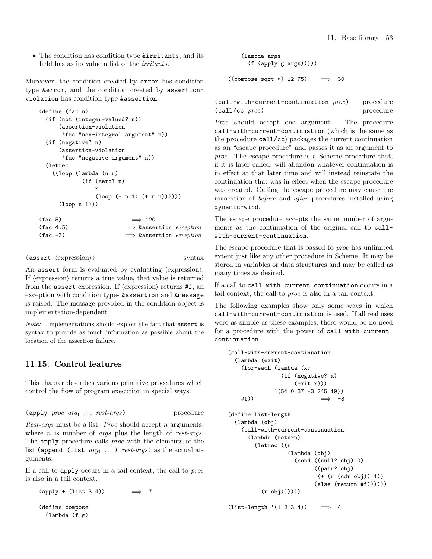• The condition has condition type  $k$ **irritants**, and its field has as its value a list of the *irritant*s.

Moreover, the condition created by error has condition type &error, and the condition created by assertionviolation has condition type &assertion.

```
(define (fac n)
 (if (not (integer-valued? n))
     (assertion-violation
      'fac "non-integral argument" n))
 (if (negative? n)
     (assertion-violation
      'fac "negative argument" n))
 (letrec
   ((loop (lambda (n r)
            (if (zero? n)
               r
               (loop (- n 1) (* r n))))))
     (loop n 1)))
(fac 5) \implies 120
(fac 4.5) \implies &assertion exception
(fac -3) \implies &assertion exception
```

```
(\text{assert } \langle \text{expression} \rangle) syntax
```
An assert form is evaluated by evaluating  $\langle$  expression $\rangle$ . If  $\langle$  expression $\rangle$  returns a true value, that value is returned from the assert expression. If  $\langle$  expression $\rangle$  returns #f, an exception with condition types &assertion and &message is raised. The message provided in the condition object is implementation-dependent.

Note: Implementations should exploit the fact that assert is syntax to provide as much information as possible about the location of the assertion failure.

### 11.15. Control features

This chapter describes various primitive procedures which control the flow of program execution in special ways.

(apply *proc arg*<sub>1</sub> ... *rest-args*) procedure

*Rest-args* must be a list. *Proc* should accept n arguments, where n is number of *arg*s plus the length of *rest-args*. The apply procedure calls *proc* with the elements of the list (append (list *arg*<sup>1</sup> . . . ) *rest-args*) as the actual arguments.

If a call to apply occurs in a tail context, the call to *proc* is also in a tail context.

 $(\text{apply} + (\text{list } 3 4)) \implies 7$ (define compose (lambda (f g)

```
(lambda args
      (f (apply g args)))))
((compose sqrt *) 12 75) \implies 30
```
(call-with-current-continuation *proc*) procedure (call/cc *proc*) procedure

*Proc* should accept one argument. The procedure call-with-current-continuation (which is the same as the procedure call/cc) packages the current continuation as an "escape procedure" and passes it as an argument to *proc*. The escape procedure is a Scheme procedure that, if it is later called, will abandon whatever continuation is in effect at that later time and will instead reinstate the continuation that was in effect when the escape procedure was created. Calling the escape procedure may cause the invocation of *before* and *after* procedures installed using dynamic-wind.

The escape procedure accepts the same number of arguments as the continuation of the original call to callwith-current-continuation.

The escape procedure that is passed to *proc* has unlimited extent just like any other procedure in Scheme. It may be stored in variables or data structures and may be called as many times as desired.

If a call to call-with-current-continuation occurs in a tail context, the call to *proc* is also in a tail context.

The following examples show only some ways in which call-with-current-continuation is used. If all real uses were as simple as these examples, there would be no need for a procedure with the power of call-with-currentcontinuation.

```
(call-with-current-continuation
 (lambda (exit)
    (for-each (lambda (x)
                (if (negative? x)
                    (exit x))'(54 0 37 -3 245 19))
   #t)) \implies -3(define list-length
 (lambda (obj)
    (call-with-current-continuation
     (lambda (return)
        (letrec ((r
                  (lambda (obj)
                    (cond ((null? obj) 0)
                          ((pair? obj)
                           (+ (r (cdr obj)) 1))
                          \text{(else (return #f))}))))
          (r obj))))))
```
(list-length  $'(1\ 2\ 3\ 4)) \implies 4$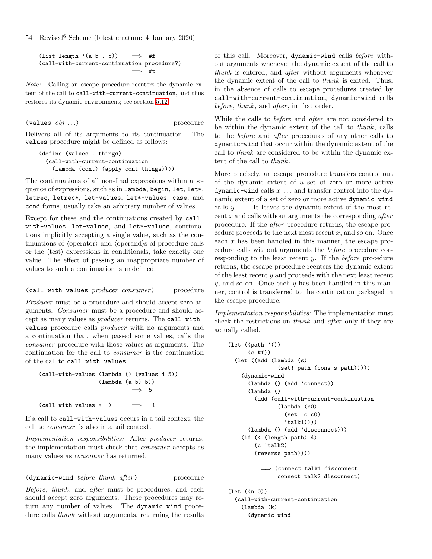(list-length '(a b . c))  $\implies$  #f (call-with-current-continuation procedure?) =⇒ #t

Note: Calling an escape procedure reenters the dynamic extent of the call to call-with-current-continuation, and thus restores its dynamic environment; see section [5.12.](#page-19-2)

(values *obj* ...) procedure

Delivers all of its arguments to its continuation. The values procedure might be defined as follows:

```
(define (values . things)
  (call-with-current-continuation
    (lambda (cont) (apply cont things))))
```
The continuations of all non-final expressions within a sequence of expressions, such as in lambda, begin, let, let\*, letrec, letrec\*, let-values, let\*-values, case, and cond forms, usually take an arbitrary number of values.

Except for these and the continuations created by callwith-values, let-values, and let\*-values, continuations implicitly accepting a single value, such as the continuations of  $\langle$ operator $\rangle$  and  $\langle$ operand $\rangle$ s of procedure calls or the  $\langle \text{test} \rangle$  expressions in conditionals, take exactly one value. The effect of passing an inappropriate number of values to such a continuation is undefined.

(call-with-values *producer consumer*) procedure

*Producer* must be a procedure and should accept zero arguments. *Consumer* must be a procedure and should accept as many values as *producer* returns. The call-withvalues procedure calls *producer* with no arguments and a continuation that, when passed some values, calls the *consumer* procedure with those values as arguments. The continuation for the call to *consumer* is the continuation of the call to call-with-values.

```
(call-with-values (lambda () (values 4 5))
                   (lambda (a b) b))
                             \implies 5
(call-with-values * -) \implies -1
```
If a call to call-with-values occurs in a tail context, the call to *consumer* is also in a tail context.

*Implementation responsibilities:* After *producer* returns, the implementation must check that *consumer* accepts as many values as *consumer* has returned.

(dynamic-wind *before thunk after*) procedure

*Before*, *thunk*, and *after* must be procedures, and each should accept zero arguments. These procedures may return any number of values. The dynamic-wind procedure calls *thunk* without arguments, returning the results of this call. Moreover, dynamic-wind calls *before* without arguments whenever the dynamic extent of the call to *thunk* is entered, and *after* without arguments whenever the dynamic extent of the call to *thunk* is exited. Thus, in the absence of calls to escape procedures created by call-with-current-continuation, dynamic-wind calls *before*, *thunk*, and *after* , in that order.

While the calls to *before* and *after* are not considered to be within the dynamic extent of the call to *thunk*, calls to the *before* and *after* procedures of any other calls to dynamic-wind that occur within the dynamic extent of the call to *thunk* are considered to be within the dynamic extent of the call to *thunk*.

More precisely, an escape procedure transfers control out of the dynamic extent of a set of zero or more active dynamic-wind calls  $x \dots$  and transfer control into the dynamic extent of a set of zero or more active dynamic-wind calls  $y$  .... It leaves the dynamic extent of the most recent x and calls without arguments the corresponding *after* procedure. If the *after* procedure returns, the escape procedure proceeds to the next most recent  $x$ , and so on. Once each  $x$  has been handled in this manner, the escape procedure calls without arguments the *before* procedure corresponding to the least recent y. If the *before* procedure returns, the escape procedure reenters the dynamic extent of the least recent  $y$  and proceeds with the next least recent  $y$ , and so on. Once each  $y$  has been handled in this manner, control is transferred to the continuation packaged in the escape procedure.

*Implementation responsibilities:* The implementation must check the restrictions on *thunk* and *after* only if they are actually called.

```
(let ((path '())(c#f))
 (let ((add (lambda (s)
               (set! path (cons s path)))))
    (dynamic-wind
      (lambda () (add 'connect))
      (lambda ()
        (add (call-with-current-continuation
               (lambda (c0)
                 (set! c c0)
                 'talk1))))
      (lambda () (add 'disconnect)))
   (if (< (length path) 4)
        (c 'talk2)
        (reverse path))))
          =⇒ (connect talk1 disconnect
               connect talk2 disconnect)
(let ((n 0))
 (call-with-current-continuation
    (lambda (k)
      (dynamic-wind
```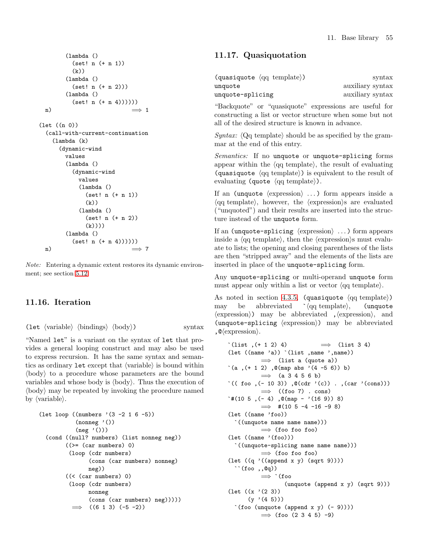```
(lambda ()
         (set! n (+ n 1))
         (k))
       (lambda ()
         (set! n (+ n 2)))
       (lambda ()
         (set! n (+ n 4))))n) \implies 1
(let ((n 0))
 (call-with-current-continuation
   (lambda (k)
     (dynamic-wind
       values
       (lambda ()
         (dynamic-wind
          values
           (lambda ()
            (set! n (+ n 1))
            (k))
           (lambda ()
            (set! n (+ n 2))
            (k)))
       (lambda ()
         (set! n (+ n 4))))n) \implies 7
```
Note: Entering a dynamic extent restores its dynamic environment; see section [5.12.](#page-19-2)

# 11.16. Iteration

(let  $\langle \text{variable} \rangle$   $\langle \text{bindings} \rangle$   $\langle \text{body} \rangle$ ) syntax

"Named let" is a variant on the syntax of let that provides a general looping construct and may also be used to express recursion. It has the same syntax and semantics as ordinary  $let$  except that  $\langle variable \rangle$  is bound within  $\langle \text{body} \rangle$  to a procedure whose parameters are the bound variables and whose body is  $\langle \text{body} \rangle$ . Thus the execution of (body) may be repeated by invoking the procedure named by  $\langle variable \rangle$ .

```
(let loop ((numbers '(3 -2 1 6 -5))
            (\text{nonneg } '())(neg'()))(cond ((null? numbers) (list nonneg neg))
        ((\geq) (car numbers) 0)
         (loop (cdr numbers)
                (cons (car numbers) nonneg)
                neg))
        ((< (car numbers) 0)
         (loop (cdr numbers)
                nonneg
                (cons (car numbers) neg)))))
          \implies ((6 1 3) (-5 -2))
```
# 11.17. Quasiquotation

| $\qquad$ (quasiquote $\langle$ qq template $\rangle$ ) | $\sqrt{\frac{1}{2}}$ |
|--------------------------------------------------------|----------------------|
| unquote                                                | auxiliary syntax     |
| unquote-splicing                                       | auxiliary syntax     |

"Backquote" or "quasiquote" expressions are useful for constructing a list or vector structure when some but not all of the desired structure is known in advance.

*Syntax:*  $\langle$ Qq template $\rangle$  should be as specified by the grammar at the end of this entry.

*Semantics:* If no unquote or unquote-splicing forms appear within the  $\langle q\bar{q} \rangle$  template), the result of evaluating (quasiquote  $\langle qq \text{ template} \rangle$ ) is equivalent to the result of evaluating (quote  $\langle qq \text{ template} \rangle$ ).

If an (unquote  $\langle$  expression $\rangle$  ...) form appears inside a  $\langle q\vert q\rangle$  template), however, the  $\langle q\rangle$  expression is are evaluated ("unquoted") and their results are inserted into the structure instead of the unquote form.

If an (unquote-splicing  $\langle$  expression $\rangle$  ...) form appears inside a  $\langle q\bar{q} \rangle$ , then the  $\langle \bar{q} \rangle$  expression)s must evaluate to lists; the opening and closing parentheses of the lists are then "stripped away" and the elements of the lists are inserted in place of the unquote-splicing form.

Any unquote-splicing or multi-operand unquote form must appear only within a list or vector  $\langle q \rangle$  template.

As noted in section [4.3.5,](#page-16-0) (quasiquote  $\langle qq \text{ template} \rangle$ ) may be abbreviated  $\langle qq \text{ template} \rangle$ , (unquote  $\langle$  expression $\rangle$ ) may be abbreviated ,  $\langle$  expression $\rangle$ , and  $(unquote-splicing (expression))$  may be abbreviated  $, \mathcal{Q}$ (expression).

```
\dot{\text{(list (i + 1 2) 4)}} \rightarrow \text{(list 3 4)}(let ((name 'a)) `(list ,name ',name))
           \implies (list a (quote a))
\text{'(a, (+ 1 2), @ (map abs' (4 -5 6)) b)}\implies (a 3 4 5 6 b)
\cdot ((\text{foo }, (-103)) , @(\text{cdr } '(c)) . , (\text{car } '(cons)))\implies ((foo 7) . cons)
*(10 5, (-4), 0(\text{map} - '(16 9))) 8)\implies #(10 5 -4 -16 -9 8)
(let ((name 'foo))
  `((unquote name name name)))
           \implies (foo foo foo)
(\text{let } ((\text{name } '(foo)))`((unquote-splicing name name name)))
            \implies (foo foo foo)
(let ((q '((append x y) (sqrt 9))))
   \dot{\cdot} (foo ,,@q))
            =⇒ `(foo
                     (unquote (append x y) (sqrt 9)))
(\text{let } ((x'')(2 3)))(y' (4 5)))`(foo (unquote (append x y) (-9))))
           \implies (foo (2 3 4 5) -9)
```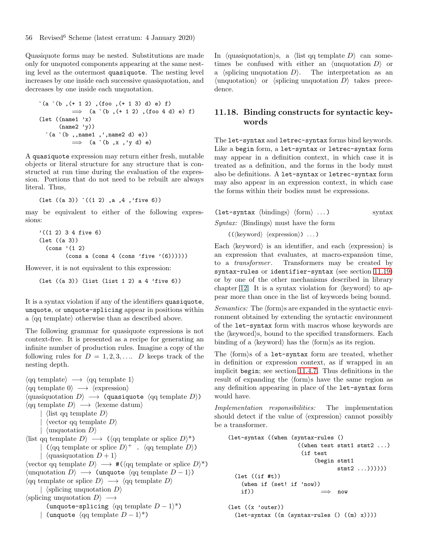Quasiquote forms may be nested. Substitutions are made only for unquoted components appearing at the same nesting level as the outermost quasiquote. The nesting level increases by one inside each successive quasiquotation, and decreases by one inside each unquotation.

`(a `(b ,(+ 1 2) ,(foo ,(+ 1 3) d) e) f) =⇒ (a `(b ,(+ 1 2) ,(foo 4 d) e) f) (let ((name1 'x) (name2 'y)) `(a `(b ,,name1 ,',name2 d) e)) =⇒ (a `(b ,x ,'y d) e)

A quasiquote expression may return either fresh, mutable objects or literal structure for any structure that is constructed at run time during the evaluation of the expression. Portions that do not need to be rebuilt are always literal. Thus,

```
(let ((a 3)) `((1 2) ,a ,4 ,'five 6))
```
may be equivalent to either of the following expressions:

```
'((1 2) 3 4 five 6)
(let ((a 3))
  \text{(cons } (1 2)(\text{cons a (cons 4 (cons 'five ' (6))))))
```
However, it is not equivalent to this expression:

(let  $((a 3))$  (list (list 1 2) a 4 'five 6))

It is a syntax violation if any of the identifiers quasiquote, unquote, or unquote-splicing appear in positions within a  $\langle$ qq template $\rangle$  otherwise than as described above.

The following grammar for quasiquote expressions is not context-free. It is presented as a recipe for generating an infinite number of production rules. Imagine a copy of the following rules for  $D = 1, 2, 3, \ldots$  D keeps track of the nesting depth.

```
\langle \text{qq template} \rangle \longrightarrow \langle \text{qq template 1} \rangle\langle \text{qq template 0} \rangle \longrightarrow \langle \text{expression} \rangle\langle \text{quasiquotation } D \rangle \longrightarrow (\text{quasiquote } \langle \text{qq template } D \rangle)\langle \text{qq template } D \rangle \longrightarrow \langle \text{lexeme datum} \rangle\langlelist qq template D\rangle\langle vector qq template D \rangle| \langleunquotation D\rangle\langlelist qq template D \rangle \longrightarrow (\langleqq template or splice D \rangle^*)
        \langle \langle \text{qq template or splice } D \rangle^+ \cdot \langle \text{qq template } D \rangle \rangle| \langlequasiquotation D + 1\rangle\langle \text{vector qq template } D \rangle \longrightarrow \#(\langle \text{qq template or splice } D \rangle^*)\langleunquotation D\rangle \longrightarrow (unquote \langleqq template D − 1\rangle)
\langle q\bar{q} \rangle \rightarrow \langle q\bar{q} \rangle template D
        | \langlesplicing unquotation D\rangle\langlesplicing unquotation D \rangle \longrightarrow(unquote-splicing \langle qq \text{ template } D - 1 \rangle^*)
        | (unquote \langle qq \text{ template } D - 1\rangle^*)
```
In  $\langle$ quasiquotation $\rangle$ s, a  $\langle$ list qq template D $\rangle$  can sometimes be confused with either an  $\langle$ unquotation D $\rangle$  or a  $\langle$ splicing unquotation D $\rangle$ . The interpretation as an  $\langle$ unquotation $\rangle$  or  $\langle$ splicing unquotation D $\rangle$  takes precedence.

# 11.18. Binding constructs for syntactic keywords

The let-syntax and letrec-syntax forms bind keywords. Like a begin form, a let-syntax or letrec-syntax form may appear in a definition context, in which case it is treated as a definition, and the forms in the body must also be definitions. A let-syntax or letrec-syntax form may also appear in an expression context, in which case the forms within their bodies must be expressions.

| $(\text{let-syntax } \langle \text{bindings} \rangle \langle \text{form} \rangle \dots)$ | syntax |
|------------------------------------------------------------------------------------------|--------|
| <i>Syntax:</i> $\langle$ Bindings $\rangle$ must have the form                           |        |

 $((\langle keyword \rangle \langle expression \rangle) \dots)$ 

Each  $\langle$ keyword $\rangle$  is an identifier, and each  $\langle$ expression $\rangle$  is an expression that evaluates, at macro-expansion time, to a *transformer*. Transformers may be created by syntax-rules or identifier-syntax (see section [11.19\)](#page-56-0) or by one of the other mechanisms described in library chapter 12. It is a syntax violation for  $\langle$ keyword $\rangle$  to appear more than once in the list of keywords being bound.

*Semantics:* The  $\langle \text{form} \rangle$ s are expanded in the syntactic environment obtained by extending the syntactic environment of the let-syntax form with macros whose keywords are the  $\langle$ keyword $\rangle$ s, bound to the specified transformers. Each binding of a  $\langle$ keyword $\rangle$  has the  $\langle$ form $\rangle$ s as its region.

The  $\{form\}$ s of a let-syntax form are treated, whether in definition or expression context, as if wrapped in an implicit begin; see section [11.4.7.](#page-36-0) Thus definitions in the result of expanding the  $\langle \text{form} \rangle$ s have the same region as any definition appearing in place of the let-syntax form would have.

*Implementation responsibilities:* The implementation should detect if the value of  $\langle$  expression $\rangle$  cannot possibly be a transformer.

```
(let-syntax ((when (syntax-rules ()
                    ((when test stmt1 stmt2 ...)
                     (if test
                        (begin stmt1
                               stmt2 ...))))))
 (let ((if #t))
   (when if (set! if 'now))
   if)) \implies now
(let ((x 'outer))
 (let-syntax ((m (syntax-rules () ((m) x))))
```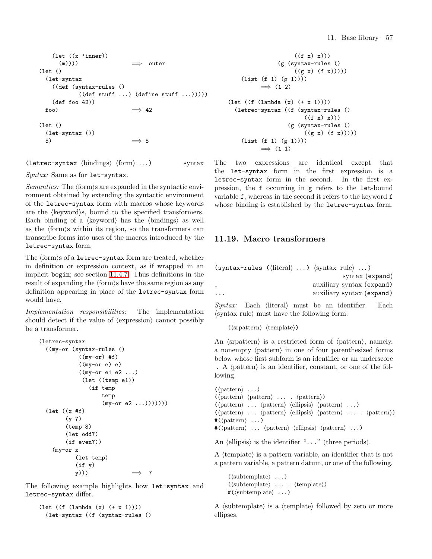```
(let ((x 'inner))
    (m))) \implies outer
(let ()
 (let-syntax
   ((def (syntax-rules ()
         ((def stuff ... (define stuff ...))))(def foo 42))
 foo) \implies 42
(let ()
 (let-syntax ())
 5) \implies 5
```
(letrec-syntax  $\langle$ bindings $\rangle$   $\langle$  form $\rangle$  ...) syntax

```
Syntax: Same as for let-syntax.
```
*Semantics:* The  $\{form\}$ s are expanded in the syntactic environment obtained by extending the syntactic environment of the letrec-syntax form with macros whose keywords are the  $\langle$ keyword $\rangle$ s, bound to the specified transformers. Each binding of a  $\langle$ keyword $\rangle$  has the  $\langle$ bindings $\rangle$  as well as the  $\langle \text{form} \rangle$ s within its region, so the transformers can transcribe forms into uses of the macros introduced by the letrec-syntax form.

The  $\langle \text{form} \rangle$ s of a letrec-syntax form are treated, whether in definition or expression context, as if wrapped in an implicit begin; see section [11.4.7.](#page-36-0) Thus definitions in the result of expanding the  $\langle \text{form} \rangle$ s have the same region as any definition appearing in place of the letrec-syntax form would have.

*Implementation responsibilities:* The implementation should detect if the value of  $\langle$  expression $\rangle$  cannot possibly be a transformer.

```
(letrec-syntax
 ((my-or (syntax-rules ()
            ((my-or) #f)
            ((my-or e) e)
            ((my-or e1 e2 ...)
             (let ((temp e1))
               (if temp
                   temp
                   (my-or e2 ...)))))))
 (let ((x #f)
       (y 7)
        (temp 8)
       (let odd?)
       (if even?))
   (my-or x
           (let temp)
           (if y)y))) \implies 7
```
The following example highlights how let-syntax and letrec-syntax differ.

```
(let ((f (lambda (x) (+ x 1))))(let-syntax ((f (syntax-rules ()
```

```
((f x) x))(g (syntax-rules ()
                     ((g x) (f x))))(list (f 1) (g 1))))
         \implies (1 2)
(let ((f (lambda (x) (+ x 1))))
 (letrec-syntax ((f (syntax-rules ()
                       ((f x) x))(g (syntax-rules ()
                       ((g x) (f x))))(list (f 1) (g 1))))
         \implies (1 1)
```
The two expressions are identical except that the let-syntax form in the first expression is a letrec-syntax form in the second. In the first expression, the f occurring in g refers to the let-bound variable f, whereas in the second it refers to the keyword f whose binding is established by the letrec-syntax form.

# <span id="page-56-0"></span>11.19. Macro transformers

| $(syntax-rules (\langle literal \rangle ) \langle syntax rule \rangle )$ |  |                           |
|--------------------------------------------------------------------------|--|---------------------------|
|                                                                          |  | syntax (expand)           |
|                                                                          |  | auxiliary syntax (expand) |
| $\cdot$ $\cdot$ $\cdot$                                                  |  | auxiliary syntax (expand) |

*Syntax:* Each (literal) must be an identifier. Each  $\langle$ syntax rule $\rangle$  must have the following form:

 $(\langle$ srpattern $\rangle$   $\langle$ template $\rangle$ )

An  $\langle$ srpattern $\rangle$  is a restricted form of  $\langle$  pattern $\rangle$ , namely, a nonempty  $\langle$  pattern $\rangle$  in one of four parenthesized forms below whose first subform is an identifier or an underscore  $\therefore$  A  $\langle$  pattern $\rangle$  is an identifier, constant, or one of the following.

```
(\langlepattern\rangle \dots)(\langlepattern\rangle \langlepattern\rangle ... . \langlepattern\rangle)
(\mathsf{pattern}\rangle \ldots \mathsf{pattern}\rangle \langle \mathsf{ellipsis}\rangle \langle \mathsf{pattern}\rangle \ldots)(\mathsf{pattern}\rangle \ldots \mathsf{pattern}\rangle \langle \mathsf{ellipsis}\rangle \langle \mathsf{pattern}\rangle \ldots \langle \mathsf{pattern}\rangle)\#(\langle \text{pattern} \rangle \dots)\#(\langle \text{pattern} \rangle \dots \langle \text{pattern} \rangle \langle \text{ellipsis} \rangle \langle \text{pattern} \rangle \dots)
```
An  $\langle$  ellipsis $\rangle$  is the identifier "..." (three periods).

A  $\langle$  template $\rangle$  is a pattern variable, an identifier that is not a pattern variable, a pattern datum, or one of the following.

 $(\langle \text{subtemplate} \rangle \dots)$  $(\langle \text{subtemplate} \rangle \dots \langle \text{template} \rangle)$  $\#$ ( $\langle$ subtemplate $\rangle \dots$ )

A  $\langle$  subtemplate $\rangle$  is a  $\langle$  template $\rangle$  followed by zero or more ellipses.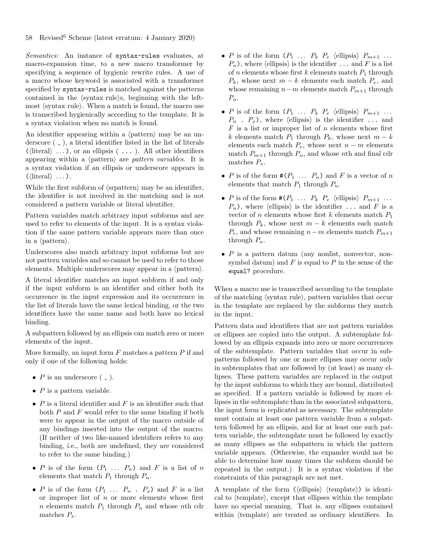*Semantics:* An instance of syntax-rules evaluates, at macro-expansion time, to a new macro transformer by specifying a sequence of hygienic rewrite rules. A use of a macro whose keyword is associated with a transformer specified by syntax-rules is matched against the patterns contained in the  $\langle$ syntax rule $\rangle$ s, beginning with the leftmost  $\langle$  syntax rule $\rangle$ . When a match is found, the macro use is transcribed hygienically according to the template. It is a syntax violation when no match is found.

An identifier appearing within a  $\langle$  pattern $\rangle$  may be an underscore  $($ .), a literal identifier listed in the list of literals ( $\langle$ literal $\rangle$  ...), or an ellipsis ( ...). All other identifiers appearing within a  $\langle$  pattern $\rangle$  are *pattern variables*. It is a syntax violation if an ellipsis or underscore appears in  $(\langle$ literal $\rangle \dots$ ).

While the first subform of  $\langle$ srpattern $\rangle$  may be an identifier, the identifier is not involved in the matching and is not considered a pattern variable or literal identifier.

Pattern variables match arbitrary input subforms and are used to refer to elements of the input. It is a syntax violation if the same pattern variable appears more than once in a  $\langle$  pattern $\rangle$ .

Underscores also match arbitrary input subforms but are not pattern variables and so cannot be used to refer to those elements. Multiple underscores may appear in a  $\langle$  pattern $\rangle$ .

A literal identifier matches an input subform if and only if the input subform is an identifier and either both its occurrence in the input expression and its occurrence in the list of literals have the same lexical binding, or the two identifiers have the same name and both have no lexical binding.

A subpattern followed by an ellipsis can match zero or more elements of the input.

More formally, an input form  $F$  matches a pattern  $P$  if and only if one of the following holds:

- $P$  is an underscore  $($ .
- $P$  is a pattern variable.
- $P$  is a literal identifier and  $F$  is an identifier such that both  $P$  and  $F$  would refer to the same binding if both were to appear in the output of the macro outside of any bindings inserted into the output of the macro. (If neither of two like-named identifiers refers to any binding, i.e., both are undefined, they are considered to refer to the same binding.)
- P is of the form  $(P_1 \ldots P_n)$  and F is a list of n elements that match  $P_1$  through  $P_n$ .
- P is of the form  $(P_1 \ldots P_n \ldots P_x)$  and F is a list or improper list of  $n$  or more elements whose first n elements match  $P_1$  through  $P_n$  and whose nth cdr matches  $P_x$ .
- P is of the form  $(P_1 \ldots P_k \ P_e \langle \text{ellipsis} \rangle \ P_{m+1} \ldots$  $P_n$ ), where (ellipsis) is the identifier ... and F is a list of *n* elements whose first *k* elements match  $P_1$  through  $P_k$ , whose next  $m - k$  elements each match  $P_e$ , and whose remaining  $n-m$  elements match  $P_{m+1}$  through  $P_n$ .
- P is of the form  $(P_1 \ldots P_k P_e \text{ (ellipsis)} P_{m+1} \ldots$  $P_n$  .  $P_x$ ), where (ellipsis) is the identifier ... and  $F$  is a list or improper list of  $n$  elements whose first k elements match  $P_1$  through  $P_k$ , whose next  $m - k$ elements each match  $P_e$ , whose next  $n - m$  elements match  $P_{m+1}$  through  $P_n$ , and whose nth and final cdr matches  $P_x$ .
- P is of the form  $\#(P_1 \ldots P_n)$  and F is a vector of n elements that match  $P_1$  through  $P_n$ .
- P is of the form  $\#(P_1 \ldots P_k \ P_e \text{ (ellipsis)} \ P_{m+1} \ldots$  $P_n$ ), where (ellipsis) is the identifier ... and F is a vector of n elements whose first k elements match  $P_1$ through  $P_k$ , whose next  $m - k$  elements each match  $P_e$ , and whose remaining  $n-m$  elements match  $P_{m+1}$ through  $P_n$ .
- $P$  is a pattern datum (any nonlist, nonvector, nonsymbol datum) and F is equal to P in the sense of the equal? procedure.

When a macro use is transcribed according to the template of the matching  $\langle$  syntax rule $\rangle$ , pattern variables that occur in the template are replaced by the subforms they match in the input.

Pattern data and identifiers that are not pattern variables or ellipses are copied into the output. A subtemplate followed by an ellipsis expands into zero or more occurrences of the subtemplate. Pattern variables that occur in subpatterns followed by one or more ellipses may occur only in subtemplates that are followed by (at least) as many ellipses. These pattern variables are replaced in the output by the input subforms to which they are bound, distributed as specified. If a pattern variable is followed by more ellipses in the subtemplate than in the associated subpattern, the input form is replicated as necessary. The subtemplate must contain at least one pattern variable from a subpattern followed by an ellipsis, and for at least one such pattern variable, the subtemplate must be followed by exactly as many ellipses as the subpattern in which the pattern variable appears. (Otherwise, the expander would not be able to determine how many times the subform should be repeated in the output.) It is a syntax violation if the constraints of this paragraph are not met.

A template of the form  $(\ell\ell)$  (template) is identical to  $\langle$  template $\rangle$ , except that ellipses within the template have no special meaning. That is, any ellipses contained within  $\langle$ template $\rangle$  are treated as ordinary identifiers. In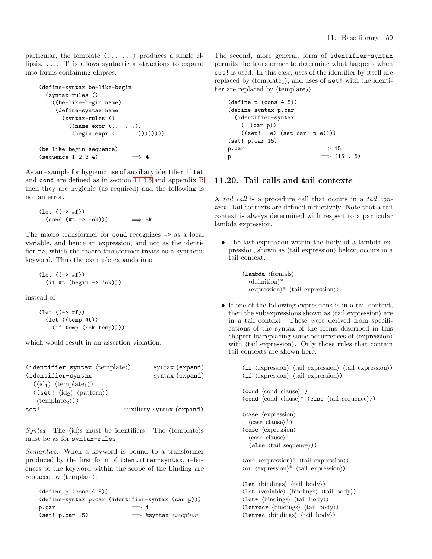particular, the template  $(\ldots \ldots)$  produces a single ellipsis, .... This allows syntactic abstractions to expand into forms containing ellipses.

```
(define-syntax be-like-begin
  (syntax-rules ()
    ((be-like-begin name)
     (define-syntax name
       (syntax-rules ()
         ((name expr (... ...))
          (begin expr (... ...)))))))))
(be-like-begin sequence)
(sequence 1 2 3 4) \implies 4
```
As an example for hygienic use of auxiliary identifier, if let and cond are defined as in section [11.4.6](#page-34-0) and appendix [B](#page-74-0) then they are hygienic (as required) and the following is not an error.

```
(\text{let } ((=> #f))(\text{cond }(*t \Rightarrow 'ok))) \implies ok
```
The macro transformer for cond recognizes => as a local variable, and hence an expression, and not as the identifier =>, which the macro transformer treats as a syntactic keyword. Thus the example expands into

(let ((=> #f)) (if #t (begin => 'ok)))

instead of

```
(\text{let } ((=> #f))(let ((temp #t))
    (if temp ('ok temp))))
```
which would result in an assertion violation.

| $(identifier-syntax \langle template \rangle)$            | syntax (expand)           |
|-----------------------------------------------------------|---------------------------|
| (identifier-syntax)                                       | syntax (expand)           |
| $(\langle id_1 \rangle \langle template_1 \rangle)$       |                           |
| ((set! $\langle id_2 \rangle$ $\langle pattern \rangle$ ) |                           |
| $\langle \text{template}_2 \rangle$ )                     |                           |
| set!                                                      | auxiliary syntax (expand) |

*Syntax:* The  $\langle id \rangle$ s must be identifiers. The  $\langle template \rangle$ s must be as for syntax-rules.

*Semantics:* When a keyword is bound to a transformer produced by the first form of identifier-syntax, references to the keyword within the scope of the binding are replaced by  $\langle$ template $\rangle$ .

```
(define p (cons 4 5))
(define-syntax p.car (identifier-syntax (car p)))
p.car \implies 4
(set! p.car 15) \implies &syntax exception
```
The second, more general, form of identifier-syntax permits the transformer to determine what happens when set! is used. In this case, uses of the identifier by itself are replaced by  $\langle$ template<sub>1</sub> $\rangle$ , and uses of set! with the identifier are replaced by  $\langle$ template<sub>2</sub> $\rangle$ .

```
(define p (cons 4 5))
(define-syntax p.car
 (identifier-syntax
   ( (car p))
   ((set! - e) (set-car! p e))))(set! p.car 15)
p.car \implies 15
p \implies (15 . 5)
```
### 11.20. Tail calls and tail contexts

A *tail call* is a procedure call that occurs in a *tail context*. Tail contexts are defined inductively. Note that a tail context is always determined with respect to a particular lambda expression.

• The last expression within the body of a lambda expression, shown as  $\langle \text{tail expression} \rangle$  below, occurs in a tail context.

> $\langle$ lambda  $\langle$ formals $\rangle$  $\langle definition \rangle^*$  $\langle$ expression $\rangle^*$   $\langle$ tail expression $\rangle$ )

• If one of the following expressions is in a tail context, then the subexpressions shown as  $\langle \text{tail expression} \rangle$  are in a tail context. These were derived from specifications of the syntax of the forms described in this chapter by replacing some occurrences of  $\langle$  expression $\rangle$ with  $\langle \text{tail expression} \rangle$ . Only those rules that contain tail contexts are shown here.

> (if  $\langle$  expression $\rangle$   $\langle$  tail expression $\rangle$ ) (if  $\langle$  expression $\rangle$   $\langle$  tail expression $\rangle$ )

```
(\text{cond } \langle \text{cond } \text{clause} \rangle^+)(cond \quad \text{cloud clause})^* (else \langle tail \quad \text{sequence} \rangle))
(case \langle expression)
    \langle \text{case clause} \rangle^+)
(case \langle expression\rangle\langle \text{case clause} \rangle^*(else \langle \text{tail sequence} \rangle)
(and \langle expression\rangle^* \langle tail expression\rangle)
(or \langle expression\rangle^* \langle tail expression\rangle)
(let \langlebindings\rangle \langletail body\rangle)
(let \langle \text{variable} \rangle \langle \text{binding} \rangle \langle \text{tail body} \rangle)
(let* \langlebindings\rangle \langletail body\rangle)
(letrec* \langlebindings\rangle \langletail body\rangle)
(letrec \langlebindings\rangle \langletail body\rangle)
```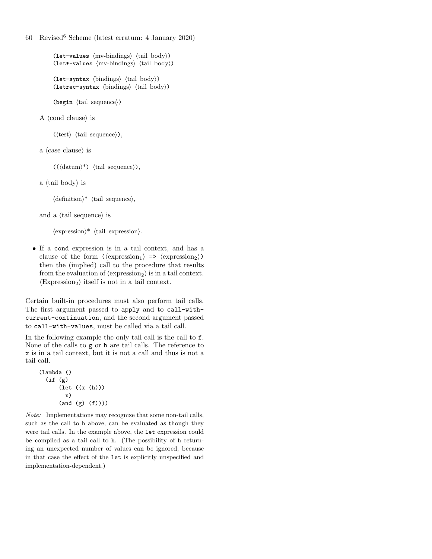```
(let-values \langlemv-bindings\rangle \langletail body\rangle)
(let*-values \langlemv-bindings\rangle \langletail body\rangle)
```

```
(let-syntax \langlebindings\rangle \langletail body\rangle)
(letrec-syntax \langlebindings\rangle \langletail body\rangle)
```
(begin  $\langle \text{tail sequence} \rangle$ )

A  $\langle$ cond clause $\rangle$  is

 $(\langle test \rangle \langle tail \rangle)$ ,

a  $\langle \text{case clause} \rangle$  is

 $((\langle \text{datum} \rangle^*) \langle \text{tail sequence} \rangle),$ 

a  $\langle \text{tail body} \rangle$  is

 $\langle definition \rangle^*$   $\langle tail \text{ sequence} \rangle$ ,

and a  $\langle \text{tail sequence} \rangle$  is

 $\langle$  expression $\rangle^*$   $\langle$  tail expression $\rangle$ .

• If a cond expression is in a tail context, and has a clause of the form  $(\langle expression_1 \rangle \Rightarrow \langle expression_2 \rangle)$ then the (implied) call to the procedure that results from the evaluation of  $\langle$  expression<sub>2</sub> $\rangle$  is in a tail context.  $\langle$ Expression<sub>2</sub> $\rangle$  itself is not in a tail context.

Certain built-in procedures must also perform tail calls. The first argument passed to apply and to call-withcurrent-continuation, and the second argument passed to call-with-values, must be called via a tail call.

In the following example the only tail call is the call to f. None of the calls to g or h are tail calls. The reference to x is in a tail context, but it is not a call and thus is not a tail call.

```
(lambda ()
  (if (g)
      (let ((x (h)))
        x)
      (and (g) (f))))
```
Note: Implementations may recognize that some non-tail calls, such as the call to h above, can be evaluated as though they were tail calls. In the example above, the let expression could be compiled as a tail call to h. (The possibility of h returning an unexpected number of values can be ignored, because in that case the effect of the let is explicitly unspecified and implementation-dependent.)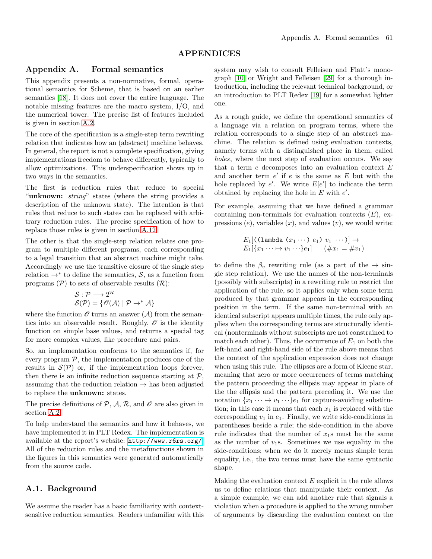### APPENDICES

### Appendix A. Formal semantics

This appendix presents a non-normative, formal, operational semantics for Scheme, that is based on an earlier semantics [\[18\]](#page-80-2). It does not cover the entire language. The notable missing features are the macro system, I/O, and the numerical tower. The precise list of features included is given in section [A.2.](#page-61-0)

The core of the specification is a single-step term rewriting relation that indicates how an (abstract) machine behaves. In general, the report is not a complete specification, giving implementations freedom to behave differently, typically to allow optimizations. This underspecification shows up in two ways in the semantics.

The first is reduction rules that reduce to special "unknown: *string*" states (where the string provides a description of the unknown state). The intention is that rules that reduce to such states can be replaced with arbitrary reduction rules. The precise specification of how to replace those rules is given in section [A.12.](#page-73-0)

The other is that the single-step relation relates one program to multiple different programs, each corresponding to a legal transition that an abstract machine might take. Accordingly we use the transitive closure of the single step relation  $\rightarrow^*$  to define the semantics, S, as a function from programs  $(\mathcal{P})$  to sets of observable results  $(\mathcal{R})$ :

$$
\begin{aligned} \mathcal{S}: \mathcal{P} &\longrightarrow 2^{\mathcal{R}} \\ \mathcal{S}(\mathcal{P}) &= \{ \mathscr{O}(\mathcal{A}) \mid \mathcal{P} \rightarrow^* \mathcal{A} \} \end{aligned}
$$

where the function  $\mathcal O$  turns an answer  $(\mathcal A)$  from the semantics into an observable result. Roughly,  $\mathcal O$  is the identity function on simple base values, and returns a special tag for more complex values, like procedure and pairs.

So, an implementation conforms to the semantics if, for every program  $P$ , the implementation produces one of the results in  $\mathcal{S}(\mathcal{P})$  or, if the implementation loops forever, then there is an infinite reduction sequence starting at  $P$ , assuming that the reduction relation  $\rightarrow$  has been adjusted to replace the unknown: states.

The precise definitions of  $P$ ,  $A$ ,  $R$ , and  $\mathcal O$  are also given in section [A.2.](#page-61-0)

To help understand the semantics and how it behaves, we have implemented it in PLT Redex. The implementation is available at the report's website: <http://www.r6rs.org/>. All of the reduction rules and the metafunctions shown in the figures in this semantics were generated automatically from the source code.

# A.1. Background

We assume the reader has a basic familiarity with contextsensitive reduction semantics. Readers unfamiliar with this system may wish to consult Felleisen and Flatt's monograph [\[10\]](#page-80-3) or Wright and Felleisen [\[29\]](#page-81-1) for a thorough introduction, including the relevant technical background, or an introduction to PLT Redex [\[19\]](#page-80-4) for a somewhat lighter one.

As a rough guide, we define the operational semantics of a language via a relation on program terms, where the relation corresponds to a single step of an abstract machine. The relation is defined using evaluation contexts, namely terms with a distinguished place in them, called *holes*, where the next step of evaluation occurs. We say that a term  $e$  decomposes into an evaluation context  $E$ and another term  $e'$  if e is the same as  $E$  but with the hole replaced by  $e'$ . We write  $E[e']$  to indicate the term obtained by replacing the hole in  $E$  with  $e'$ .

For example, assuming that we have defined a grammar containing non-terminals for evaluation contexts  $(E)$ , expressions  $(e)$ , variables  $(x)$ , and values  $(v)$ , we would write:

$$
E_1[(\text{lambda } (x_1 \cdots) e_1) v_1 \cdots)] \rightarrow
$$
  

$$
E_1[\{x_1 \cdots \mapsto v_1 \cdots\} e_1] \quad (\#x_1 = \#v_1)
$$

to define the  $\beta_v$  rewriting rule (as a part of the  $\rightarrow$  single step relation). We use the names of the non-terminals (possibly with subscripts) in a rewriting rule to restrict the application of the rule, so it applies only when some term produced by that grammar appears in the corresponding position in the term. If the same non-terminal with an identical subscript appears multiple times, the rule only applies when the corresponding terms are structurally identical (nonterminals without subscripts are not constrained to match each other). Thus, the occurrence of  $E_1$  on both the left-hand and right-hand side of the rule above means that the context of the application expression does not change when using this rule. The ellipses are a form of Kleene star, meaning that zero or more occurrences of terms matching the pattern proceeding the ellipsis may appear in place of the the ellipsis and the pattern preceding it. We use the notation  $\{x_1 \cdots \mapsto v_1 \cdots \}$ e<sub>1</sub> for capture-avoiding substitution; in this case it means that each  $x_1$  is replaced with the corresponding  $v_1$  in  $e_1$ . Finally, we write side-conditions in parentheses beside a rule; the side-condition in the above rule indicates that the number of  $x_1$ s must be the same as the number of  $v_1$ s. Sometimes we use equality in the side-conditions; when we do it merely means simple term equality, i.e., the two terms must have the same syntactic shape.

Making the evaluation context  $E$  explicit in the rule allows us to define relations that manipulate their context. As a simple example, we can add another rule that signals a violation when a procedure is applied to the wrong number of arguments by discarding the evaluation context on the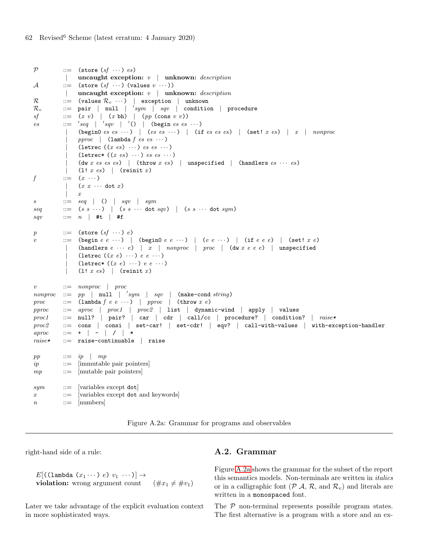```
P ::= (store (sf \cdots) es)
          | uncaught exception: v | unknown: description
\mathcal{A} ::= (store (sf \cdots) (values v \cdots))
          | uncaught exception: v | unknown: description
\mathcal{R} ::= (values \mathcal{R}_v \cdots) | exception | unknown
\mathcal{R}_v ::= pair | null | 'sym | sqv | condition | procedure
sf ::= (x \ v) | (x \ bh) | (pp \ (cons \ v \ v))es ::= 'seq | 'sqv | '() | (begin es es \cdots)
               (begin0 es es \cdots) | (es es \cdots) | (if es es es) | (set! x es) | x | nonproc
               pproc | (lambda f es es \cdots)
               (letrec ((x \text{ es}) \cdots) es es \cdots)(letrec* ((x \text{ es}) \cdots) \text{ es } \text{ es } \cdots)(dw x es es es) | (throw x es) | unspecified | (handlers es \cdots es)
               (1! x \text{ es}) (reinit x)
f ::= (x \cdots)(x x \cdots \text{dot } x)\hat{x}s ::= seq | () | sqv | symseq ::= (s \ s \ \cdots) | (s \ s \ \cdots \ dot \ sqv) | (s \ s \ \cdots \ dot \ sym)sqv ::= n | #t | #f
p ::= (store (sf \cdots) e)
e ::= (begin e e \cdots) | (begin0 e e \cdots) | (e e \cdots) | (if e e e) | (set! x e)
               (handlers e \cdots e) | x | nonproc | proc | (dw x e e e) | unspecified
               (letrec ((x e) \cdots) e e \cdots)(letrec* ((x e) \cdots) e e \cdots)(1! x \text{ es}) (reinit x)
v ::= nonproc | proc
nonproc ::= pp | null | 'sym | sqv | (make-cond string)
\begin{array}{ccc} proc & ::= & (1 \texttt{ambda}~f~e~e~\cdots) & |~pproc ~|~& (\texttt{throw}~x~e) \end{array}pproc ::= aproc | proc1 | proc2 | list | dynamic-wind | apply | values
\textit{proc1} ::= null? | pair? | car | cdr | call/cc | procedure? | condition? | \textit{raise*} *\textit{proc2} \quad ::= \text{ cons} \mid \text{ consi} \mid \text{ set-car!} \mid \text{ set-cdr!} \mid \text{ eqv?} \mid \text{ call-with-values} \mid \text{ with-exception-handler}\textit{aproc} ::= + | - | / | *
raise* ::= raise-continuable | raise
pp \t := \t ip \t | \t mpip ::= [immutable pair pointers]
mp ::= [mutable pair pointers]
sym ::= [variables except dot]
x ::= [variables except dot and keywords]
n ::= [numbers]
```
Figure A.2a: Grammar for programs and observables

right-hand side of a rule:

 $E[(\texttt{(lambda } (x_1 \cdots) e) v_1 \cdots)] \rightarrow$ violation: wrong argument count  $(\#x_1 \neq \#v_1)$ 

Later we take advantage of the explicit evaluation context in more sophisticated ways.

### <span id="page-61-0"></span>A.2. Grammar

Figure [A.2a](#page-62-0) shows the grammar for the subset of the report this semantics models. Non-terminals are written in *italics* or in a calligraphic font ( $P \nightharpoondown A$ ,  $\mathcal{R}$ , and  $\mathcal{R}_v$ ) and literals are written in a monospaced font.

The  $P$  non-terminal represents possible program states. The first alternative is a program with a store and an ex-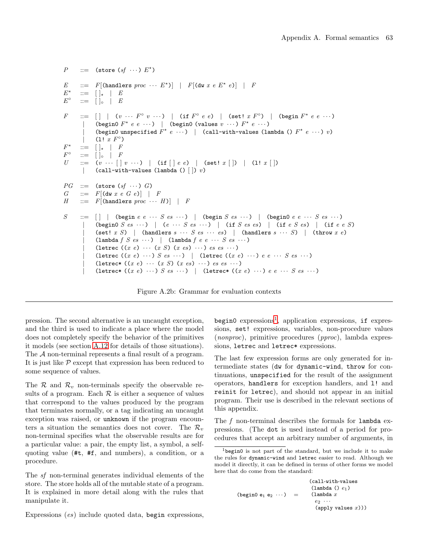```
P ::= (store (sf \cdots) E^*)
E ::= F[(\text{handlers } proc \cdots E^*)] | F[(\text{dw } x \in E^* \ e)] | FE^{\star} ::= \begin{array}{ccc} | & \rightarrow & | & E \end{array}E^{\circ} ::= \begin{array}{ccc} | \ \circ \ \ | \end{array} | E
F := \begin{bmatrix} \end{bmatrix} \begin{bmatrix} (v \cdots F^{\circ} \ v \cdots) \end{bmatrix} (if F^{\circ} e e) \begin{bmatrix} (\text{set} : x F^{\circ}) \end{bmatrix} (begin F^* e e \cdots)
          | (begin0 F^* e e \cdots) | (begin0 (values v \cdots) F^* e \cdots)
          (begin0 unspecified \overline{F^{\star}} e \cdots ) | (call-with-values (lambda () F^{\star} e \cdots ) v)
          (1! x F^{\circ})F^{\star} ::= \begin{array}{ccc} | & & | & F \end{array}F^{\circ} ::= \begin{array}{ccc} | \ \circ \ \end{array} \begin{array}{ccc} | \ \end{array}U ::= (v \cdots [ v \cdots ] (if [ | e e \rangle | (set! x [ ]) | (1! x [ ])
                (call-with-values (lambda () | |) v)
PG ::= (store (sf \cdots) G)
G ::= F[(\text{dw } x \in G \infty)] | FH ::= F[(handlers proc \cdots H)] | F
S \quad ::= \begin{array}{l} \text{[]} \quad | \quad \text{(begin } e \; e \; \cdots \; S \; es \; \cdots ) \quad | \quad \text{(begin } S \; es \; \cdots ) \quad | \quad \text{(begin } 0 \; e \; e \; \cdots \; S \; es \; \cdots ) \end{array} \end{array}(begin0 S es \cdots) | (e \cdots S es \cdots) | (if S es es) | (if e S es) | (if e e S)
                (\text{set} \mid x \mid S) | (handlers s \cdots s es \cdots es) | (handlers s \cdots S) | (throw x e)
                (\texttt{lambda} \; f \; S \; es \; \cdots) \; | \; (\texttt{lambda} \; f \; e \; e \; \cdots \; S \; es \; \cdots)(letrec ((x e) \cdots (x S) (x es) \cdots) es es \cdots)(letrec ((x e) \cdots) S e s \cdots) | (letrec ((x e) \cdots) e e \cdots S e s \cdots)(\text{letrec* } ((x e) \cdots (x S) (x e s) \cdots) \text{ es } ss \cdots)(\text{letter}((x e) ... ) S e s ... ) | (\text{letter}((x e) ... ) e e ... S e s ... )
```
Figure A.2b: Grammar for evaluation contexts

pression. The second alternative is an uncaught exception, and the third is used to indicate a place where the model does not completely specify the behavior of the primitives it models (see section [A.12](#page-73-0) for details of those situations). The A non-terminal represents a final result of a program. It is just like  $P$  except that expression has been reduced to some sequence of values.

The  $\mathcal{R}$  and  $\mathcal{R}_v$  non-terminals specify the observable results of a program. Each  $R$  is either a sequence of values that correspond to the values produced by the program that terminates normally, or a tag indicating an uncaught exception was raised, or unknown if the program encounters a situation the semantics does not cover. The  $\mathcal{R}_v$ non-terminal specifies what the observable results are for a particular value: a pair, the empty list, a symbol, a selfquoting value (#t, #f, and numbers), a condition, or a procedure.

The *sf* non-terminal generates individual elements of the store. The store holds all of the mutable state of a program. It is explained in more detail along with the rules that manipulate it.

Expressions (*es*) include quoted data, begin expressions,

<span id="page-62-0"></span>begin0 expressions<sup>[1](#page-62-1)</sup>, application expressions, if expressions, set! expressions, variables, non-procedure values (*nonproc*), primitive procedures (*pproc*), lambda expressions, letrec and letrec\* expressions.

The last few expression forms are only generated for intermediate states (dw for dynamic-wind, throw for continuations, unspecified for the result of the assignment operators, handlers for exception handlers, and l! and reinit for letrec), and should not appear in an initial program. Their use is described in the relevant sections of this appendix.

The *f* non-terminal describes the formals for lambda expressions. (The dot is used instead of a period for procedures that accept an arbitrary number of arguments, in

```
(begin0 e_1 e_2 \cdots) =
                              (call-with-values
                               (lambda () e_1)
                               (1ambda x)e_2 \cdots(\text{apply values } x)))
```
<span id="page-62-1"></span> $1_{\text{begin}}$  is not part of the standard, but we include it to make the rules for dynamic-wind and letrec easier to read. Although we model it directly, it can be defined in terms of other forms we model here that do come from the standard: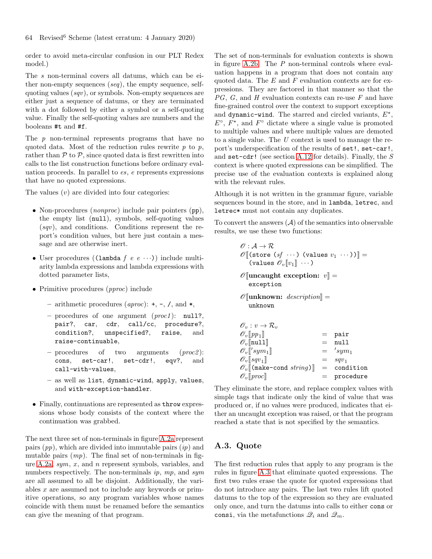order to avoid meta-circular confusion in our PLT Redex model.)

The *s* non-terminal covers all datums, which can be either non-empty sequences (*seq*), the empty sequence, selfquoting values (*sqv*), or symbols. Non-empty sequences are either just a sequence of datums, or they are terminated with a dot followed by either a symbol or a self-quoting value. Finally the self-quoting values are numbers and the booleans #t and #f.

The *p* non-terminal represents programs that have no quoted data. Most of the reduction rules rewrite *p* to *p*, rather than  $P$  to  $P$ , since quoted data is first rewritten into calls to the list construction functions before ordinary evaluation proceeds. In parallel to *es*, *e* represents expressions that have no quoted expressions.

The values  $(v)$  are divided into four categories:

- Non-procedures (*nonproc*) include pair pointers (pp), the empty list (null), symbols, self-quoting values (*sqv*), and conditions. Conditions represent the report's condition values, but here just contain a message and are otherwise inert.
- User procedures ((lambda *f e e* · · ·)) include multiarity lambda expressions and lambda expressions with dotted parameter lists,
- Primitive procedures (*pproc*) include
	- arithmetic procedures (*aproc*): +, -, /, and \*,
	- procedures of one argument (*proc1* ): null?, pair?, car, cdr, call/cc, procedure?, condition?, unspecified?, raise, and raise-continuable,
	- procedures of two arguments (*proc2* ): cons, set-car!, set-cdr!, eqv?, and call-with-values,
	- as well as list, dynamic-wind, apply, values, and with-exception-handler.
- Finally, continuations are represented as throw expressions whose body consists of the context where the continuation was grabbed.

The next three set of non-terminals in figure [A.2a](#page-62-0) represent pairs (*pp*), which are divided into immutable pairs (*ip*) and mutable pairs (*mp*). The final set of non-terminals in figure [A.2a,](#page-62-0) *sym*, *x* , and n represent symbols, variables, and numbers respectively. The non-terminals *ip*, *mp*, and *sym* are all assumed to all be disjoint. Additionally, the variables  $x$  are assumed not to include any keywords or primitive operations, so any program variables whose names coincide with them must be renamed before the semantics can give the meaning of that program.

The set of non-terminals for evaluation contexts is shown in figure [A.2b.](#page-62-0) The *P* non-terminal controls where evaluation happens in a program that does not contain any quoted data. The  $E$  and  $F$  evaluation contexts are for expressions. They are factored in that manner so that the *PG*, *G*, and *H* evaluation contexts can re-use *F* and have fine-grained control over the context to support exceptions and dynamic-wind. The starred and circled variants,  $E^*$ ,  $E^{\circ}$ ,  $F^{\star}$ , and  $F^{\circ}$  dictate where a single value is promoted to multiple values and where multiple values are demoted to a single value. The *U* context is used to manage the report's underspecification of the results of set!, set-car!, and set-cdr! (see section [A.12](#page-73-0) for details). Finally, the *S* context is where quoted expressions can be simplified. The precise use of the evaluation contexts is explained along with the relevant rules.

Although it is not written in the grammar figure, variable sequences bound in the store, and in lambda, letrec, and letrec\* must not contain any duplicates.

To convert the answers  $(\mathcal{A})$  of the semantics into observable results, we use these two functions:

| $\mathscr{O} : A \rightarrow \mathcal{R}$<br>$\mathscr{O}$ (store $(sf \cdots)$ (values $v_1 \cdots$ )) =<br>(values $\mathscr{O}_v[\![v_1]\!]\cdots$ ) |                            |
|---------------------------------------------------------------------------------------------------------------------------------------------------------|----------------------------|
| $\mathscr O$ uncaught exception: $v$ =<br>exception                                                                                                     |                            |
| $\mathscr O$ unknown: description =<br>unknown                                                                                                          |                            |
| $\mathscr{O}_v : v \to \mathcal{R}_v$                                                                                                                   |                            |
| $\mathscr{O}_v[p p_1]$                                                                                                                                  | pair<br>$=$                |
| $\mathscr{O}_v$ [null]                                                                                                                                  | null<br>$=$ $\overline{ }$ |
| $\mathscr{O}_v[[sym_1]]$                                                                                                                                | $=$ 'sym <sub>1</sub>      |

| $\mathscr{O}_v[\hspace{-1.5pt}[ \mathit{sqv}_1]\hspace{-1.5pt}]$ | $=$ | $sqv_1$       |
|------------------------------------------------------------------|-----|---------------|
| $\mathscr{O}_v$ (make-cond string)                               |     | $=$ condition |
| $\mathscr{O}_v$ [proc]                                           |     | $=$ procedure |

They eliminate the store, and replace complex values with simple tags that indicate only the kind of value that was produced or, if no values were produced, indicates that either an uncaught exception was raised, or that the program reached a state that is not specified by the semantics.

### <span id="page-63-0"></span>A.3. Quote

The first reduction rules that apply to any program is the rules in figure [A.3](#page-64-0) that eliminate quoted expressions. The first two rules erase the quote for quoted expressions that do not introduce any pairs. The last two rules lift quoted datums to the top of the expression so they are evaluated only once, and turn the datums into calls to either cons or consi, via the metafunctions  $\mathcal{Q}_i$  and  $\mathcal{Q}_m$ .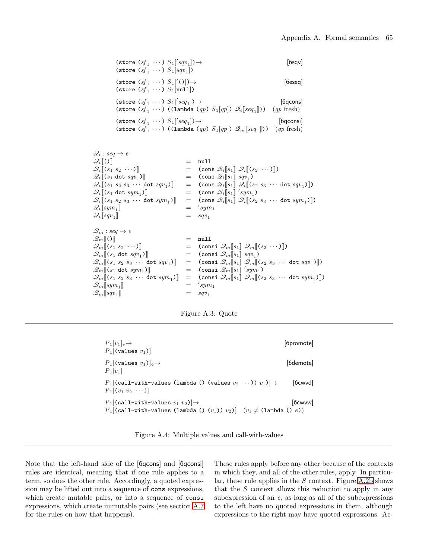(store  $(sf_1 \cdots) S_1['sqv_1]$  $[6$ sqv $]$ (store  $(sf_1 \cdots) S_1[sqv_1]$ ) (store  $(sf_1 \cdots) S_1$ <sup>'</sup>  $[6e$ seq $]$ (store  $(sf_1 \cdots) S_1[\text{null}]$ ) (store  $(sf_1 \cdots) S_1[^{s}eq_1]$ [6qcons] (store  $(sf_1 \cdots)$  ((lambda (qp)  $S_1[qp]$ )  $\mathscr{Q}_i[seq_1]$  $(qp$  fresh) (store  $(sf_1 \cdots) S_1['seq_1$ [6qconsi] (store  $(sf_1 \cdots)$  ((lambda (qp)  $S_1[qp]$ )  $\mathscr{Q}_m[seq_1])$ ) (qp fresh)

```
\mathscr{Q}_i : seq \to e\mathscr{Q}_i[\![\Omega]\!] = null
\mathscr{Q}_i \llbracket (s_1 \ s_2 \ \cdots) \rrbracket = (cons \mathscr{Q}_i \llbracket s_1 \rrbracket \ \mathscr{Q}_i \llbracket (s_2 \ \cdots) \rrbracket)
\mathscr{Q}_i \llbracket (s_1 \text{ dot } sqv_1) \rrbracket = (cons \mathscr{Q}_i \llbracket s_1 \rrbracket sqv_1)<br>
\mathscr{Q}_i \llbracket (s_1 \ s_2 \ s_3 \ \cdots \ \text{dot } sqv_1) \rrbracket = (cons \mathscr{Q}_i \llbracket s_1 \rrbracket \ \mathscr{Q}_i \llbracket (s_1 \ s_2 \ s_3 \ \cdots \ \text{dot } sqv_1) \rrbracket= (cons \mathscr{Q}_i[[s_1]] \mathscr{Q}_i[[(s_2 \ s_3 \ \cdots \ \text{dot} \ sqv_1)]])
\mathscr{Q}_i \llbracket (s_1 \text{ dot } sym_1) \rrbracket<br>\mathscr{Q}_i \llbracket (s_1 \ s_2 \ s_3 \ \cdots \ \text{dot } sym_1) \rrbracket(sym_1)= (cons \mathscr{Q}_i[[s_1]] \mathscr{Q}_i[[(s_2 s_3 \cdots \text{dot } sym_1)]])<br>= 'sym<sub>1</sub>
\mathscr{Q}_i[sym<sub>1</sub>]
                      \mathbb{R} = \mathbb{R} = \mathbb{R} = \mathbb{R} = \mathbb{R} = \mathbb{R} = \mathbb{R} = \mathbb{R} = \mathbb{R} = \mathbb{R} = \mathbb{R} = \mathbb{R} = \mathbb{R} = \mathbb{R} = \mathbb{R} = \mathbb{R} = \mathbb{R} = \mathbb{R} = \mathbb{R} = \mathbb{R} = 'sym_1\mathscr{Q}_i[sqv<sub>1</sub>]
                                                                                 = sqv<sub>1</sub>
\mathscr{Q}_m : seq \to e\mathscr{Q}_m[\hspace{-0.04cm}[0]\hspace{-0.04cm}] = \text{null}\mathscr{Q}_m[(s_1 \ s_2 \ \cdots)] = (consi \mathscr{Q}_m[[s_1 \, \mathscr{Q}_m[(s_2 \ \cdots)]])\mathscr{Q}_m[(s_1 \text{ dot } sqv_1)] = (consi \mathscr{Q}_m[s_1] sqv<sub>1</sub>)
\mathscr{Q}_m[\![ (s_1 \; s_2 \; s_3 \; \cdots \; \text{dot} \; sqv_1) ]\!] \quad = \quad \text{(consi } \mathscr{Q}_m[\![ s_1 ]\!] \; \mathscr{Q}_m[\![ (s_2 \; s_3 \; \cdots \; \text{dot} \; sqv_1) ]\!]\mathscr{Q}_m[[s_1 \text{ dot } sym_1)] = (\text{consi } \mathscr{Q}_m[[s_1]]/sym_1)\mathscr{Q}_m[(s_1 \ s_2 \ s_3 \ \cdots \ \text{dot} \ sym_1)] = (\text{const } \mathscr{Q}_m[[s_1] \ \mathscr{Q}_m[[(s_2 \ s_3 \ \cdots \ \text{dot} \ sym_1)])\mathscr{Q}_m[sym<sub>1</sub>]
                         \parallel and \parallel =
                                                                                            'sym_1\mathscr{Q}_m[\hspace{-1.5pt}[sqv_1]= sqv_1
```
<span id="page-64-0"></span>

| $P_1[v_1]_{\star} \rightarrow$<br>$P_1$ [(values $v_1$ )]                                                                                     | [6promote]    |
|-----------------------------------------------------------------------------------------------------------------------------------------------|---------------|
| $P_1$ [(values $v_1$ )].<br>$P_1[v_1]$                                                                                                        | [6demote]     |
| $P_1$ [(call-with-values (lambda () (values $v_2 \dots$ )) $v_1$ ] $\rightarrow$<br>$P_1[(v_1 \ v_2 \ \cdots)]$                               | $[6$ cwvd $]$ |
| $P_1$ [(call-with-values $v_1$ $v_2$ )  $\rightarrow$<br>$P_1$ [(call-with-values (lambda () $(v_1)$ ) $v_2$ )] $(v_1 \neq$ (lambda () $e$ )) | [6cmvw]       |

<span id="page-64-1"></span>Figure A.4: Multiple values and call-with-values

Note that the left-hand side of the [6qcons] and [6qconsi] rules are identical, meaning that if one rule applies to a term, so does the other rule. Accordingly, a quoted expression may be lifted out into a sequence of cons expressions, which create mutable pairs, or into a sequence of consi expressions, which create immutable pairs (see section [A.7](#page-67-0) for the rules on how that happens).

These rules apply before any other because of the contexts in which they, and all of the other rules, apply. In particular, these rule applies in the *S* context. Figure [A.2b](#page-62-0) shows that the *S* context allows this reduction to apply in any subexpression of an *e*, as long as all of the subexpressions to the left have no quoted expressions in them, although expressions to the right may have quoted expressions. Ac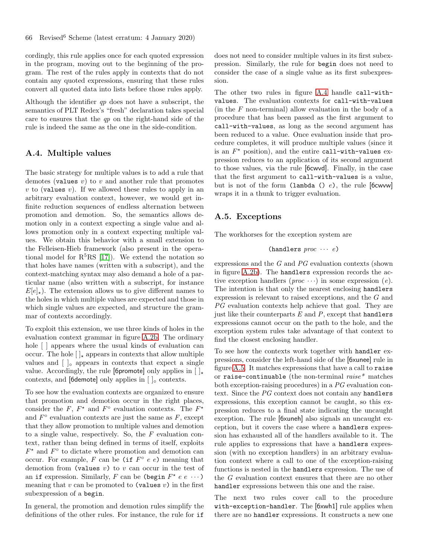cordingly, this rule applies once for each quoted expression in the program, moving out to the beginning of the program. The rest of the rules apply in contexts that do not contain any quoted expressions, ensuring that these rules convert all quoted data into lists before those rules apply.

Although the identifier *qp* does not have a subscript, the semantics of PLT Redex's "fresh" declaration takes special care to ensures that the *qp* on the right-hand side of the rule is indeed the same as the one in the side-condition.

### A.4. Multiple values

The basic strategy for multiple values is to add a rule that demotes (values  $v$ ) to  $v$  and another rule that promotes  $v$  to (values  $v$ ). If we allowed these rules to apply in an arbitrary evaluation context, however, we would get infinite reduction sequences of endless alternation between promotion and demotion. So, the semantics allows demotion only in a context expecting a single value and allows promotion only in a context expecting multiple values. We obtain this behavior with a small extension to the Felleisen-Hieb framework (also present in the operational model for  $R^5RS$  [\[17\]](#page-80-5)). We extend the notation so that holes have names (written with a subscript), and the context-matching syntax may also demand a hole of a particular name (also written with a subscript, for instance  $E[e]_\star$ ). The extension allows us to give different names to the holes in which multiple values are expected and those in which single values are expected, and structure the grammar of contexts accordingly.

To exploit this extension, we use three kinds of holes in the evaluation context grammar in figure [A.2b.](#page-62-0) The ordinary hole  $\lceil \cdot \rceil$  appears where the usual kinds of evaluation can occur. The hole  $\lceil \cdot \rceil_{\star}$  appears in contexts that allow multiple values and  $\lceil \cdot \rceil$  appears in contexts that expect a single value. Accordingly, the rule [6promote] only applies in  $\lceil \cdot \rceil_*$ contexts, and [6demote] only applies in  $[ \ ]_o$  contexts.

To see how the evaluation contexts are organized to ensure that promotion and demotion occur in the right places, consider the  $F$ ,  $F^*$  and  $F^{\circ}$  evaluation contexts. The  $F^*$ and  $F^{\circ}$  evaluation contexts are just the same as  $F$ , except that they allow promotion to multiple values and demotion to a single value, respectively. So, the *F* evaluation context, rather than being defined in terms of itself, exploits  $F^*$  and  $F^{\circ}$  to dictate where promotion and demotion can occur. For example,  $F$  can be (if  $F^{\circ}$  e e) meaning that demotion from (values  $v$ ) to  $v$  can occur in the test of an if expression. Similarly,  $F$  can be (begin  $F^*$  e e  $\cdots$  ) meaning that  $v$  can be promoted to (values  $v$ ) in the first subexpression of a begin.

In general, the promotion and demotion rules simplify the definitions of the other rules. For instance, the rule for if does not need to consider multiple values in its first subexpression. Similarly, the rule for begin does not need to consider the case of a single value as its first subexpression.

The other two rules in figure [A.4](#page-64-1) handle call-withvalues. The evaluation contexts for call-with-values  $(in the F non-terminal)$  allow evaluation in the body of a procedure that has been passed as the first argument to call-with-values, as long as the second argument has been reduced to a value. Once evaluation inside that procedure completes, it will produce multiple values (since it is an  $F^*$  position), and the entire call-with-values expression reduces to an application of its second argument to those values, via the rule [6cwvd]. Finally, in the case that the first argument to call-with-values is a value, but is not of the form (lambda ()  $e$ ), the rule [6cwvw] wraps it in a thunk to trigger evaluation.

### A.5. Exceptions

The workhorses for the exception system are

(handlers *proc* · · · *e*)

expressions and the *G* and *PG* evaluation contexts (shown in figure [A.2b\)](#page-62-0). The handlers expression records the active exception handlers (*proc* · · ·) in some expression (*e*). The intention is that only the nearest enclosing handlers expression is relevant to raised exceptions, and the G and *PG* evaluation contexts help achieve that goal. They are just like their counterparts *E* and *P*, except that handlers expressions cannot occur on the path to the hole, and the exception system rules take advantage of that context to find the closest enclosing handler.

To see how the contexts work together with handler expressions, consider the left-hand side of the [6xunee] rule in figure [A.5.](#page-66-0) It matches expressions that have a call to raise or raise-continuable (the non-terminal *raise\** matches both exception-raising procedures) in a *PG* evaluation context. Since the *PG* context does not contain any handlers expressions, this exception cannot be caught, so this expression reduces to a final state indicating the uncaught exception. The rule [6xuneh] also signals an uncaught exception, but it covers the case where a handlers expression has exhausted all of the handlers available to it. The rule applies to expressions that have a handlers expression (with no exception handlers) in an arbitrary evaluation context where a call to one of the exception-raising functions is nested in the handlers expression. The use of the *G* evaluation context ensures that there are no other handler expressions between this one and the raise.

The next two rules cover call to the procedure with-exception-handler. The [6xwh1] rule applies when there are no handler expressions. It constructs a new one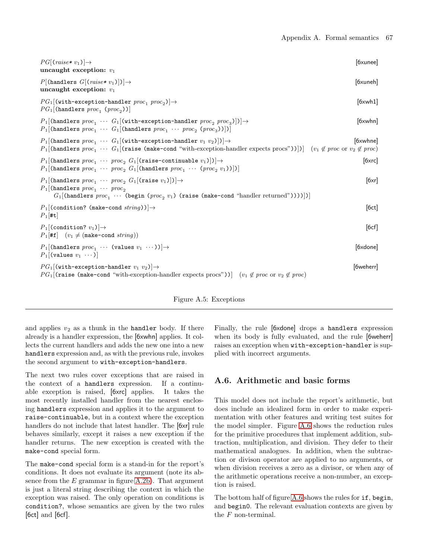| $PG[(raise*] \rightarrow$<br>uncaught exception: $v_1$                                                                                                                                                                                                     | $[6x$ unee $]$      |
|------------------------------------------------------------------------------------------------------------------------------------------------------------------------------------------------------------------------------------------------------------|---------------------|
| $P[(\text{handlers } G[(\text{raise*} * v_1))] ) \rightarrow$<br>uncaught exception: $v_1$                                                                                                                                                                 | [6xuneh]            |
| $PG_1$ [(with-exception-handler $proc_1 proc_2$ )] $\rightarrow$<br>$PG_1$ [(handlers $proc_1 (proc_2))$ ]                                                                                                                                                 | $[6 \times wh1]$    |
| $P_1$ [(handlers $proc_1 \cdots G_1$ [(with-exception-handler $proc_2 proc_3$ ])] $\rightarrow$<br>$P_1$ [(handlers $proc_1 \cdots G_1$ [(handlers $proc_1 \cdots proc_2 (proc_3))$ ])]                                                                    | $[6 \times$ whn $]$ |
| $P_1$ [(handlers $proc_1 \cdots G_1$ [(with-exception-handler $v_1$ $v_2$ )])] $\rightarrow$<br>$P_1$ [(handlers proc <sub>1</sub> G <sub>1</sub> ](raise (make-cond "with-exception-handler expects procs"))]) ( $v_1 \notin proc$ or $v_2 \notin proc$ ) | [6xwhne]            |
| $P_1$ [(handlers $proc_1 \cdots proc_2$ $G_1$ [(raise-continuable $v_1$ )])] $\rightarrow$<br>$P_1$ [(handlers $proc_1 \cdots proc_2 \ G_1$ [(handlers $proc_1 \cdots (proc_2 v_1))]$ ]                                                                    | [6xrc]              |
| $P_1$ [(handlers $proc_1 \cdots proc_2 \ G_1$ [(raise $v_1$ )])] $\rightarrow$<br>$P_1$ (handlers $proc_1 \cdots proc_2$<br>$G_1$ [(handlers $proc_1 \cdots$ (begin ( $proc_2 v_1$ ) (raise (make-cond "handler returned"))))])]                           | [6xr]               |
| $P_1$ [(condition? (make-cond string))] $\rightarrow$<br>$P_1$  #t                                                                                                                                                                                         | [6ct]               |
| $P_1$ [(condition? $v_1$ )] $\rightarrow$<br>$P_1[\text{#f}]$ $(v_1 \neq (\text{make-cond string}))$                                                                                                                                                       | [6cf]               |
| $P_1$ [(handlers $proc_1 \cdots$ (values $v_1 \cdots$ ))] $\rightarrow$<br>$P_1$ [(values $v_1 \cdots$ )]                                                                                                                                                  | $[6x$ done $]$      |
| $PG_1$ [(with-exception-handler $v_1$ $v_2$ )] $\rightarrow$<br>$PG_1$ (raise (make-cond "with-exception-handler expects procs")) $(v_1 \notin proc \text{ or } v_2 \notin proc)$                                                                          | [6weherr]           |



and applies  $v_2$  as a thunk in the handler body. If there already is a handler expression, the [6xwhn] applies. It collects the current handlers and adds the new one into a new handlers expression and, as with the previous rule, invokes the second argument to with-exception-handlers.

The next two rules cover exceptions that are raised in the context of a handlers expression. If a continuable exception is raised, [6xrc] applies. It takes the most recently installed handler from the nearest enclosing handlers expression and applies it to the argument to raise-continuable, but in a context where the exception handlers do not include that latest handler. The [6xr] rule behaves similarly, except it raises a new exception if the handler returns. The new exception is created with the make-cond special form.

The make-cond special form is a stand-in for the report's conditions. It does not evaluate its argument (note its absence from the  $E$  grammar in figure [A.2b\)](#page-62-0). That argument is just a literal string describing the context in which the exception was raised. The only operation on conditions is condition?, whose semantics are given by the two rules [6ct] and [6cf].

<span id="page-66-0"></span>Finally, the rule [6xdone] drops a handlers expression when its body is fully evaluated, and the rule [6weherr] raises an exception when with-exception-handler is supplied with incorrect arguments.

# A.6. Arithmetic and basic forms

This model does not include the report's arithmetic, but does include an idealized form in order to make experimentation with other features and writing test suites for the model simpler. Figure [A.6](#page-67-1) shows the reduction rules for the primitive procedures that implement addition, subtraction, multiplication, and division. They defer to their mathematical analogues. In addition, when the subtraction or divison operator are applied to no arguments, or when division receives a zero as a divisor, or when any of the arithmetic operations receive a non-number, an exception is raised.

The bottom half of figure [A.6](#page-67-1) shows the rules for if, begin, and begin0. The relevant evaluation contexts are given by the F non-terminal.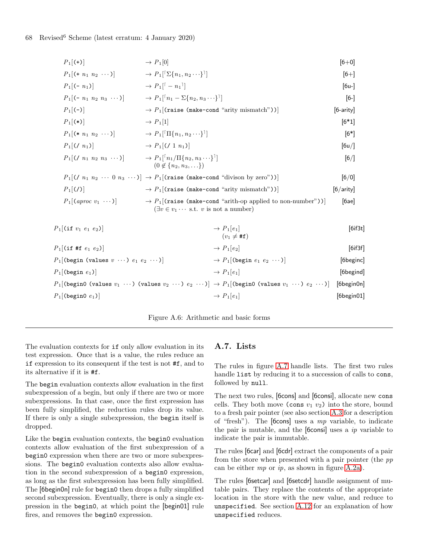$$
P_{1}[(+)] \rightarrow P_{1}[0] \qquad [6+0]
$$
\n
$$
P_{1}[(+ n_{1} n_{2} \cdots)] \rightarrow P_{1}[\Sigma\{n_{1}, n_{2} \cdots\}]
$$
\n
$$
P_{1}[(- n_{1})] \rightarrow P_{1}[\lceil n_{1} - \Sigma\{n_{2}, n_{3} \cdots\}\rceil]
$$
\n
$$
P_{1}[(- n_{1} n_{2} n_{3} \cdots)] \rightarrow P_{1}[\lceil n_{1} - \Sigma\{n_{2}, n_{3} \cdots\}\rceil]
$$
\n
$$
P_{1}[(- n_{1} n_{2} n_{3} \cdots)] \rightarrow P_{1}[\lceil n_{1} - \Sigma\{n_{2}, n_{3} \cdots\}\rceil]
$$
\n
$$
P_{1}[(\ast)] \rightarrow P_{1}[1]
$$
\n
$$
P_{1}[(\ast) \rightarrow P_{1}[1] \rightarrow P_{1}[\lceil n_{1}, n_{2} \cdots\}]\rceil
$$
\n
$$
P_{1}[(\ast n_{1} n_{2} \cdots)] \rightarrow P_{1}[\lceil n_{1} n_{1}, n_{2} \cdots\}]\rceil
$$
\n
$$
P_{1}[(\ast n_{1} n_{2} n_{3} \cdots)] \rightarrow P_{1}[\lceil n_{1} / \Pi\{n_{2}, n_{3} \cdots\}\rceil]
$$
\n
$$
P_{1}[(\ast n_{1} n_{2} n_{3} \cdots)] \rightarrow P_{1}[\lceil n_{1} / \Pi\{n_{2}, n_{3} \cdots\}\rceil]
$$
\n
$$
P_{1}[(\ast n_{1} n_{2} \cdots 0 n_{3} \cdots)] \rightarrow P_{1}[\lceil \text{raise (make-cond "divison by zero" )}] \rightarrow [6/0]
$$
\n
$$
P_{1}[(\ast n_{2} n_{2} \cdots 0 n_{3} \cdots)] \rightarrow P_{1}[\lceil \text{raise (make-cond "arity mismatch" )}] \rightarrow [6/0]
$$
\n
$$
P_{1}[(\ast n_{1} n_{2} \cdots 0 n_{3} \cdots)] \rightarrow P_{1}[\lceil \text{raise (make -cond "arity) applied to non-number")}] \quad [6/0]
$$
\n
$$
P_{1}[(\ast n_{1} n_{2} n_{3} \cdots
$$

| $P_1$ [(if #f $e_1 e_2$ )]                                                                                                                                            | $\rightarrow P_1[e_2]$                                              | [6if3f]    |
|-----------------------------------------------------------------------------------------------------------------------------------------------------------------------|---------------------------------------------------------------------|------------|
| $P_1$ [(begin (values $v \cdots$ ) $e_1 e_2 \cdots$ )]                                                                                                                | $\rightarrow$ P <sub>1</sub> (begin e <sub>1</sub> e <sub>2</sub> ) | [6beginc]  |
| $P_1$ [(begin $e_1$ )]                                                                                                                                                | $\rightarrow P_1[e_1]$                                              | [6begind]  |
| $P_1$ [(beginO (values $v_1$ $\cdots$ ) (values $v_2$ $\cdots$ ) $e_2$ $\cdots$ )] $\rightarrow$ $P_1$ [(beginO (values $v_1$ $\cdots$ ) $e_2$ $\cdots$ )] [6beginOn] |                                                                     |            |
| $P_1$ [(begin0 $e_1$ )]                                                                                                                                               | $\rightarrow P_1 e_1 $                                              | [6begin01] |

Figure A.6: Arithmetic and basic forms

The evaluation contexts for if only allow evaluation in its test expression. Once that is a value, the rules reduce an if expression to its consequent if the test is not #f, and to its alternative if it is #f.

The begin evaluation contexts allow evaluation in the first subexpression of a begin, but only if there are two or more subexpressions. In that case, once the first expression has been fully simplified, the reduction rules drop its value. If there is only a single subexpression, the begin itself is dropped.

Like the begin evaluation contexts, the begin0 evaluation contexts allow evaluation of the first subexpression of a begin0 expression when there are two or more subexpressions. The begin0 evaluation contexts also allow evaluation in the second subexpression of a begin0 expression, as long as the first subexpression has been fully simplified. The [6begin0n] rule for begin0 then drops a fully simplified second subexpression. Eventually, there is only a single expression in the begin0, at which point the [begin01] rule fires, and removes the begin0 expression.

# <span id="page-67-1"></span><span id="page-67-0"></span>A.7. Lists

The rules in figure [A.7](#page-68-0) handle lists. The first two rules handle list by reducing it to a succession of calls to cons, followed by null.

The next two rules, [6cons] and [6consi], allocate new cons cells. They both move (cons  $v_1$   $v_2$ ) into the store, bound to a fresh pair pointer (see also section [A.3](#page-63-0) for a description of "fresh"). The [6cons] uses a *mp* variable, to indicate the pair is mutable, and the [6consi] uses a *ip* variable to indicate the pair is immutable.

The rules [6car] and [6cdr] extract the components of a pair from the store when presented with a pair pointer (the *pp* can be either *mp* or *ip*, as shown in figure [A.2a\)](#page-62-0).

The rules [6setcar] and [6setcdr] handle assignment of mutable pairs. They replace the contents of the appropriate location in the store with the new value, and reduce to unspecified. See section [A.12](#page-73-0) for an explanation of how unspecified reduces.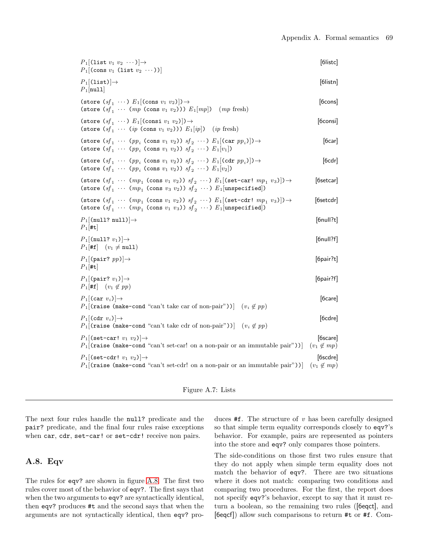$P_1$ [(list  $v_1$   $v_2$   $\cdots$ )] $\rightarrow$  [6listc]  $P_1$ [(cons  $v_1$  (list  $v_2$  ···))]  $P_1$ [(list)]  $\rightarrow$  [6listn]  $P_1$ [null] (store  $(sf_1 \cdots) E_1[(\text{cons } v_1 \ v_2)]) \rightarrow$  [6cons] (store  $(sf_1 \cdots (mp \text{ (cons } v_1 \text{ } v_2))) E_1[mp])$   $(mp \text{ fresh})$ (store  $(sf_1 \cdots) E_1$ [(consi  $v_1 v_2$ )]) → [6consi] (store  $(sf_1 \cdots (ip \text{ (cons } v_1 v_2))) E_1(ip)$   $(ip \text{ fresh})$ (store  $(sf_1 \cdots (pp_i \text{ (cons } v_1 \text{ } v_2)) \text{ } sf_2 \cdots) \text{ } E_1[\text{car } pp_i)] \rightarrow$  [6car] (store  $(sf_1 \cdots (pp_i \text{ (cons } v_1 \text{ } v_2)) \text{ } sf_2 \cdots \text{ } F_1[v_1])$ (store  $(sf_1 \cdots (pp_i \text{ (cons } v_1 \text{ } v_2)) \text{ } sf_2 \cdots) E_1[\text{ (cdr } pp_i)] \rightarrow$  [6cdr] (store  $(s f_1 \cdots (p p_i \text{ (cons } v_1 v_2)) s f_2 \cdots) E_1[v_2])$ (store  $(sf_1 \cdots (mp_1 \text{ (cons } v_1 v_2)) s f_2 \cdots) E_1[\text{ (set-car! } mp_1 v_3)] \rightarrow [6 \text{setcar} ]$ (store  $(sf_1 \cdots (mp_1 \text{ (cons } v_3 \ v_2)) \text{ } sf_2 \cdots) \text{ } E_1[\text{unspecified}])$ (store  $(sf_1 \cdots (mp_1 \text{ (cons } v_1 v_2)) s f_2 \cdots) E_1[(set-cdr! mp_1 v_3)]) \rightarrow$  [6setcdr] (store  $(sf_1 \cdots (mp_1 \text{ (cons } v_1 v_3)) s f_2 \cdots) E_1[\text{unspecified}])$  $P_1$ [(null? null)] $\rightarrow$  [6null?t]  $P_1$ [#t]  $P_1$ [(null?  $v_1$ )]→ [6null?f]  $P_1[\text{#f}]$   $(v_1 \neq \text{null})$  $P_1$ [(pair? pp)]→ [6pair?t]  $P_1$ [#t]  $P_1$ [(pair?  $v_1$ )]→ [6pair?f]  $P_1[\text{#f}]$   $(v_1 \not\in pp)$  $P_1[(\text{car } v_i)] \rightarrow$  [6care] P<sub>1</sub>[(raise (make-cond "can't take car of non-pair"))]  $(v_i \notin pp)$  $P_1[\text{cdr } v_i)] \rightarrow$  [6cdre] P<sub>1</sub>[(raise (make-cond "can't take cdr of non-pair"))]  $(v_i \notin pp)$  $P_1$ [(set-car!  $v_1$   $v_2$ )] $\rightarrow$  [6scare] P<sub>1</sub>[(raise (make-cond "can't set-car! on a non-pair or an immutable pair"))]  $(v_1 \notin mp)$  $P_1$ [(set-cdr!  $v_1$   $v_2$ )] $\rightarrow$  [6scdre] P<sub>1</sub>[(raise (make-cond "can't set-cdr! on a non-pair or an immutable pair"))]  $(v_1 \notin mp)$ 

Figure A.7: Lists

The next four rules handle the null? predicate and the pair? predicate, and the final four rules raise exceptions when car, cdr, set-car! or set-cdr! receive non pairs.

# A.8. Eqv

The rules for eqv? are shown in figure [A.8.](#page-69-0) The first two rules cover most of the behavior of eqv?. The first says that when the two arguments to eqv? are syntactically identical, then eqv? produces #t and the second says that when the arguments are not syntactically identical, then eqv? pro<span id="page-68-0"></span>duces #f. The structure of *v* has been carefully designed so that simple term equality corresponds closely to eqv?'s behavior. For example, pairs are represented as pointers into the store and eqv? only compares those pointers.

The side-conditions on those first two rules ensure that they do not apply when simple term equality does not match the behavior of eqv?. There are two situations where it does not match: comparing two conditions and comparing two procedures. For the first, the report does not specify eqv?'s behavior, except to say that it must return a boolean, so the remaining two rules ([6eqct], and [6eqcf]) allow such comparisons to return #t or #f. Com-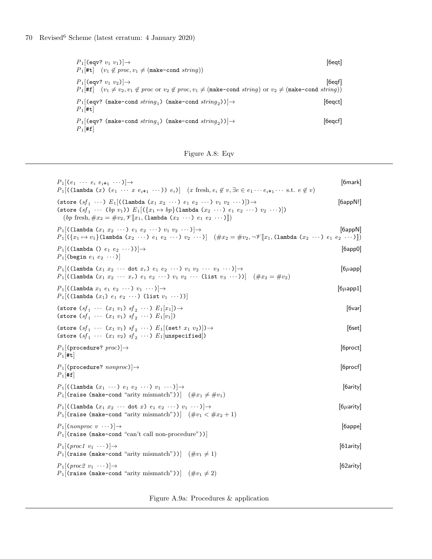$P_1$ [(eqv?  $v_1$   $v_1$ )] $\rightarrow$  [6eqt]  $P_1[\text{#t}] \quad (v_1 \notin proc, v_1 \neq (\text{make-cond string}))$  $P_1$ [(eqv?  $v_1$   $v_2$ )] $\rightarrow$  [6eqf]  $P_1[#f]$   $(v_1 \neq v_2, v_1 \notin proc$  or  $v_2 \notin proc$ ,  $v_1 \neq (make-cond\ string)$  or  $v_2 \neq (make-cond\ string))$  $P_1$ [(eqv? (make-cond string<sub>1</sub>) (make-cond string<sub>2</sub>))]  $\rightarrow$  [6eqct]  $P_1$ [#t]  $P_1$ [(eqv? (make-cond string<sub>1</sub>) (make-cond string<sub>2</sub>))]  $\rightarrow$  [6eqcf]  $P_1[$ #f]

<span id="page-69-0"></span>

| $P_1[(e_1 \cdots e_i e_{i+1} \cdots)] \rightarrow$<br>$P_1$ [((lambda (x) $(e_1 \cdots x e_{i+1} \cdots)$ ) $e_i$ ] $(x \text{ fresh}, e_i \notin v, \exists e \in e_1 \cdots e_{i+1} \cdots \text{ s.t. } e \notin v)$                                                                                                              | [6mark]         |
|--------------------------------------------------------------------------------------------------------------------------------------------------------------------------------------------------------------------------------------------------------------------------------------------------------------------------------------|-----------------|
| (store $(sf_1 \cdots) E_1$ [((lambda $(x_1 x_2 \cdots) e_1 e_2 \cdots) v_1 v_2 \cdots$ )]) $\rightarrow$<br>(store $(sf_1 \cdots (bp \ v_1)) E_1[(\{x_1 \mapsto bp\}$ (lambda $(x_2 \cdots) e_1 e_2 \cdots) v_2 \cdots)]$ )<br>$(by \text{ fresh}, \#x_2 = \#v_2, \mathscr{V}[[x_1, (\text{lambda } (x_2 \cdots) e_1 e_2 \cdots)]])$ | [6appN!]        |
| $P_1$ [((lambda $(x_1 x_2 \cdots) e_1 e_2 \cdots) v_1 v_2 \cdots$ )] $\rightarrow$<br>$P_1[(\{x_1 \mapsto v_1\})$ (lambda $(x_2 \cdots) e_1 e_2 \cdots) v_2 \cdots]$ $(\#x_2 = \#v_2, \neg \mathscr{V}   x_1,$ (lambda $(x_2 \cdots) e_1 e_2 \cdots)$ )                                                                              | [6appN]         |
| $P_1$ [((lambda () $e_1$ $e_2$ ))] $\rightarrow$<br>$P_1$ [(begin $e_1$ $e_2$ )]                                                                                                                                                                                                                                                     | [6app0]         |
| $P_1$ [((lambda $(x_1 x_2 \cdots$ dot $x_r$ ) $e_1 e_2 \cdots$ ) $v_1 v_2 \cdots v_3 \cdots$ )] $\rightarrow$<br>$P_1$ [((lambda $(x_1 x_2 \cdots x_r) e_1 e_2 \cdots) v_1 v_2 \cdots$ (list $v_3 \cdots$ )] $(\#x_2 = \#v_2)$                                                                                                       | $[6\mu$ app]    |
| $P_1$ [((lambda $x_1$ $e_1$ $e_2$ ···) $v_1$ ···)] $\rightarrow$<br>$P_1$ [((lambda $(x_1)$ $e_1$ $e_2$ $\cdots$ ) (list $v_1$ $\cdots$ ))]                                                                                                                                                                                          | $[6\mu$ app1]   |
| (store $(sf_1 \cdots (x_1 v_1) s f_2 \cdots) E_1[x_1]) \rightarrow$<br>(store $(sf_1 \cdots (x_1 v_1) s f_2 \cdots) E_1[v_1]$ )                                                                                                                                                                                                      | $[6$ var $]$    |
| (store $(sf_1 \cdots (x_1 v_1) s f_2 \cdots) E_1$ [(set! $x_1 v_2$ )]) $\rightarrow$<br>(store $(sf_1 \cdots (x_1 v_2) sf_2 \cdots) E_1$ [unspecified])                                                                                                                                                                              | [6set]          |
| $P_1$ [(procedure? proc)] $\rightarrow$<br>$P_1$ [#t]                                                                                                                                                                                                                                                                                | $[6$ proct $]$  |
| $P_1$ [(procedure? nonproc)] $\rightarrow$<br>$P_1$ #f                                                                                                                                                                                                                                                                               | $[6$ procf $]$  |
| $P_1$ [((lambda $(x_1 \cdots) e_1 e_2 \cdots) v_1 \cdots$ )] $\rightarrow$<br>$P_1$ [(raise (make-cond "arity mismatch"))] $(\#x_1 \neq \#v_1)$                                                                                                                                                                                      | [6arity]        |
| $P_1$ [((lambda $(x_1 x_2 \cdots$ dot x) $e_1 e_2 \cdots$ ) $v_1 \cdots$ )] $\rightarrow$<br>$P_1$ [(raise (make-cond "arity mismatch"))] $(\#v_1 < \#x_2 + 1)$                                                                                                                                                                      | $[6\mu$ arity]  |
| $P_1$ [(nonproc $v \cdots$ )] $\rightarrow$<br>$P_1$ [(raise (make-cond "can't call non-procedure"))]                                                                                                                                                                                                                                | [6appe]         |
| $P_1$ [(proc1 $v_1 \cdots$ )] $\rightarrow$<br>$P_1$ [(raise (make-cond "arity mismatch"))] $(\#v_1 \neq 1)$                                                                                                                                                                                                                         | $[61$ arity $]$ |
| $P_1$ [(proc2 $v_1 \cdots$ )] $\rightarrow$<br>$P_1$ [(raise (make-cond "arity mismatch"))] $(\#v_1 \neq 2)$                                                                                                                                                                                                                         | [62arity]       |

Figure A.9a: Procedures & application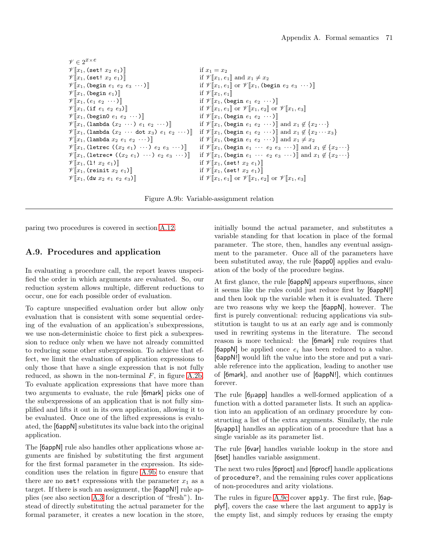```
\mathcal{V} \in 2^{\mathcal{X} \times e}\mathscr{V}[x_1, (\text{set}! \; x_2 \; e_1)] if x_1 = x_2\mathscr{V}[\![x_1, (\texttt{set}! \; x_2 \; e_1)]\!] if \mathscr{V}[\![x_1, e_1]\!] and x_1 \neq x_2V Jx1, (begin e1 e2 e3 · · · )K if V Jx1, e1K or V Jx1, (begin e2 e3 · · · )K
\mathscr{V}[x_1, (\text{begin } e_1) if \mathscr{V}[x_1, e_1]\mathscr{V}[x_1, (e_1 \ e_2 \ \cdots)] if \mathscr{V}[x_1, (\text{begin } e_1 \ e_2 \ \cdots)]\mathscr{V}[\![x_1, (\texttt{if}\; e_1\; e_2\; e_3)]\!] \qquad \qquad \text{if}\; \mathscr{V}[\![x_1, e_1]\!] \; \text{or}\; \mathscr{V}[\![x_1, e_2]\!] \; \text{or}\; \mathscr{V}[\![x_1, e_3]\!]\mathscr{V}[\![x_1,(\text{begin }e_1\ e_2\ \cdots)]\!] if \mathscr{V}[\![x_1,(\text{begin }e_1\ e_2\ \cdots)]\!]\mathscr{V}[\![x_1, (\texttt{lambda} \ (x_2 \ \cdots) \ e_1 \ e_2 \ \cdots)]\!] \qquad \qquad \text{if} \ \mathscr{V}[\![x_1, (\texttt{begin} \ e_1 \ e_2 \ \cdots)]\!] \text{ and } x_1 \not\in \{x_2 \cdots\} \end{cases}\mathscr{V} \llbracket x_1, \texttt{(lambda } (x_2 \cdots \texttt{dot } x_3) \ e_1 \ e_2 \cdots \texttt{)} \rrbracket \quad \text{if } \mathscr{V} \llbracket x_1, \texttt{(begin } e_2 \cdots \texttt{)} \rrbracket \text{ and } x_1 \not\in \{ x_2 \cdots x_3 \}\mathscr{V}[\![x_1, \text{ (lambda } x_2 \ e_1 \ e_2 \ \cdots \ )]\!] \qquad \qquad \text{if } \mathscr{V}[\![x_1, \text{ (begin } e_1 \ e_2 \ \cdots \ )]\!] \text{ and } x_1 \neq x_2\mathscr{V}[\![x_1, ( \texttt{letrec }( (x_2 \, e_1) \, \cdots )\, e_2 \, e_3 \, \cdots )]\!] \quad \text{ if } \mathscr{V}[\![x_1, ( \texttt{begin} \, e_1 \, \cdots \, e_2 \, e_3 \, \cdots )]\!] \text{ and } x_1 \not\in \{x_2 \cdots \}\mathscr{V}[\![x_1,(\texttt{letrec*}~( (x_2\ e_1)\ \cdots) \ e_2\ e_3\ \cdots)]\!] \quad \text{if}~\mathscr{V}[\![x_1,(\texttt{begin}~e_1\ \cdots\ e_2\ e_3\ \cdots)]\!] \text{ and }x_1\not\in\{x_2\cdots\}\mathscr{V}[x_1, (1! \ x_2 \ e_1)] if \mathscr{V}[x_1, (\text{set}! \ x_2 \ e_1)]\mathscr{V}[\![x_1, (\texttt{reinit}\; x_2\; e_1)]\!] if \mathscr{V}[\![x_1, (\texttt{set} !\; x_2\; e_1)]\!]\mathscr{V}[\![x_1,\text{ (dw $x_2$ $e_1$ $e_2$ $e_3$)}]\!] if \mathscr{V}[\![x_1,e_1]\!] or \mathscr{V}[\![x_1,e_2]\!] or \mathscr{V}[\![x_1,e_3]\!]
```
Figure A.9b: Variable-assignment relation

paring two procedures is covered in section [A.12.](#page-73-0)

### A.9. Procedures and application

In evaluating a procedure call, the report leaves unspecified the order in which arguments are evaluated. So, our reduction system allows multiple, different reductions to occur, one for each possible order of evaluation.

To capture unspecified evaluation order but allow only evaluation that is consistent with some sequential ordering of the evaluation of an application's subexpressions, we use non-deterministic choice to first pick a subexpression to reduce only when we have not already committed to reducing some other subexpression. To achieve that effect, we limit the evaluation of application expressions to only those that have a single expression that is not fully reduced, as shown in the non-terminal  $F$ , in figure [A.2b.](#page-62-0) To evaluate application expressions that have more than two arguments to evaluate, the rule [6mark] picks one of the subexpressions of an application that is not fully simplified and lifts it out in its own application, allowing it to be evaluated. Once one of the lifted expressions is evaluated, the [6appN] substitutes its value back into the original application.

The [6appN] rule also handles other applications whose arguments are finished by substituting the first argument for the first formal parameter in the expression. Its sidecondition uses the relation in figure [A.9b](#page-71-0) to ensure that there are no set! expressions with the parameter  $x_1$  as a target. If there is such an assignment, the [6appN!] rule applies (see also section [A.3](#page-63-0) for a description of "fresh"). Instead of directly substituting the actual parameter for the formal parameter, it creates a new location in the store, initially bound the actual parameter, and substitutes a variable standing for that location in place of the formal parameter. The store, then, handles any eventual assignment to the parameter. Once all of the parameters have been substituted away, the rule [6app0] applies and evaluation of the body of the procedure begins.

At first glance, the rule [6appN] appears superfluous, since it seems like the rules could just reduce first by [6appN!] and then look up the variable when it is evaluated. There are two reasons why we keep the [6appN], however. The first is purely conventional: reducing applications via substitution is taught to us at an early age and is commonly used in rewriting systems in the literature. The second reason is more technical: the [6mark] rule requires that [6appN] be applied once *e*<sup>i</sup> has been reduced to a value. [6appN!] would lift the value into the store and put a variable reference into the application, leading to another use of [6mark], and another use of [6appN!], which continues forever.

The rule  $[6\mu$ app] handles a well-formed application of a function with a dotted parameter lists. It such an application into an application of an ordinary procedure by constructing a list of the extra arguments. Similarly, the rule [6µapp1] handles an application of a procedure that has a single variable as its parameter list.

The rule [6var] handles variable lookup in the store and [6set] handles variable assignment.

The next two rules [6proct] and [6procf] handle applications of procedure?, and the remaining rules cover applications of non-procedures and arity violations.

The rules in figure [A.9c](#page-71-0) cover apply. The first rule, [6applyf], covers the case where the last argument to apply is the empty list, and simply reduces by erasing the empty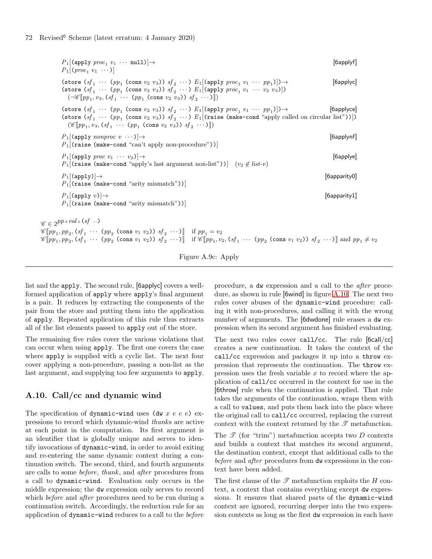```
P_1[(apply proc_1 v_1 \cdots null)]\rightarrow [6applyf]
        P_1[(proc_1 v_1 \cdots)](store (sf_1 \cdots (pp_1 \text{ (cons } v_2 \text{ } v_3)) \text{ } sf_2 \cdots) \text{ } E_1[\text{(apply } proc_1 \text{ } v_1 \cdots \text{ } pp_1)] \rightarrow [6applyc]
        (store (sf_1 \cdots (pp_1 \text{ (cons } v_2 \ v_3)) \text{ } sf_2 \cdots) \text{ } E_1[(\text{apply } proc_1 \ v_1 \ \cdots \ v_2 \ v_3)])(\neg \mathscr{C}[[pp_1, v_3, (sf_1 \cdots (pp_1 \text{ (cons } v_2 \ v_3)) \text{ } sf_2 \cdots )]])(store (sf_1 \cdots (pp_1 \text{ (cons } v_2 \text{ v}_3)) \text{ } sf_2 \cdots) \text{ } E_1[\text{(apply } proc_1 \text{ } v_1 \cdots \text{ } pp_1)] \rightarrow [6applyce]
        (store (sf_1 \cdots (pp_1 \text{ (cons } v_2 \text{ v}_3)) s f_2 \cdots) E_1[\text{ (raise (make-cond "apply called on circular list"))} ](\mathscr{C}[pp_1, v_3, (sf_1 \cdots (pp_1 \text{ (cons } v_2 \text{ v}_3)) \text{ } sf_2 \cdots)]P_1[(apply nonproc v · · · )]\rightarrow [6applynf]
       P_1[(raise (make-cond "can't apply non-procedure"))]
        P_1[(apply proc v_1 \cdots v_2)]\rightarrow [6applye]
       P<sub>1</sub>[(raise (make-cond "apply's last argument non-list"))] (v_2 \notin list-v)P_1[(apply)]\rightarrow [6apparity0]
       P_1[(raise (make-cond "arity mismatch"))]
        P_1[(apply v)\rightarrow [6apparity1]
        P_1[(raise (make-cond "arity mismatch"))]
\mathscr{C} \in 2^{pp \times val \times (sf \ \dots)}\mathscr{C}[pp_1, pp_2, (sf_1 \cdots (pp_2 \text{ (cons } v_1 \ v_2)) \text{ } sf_2 \cdots)] \text{ if } pp_1 = v_2\mathscr{C}[[pp_1, pp_2, (sf_1] \cdots (pp_2 \text{ (cons } v_1 \ v_2)) \text{ s}f_2 \cdots]] if \mathscr{C}[[pp_1, v_2, (sf_1 \cdots (pp_2 \text{ (cons } v_1 \ v_2)) \text{ s}f_2 \cdots]] and pp_1 \neq v_2
```
Figure A.9c: Apply

list and the apply. The second rule, [6applyc] covers a wellformed application of apply where apply's final argument is a pair. It reduces by extracting the components of the pair from the store and putting them into the application of apply. Repeated application of this rule thus extracts all of the list elements passed to apply out of the store.

The remaining five rules cover the various violations that can occur when using apply. The first one covers the case where apply is supplied with a cyclic list. The next four cover applying a non-procedure, passing a non-list as the last argument, and supplying too few arguments to apply.

# A.10. Call/cc and dynamic wind

The specification of dynamic-wind uses (dw  $x e e e$ ) expressions to record which dynamic-wind *thunk*s are active at each point in the computation. Its first argument is an identifier that is globally unique and serves to identify invocations of dynamic-wind, in order to avoid exiting and re-entering the same dynamic context during a continuation switch. The second, third, and fourth arguments are calls to some *before*, *thunk*, and *after* procedures from a call to dynamic-wind. Evaluation only occurs in the middle expression; the dw expression only serves to record which *before* and *after* procedures need to be run during a continuation switch. Accordingly, the reduction rule for an application of dynamic-wind reduces to a call to the *before* <span id="page-71-0"></span>procedure, a dw expression and a call to the *after* procedure, as shown in rule [6wind] in figure [A.10.](#page-72-0) The next two rules cover abuses of the dynamic-wind procedure: calling it with non-procedures, and calling it with the wrong number of arguments. The [6dwdone] rule erases a dw expression when its second argument has finished evaluating.

The next two rules cover call/cc. The rule [6call/cc] creates a new continuation. It takes the context of the call/cc expression and packages it up into a throw expression that represents the continuation. The throw expression uses the fresh variable  $x$  to record where the application of call/cc occurred in the context for use in the [6throw] rule when the continuation is applied. That rule takes the arguments of the continuation, wraps them with a call to values, and puts them back into the place where the original call to call/cc occurred, replacing the current context with the context returned by the  $\mathscr T$  metafunction.

The  $\mathscr T$  (for "trim") metafunction accepts two D contexts and builds a context that matches its second argument, the destination context, except that additional calls to the *before* and *after* procedures from dw expressions in the context have been added.

The first clause of the  $\mathscr T$  metafunction exploits the H context, a context that contains everything except dw expressions. It ensures that shared parts of the dynamic-wind context are ignored, recurring deeper into the two expression contexts as long as the first dw expression in each have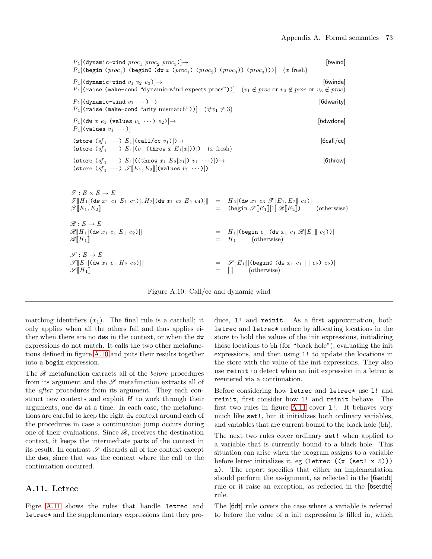<span id="page-72-1"></span> $P_1$ [(dynamic-wind  $proc_1 proc_2 proc_3$ ] $\rightarrow$  [6wind]  $P_1$ [(begin (proc<sub>1</sub>) (begin0 (dw x (proc<sub>1</sub>) (proc<sub>2</sub>) (proc<sub>3</sub>)) (proc<sub>3</sub>)))] (x fresh)  $P_1$ [(dynamic-wind  $v_1$   $v_2$   $v_3$ )] $\rightarrow$  [6winde] P<sub>1</sub>[(raise (make-cond "dynamic-wind expects procs"))]  $(v_1 \notin proc \text{ or } v_2 \notin proc \text{ or } v_3 \notin proc)$  $P_1$ [(dynamic-wind  $v_1 \cdots$ )] $\rightarrow$  [6dwarity]  $P_1$ [(raise (make-cond "arity mismatch"))]  $(\text{\#}v_1 \neq 3)$  $P_1$ [(dw x e<sub>1</sub> (values v<sub>1</sub> ···) e<sub>2</sub>)] $\rightarrow$  [6dwdone]  $P_1$ [(values  $v_1 \cdots$ )] (store  $(sf_1 \cdots) E_1[$ (call/cc  $v_1$ )]) → [6call/cc] (store  $(sf_1 \cdots) E_1[(v_1 \text{ (throw } x E_1[x]))]$ )  $(x \text{ fresh})$ (store  $(sf_1 \cdots) E_1[(\text{throw } x_1 \ E_2[x_1]) \ v_1 \cdots)] \rightarrow$  [6throw] (store  $(sf_1 \dots)$   $\mathscr{T}[[E_1, E_2]]$  (values  $v_1 \dots)$ )  $\mathscr{T}: E \times E \to E$  $\mathscr{T}[[H_1](\text{dw }x_1 \, e_1 \, E_1 \, e_2)], H_2[(\text{dw }x_1 \, e_3 \, E_2 \, e_4)][[\; = \; H_2](\text{dw }x_1 \, e_3 \, \mathscr{T}[[E_1, E_2]] \, e_4)]$  $\mathscr{T}[E_1, E_2]$  (begin  $\mathscr{T}[E_1][1] \mathscr{R}[E_2])$  (otherwise)  $\mathscr{R}: E \to E$  $\mathscr{R}[[H_1](\text{dw } x_1 \ e_1 \ E_1 \ e_2)][[\text{cos } x_1 \ e_1 \ (\text{dw } x_1 \ e_1 \ \mathscr{R}[[E_1]] \ e_2))]$  $\mathscr{R}[\![H_1]\!]$   $=$   $H_1$  (otherwise)  $\mathscr{S}: E \to E$  $\mathscr{S}[[E_1](\text{dw } x_1 \ e_1 \ H_2 \ e_2)]$  =  $\mathscr{S}[[E_1]](\text{begin } (\text{dw } x_1 \ e_1 \ | \ e_2) \ e_2)]$  $\mathscr{S}[[H_1]]$   $=$  [ ] (otherwise)

Figure A.10: Call/cc and dynamic wind

matching identifiers  $(x_1)$ . The final rule is a catchall; it only applies when all the others fail and thus applies either when there are no dws in the context, or when the dw expressions do not match. It calls the two other metafunctions defined in figure [A.10](#page-72-0) and puts their results together into a begin expression.

The  $\mathscr R$  metafunction extracts all of the *before* procedures from its argument and the  $\mathscr S$  metafunction extracts all of the *after* procedures from its argument. They each construct new contexts and exploit  $H$  to work through their arguments, one dw at a time. In each case, the metafunctions are careful to keep the right dw context around each of the procedures in case a continuation jump occurs during one of their evaluations. Since  $\mathcal{R}$ , receives the destination context, it keeps the intermediate parts of the context in its result. In contrast  $\mathscr S$  discards all of the context except the dws, since that was the context where the call to the continuation occurred.

## A.11. Letrec

Figre [A.11](#page-73-0) shows the rules that handle letrec and letrec\* and the supplementary expressions that they pro<span id="page-72-0"></span>duce, l! and reinit. As a first approximation, both letrec and letrec\* reduce by allocating locations in the store to hold the values of the init expressions, initializing those locations to bh (for "black hole"), evaluating the init expressions, and then using l! to update the locations in the store with the value of the init expressions. They also use reinit to detect when an init expression in a letrec is reentered via a continuation.

Before considering how letrec and letrec\* use l! and reinit, first consider how l! and reinit behave. The first two rules in figure [A.11](#page-73-0) cover l!. It behaves very much like set!, but it initializes both ordinary variables, and variables that are current bound to the black hole (bh).

The next two rules cover ordinary set! when applied to a variable that is currently bound to a black hole. This situation can arise when the program assigns to a variable before letrec initializes it, eg (letrec ((x (set! x 5))) x). The report specifies that either an implementation should perform the assignment, as reflected in the [6setdt] rule or it raise an exception, as reflected in the [6setdte] rule.

The [6dt] rule covers the case where a variable is referred to before the value of a init expression is filled in, which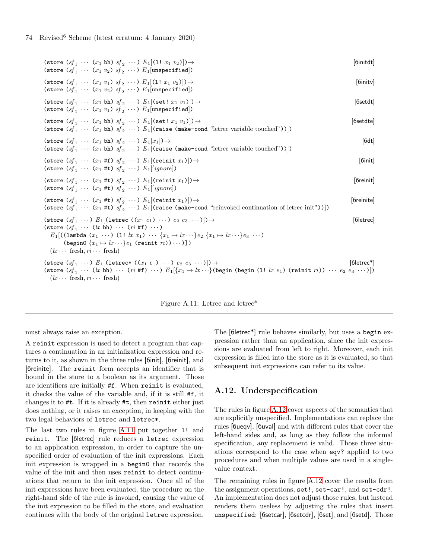```
(store (sf_1 \cdots (x_1 \text{ bh}) \ sf_2 \cdots) E_1[(1! \ x_1 \ v_2)]) \rightarrow [6initdt]
(store (sf_1 \cdots (x_1 v_2) s f_2 \cdots) E_1[unspecified])
(store (sf_1 \cdots (x_1 v_1) s f_2 \cdots) E_1[(1! x_1 v_2)]) \rightarrow [6initv]
(store (sf_1 \cdots (x_1 v_2) sf_2 \cdots) E_1[unspecified])
(store (sf_1 \cdots (x_1 \text{ bh}) \ sf_2 \cdots) E_1[(\text{set}! \ x_1 \ v_1)]) \rightarrow [6setdt]
(store (sf_1 \cdots (x_1 v_1) s f_2 \cdots) E_1[unspecified])
(store (sf_1 \cdots (x_1 \text{ bh}) \ sf_2 \cdots) \ E_1[(\text{set}! \ x_1 \ v_1)]) \rightarrow [6setdte]
(store sf_1 \cdots (x_1 \text{ bh}) sf_2 \cdots) E_1[\text{ (raise (make-cond 'letrec variable touched''))}])
(store (sf_1 \cdots (x_1 \text{ bh}) \ sf_2 \cdots) E_1[x_1] \rightarrow [6dt]
(store (sf_1 \cdots (x_1 \text{ bh}) s f_2 \cdots) E_1[(\text{raise} (\text{make-cond} \text{``letterec variable touched''}))])(store (sf_1 \cdots (x_1 \# f) \ s f_2 \cdots) \ E_1[(reinit x_1)]) → [6init]
(store (sf_1 \cdots (x_1 \# t) \ s f_2 \cdots) \ E_1['ignore])(store (sf_1 \cdots (x_1 \# t) \ s f_2 \cdots) \ E_1[(\text{reinit } x_1)] \rightarrow [6reinit]
(store (sf_1 \cdots (x_1 \# t) \ sf_2 \cdots) \ E_1['ignore])(store (sf_1 \cdots (x_1 \# t) \ s f_2 \cdots) \ E_1[(\text{reinit } x_1)] \rightarrow [6reinite]
(store (sf_1 \cdots (x_1 \# t) \ s f_2 \cdots) E_1 [(raise (make-cond "reinvoked continuation of letrec init"))])
(store (sf<sub>1</sub> ···) E_1[(letrec ((x<sub>1</sub> e<sub>1</sub>) ···) e<sub>2</sub> e<sub>3</sub> ···)]) → [6letrec]
(store (sf_1 \cdots (lx\ bh) \cdots (ri\ #f) \cdots)E_1[(\text{lambda}(x_1 \cdots) (1! \text{ l}x x_1) \cdots \{x_1 \mapsto l x \cdots\} e_2 \{x_1 \mapsto l x \cdots\} e_3 \cdots)(begin0 \{x_1 \mapsto lx \cdots\} e_1 (reinit ri)) \cdots)])
  (lx \cdots fresh, ri \cdots fresh)
(store (sf_1 \cdots) E_1[(letrec* ((x<sub>1</sub> e<sub>1</sub>) \cdots) e<sub>2</sub> e<sub>3</sub> \cdots)]) \rightarrow [6letrec*]
(store (sf_1 \cdots (lx \text{ bh}) \cdots (ri \text{ ff}) \cdots) E_1[\{x_1 \mapsto lx \cdots\} (begin (begin (1! lx \ e_1) (reinit ri)) \cdots e_2 \ e_3 \cdots)])
  (lx \cdots \text{ fresh}, r_i \cdots \text{ fresh})
```
Figure A.11: Letrec and letrec\*

must always raise an exception.

A reinit expression is used to detect a program that captures a continuation in an initialization expression and returns to it, as shown in the three rules [6init], [6reinit], and [6reinite]. The reinit form accepts an identifier that is bound in the store to a boolean as its argument. Those are identifiers are initially #f. When reinit is evaluated, it checks the value of the variable and, if it is still #f, it changes it to #t. If it is already #t, then reinit either just does nothing, or it raises an exception, in keeping with the two legal behaviors of letrec and letrec\*.

The last two rules in figure [A.11](#page-73-0) put together l! and reinit. The [6letrec] rule reduces a letrec expression to an application expression, in order to capture the unspecified order of evaluation of the init expressions. Each init expression is wrapped in a begin0 that records the value of the init and then uses reinit to detect continuations that return to the init expression. Once all of the init expressions have been evaluated, the procedure on the right-hand side of the rule is invoked, causing the value of the init expression to be filled in the store, and evaluation continues with the body of the original letrec expression. <span id="page-73-0"></span>The [6letrec\*] rule behaves similarly, but uses a begin expression rather than an application, since the init expressions are evaluated from left to right. Moreover, each init expression is filled into the store as it is evaluated, so that subsequent init expressions can refer to its value.

# A.12. Underspecification

The rules in figure [A.12](#page-74-0) cover aspects of the semantics that are explicitly unspecified. Implementations can replace the rules [6ueqv], [6uval] and with different rules that cover the left-hand sides and, as long as they follow the informal specification, any replacement is valid. Those three situations correspond to the case when eqv? applied to two procedures and when multiple values are used in a singlevalue context.

The remaining rules in figure [A.12](#page-74-0) cover the results from the assignment operations, set!, set-car!, and set-cdr!. An implementation does not adjust those rules, but instead renders them useless by adjusting the rules that insert unspecified: [6setcar], [6setcdr], [6set], and [6setd]. Those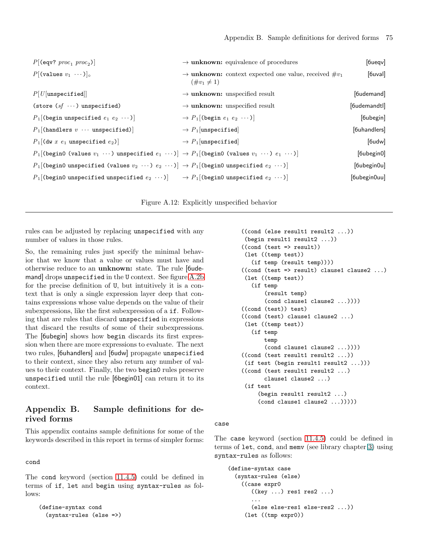<span id="page-74-1"></span>

| $P[(eqv? proc_1 proc_2)]$                                                                                                           | $\rightarrow$ unknown: equivalence of procedures                                        | [6ueqv]       |
|-------------------------------------------------------------------------------------------------------------------------------------|-----------------------------------------------------------------------------------------|---------------|
| $P[(\text{values } v_1 \cdots) \rvert_{\circ}]$                                                                                     | $\rightarrow$ unknown: context expected one value, received $\#v_1$<br>$(\#v_1 \neq 1)$ | $[6$ uval $]$ |
| $P[U$  unspecified                                                                                                                  | $\rightarrow$ unknown: unspecified result                                               | [6udemand]    |
| (store $(sf \cdots)$ unspecified)                                                                                                   | $\rightarrow$ ${\bf unknown:}$ unspecified result                                       | [6udemandtl]  |
| $P_1$ [(begin unspecified $e_1$ $e_2$ )]                                                                                            | $\rightarrow P_1$ [(begin $e_1$ $e_2$ )]                                                | [6ubegin]     |
| $P_1$ [(handlers $v \cdots$ unspecified)]                                                                                           | $\rightarrow P_1$ [unspecified]                                                         | [6uhandlers]  |
| $P_1$ [(dw x $e_1$ unspecified $e_2$ )]                                                                                             | $\rightarrow P_1$ [unspecified]                                                         | $[6$ udw $]$  |
| $P_1$ [(begin0 (values $v_1 \cdots$ ) unspecified $e_1 \cdots$ )] $\rightarrow P_1$ [(begin0 (values $v_1 \cdots$ ) $e_1 \cdots$ )] |                                                                                         | [6ubegin0]    |
| $P_1$ [(begin0 unspecified (values $v_2 \cdots$ ) $e_2 \cdots$ )] $\rightarrow P_1$ [(begin0 unspecified $e_2 \cdots$ )]            |                                                                                         | [6ubegin0u]   |
| $P_1$ [(begin0 unspecified unspecified $e_2 \cdots$ )] $\rightarrow P_1$ [(begin0 unspecified $e_2 \cdots$ )]                       |                                                                                         | [6ubegin0uu]  |

<span id="page-74-0"></span>Figure A.12: Explicitly unspecified behavior

rules can be adjusted by replacing unspecified with any number of values in those rules.

So, the remaining rules just specify the minimal behavior that we know that a value or values must have and otherwise reduce to an unknown: state. The rule [6udemand] drops unspecified in the U context. See figure [A.2b](#page-62-0) for the precise definition of U, but intuitively it is a context that is only a single expression layer deep that contains expressions whose value depends on the value of their subexpressions, like the first subexpression of a if. Following that are rules that discard unspecified in expressions that discard the results of some of their subexpressions. The [6ubegin] shows how begin discards its first expression when there are more expressions to evaluate. The next two rules, [6uhandlers] and [6udw] propagate unspecified to their context, since they also return any number of values to their context. Finally, the two begin0 rules preserve unspecified until the rule [6begin01] can return it to its context.

## Appendix B. Sample definitions for derived forms

This appendix contains sample definitions for some of the keywords described in this report in terms of simpler forms:

cond

The cond keyword (section [11.4.5\)](#page-32-0) could be defined in terms of if, let and begin using syntax-rules as follows:

```
(define-syntax cond
  (syntax-rules (else =>)
```

```
((cond (else result1 result2 ...))
 (begin result1 result2 ...))
((cond (test => result))
(let ((temp test))
   (if temp (result temp))))
((\text{cond }(\text{test} \Rightarrow \text{result}) \text{ clause1 clause2} ...))(let ((temp test))
   (if temp
       (result temp)
       (cond clause1 clause2 ...))))
((cond (test)) test)
((cond (test) clause1 clause2 ...)
 (let ((temp test))
   (if temp
       temp
       (cond clause1 clause2 ...))))
((cond (test result1 result2 ...))
 (if test (begin result1 result2 ...)))
((cond (test result1 result2 ...)
       clause1 clause2 ...)
 (if test
     (begin result1 result2 ...)
     (cond clause1 clause2 ...)))))
```
case

The case keyword (section [11.4.5\)](#page-32-0) could be defined in terms of let, cond, and memv (see library chapter [3\)](#page-9-0) using syntax-rules as follows:

```
(define-syntax case
 (syntax-rules (else)
   ((case expr0
       ((key ...) res1 res2 ...)
       ...
       (else else-res1 else-res2 ...))
     (let ((tmp expr0))
```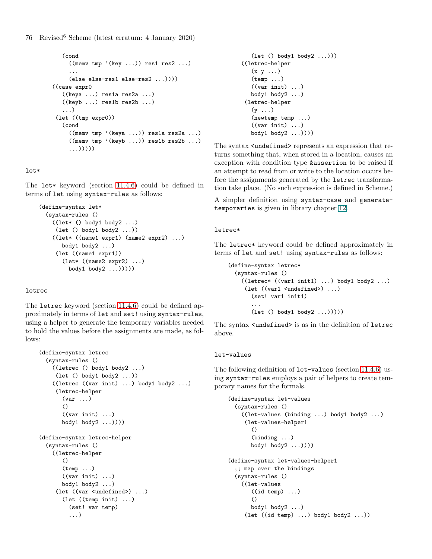<span id="page-75-0"></span>76 Revised<sup>6</sup> Scheme (latest erratum: 4 January 2020)

```
(cond
     ((\text{memv tmp } '(key ...)) \text{ res1 res2 } ...)...
     (else else-res1 else-res2 ...))))
((case expr0
   ((keya ...) res1a res2a ...)
   ((keyb \dots) res1b res2b \ldots)...)
 (let ((tmp expr0))
   (cond
     ((memv tmp '(keya ...)) res1a res2a ...)
     ((memv tmp '(keyb ...)) res1b res2b ...)
     ...)))))
```
### let\*

The let\* keyword (section [11.4.6\)](#page-34-0) could be defined in terms of let using syntax-rules as follows:

```
(define-syntax let*
  (syntax-rules ()
    ((let* () body1 body2 ...)
     (let () body1 body2 ...))
    ((let* ((name1 expr1) (name2 expr2) ...)
       body1 body2 ...)
     (let ((name1 expr1))
       (let* ((name2 expr2) ...)
         body1 body2 ...)))))
```
#### letrec

The letrec keyword (section [11.4.6\)](#page-34-0) could be defined approximately in terms of let and set! using syntax-rules, using a helper to generate the temporary variables needed to hold the values before the assignments are made, as follows:

```
(define-syntax letrec
  (syntax-rules ()
    ((letrec () body1 body2 ...)
     (let () body1 body2 ...))
    ((letrec ((var init) ...) body1 body2 ...)
     (letrec-helper
       (var \dots)()
       ((var init) \dots)body1 body2 ...))))
(define-syntax letrec-helper
  (syntax-rules ()
    ((letrec-helper
       ()
       (temp ...)
       ((var init) \dots)body1 body2 ...)
     (let ((var <undefined>) ...)
       (let ((temp init) ...)
         (set! var temp)
         ...)
```

```
(let () body1 body2 ...)))
((letrec-helper
   (x, y, \ldots)(temp ...)
   ((var init) \dots)body1 body2 ...)
 (letrec-helper
   (y \dots)(newtemp temp ...)
   ((var init) \dots)body1 body2 ...))))
```
The syntax  $\langle$ undefined> represents an expression that returns something that, when stored in a location, causes an exception with condition type &assertion to be raised if an attempt to read from or write to the location occurs before the assignments generated by the letrec transformation take place. (No such expression is defined in Scheme.)

A simpler definition using syntax-case and generatetemporaries is given in library chapter 12.

#### letrec\*

The letrec\* keyword could be defined approximately in terms of let and set! using syntax-rules as follows:

```
(define-syntax letrec*
 (syntax-rules ()
    ((letrec* ((var1 init1) ...) body1 body2 ...)
     (let ((var1 <undefined>) ...)
       (set! var1 init1)
       ...
       (let () body1 body2 ...)))))
```
The syntax  $\langle$ undefined> is as in the definition of letrec above.

#### let-values

The following definition of let-values (section [11.4.6\)](#page-34-0) using syntax-rules employs a pair of helpers to create temporary names for the formals.

```
(define-syntax let-values
 (syntax-rules ()
   ((let-values (binding ...) body1 body2 ...)
     (let-values-helper1
       ()
       (binding ...)
      body1 body2 ...))))
(define-syntax let-values-helper1
 ;; map over the bindings
 (syntax-rules ()
   ((let-values
       ((id temp) ...)()
      body1 body2 ...)
     (let ((id temp) ...) body1 body2 ...))
```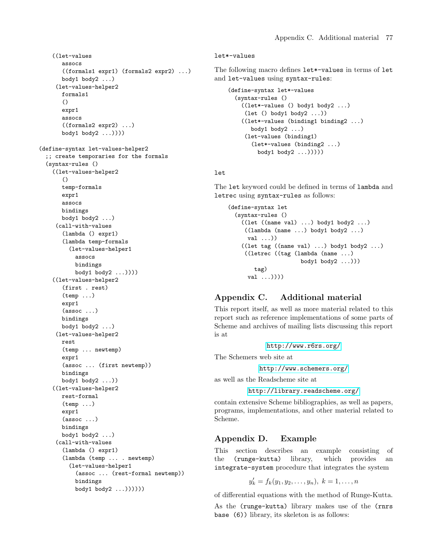```
((let-values
       assocs
       ((formals1 expr1) (formals2 expr2) ...)
       body1 body2 ...)
     (let-values-helper2
       formals1
       ()
       expr1
       assocs
       ((formals2 expr2) ...)
       body1 body2 ...))))
(define-syntax let-values-helper2
  ;; create temporaries for the formals
  (syntax-rules ()
    ((let-values-helper2
       \left()
       temp-formals
       expr1
       assocs
       bindings
       body1 body2 ...)
     (call-with-values
       (lambda () expr1)
       (lambda temp-formals
         (let-values-helper1
           assocs
           bindings
           body1 body2 ...))))
    ((let-values-helper2
       (first . rest)
       (temp ...)
       expr1
       (assoc ...)
       bindings
       body1 body2 ...)
     (let-values-helper2
       rest
       (temp ... newtemp)
       expr1
       (assoc ... (first newtemp))
       bindings
       body1 body2 ...))
    ((let-values-helper2
       rest-formal
       (temp ...)
       expr1
       (\text{assoc} \dots)bindings
       body1 body2 ...)
     (call-with-values
       (lambda () expr1)
       (lambda (temp ... . newtemp)
         (let-values-helper1
           (assoc ... (rest-formal newtemp))
           bindings
           body1 body2 ...))))))
```
#### let\*-values

The following macro defines let\*-values in terms of let and let-values using syntax-rules:

```
(define-syntax let*-values
 (syntax-rules ()
   ((let*-values () body1 body2 ...)
     (let () body1 body2 ...))
    ((let*-values (binding1 binding2 ...)
      body1 body2 ...)
     (let-values (binding1)
       (let*-values (binding2 ...)
         body1 body2 ...)))))
```
let

The let keyword could be defined in terms of lambda and letrec using syntax-rules as follows:

```
(define-syntax let
 (syntax-rules ()
   ((let ((name val) ...) body1 body2 ...)
     ((lambda (name ...) body1 body2 ...)
      val ...))
   ((let tag ((name val) ...) body1 body2 ...))((letrec ((tag (lambda (name ...)
                      body1 body2 ...)))
       tag)
     val ...))))
```
# Appendix C. Additional material

This report itself, as well as more material related to this report such as reference implementations of some parts of Scheme and archives of mailing lists discussing this report is at

<http://www.r6rs.org/>

The Schemers web site at

<http://www.schemers.org/>

as well as the Readscheme site at

```
http://library.readscheme.org/
```
contain extensive Scheme bibliographies, as well as papers, programs, implementations, and other material related to Scheme.

## Appendix D. Example

This section describes an example consisting of the (runge-kutta) library, which provides an integrate-system procedure that integrates the system

$$
y'_{k} = f_{k}(y_{1}, y_{2}, \dots, y_{n}), k = 1, \dots, n
$$

of differential equations with the method of Runge-Kutta.

As the (runge-kutta) library makes use of the (rnrs base (6)) library, its skeleton is as follows: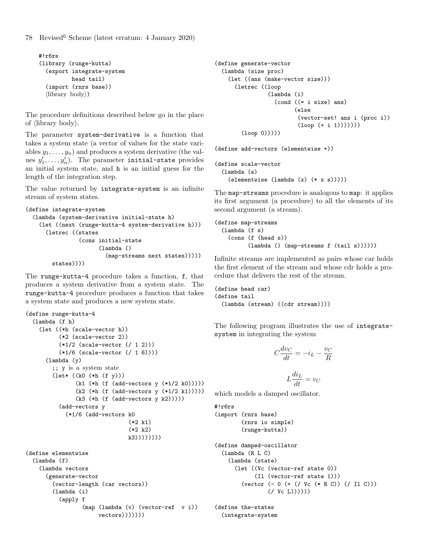```
#!r6rs
(library (runge-kutta)
  (export integrate-system
           head tail)
  (import (rnrs base))
  \langlelibrary body\rangle)
```
The procedure definitions described below go in the place of  $\langle$ library body $\rangle$ .

The parameter system-derivative is a function that takes a system state (a vector of values for the state variables  $y_1, \ldots, y_n$ ) and produces a system derivative (the values  $y'_1, \ldots, y'_n$ ). The parameter initial-state provides an initial system state, and h is an initial guess for the length of the integration step.

The value returned by integrate-system is an infinite stream of system states.

```
(define integrate-system
```

```
(lambda (system-derivative initial-state h)
  (let ((next (runge-kutta-4 system-derivative h)))
    (letrec ((states
              (cons initial-state
                    (lambda ()
                      (map-streams next states)))))
      states))))
```
The runge-kutta-4 procedure takes a function, f, that produces a system derivative from a system state. The runge-kutta-4 procedure produces a function that takes a system state and produces a new system state.

```
(define runge-kutta-4
 (lambda (f h)
   (let ((*h (scale-vector h))
          (*2 (scale-vector 2))
          (*1/2 (scale-vector (/ 1 2)))
          (*1/6 (scale-vector (/ 1 6))))
      (lambda (y)
        ;; y is a system state
        (let* ((k0 (*h (f y)))
               (k1 (*h (f (add-vectors y (*1/2 k0)))))
               (k2 (*h (f (add-vectors y (*1/2 k1)))))
               (k3 (*h (f (add-vectors y k2)))))
          (add-vectors y
            (*1/6 (add-vectors k0
                                (*2 k1)
                                (*2 k2)
                               k3))))))))
(define elementwise
 (lambda (f)
   (lambda vectors
      (generate-vector
        (vector-length (car vectors))
        (lambda (i)
          (apply f
                 (map (lambda (v) (vector-ref v i))
```
 $vectors)))))))$ 

```
(define generate-vector
  (lambda (size proc)
    (let ((ans (make-vector size)))
      (letrec ((loop
                (lambda (i)
                  (cond ((= i size) ans)
                        (else
                          (vector-set! ans i (proc i))
                          (loop (+ i 1)))))))
```

```
(loop 0)))))
```
(define add-vectors (elementwise +))

(define scale-vector (lambda (s) (elementwise (lambda (x) (\* x s)))))

The map-streams procedure is analogous to map: it applies its first argument (a procedure) to all the elements of its second argument (a stream).

```
(define map-streams
  (lambda (f s)
    (cons (f (head s))
          (lambda () (map-streams f (tail s))))))
```
Infinite streams are implemented as pairs whose car holds the first element of the stream and whose cdr holds a procedure that delivers the rest of the stream.

(define head car) (define tail (lambda (stream) ((cdr stream))))

The following program illustrates the use of integratesystem in integrating the system

$$
C\frac{dv_C}{dt} = -i_L - \frac{v_C}{R}
$$

$$
L\frac{di_L}{dt} = v_C
$$

which models a damped oscillator.

```
#!r6rs
(import (rnrs base)
        (rnrs io simple)
        (runge-kutta))
(define damped-oscillator
  (lambda (R L C)
    (lambda (state)
      (let ((Vc (vector-ref state 0))
            (Il (vector-ref state 1)))
        (vector (- 0 (+ (/ Vc (* R C)) (/ Il C)))
                (/ Vc L))))))
(define the-states
```

```
(integrate-system
```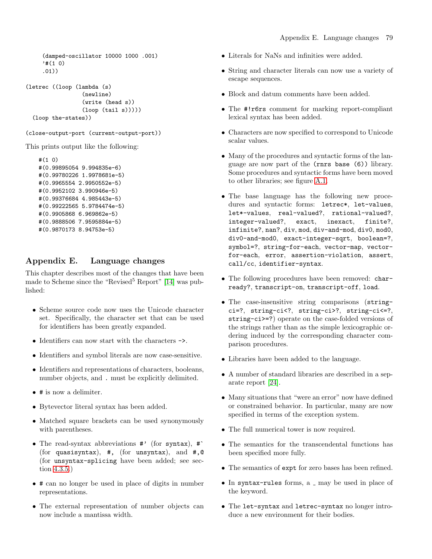```
(damped-oscillator 10000 1000 .001)
'#(1 0).01))
```

```
(letrec ((loop (lambda (s)
                 (newline)
                 (write (head s))
                 (logo p (tail s))))(loop the-states))
```

```
(close-output-port (current-output-port))
```
This prints output like the following:

```
#(1 0)
#(0.99895054 9.994835e-6)
#(0.99780226 1.9978681e-5)
#(0.9965554 2.9950552e-5)
#(0.9952102 3.990946e-5)
#(0.99376684 4.985443e-5)
#(0.99222565 5.9784474e-5)
#(0.9905868 6.969862e-5)
#(0.9888506 7.9595884e-5)
#(0.9870173 8.94753e-5)
```
# Appendix E. Language changes

This chapter describes most of the changes that have been made to Scheme since the "Revised<sup>5</sup> Report" [\[14\]](#page-80-0) was published:

- Scheme source code now uses the Unicode character set. Specifically, the character set that can be used for identifiers has been greatly expanded.
- Identifiers can now start with the characters ->.
- Identifiers and symbol literals are now case-sensitive.
- Identifiers and representations of characters, booleans, number objects, and . must be explicitly delimited.
- # is now a delimiter.
- Bytevector literal syntax has been added.
- Matched square brackets can be used synonymously with parentheses.
- The read-syntax abbreviations #' (for syntax), #` (for quasisyntax), #, (for unsyntax), and #,@ (for unsyntax-splicing have been added; see section [4.3.5.](#page-16-0))
- # can no longer be used in place of digits in number representations.
- The external representation of number objects can now include a mantissa width.
- Literals for NaNs and infinities were added.
- String and character literals can now use a variety of escape sequences.
- Block and datum comments have been added.
- The #!r6rs comment for marking report-compliant lexical syntax has been added.
- Characters are now specified to correspond to Unicode scalar values.
- Many of the procedures and syntactic forms of the language are now part of the (rnrs base (6)) library. Some procedures and syntactic forms have been moved to other libraries; see figure [A.1.](#page-79-0)
- The base language has the following new procedures and syntactic forms: letrec\*, let-values, let\*-values, real-valued?, rational-valued?, integer-valued?, exact, inexact, finite?, infinite?, nan?, div, mod, div-and-mod, div0, mod0, div0-and-mod0, exact-integer-sqrt, boolean=?, symbol=?, string-for-each, vector-map, vectorfor-each, error, assertion-violation, assert, call/cc, identifier-syntax.
- The following procedures have been removed: charready?, transcript-on, transcript-off, load.
- The case-insensitive string comparisons (stringci=?, string-ci<?, string-ci>?, string-ci<=?, string-ci>=?) operate on the case-folded versions of the strings rather than as the simple lexicographic ordering induced by the corresponding character comparison procedures.
- Libraries have been added to the language.
- A number of standard libraries are described in a separate report [\[24\]](#page-81-0).
- Many situations that "were an error" now have defined or constrained behavior. In particular, many are now specified in terms of the exception system.
- The full numerical tower is now required.
- The semantics for the transcendental functions has been specified more fully.
- The semantics of expt for zero bases has been refined.
- $\bullet$  In syntax-rules forms, a  $\Box$  may be used in place of the keyword.
- The let-syntax and letrec-syntax no longer introduce a new environment for their bodies.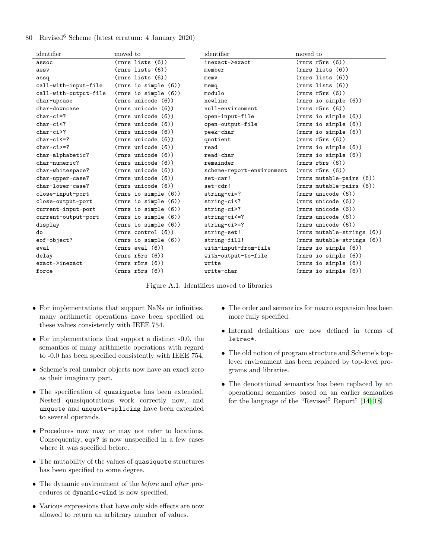## 80 Revised<sup>6</sup> Scheme (latest erratum: 4 January 2020)

| identifier            | moved to                   | identifier                                                           | moved to                   |
|-----------------------|----------------------------|----------------------------------------------------------------------|----------------------------|
| assoc                 | $(rnrs$ lists $(6))$       | inexact->exact                                                       | (rnrs r5rs (6))            |
| assy                  | $(rnrs$ lists $(6))$       | member                                                               | $(rnrs$ lists $(6))$       |
| assq                  | $(rnrs$ lists $(6))$       | menv                                                                 | $(rnrs$ lists $(6))$       |
| call-with-input-file  | $(rnrs$ io simple $(6)$ )  | memq                                                                 | $(rnrs$ lists $(6))$       |
| call-with-output-file | $(rnrs$ io simple $(6)$ )  | modulo                                                               | (rnrs r5rs(6))             |
| char-upcase           | (rnrs unicode (6))         | newline                                                              | $(rnrs$ io simple $(6)$ )  |
| char-downcase         | (rnrs unicode (6))         | null-environment                                                     | (rnrs r5rs(6))             |
| $char-ci=?$           | (rnrs unicode (6))         | open-input-file                                                      | $(rnrs$ io simple $(6)$ )  |
| $char-ci$             | (rnrs unicode (6))         | open-output-file                                                     | $(rnrs$ io simple $(6)$ )  |
| $char-ci$ ?           | (rnrs unicode (6))         | peek-char                                                            | $(rnrs$ io simple $(6)$ )  |
| $char-ci<=?$          | $(rnrs$ unicode $(6)$ )    | quotient                                                             | (rnrs r5rs(6))             |
| $char-ci>=?$          | $(rnrs$ unicode $(6)$ )    | read                                                                 | $(rnrs$ io simple $(6)$ )  |
| char-alphabetic?      | $(rnrs$ unicode $(6)$ )    | read-char                                                            | $(rnrs$ io simple $(6)$ )  |
| char-numeric?         | $(rnrs$ unicode $(6)$ )    | remainder                                                            | (rnrs r5rs(6))             |
| char-whitespace?      | $(rnrs$ unicode $(6)$ )    | scheme-report-environment                                            | (rnrs r5rs(6))             |
| char-upper-case?      | $(rnrs$ unicode $(6)$ )    | set-car!                                                             | (rnrs mutable-pairs (6))   |
| char-lower-case?      | $(rnrs$ unicode $(6)$ )    | set-cdr!                                                             | (rnrs mutable-pairs (6))   |
| close-input-port      | $(rnrs$ io simple $(6)$ )  | $string$ - $ci$ =?                                                   | $(rnrs$ unicode $(6)$ )    |
| close-output-port     | $(rnrs$ io simple $(6)$ )  | string-ci </td <td><math>(rnrs</math> unicode <math>(6)</math>)</td> | $(rnrs$ unicode $(6)$ )    |
| current-input-port    | $(rnrs$ io simple $(6)$ )  | string-ci>?                                                          | $(rnrs$ unicode $(6)$ )    |
| current-output-port   | $(rnrs$ io simple $(6)$ )  | string-ci<=?                                                         | $(rnrs$ unicode $(6)$ )    |
| display               | $(rnrs$ io simple $(6)$ )  | string-ci>=?                                                         | $(rnrs$ unicode $(6)$ )    |
| do                    | (rnrs control (6))         | string-set!                                                          | (rnrs mutable-strings (6)) |
| eof-object?           | $(rnrs$ io simple $(6)$ )  | string-fill!                                                         | (rnrs mutable-strings (6)) |
| eval                  | $(rnrs \text{ eval } (6))$ | with-input-from-file                                                 | $(rnrs$ io simple $(6)$ )  |
| delay                 | (rnrs r5rs(6))             | with-output-to-file                                                  | $(rnrs$ io simple $(6)$ )  |
| exact->inexact        | (rnrs r5rs(6))             | write                                                                | $(rnrs$ io simple $(6)$ )  |
| force                 | (rnrs r5rs(6))             | write-char                                                           | $(rnrs$ io simple $(6))$   |

<span id="page-79-0"></span>Figure A.1: Identifiers moved to libraries

- For implementations that support NaNs or infinities, many arithmetic operations have been specified on these values consistently with IEEE 754.
- For implementations that support a distinct -0.0, the semantics of many arithmetic operations with regard to -0.0 has been specified consistently with IEEE 754.
- Scheme's real number objects now have an exact zero as their imaginary part.
- The specification of quasiquote has been extended. Nested quasiquotations work correctly now, and unquote and unquote-splicing have been extended to several operands.
- Procedures now may or may not refer to locations. Consequently, eqv? is now unspecified in a few cases where it was specified before.
- The mutability of the values of quasiquote structures has been specified to some degree.
- The dynamic environment of the *before* and *after* procedures of dynamic-wind is now specified.
- Various expressions that have only side effects are now allowed to return an arbitrary number of values.
- The order and semantics for macro expansion has been more fully specified.
- Internal definitions are now defined in terms of letrec\*.
- The old notion of program structure and Scheme's toplevel environment has been replaced by top-level programs and libraries.
- The denotational semantics has been replaced by an operational semantics based on an earlier semantics for the language of the "Revised<sup>5</sup> Report"  $[14, 18]$  $[14, 18]$ .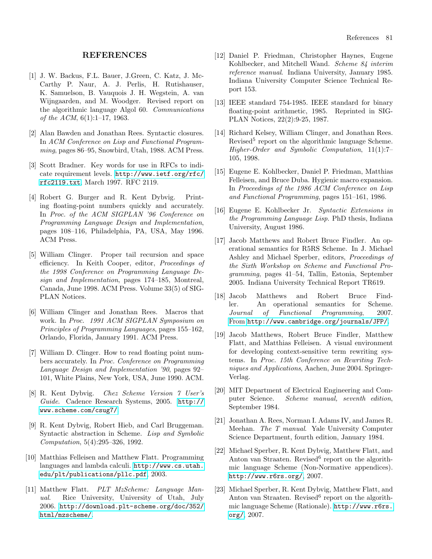### REFERENCES

- [1] J. W. Backus, F.L. Bauer, J.Green, C. Katz, J. Mc-Carthy P. Naur, A. J. Perlis, H. Rutishauser, K. Samuelson, B. Vauquois J. H. Wegstein, A. van Wijngaarden, and M. Woodger. Revised report on the algorithmic language Algol 60. *Communications of the ACM*, 6(1):1–17, 1963.
- [2] Alan Bawden and Jonathan Rees. Syntactic closures. In *ACM Conference on Lisp and Functional Programming*, pages 86–95, Snowbird, Utah, 1988. ACM Press.
- [3] Scott Bradner. Key words for use in RFCs to indicate requirement levels. [http://www.ietf.org/rfc/](http://www.ietf.org/rfc/rfc2119.txt) [rfc2119.txt](http://www.ietf.org/rfc/rfc2119.txt), March 1997. RFC 2119.
- [4] Robert G. Burger and R. Kent Dybvig. Printing floating-point numbers quickly and accurately. In *Proc. of the ACM SIGPLAN '96 Conference on Programming Language Design and Implementation*, pages 108–116, Philadelphia, PA, USA, May 1996. ACM Press.
- [5] William Clinger. Proper tail recursion and space efficiency. In Keith Cooper, editor, *Proceedings of the 1998 Conference on Programming Language Design and Implementation*, pages 174–185, Montreal, Canada, June 1998. ACM Press. Volume 33(5) of SIG-PLAN Notices.
- [6] William Clinger and Jonathan Rees. Macros that work. In *Proc. 1991 ACM SIGPLAN Symposium on Principles of Programming Languages*, pages 155–162, Orlando, Florida, January 1991. ACM Press.
- [7] William D. Clinger. How to read floating point numbers accurately. In *Proc. Conference on Programming Language Design and Implementation '90*, pages 92– 101, White Plains, New York, USA, June 1990. ACM.
- [8] R. Kent Dybvig. *Chez Scheme Version 7 User's Guide*. Cadence Research Systems, 2005. [http://](http://www.scheme.com/csug7/) [www.scheme.com/csug7/](http://www.scheme.com/csug7/).
- [9] R. Kent Dybvig, Robert Hieb, and Carl Bruggeman. Syntactic abstraction in Scheme. *Lisp and Symbolic Computation*, 5(4):295–326, 1992.
- [10] Matthias Felleisen and Matthew Flatt. Programming languages and lambda calculi. [http://www.cs.utah.](http://www.cs.utah.edu/plt/publications/pllc.pdf) [edu/plt/publications/pllc.pdf](http://www.cs.utah.edu/plt/publications/pllc.pdf), 2003.
- [11] Matthew Flatt. *PLT MzScheme: Language Manual*. Rice University, University of Utah, July 2006. [http://download.plt-scheme.org/doc/352/](http://download.plt-scheme.org/doc/352/html/mzscheme/) [html/mzscheme/](http://download.plt-scheme.org/doc/352/html/mzscheme/).
- [12] Daniel P. Friedman, Christopher Haynes, Eugene Kohlbecker, and Mitchell Wand. *Scheme 84 interim reference manual*. Indiana University, January 1985. Indiana University Computer Science Technical Report 153.
- [13] IEEE standard 754-1985. IEEE standard for binary floating-point arithmetic, 1985. Reprinted in SIG-PLAN Notices, 22(2):9-25, 1987.
- <span id="page-80-0"></span>[14] Richard Kelsey, William Clinger, and Jonathan Rees. Revised<sup>5</sup> report on the algorithmic language Scheme. *Higher-Order and Symbolic Computation*, 11(1):7– 105, 1998.
- [15] Eugene E. Kohlbecker, Daniel P. Friedman, Matthias Felleisen, and Bruce Duba. Hygienic macro expansion. In *Proceedings of the 1986 ACM Conference on Lisp and Functional Programming*, pages 151–161, 1986.
- [16] Eugene E. Kohlbecker Jr. *Syntactic Extensions in the Programming Language Lisp*. PhD thesis, Indiana University, August 1986.
- [17] Jacob Matthews and Robert Bruce Findler. An operational semantics for R5RS Scheme. In J. Michael Ashley and Michael Sperber, editors, *Proceedings of the Sixth Workshop on Scheme and Functional Programming*, pages 41–54, Tallin, Estonia, September 2005. Indiana University Technical Report TR619.
- <span id="page-80-1"></span>[18] Jacob Matthews and Robert Bruce Findler. An operational semantics for Scheme. *Journal of Functional Programming*, 2007. From <http://www.cambridge.org/journals/JFP/>.
- [19] Jacob Matthews, Robert Bruce Findler, Matthew Flatt, and Matthias Felleisen. A visual environment for developing context-sensitive term rewriting systems. In *Proc. 15th Conference on Rewriting Techniques and Applications*, Aachen, June 2004. Springer-Verlag.
- [20] MIT Department of Electrical Engineering and Computer Science. *Scheme manual, seventh edition*, September 1984.
- [21] Jonathan A. Rees, Norman I. Adams IV, and James R. Meehan. *The T manual*. Yale University Computer Science Department, fourth edition, January 1984.
- [22] Michael Sperber, R. Kent Dybvig, Matthew Flatt, and Anton van Straaten. Revised<sup>6</sup> report on the algorithmic language Scheme (Non-Normative appendices). <http://www.r6rs.org/>, 2007.
- [23] Michael Sperber, R. Kent Dybvig, Matthew Flatt, and Anton van Straaten. Revised<sup>6</sup> report on the algorithmic language Scheme (Rationale). [http://www.r6rs.](http://www.r6rs.org/) [org/](http://www.r6rs.org/), 2007.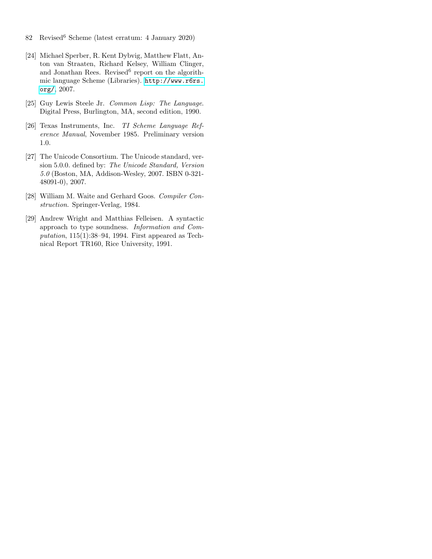- 82 Revised<sup>6</sup> Scheme (latest erratum: 4 January 2020)
- <span id="page-81-0"></span>[24] Michael Sperber, R. Kent Dybvig, Matthew Flatt, Anton van Straaten, Richard Kelsey, William Clinger, and Jonathan Rees. Revised<sup>6</sup> report on the algorithmic language Scheme (Libraries). [http://www.r6rs.](http://www.r6rs.org/) [org/](http://www.r6rs.org/), 2007.
- [25] Guy Lewis Steele Jr. *Common Lisp: The Language*. Digital Press, Burlington, MA, second edition, 1990.
- [26] Texas Instruments, Inc. *TI Scheme Language Reference Manual*, November 1985. Preliminary version 1.0.
- [27] The Unicode Consortium. The Unicode standard, version 5.0.0. defined by: *The Unicode Standard, Version 5.0* (Boston, MA, Addison-Wesley, 2007. ISBN 0-321- 48091-0), 2007.
- [28] William M. Waite and Gerhard Goos. *Compiler Construction*. Springer-Verlag, 1984.
- [29] Andrew Wright and Matthias Felleisen. A syntactic approach to type soundness. *Information and Computation*, 115(1):38–94, 1994. First appeared as Technical Report TR160, Rice University, 1991.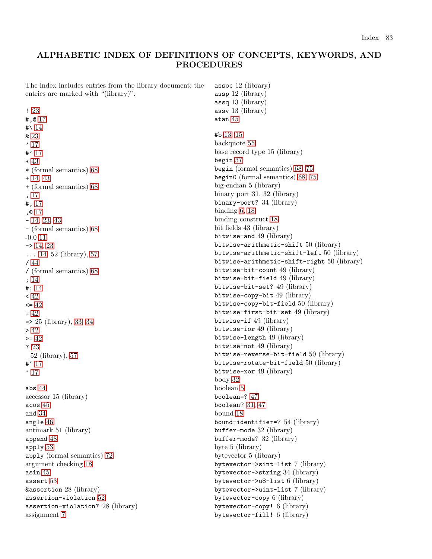# ALPHABETIC INDEX OF DEFINITIONS OF CONCEPTS, KEYWORDS, AND PROCEDURES

The index includes entries from the library document; the entries are marked with "(library)". ! [23](#page-22-0) #,@ [17](#page-16-1) #\ [14](#page-13-0) & [23](#page-22-0) ' [17](#page-16-1) #' [17](#page-16-1) \* [43](#page-42-0) \* (formal semantics) [68](#page-67-0) + [14,](#page-13-0) [43](#page-42-0) + (formal semantics) [68](#page-67-0) , [17](#page-16-1) #, [17](#page-16-1) ,@ [17](#page-16-1) - [14,](#page-13-0) [23,](#page-22-0) [43](#page-42-0) - (formal semantics) [68](#page-67-0) -0.0 [11](#page-10-0)  $-$ > [14,](#page-13-0) [23](#page-22-0)  $\ldots$  [14,](#page-13-0) 52 (library), [57](#page-56-0) / [44](#page-43-0) / (formal semantics) [68](#page-67-0) ; [14](#page-13-0) #; [14](#page-13-0)  $< 42$  $< 42$  $\leq$  [42](#page-41-0)  $= 42$  $= 42$ => 25 (library), [33,](#page-32-1) [34](#page-33-0) > [42](#page-41-0)  $>= 42$  $>= 42$ ? [23](#page-22-0)  $-52$  (library), [57](#page-56-0) #' [17](#page-16-1)  $\cdot$  [17](#page-16-1) abs [44](#page-43-0) accessor 15 (library) acos [45](#page-44-0) and [34](#page-33-0) angle [46](#page-45-0) antimark 51 (library) append [48](#page-47-0) apply [53](#page-52-0) apply (formal semantics) [72](#page-71-0) argument checking [18](#page-17-0) asin [45](#page-44-0) assert [53](#page-52-0) &assertion 28 (library) assertion-violation [52](#page-51-0) assertion-violation? 28 (library) assignment [7](#page-6-0) assoc 12 (library) assp 12 (library) assq 13 (library) assv 13 (library) atan [45](#page-44-0) #b [13,](#page-12-0) [15](#page-14-0) backquote [55](#page-54-0) base record type 15 (library) begin [37](#page-36-0) begin (formal semantics) [68,](#page-67-0) [75](#page-74-1) begin0 (formal semantics) [68,](#page-67-0) [75](#page-74-1) big-endian 5 (library) binary port 31, 32 (library) binary-port? 34 (library) binding [6,](#page-5-0) [18](#page-17-0) binding construct [18](#page-17-0) bit fields 43 (library) bitwise-and 49 (library) bitwise-arithmetic-shift 50 (library) bitwise-arithmetic-shift-left 50 (library) bitwise-arithmetic-shift-right 50 (library) bitwise-bit-count 49 (library) bitwise-bit-field 49 (library) bitwise-bit-set? 49 (library) bitwise-copy-bit 49 (library) bitwise-copy-bit-field 50 (library) bitwise-first-bit-set 49 (library) bitwise-if 49 (library) bitwise-ior 49 (library) bitwise-length 49 (library) bitwise-not 49 (library) bitwise-reverse-bit-field 50 (library) bitwise-rotate-bit-field 50 (library) bitwise-xor 49 (library) body [32](#page-31-0) boolean [5](#page-4-0) boolean=? [47](#page-46-0) boolean? [31,](#page-30-0) [47](#page-46-0) bound [18](#page-17-0) bound-identifier=? 54 (library) buffer-mode 32 (library) buffer-mode? 32 (library) byte 5 (library) bytevector 5 (library) bytevector->sint-list 7 (library) bytevector->string 34 (library) bytevector->u8-list 6 (library) bytevector->uint-list 7 (library) bytevector-copy 6 (library) bytevector-copy! 6 (library) bytevector-fill! 6 (library)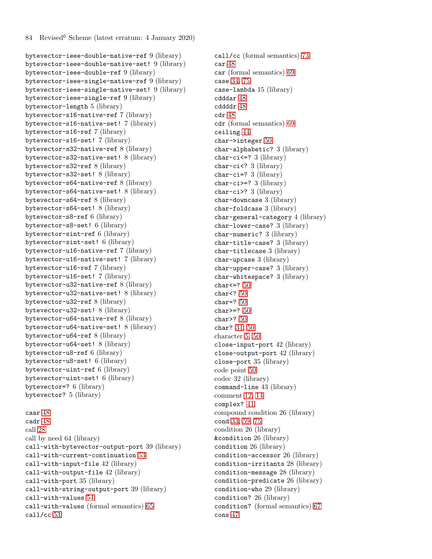84 Revised<sup>6</sup> Scheme (latest erratum: 4 January 2020)

```
bytevector-ieee-double-native-ref 9 (library)
bytevector-ieee-double-native-set! 9 (library)
bytevector-ieee-double-ref 9 (library)
bytevector-ieee-single-native-ref 9 (library)
bytevector-ieee-single-native-set! 9 (library)
bytevector-ieee-single-ref 9 (library)
bytevector-length 5 (library)
bytevector-s16-native-ref 7 (library)
bytevector-s16-native-set! 7 (library)
bytevector-s16-ref 7 (library)
bytevector-s16-set! 7 (library)
bytevector-s32-native-ref 8 (library)
bytevector-s32-native-set! 8 (library)
bytevector-s32-ref 8 (library)
bytevector-s32-set! 8 (library)
bytevector-s64-native-ref 8 (library)
bytevector-s64-native-set! 8 (library)
bytevector-s64-ref 8 (library)
bytevector-s64-set! 8 (library)
bytevector-s8-ref 6 (library)
bytevector-s8-set! 6 (library)
bytevector-sint-ref 6 (library)
bytevector-sint-set! 6 (library)
bytevector-u16-native-ref 7 (library)
bytevector-u16-native-set! 7 (library)
bytevector-u16-ref 7 (library)
bytevector-u16-set! 7 (library)
bytevector-u32-native-ref 8 (library)
bytevector-u32-native-set! 8 (library)
bytevector-u32-ref 8 (library)
bytevector-u32-set! 8 (library)
bytevector-u64-native-ref 8 (library)
bytevector-u64-native-set! 8 (library)
bytevector-u64-ref 8 (library)
bytevector-u64-set! 8 (library)
bytevector-u8-ref 6 (library)
bytevector-u8-set! 6 (library)
bytevector-uint-ref 6 (library)
bytevector-uint-set! 6 (library)
bytevector=? 6 (library)
bytevector? 5 (library)
caar 48
cadr 48
call 28
call by need 64 (library)
call-with-bytevector-output-port 39 (library)
call-with-current-continuation 53
call-with-input-file 42 (library)
call-with-output-file 42 (library)
call-with-port 35 (library)
call-with-string-output-port 39 (library)
call-with-values 54
call-with-values (formal semantics) 65
call/cc 53
```
call/cc (formal semantics) [73](#page-72-1) car [48](#page-47-0) car (formal semantics) [69](#page-68-0) case [34,](#page-33-0) [75](#page-74-1) case-lambda 15 (library) cdddar [48](#page-47-0) cddddr [48](#page-47-0) cdr [48](#page-47-0) cdr (formal semantics) [69](#page-68-0) ceiling [44](#page-43-0) char->integer [50](#page-49-0) char-alphabetic? 3 (library) char-ci<=? 3 (library) char-ci<? 3 (library) char-ci=? 3 (library) char-ci>=? 3 (library) char-ci>? 3 (library) char-downcase 3 (library) char-foldcase 3 (library) char-general-category 4 (library) char-lower-case? 3 (library) char-numeric? 3 (library) char-title-case? 3 (library) char-titlecase 3 (library) char-upcase 3 (library) char-upper-case? 3 (library) char-whitespace? 3 (library) char <= ?  $50$ char<? [50](#page-49-0) char=? [50](#page-49-0) char>=? [50](#page-49-0) char>? [50](#page-49-0) char? [31,](#page-30-0) [50](#page-49-0) character [5,](#page-4-0) [50](#page-49-0) close-input-port 42 (library) close-output-port 42 (library) close-port 35 (library) code point [50](#page-49-0) codec 32 (library) command-line 43 (library) comment [12,](#page-11-0) [14](#page-13-0) complex? [41](#page-40-0) compound condition 26 (library) cond [33,](#page-32-1) [59,](#page-58-0) [75](#page-74-1) condition 26 (library) &condition 26 (library) condition 26 (library) condition-accessor 26 (library) condition-irritants 28 (library) condition-message 28 (library) condition-predicate 26 (library) condition-who 29 (library) condition? 26 (library) condition? (formal semantics) [67](#page-66-0) cons [47](#page-46-0)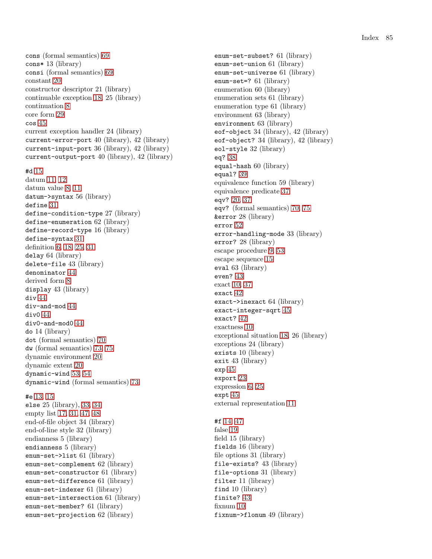cons (formal semantics) [69](#page-68-0) cons\* 13 (library) consi (formal semantics) [69](#page-68-0) constant [20](#page-19-0) constructor descriptor 21 (library) continuable exception [18,](#page-17-0) 25 (library) continuation [8](#page-7-0) core form [29](#page-28-0) cos [45](#page-44-0) current exception handler 24 (library) current-error-port 40 (library), 42 (library) current-input-port 36 (library), 42 (library) current-output-port 40 (library), 42 (library) #d [15](#page-14-0) datum [11,](#page-10-0) [12](#page-11-0) datum value [8,](#page-7-0) [11](#page-10-0) datum->syntax 56 (library) define [31](#page-30-0) define-condition-type 27 (library) define-enumeration 62 (library) define-record-type 16 (library) define-syntax [31](#page-30-0) definition [6,](#page-5-0) [18,](#page-17-0) [25,](#page-24-0) [31](#page-30-0) delay 64 (library) delete-file 43 (library) denominator [44](#page-43-0) derived form [8](#page-7-0) display 43 (library) div [44](#page-43-0) div-and-mod [44](#page-43-0) div0 [44](#page-43-0) div0-and-mod0 [44](#page-43-0) do 14 (library) dot (formal semantics) [70](#page-69-0) dw (formal semantics) [73,](#page-72-1) [75](#page-74-1) dynamic environment [20](#page-19-0) dynamic extent [20](#page-19-0) dynamic-wind [53,](#page-52-0) [54](#page-53-0) dynamic-wind (formal semantics) [73](#page-72-1) #e [13,](#page-12-0) [15](#page-14-0) else 25 (library), [33,](#page-32-1) [34](#page-33-0) empty list [17,](#page-16-1) [31,](#page-30-0) [47,](#page-46-0) [48](#page-47-0) end-of-file object 34 (library) end-of-line style 32 (library) endianness 5 (library) endianness 5 (library) enum-set->list 61 (library) enum-set-complement 62 (library) enum-set-constructor 61 (library) enum-set-difference 61 (library) enum-set-indexer 61 (library) enum-set-intersection 61 (library) enum-set-member? 61 (library) enum-set-projection 62 (library)

enum-set-subset? 61 (library) enum-set-union 61 (library) enum-set-universe 61 (library) enum-set=? 61 (library) enumeration 60 (library) enumeration sets 61 (library) enumeration type 61 (library) environment 63 (library) environment 63 (library) eof-object 34 (library), 42 (library) eof-object? 34 (library), 42 (library) eol-style 32 (library) eq? [38](#page-37-0) equal-hash 60 (library) equal? [39](#page-38-0) equivalence function 59 (library) equivalence predicate [37](#page-36-0) eqv? [20,](#page-19-0) [37](#page-36-0) eqv? (formal semantics) [70,](#page-69-0) [75](#page-74-1) &error 28 (library) error [52](#page-51-0) error-handling-mode 33 (library) error? 28 (library) escape procedure [9,](#page-8-0) [53](#page-52-0) escape sequence [15](#page-14-0) eval 63 (library) even? [43](#page-42-0) exact [10,](#page-9-1) [37](#page-36-0) exact [42](#page-41-0) exact->inexact 64 (library) exact-integer-sqrt [45](#page-44-0) exact? [42](#page-41-0) exactness [10](#page-9-1) exceptional situation [18,](#page-17-0) 26 (library) exceptions 24 (library) exists 10 (library) exit 43 (library) exp [45](#page-44-0) export [23](#page-22-0) expression [6,](#page-5-0) [25](#page-24-0) expt [45](#page-44-0) external representation [11](#page-10-0) #f [14,](#page-13-0) [47](#page-46-0) false [19](#page-18-0) field 15 (library) fields 16 (library) file options 31 (library) file-exists? 43 (library) file-options 31 (library) filter 11 (library) find 10 (library) finite? [43](#page-42-0)

fixnum [10](#page-9-1)

fixnum->flonum 49 (library)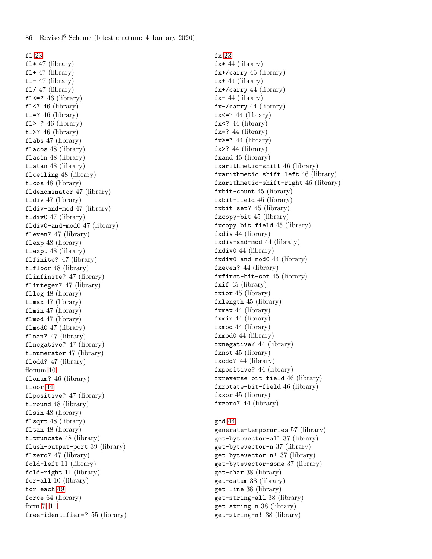fl [23](#page-22-0)  $f1* 47$  (library)  $f1+47$  (library) fl- 47 (library) fl/ 47 (library) fl<=?  $46$  (library)  $f1$ <?  $46$  (library)  $f1=?$  46 (library) fl>=? 46 (library) fl>? 46 (library) flabs 47 (library) flacos 48 (library) flasin 48 (library) flatan 48 (library) flceiling 48 (library) flcos 48 (library) fldenominator 47 (library) fldiv 47 (library) fldiv-and-mod 47 (library) fldiv0 47 (library) fldiv0-and-mod0 47 (library) fleven? 47 (library) flexp 48 (library) flexpt 48 (library) flfinite? 47 (library) flfloor 48 (library) flinfinite? 47 (library) flinteger? 47 (library) fllog 48 (library) flmax 47 (library) flmin 47 (library) flmod 47 (library) flmod0 47 (library) flnan? 47 (library) flnegative? 47 (library) flnumerator 47 (library) flodd? 47 (library) flonum [10](#page-9-1) flonum? 46 (library) floor [44](#page-43-0) flpositive? 47 (library) flround 48 (library) flsin 48 (library) flsqrt 48 (library) fltan 48 (library) fltruncate 48 (library) flush-output-port 39 (library) flzero? 47 (library) fold-left 11 (library) fold-right 11 (library) for-all 10 (library) for-each [49](#page-48-0) force 64 (library) form [7,](#page-6-0) [11](#page-10-0) free-identifier=? 55 (library)

fx [23](#page-22-0)  $f$ x\* 44 (library) fx\*/carry 45 (library) fx+ 44 (library) fx+/carry 44 (library)  $fx-44$  (library) fx-/carry 44 (library) fx $\leq$  24 (library) fx<?  $44$  (library)  $f_{x=?}$  44 (library) fx $\ge$ =? 44 (library) fx>? 44 (library) fxand 45 (library) fxarithmetic-shift 46 (library) fxarithmetic-shift-left 46 (library) fxarithmetic-shift-right 46 (library) fxbit-count 45 (library) fxbit-field 45 (library) fxbit-set? 45 (library) fxcopy-bit 45 (library) fxcopy-bit-field 45 (library) fxdiv 44 (library) fxdiv-and-mod 44 (library) fxdiv0 44 (library) fxdiv0-and-mod0 44 (library) fxeven? 44 (library) fxfirst-bit-set 45 (library) fxif 45 (library) fxior 45 (library) fxlength 45 (library) fxmax 44 (library) fxmin 44 (library) fxmod 44 (library) fxmod0 44 (library) fxnegative? 44 (library) fxnot 45 (library) fxodd? 44 (library) fxpositive? 44 (library) fxreverse-bit-field 46 (library) fxrotate-bit-field 46 (library) fxxor 45 (library) fxzero? 44 (library)

### gcd [44](#page-43-0)

generate-temporaries 57 (library) get-bytevector-all 37 (library) get-bytevector-n 37 (library) get-bytevector-n! 37 (library) get-bytevector-some 37 (library) get-char 38 (library) get-datum 38 (library) get-line 38 (library) get-string-all 38 (library) get-string-n 38 (library) get-string-n! 38 (library)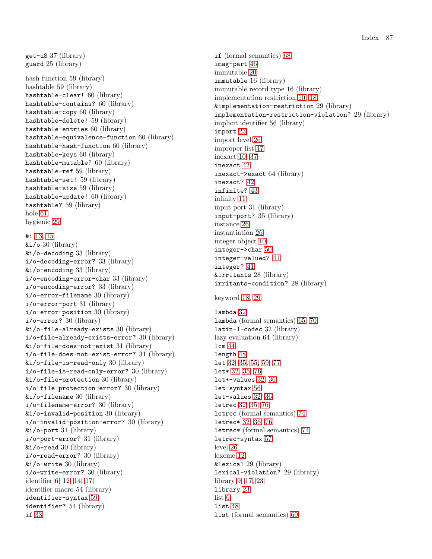get-u8 37 (library) guard 25 (library) hash function 59 (library) hashtable 59 (library) hashtable-clear! 60 (library) hashtable-contains? 60 (library) hashtable-copy 60 (library) hashtable-delete! 59 (library) hashtable-entries 60 (library) hashtable-equivalence-function 60 (library) hashtable-hash-function 60 (library) hashtable-keys 60 (library) hashtable-mutable? 60 (library) hashtable-ref 59 (library) hashtable-set! 59 (library) hashtable-size 59 (library) hashtable-update! 60 (library) hashtable? 59 (library) hole [61](#page-60-0) hygienic [29](#page-28-0) #i [13,](#page-12-0) [15](#page-14-0)  $k$ i/o 30 (library) &i/o-decoding 33 (library) i/o-decoding-error? 33 (library) &i/o-encoding 33 (library) i/o-encoding-error-char 33 (library) i/o-encoding-error? 33 (library) i/o-error-filename 30 (library) i/o-error-port 31 (library) i/o-error-position 30 (library) i/o-error? 30 (library) &i/o-file-already-exists 30 (library) i/o-file-already-exists-error? 30 (library) &i/o-file-does-not-exist 31 (library) i/o-file-does-not-exist-error? 31 (library) &i/o-file-is-read-only 30 (library) i/o-file-is-read-only-error? 30 (library) &i/o-file-protection 30 (library) i/o-file-protection-error? 30 (library) &i/o-filename 30 (library) i/o-filename-error? 30 (library) &i/o-invalid-position 30 (library) i/o-invalid-position-error? 30 (library) &i/o-port 31 (library) i/o-port-error? 31 (library) &i/o-read 30 (library) i/o-read-error? 30 (library) &i/o-write 30 (library) i/o-write-error? 30 (library) identifier [6,](#page-5-0) [12,](#page-11-0) [14,](#page-13-0) [17](#page-16-1) identifier macro 54 (library) identifier-syntax [59](#page-58-0) identifier? 54 (library) if [33](#page-32-1)

if (formal semantics) [68](#page-67-0) imag-part [46](#page-45-0) immutable [20](#page-19-0) immutable 16 (library) immutable record type 16 (library) implementation restriction [10,](#page-9-1) [18](#page-17-0) &implementation-restriction 29 (library) implementation-restriction-violation? 29 (library) implicit identifier 56 (library) import [23](#page-22-0) import level [26](#page-25-0) improper list [47](#page-46-0) inexact [10,](#page-9-1) [37](#page-36-0) inexact [42](#page-41-0) inexact->exact 64 (library) inexact? [42](#page-41-0) infinite? [43](#page-42-0) infinity [11](#page-10-0) input port 31 (library) input-port? 35 (library) instance [26](#page-25-0) instantiation [26](#page-25-0) integer object [10](#page-9-1) integer->char [50](#page-49-0) integer-valued? [41](#page-40-0) integer? [41](#page-40-0) &irritants 28 (library) irritants-condition? 28 (library) keyword [18,](#page-17-0) [29](#page-28-0) lambda [32](#page-31-0) lambda (formal semantics) [65,](#page-64-0) [70](#page-69-0) latin-1-codec 32 (library) lazy evaluation 64 (library) lcm [44](#page-43-0) length [48](#page-47-0) let [32,](#page-31-0) [35,](#page-34-1) [55,](#page-54-0) [59,](#page-58-0) [77](#page-76-0) let\* [32,](#page-31-0) [35,](#page-34-1) [76](#page-75-0) let\*-values [32,](#page-31-0) [36](#page-35-0) let-syntax [56](#page-55-0) let-values [32,](#page-31-0) [36](#page-35-0) letrec [32,](#page-31-0) [35,](#page-34-1) [76](#page-75-0) letrec (formal semantics) [74](#page-73-1) letrec\* [32,](#page-31-0) [36,](#page-35-0) [76](#page-75-0) letrec\* (formal semantics) [74](#page-73-1) letrec-syntax [57](#page-56-0) level [26](#page-25-0) lexeme [12](#page-11-0) &lexical 29 (library) lexical-violation? 29 (library) library [9,](#page-8-0) [17,](#page-16-1) [23](#page-22-0) library [23](#page-22-0) list [6](#page-5-0) list [48](#page-47-0) list (formal semantics) [69](#page-68-0)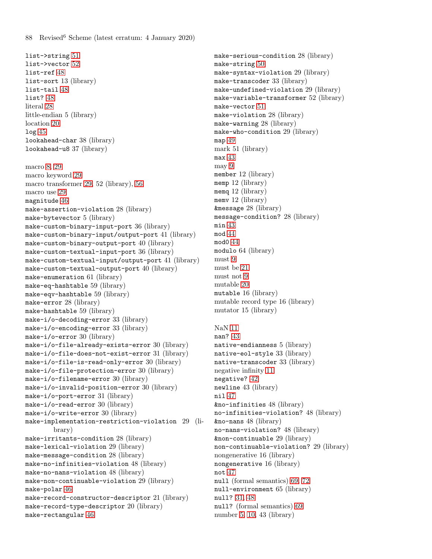list->string [51](#page-50-0) list->vector [52](#page-51-0) list-ref [48](#page-47-0) list-sort 13 (library) list-tail [48](#page-47-0) list? [48](#page-47-0) literal [28](#page-27-0) little-endian 5 (library) location [20](#page-19-0)  $log 45$  $log 45$ lookahead-char 38 (library) lookahead-u8 37 (library) macro [8,](#page-7-0) [29](#page-28-0) macro keyword [29](#page-28-0) macro transformer [29,](#page-28-0) 52 (library), [56](#page-55-0) macro use [29](#page-28-0) magnitude [46](#page-45-0) make-assertion-violation 28 (library) make-bytevector 5 (library) make-custom-binary-input-port 36 (library) make-custom-binary-input/output-port 41 (library) make-custom-binary-output-port 40 (library) make-custom-textual-input-port 36 (library) make-custom-textual-input/output-port 41 (library) make-custom-textual-output-port 40 (library) make-enumeration 61 (library) make-eq-hashtable 59 (library) make-eqv-hashtable 59 (library) make-error 28 (library) make-hashtable 59 (library) make-i/o-decoding-error 33 (library) make-i/o-encoding-error 33 (library) make-i/o-error 30 (library) make-i/o-file-already-exists-error 30 (library) make-i/o-file-does-not-exist-error 31 (library) make-i/o-file-is-read-only-error 30 (library) make-i/o-file-protection-error  $30$  (library) make-i/o-filename-error 30 (library) make-i/o-invalid-position-error 30 (library) make-i/o-port-error 31 (library) make-i/o-read-error 30 (library) make-i/o-write-error 30 (library) make-implementation-restriction-violation 29 (library) make-irritants-condition 28 (library) make-lexical-violation 29 (library) make-message-condition 28 (library) make-no-infinities-violation 48 (library) make-no-nans-violation 48 (library) make-non-continuable-violation 29 (library) make-polar [46](#page-45-0) make-record-constructor-descriptor 21 (library) make-record-type-descriptor 20 (library) make-rectangular [46](#page-45-0)

make-serious-condition 28 (library) make-string [50](#page-49-0) make-syntax-violation 29 (library) make-transcoder 33 (library) make-undefined-violation 29 (library) make-variable-transformer 52 (library) make-vector [51](#page-50-0) make-violation 28 (library) make-warning 28 (library) make-who-condition 29 (library) map [49](#page-48-0) mark 51 (library) max [43](#page-42-0) may [9](#page-8-0) member 12 (library) memp 12 (library) memq 12 (library) memv 12 (library) &message 28 (library) message-condition? 28 (library) min [43](#page-42-0) mod [44](#page-43-0) mod0 [44](#page-43-0) modulo 64 (library) must [9](#page-8-0) must be [21](#page-20-0) must not [9](#page-8-0) mutable [20](#page-19-0) mutable 16 (library) mutable record type 16 (library) mutator 15 (library) NaN [11](#page-10-0) nan? [43](#page-42-0) native-endianness 5 (library) native-eol-style 33 (library) native-transcoder 33 (library) negative infinity [11](#page-10-0) negative? [42](#page-41-0) newline 43 (library) nil [47](#page-46-0) &no-infinities 48 (library) no-infinities-violation? 48 (library) &no-nans 48 (library) no-nans-violation? 48 (library) &non-continuable 29 (library) non-continuable-violation? 29 (library) nongenerative 16 (library) nongenerative 16 (library) not [47](#page-46-0) null (formal semantics) [69,](#page-68-0) [72](#page-71-0) null-environment 65 (library) null? [31,](#page-30-0) [48](#page-47-0) null? (formal semantics) [69](#page-68-0) number [5,](#page-4-0) [10,](#page-9-1) 43 (library)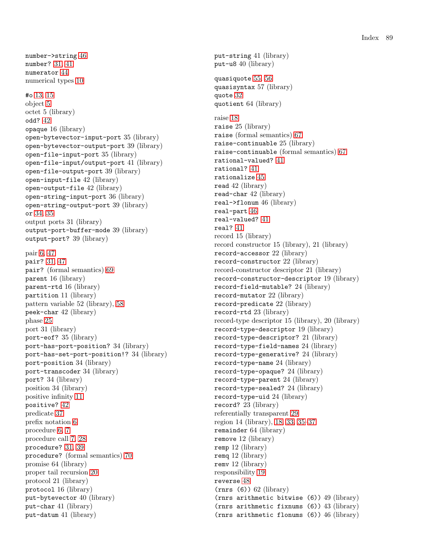number->string [46](#page-45-0) number? [31,](#page-30-0) [41](#page-40-0) numerator [44](#page-43-0) numerical types [10](#page-9-1)

#o [13,](#page-12-0) [15](#page-14-0) object [5](#page-4-0) octet 5 (library) odd? [42](#page-41-0) opaque 16 (library) open-bytevector-input-port 35 (library) open-bytevector-output-port 39 (library) open-file-input-port 35 (library) open-file-input/output-port 41 (library) open-file-output-port 39 (library) open-input-file 42 (library) open-output-file 42 (library) open-string-input-port 36 (library) open-string-output-port 39 (library) or [34,](#page-33-0) [35](#page-34-1) output ports 31 (library) output-port-buffer-mode 39 (library) output-port? 39 (library) pair [6,](#page-5-0) [47](#page-46-0) pair? [31,](#page-30-0) [47](#page-46-0) pair? (formal semantics) [69](#page-68-0) parent 16 (library) parent-rtd 16 (library) partition 11 (library) pattern variable 52 (library), [58](#page-57-0) peek-char 42 (library) phase [25](#page-24-0) port 31 (library) port-eof? 35 (library) port-has-port-position? 34 (library) port-has-set-port-position!? 34 (library) port-position 34 (library) port-transcoder 34 (library) port? 34 (library) position 34 (library) positive infinity [11](#page-10-0) positive? [42](#page-41-0) predicate [37](#page-36-0) prefix notation [6](#page-5-0) procedure [6,](#page-5-0) [7](#page-6-0) procedure call [7,](#page-6-0) [28](#page-27-0) procedure? [31,](#page-30-0) [39](#page-38-0) procedure? (formal semantics) [70](#page-69-0) promise 64 (library) proper tail recursion [20](#page-19-0) protocol 21 (library) protocol 16 (library) put-bytevector 40 (library) put-char 41 (library) put-datum 41 (library)

put-string 41 (library) put-u8 40 (library) quasiquote [55,](#page-54-0) [56](#page-55-0) quasisyntax 57 (library) quote [32](#page-31-0) quotient 64 (library) raise [18](#page-17-0) raise 25 (library) raise (formal semantics) [67](#page-66-0) raise-continuable 25 (library) raise-continuable (formal semantics) [67](#page-66-0) rational-valued? [41](#page-40-0) rational? [41](#page-40-0) rationalize [45](#page-44-0) read 42 (library) read-char 42 (library) real->flonum 46 (library) real-part [46](#page-45-0) real-valued? [41](#page-40-0) real? [41](#page-40-0) record 15 (library) record constructor 15 (library), 21 (library) record-accessor 22 (library) record-constructor 22 (library) record-constructor descriptor 21 (library) record-constructor-descriptor 19 (library) record-field-mutable? 24 (library) record-mutator 22 (library) record-predicate 22 (library) record-rtd 23 (library) record-type descriptor 15 (library), 20 (library) record-type-descriptor 19 (library) record-type-descriptor? 21 (library) record-type-field-names 24 (library) record-type-generative? 24 (library) record-type-name 24 (library) record-type-opaque? 24 (library) record-type-parent 24 (library) record-type-sealed? 24 (library) record-type-uid 24 (library) record? 23 (library) referentially transparent [29](#page-28-0) region 14 (library), [18,](#page-17-0) [33,](#page-32-1) [35](#page-34-1)[–37](#page-36-0) remainder 64 (library) remove 12 (library) remp 12 (library) remq 12 (library) remv 12 (library) responsibility [19](#page-18-0) reverse [48](#page-47-0) (rnrs (6)) 62 (library) (rnrs arithmetic bitwise (6)) 49 (library) (rnrs arithmetic fixnums (6)) 43 (library) (rnrs arithmetic flonums (6)) 46 (library)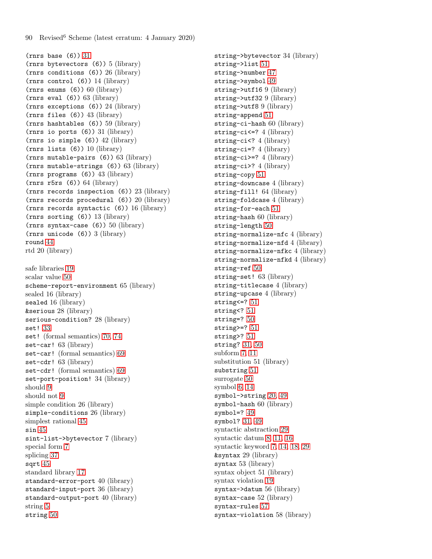(rnrs base  $(6)$ ) [31](#page-30-0) (rnrs bytevectors (6)) 5 (library) (rnrs conditions (6)) 26 (library) (rnrs control (6)) 14 (library) (rnrs enums (6)) 60 (library)  $(rnrs \text{ eval } (6)) 63$  (library) (rnrs exceptions (6)) 24 (library) (rnrs files (6)) 43 (library) (rnrs hashtables (6)) 59 (library) (rnrs io ports (6)) 31 (library) (rnrs io simple (6)) 42 (library)  $(rnrs$  lists  $(6))$  10 (library) (rnrs mutable-pairs (6)) 63 (library) (rnrs mutable-strings (6)) 63 (library) (rnrs programs (6)) 43 (library) (rnrs r5rs (6)) 64 (library) (rnrs records inspection (6)) 23 (library) (rnrs records procedural (6)) 20 (library) (rnrs records syntactic (6)) 16 (library) (rnrs sorting (6)) 13 (library) (rnrs syntax-case (6)) 50 (library) (rnrs unicode (6)) 3 (library) round [44](#page-43-0) rtd 20 (library) safe libraries [19](#page-18-0) scalar value [50](#page-49-0) scheme-report-environment 65 (library) sealed 16 (library) sealed 16 (library) &serious 28 (library) serious-condition? 28 (library) set! [33](#page-32-1) set! (formal semantics) [70,](#page-69-0) [74](#page-73-1) set-car! 63 (library) set-car! (formal semantics) [69](#page-68-0) set-cdr! 63 (library) set-cdr! (formal semantics) [69](#page-68-0) set-port-position! 34 (library) should [9](#page-8-0) should not [9](#page-8-0) simple condition 26 (library) simple-conditions 26 (library) simplest rational [45](#page-44-0) sin [45](#page-44-0) sint-list->bytevector 7 (library) special form [7](#page-6-0) splicing [37](#page-36-0) sqrt [45](#page-44-0) standard library [17](#page-16-1) standard-error-port 40 (library) standard-input-port 36 (library) standard-output-port 40 (library) string [5](#page-4-0) string [50](#page-49-0)

string->bytevector 34 (library) string->list [51](#page-50-0) string->number [47](#page-46-0) string->symbol [49](#page-48-0) string->utf16 9 (library) string->utf32 9 (library) string->utf8 9 (library) string-append [51](#page-50-0) string-ci-hash 60 (library) string-ci<=? 4 (library) string-ci<? 4 (library) string-ci=? 4 (library) string-ci>=? 4 (library) string-ci>? 4 (library) string-copy [51](#page-50-0) string-downcase 4 (library) string-fill! 64 (library) string-foldcase 4 (library) string-for-each [51](#page-50-0) string-hash 60 (library) string-length [50](#page-49-0) string-normalize-nfc 4 (library) string-normalize-nfd 4 (library) string-normalize-nfkc 4 (library) string-normalize-nfkd 4 (library) string-ref [50](#page-49-0) string-set! 63 (library) string-titlecase 4 (library) string-upcase 4 (library) string<=? [51](#page-50-0) string<? [51](#page-50-0) string=? [50](#page-49-0) string>=? [51](#page-50-0) string>? [51](#page-50-0) string? [31,](#page-30-0) [50](#page-49-0) subform [7,](#page-6-0) [11](#page-10-0) substitution 51 (library) substring [51](#page-50-0) surrogate [50](#page-49-0) symbol [6,](#page-5-0) [14](#page-13-0) symbol->string [20,](#page-19-0) [49](#page-48-0) symbol-hash 60 (library) symbol=? [49](#page-48-0) symbol? [31,](#page-30-0) [49](#page-48-0) syntactic abstraction [29](#page-28-0) syntactic datum [8,](#page-7-0) [11,](#page-10-0) [16](#page-15-0) syntactic keyword [7,](#page-6-0) [14,](#page-13-0) [18,](#page-17-0) [29](#page-28-0) &syntax 29 (library) syntax 53 (library) syntax object 51 (library) syntax violation [19](#page-18-0) syntax->datum 56 (library) syntax-case 52 (library) syntax-rules [57](#page-56-0) syntax-violation 58 (library)